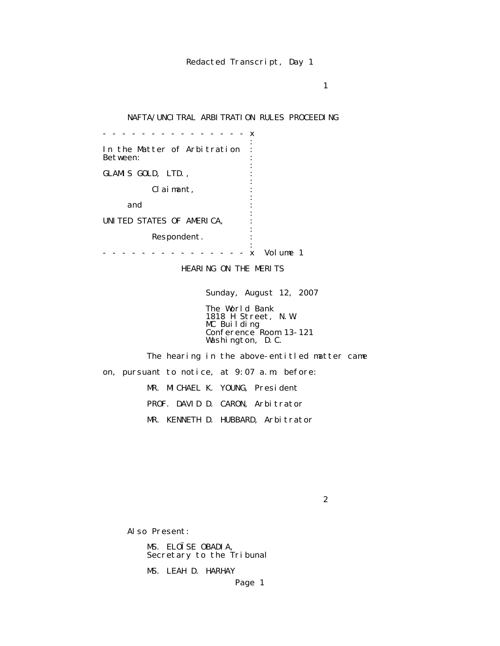$1$ 

## NAFTA/UNCITRAL ARBITRATION RULES PROCEEDING

 - - - - - - - - - - - - - - - x the contract of the contract of the contract of the contract of the contract of the contract of the contract of In the Matter of Arbitration : Between: the contract of the contract of the contract of the contract of the contract of the contract of the contract of GLAMIS GOLD, LTD., the contract of the contract of the contract of the contract of the contract of the contract of the contract of Claimant, : the contract of the contract of the contract of the contract of the contract of the contract of the contract of and  $\cdots$  : the contract of the contract of the contract of the contract of the contract of the contract of the contract of UNITED STATES OF AMERICA, : the contract of the contract of the contract of the contract of the contract of the contract of the contract of Respondent. the contract of the contract of the contract of the contract of the contract of the contract of the contract of - - - - - - - - - - - - - - - x Volume 1

HEARING ON THE MERITS

Sunday, August 12, 2007

 The World Bank 1818 H Street, N.W. MC Building Conference Room 13-121 Washington, D.C.

 The hearing in the above-entitled matter came on, pursuant to notice, at 9:07 a.m. before: MR. MICHAEL K. YOUNG, President PROF. DAVID D. CARON, Arbitrator MR. KENNETH D. HUBBARD, Arbitrator

2

Also Present:

 MS. ELOÏSE OBADIA, Secretary to the Tribunal

MS. LEAH D. HARHAY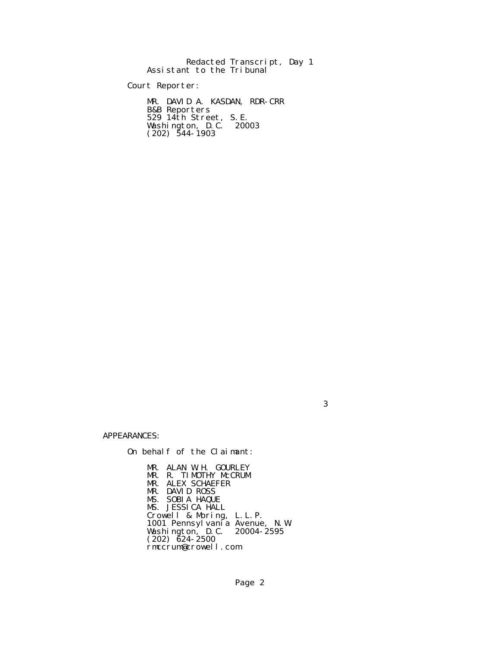Redacted Transcript, Day 1 Assistant to the Tribunal

Court Reporter:

 MR. DAVID A. KASDAN, RDR-CRR B&B Reporters 529 14th Street, S.E. Washington, D.C. 20003  $(202)$  544-1903

APPEARANCES:

On behalf of the Claimant:

3

 MR. ALAN W.H. GOURLEY MR. R. TIMOTHY McCRUM MR. ALEX SCHAEFER MR. DAVID ROSS MS. SOBIA HAQUE MS. JESSICA HALL Crowell & Moring, L.L.P. 1001 Pennsylvania Avenue, N.W. Washington, D.C. 20004-2595  $(202)$   $\bar{6}24 - 2500$ rmccrum@crowell.com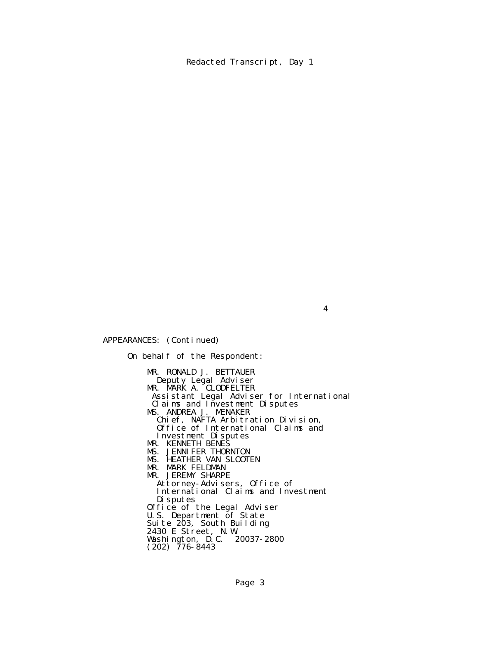APPEARANCES: (Continued)

 On behalf of the Respondent: MR. RONALD J. BETTAUER Deputy Legal Adviser **MR. MARK A. CLODFELTER**  Assistant Legal Adviser for International Claims and Investment Disputes MS. ANDREA J. MENAKER Chief, NAFTA Arbitration Division, Office of International Claims and Investment Disputes MR. KENNETH BENES MS. JENNIFER THORNTON MS. HEATHER VAN SLOOTEN MR. MARK FELDMAN MR. JEREMY SHARPE Attorney-Advisers, Office of International Claims and Investment

 Disputes Office of the Legal Adviser U.S. Department of State Suite 203, South Building 2430 E Street, N.W. Washington, D.C. 20037-2800

 $(202)$  776-8443

4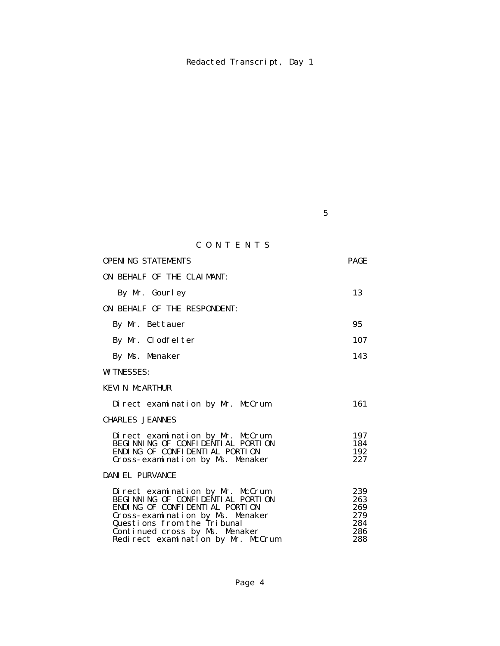| $-$ |  |
|-----|--|
|     |  |
|     |  |
|     |  |
|     |  |
|     |  |
|     |  |
|     |  |

# C O N T E N T S

| <b>OPENING STATEMENTS</b> |                                                                                                                                                                            | <b>PAGE</b>                            |
|---------------------------|----------------------------------------------------------------------------------------------------------------------------------------------------------------------------|----------------------------------------|
|                           | ON BEHALF OF THE CLAIMANT:                                                                                                                                                 |                                        |
| By Mr. Gourley            |                                                                                                                                                                            | 13                                     |
|                           | ON BEHALF OF THE RESPONDENT:                                                                                                                                               |                                        |
| By Mr. Bettauer           |                                                                                                                                                                            | 95                                     |
| By Mr. Clodfelter         |                                                                                                                                                                            | 107                                    |
| By Ms. Menaker            |                                                                                                                                                                            | 143                                    |
| <b>WITNESSES:</b>         |                                                                                                                                                                            |                                        |
| <b>KEVIN MCARTHUR</b>     |                                                                                                                                                                            |                                        |
|                           | Direct examination by Mr. McCrum                                                                                                                                           | 161                                    |
| <b>CHARLES JEANNES</b>    |                                                                                                                                                                            |                                        |
|                           | Direct examination by Mr. McCrum<br>BEGINNING OF CONFIDENTIAL PORTION<br>ENDING OF CONFIDENTIAL PORTION<br>Cross-examination by Ms. Menaker                                | 197<br>184<br>192<br>227               |
| DANIEL PURVANCE           |                                                                                                                                                                            |                                        |
|                           | Direct examination by Mr. McCrum<br>BEGINNING OF CONFIDENTIAL PORTION<br>ENDING OF CONFIDENTIAL PORTION<br>Cross-examination by Ms. Menaker<br>Questions from the Tribunal | 239<br>263<br>269<br>279<br>284<br>286 |
|                           | Continued cross by Ms. Menaker<br>Redirect examination by Mr. McCrum                                                                                                       | 288                                    |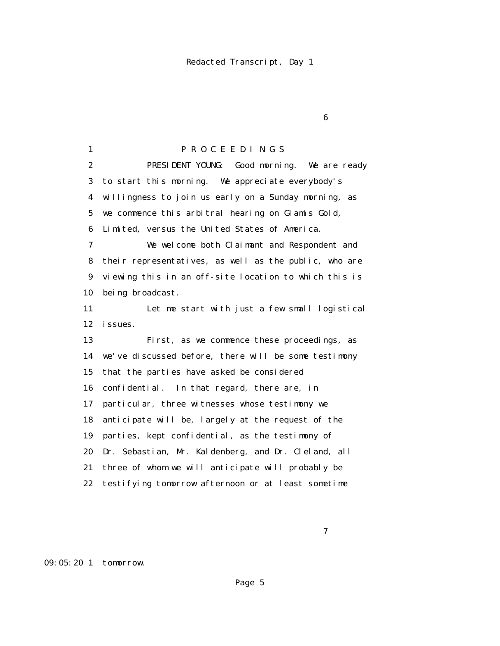1 P R O C E E D I N G S 2 PRESIDENT YOUNG: Good morning. We are ready 3 to start this morning. We appreciate everybody's 4 willingness to join us early on a Sunday morning, as 5 we commence this arbitral hearing on Glamis Gold, 6 Limited, versus the United States of America. 7 We welcome both Claimant and Respondent and 8 their representatives, as well as the public, who are 9 viewing this in an off-site location to which this is 10 being broadcast. 11 Let me start with just a few small logistical 12 issues. 13 First, as we commence these proceedings, as 14 we've discussed before, there will be some testimony 15 that the parties have asked be considered 16 confidential. In that regard, there are, in 17 particular, three witnesses whose testimony we 18 anticipate will be, largely at the request of the 19 parties, kept confidential, as the testimony of 20 Dr. Sebastian, Mr. Kaldenberg, and Dr. Cleland, all 21 three of whom we will anticipate will probably be 22 testifying tomorrow afternoon or at least sometime

6

7

#### 09:05:20 1 tomorrow.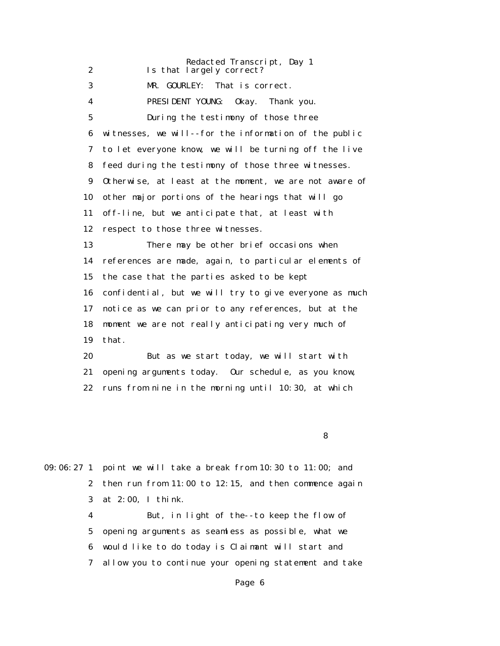|              | Redacted Transcript, Day 1                             |
|--------------|--------------------------------------------------------|
| $\mathbf{2}$ | Is that largely correct?                               |
| 3            | MR. GOURLEY: That is correct.                          |
| 4            | PRESIDENT YOUNG:<br>0kay. Thank you.                   |
| $\mathbf{5}$ | During the testimony of those three                    |
| 6            | witnesses, we will--for the information of the public  |
| 7            | to let everyone know, we will be turning off the live  |
| 8            | feed during the testimony of those three witnesses.    |
| 9            | Otherwise, at least at the moment, we are not aware of |
| 10           | other major portions of the hearings that will go      |
| 11           | off-line, but we anticipate that, at least with        |
| 12           | respect to those three witnesses.                      |
| 13           | There may be other brief occasions when                |
| 14           | references are made, again, to particular elements of  |
| 15           | the case that the parties asked to be kept             |
| 16           | confidential, but we will try to give everyone as much |
| 17           | notice as we can prior to any references, but at the   |
| 18           | moment we are not really anticipating very much of     |
| 19           | that.                                                  |
| 20           | But as we start today, we will start with              |
| 21           | opening arguments today. Our schedule, as you know,    |
|              |                                                        |

8

09:06:27 1 point we will take a break from 10:30 to 11:00; and 2 then run from 11:00 to 12:15, and then commence again 3 at 2:00, I think.

22 runs from nine in the morning until 10:30, at which

 4 But, in light of the--to keep the flow of 5 opening arguments as seamless as possible, what we 6 would like to do today is Claimant will start and 7 allow you to continue your opening statement and take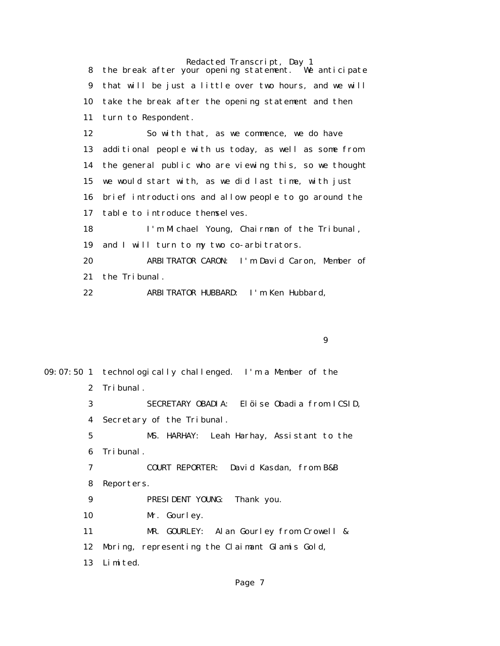8 the break after your opening statement. We anticipate 9 that will be just a little over two hours, and we will 10 take the break after the opening statement and then 11 turn to Respondent.

 12 So with that, as we commence, we do have 13 additional people with us today, as well as some from 14 the general public who are viewing this, so we thought 15 we would start with, as we did last time, with just 16 brief introductions and allow people to go around the 17 table to introduce themselves. 18 I'm Michael Young, Chairman of the Tribunal,

19 and I will turn to my two co-arbitrators.

 20 ARBITRATOR CARON: I'm David Caron, Member of 21 the Tribunal.

22 ARBITRATOR HUBBARD: I'm Ken Hubbard,

9

09:07:50 1 technologically challenged. I'm a Member of the 2 Tribunal. 3 SECRETARY OBADIA: Elöise Obadia from ICSID, 4 Secretary of the Tribunal. 5 MS. HARHAY: Leah Harhay, Assistant to the 6 Tribunal. 7 COURT REPORTER: David Kasdan, from B&B 8 Reporters. 9 PRESIDENT YOUNG: Thank you. 10 Mr. Gourley. 11 MR. GOURLEY: Alan Gourley from Crowell & 12 Moring, representing the Claimant Glamis Gold, 13 Limited.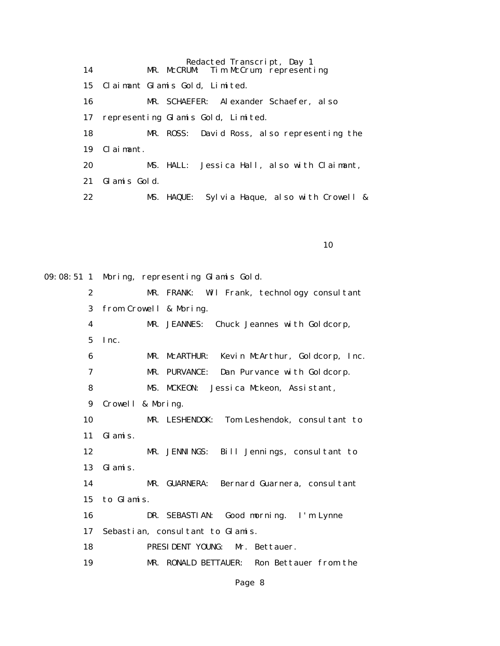Redacted Transcript, Day 1 14 MR. McCRUM: Tim McCrum, representing 15 Claimant Glamis Gold, Limited. 16 MR. SCHAEFER: Alexander Schaefer, also 17 representing Glamis Gold, Limited. 18 MR. ROSS: David Ross, also representing the 19 Claimant. 20 MS. HALL: Jessica Hall, also with Claimant, 21 Glamis Gold. 22 MS. HAQUE: Sylvia Haque, also with Crowell &

 $10$ 

09:08:51 1 Moring, representing Glamis Gold.

| $\boldsymbol{2}$ |                        | MR. FRANK: Wil Frank, technology consultant     |
|------------------|------------------------|-------------------------------------------------|
| 3                | from Crowell & Moring. |                                                 |
| 4                |                        | MR. JEANNES: Chuck Jeannes with Goldcorp,       |
| $5\overline{ }$  | Inc.                   |                                                 |
| 6                |                        | MR. McARTHUR:<br>Kevin McArthur, Goldcorp, Inc. |
| 7                |                        | MR. PURVANCE:<br>Dan Purvance with Goldcorp.    |
| 8                |                        | MS. MCKEON: Jessica Mckeon, Assistant,          |
| $\boldsymbol{9}$ | Crowell & Moring.      |                                                 |
| 10               |                        | MR. LESHENDOK: Tom Leshendok, consultant to     |
| 11               | Gl ami s.              |                                                 |
| 12               |                        | MR. JENNINGS: Bill Jennings, consultant to      |
| 13               | Gl ami s.              |                                                 |
| 14               |                        | MR. GUARNERA: Bernard Guarnera, consultant      |
| 15               | to Glamis.             |                                                 |
| 16               |                        | DR. SEBASTIAN: Good morning. I'm Lynne          |
| 17               |                        | Sebastian, consultant to Glamis.                |
| 18               |                        | PRESIDENT YOUNG: Mr. Bettauer.                  |
| 19               |                        | MR. RONALD BETTAUER: Ron Bettauer from the      |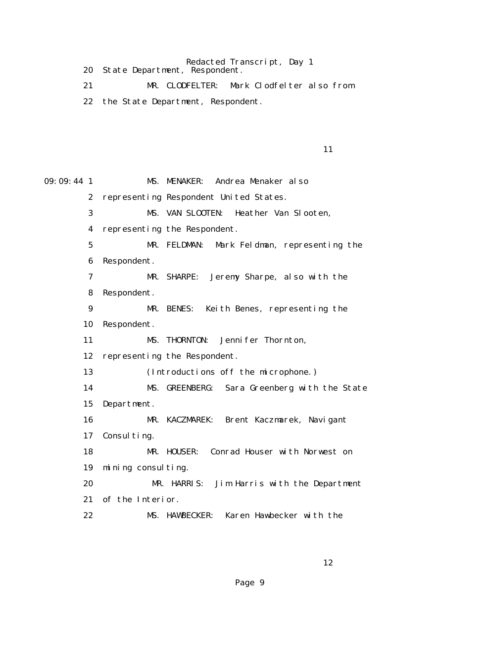20 State Department, Respondent.

 21 MR. CLODFELTER: Mark Clodfelter also from 22 the State Department, Respondent.

11 minutes and the state of the state of the state of the state of the state of the state of the state of the state of the state of the state of the state of the state of the state of the state of the state of the state of

| $09:09:44$ 1     | MS. MENAKER: Andrea Menaker also                      |
|------------------|-------------------------------------------------------|
| $\mathbf{2}$     | representing Respondent United States.                |
| 3                | MS. VAN SLOOTEN:<br>Heather Van Slooten,              |
| 4                | representing the Respondent.                          |
| $\mathbf{5}$     | MR. FELDMAN: Mark Feldman, representing the           |
| 6                | Respondent.                                           |
| 7                | MR.<br><b>SHARPE:</b><br>Jeremy Sharpe, also with the |
| 8                | Respondent.                                           |
| $\boldsymbol{9}$ | MR. BENES: Keith Benes, representing the              |
| 10               | Respondent.                                           |
| 11               | MS. THORNTON:<br>Jenni fer Thornton,                  |
| 12               | representing the Respondent.                          |
| 13               | (Introductions off the microphone.)                   |
| 14               | MS. GREENBERG:<br>Sara Greenberg with the State       |
| 15               | Department.                                           |
| 16               | MR. KACZMAREK: Brent Kaczmarek, Navigant              |
| 17               | Consulting.                                           |
| 18               | Conrad Houser with Norwest on<br>MR. HOUSER:          |
| 19               | mining consulting.                                    |
| 20               | MR. HARRIS: Jim Harris with the Department            |
| 21               | of the Interior.                                      |
| 22               | Karen Hawbecker with the<br>MS. HAWBECKER:            |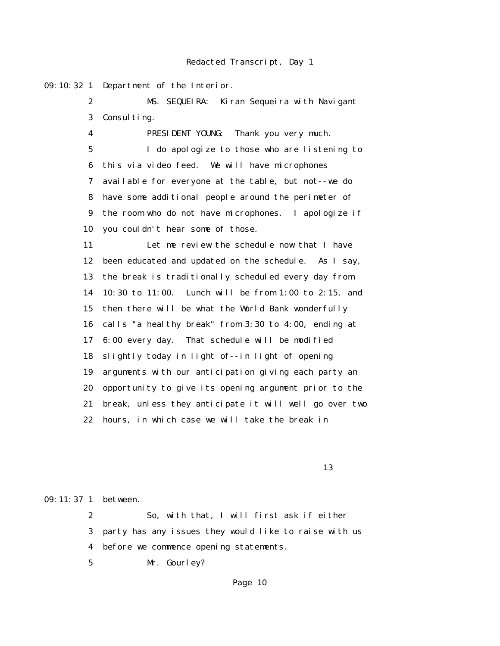09:10:32 1 Department of the Interior.

 2 MS. SEQUEIRA: Kiran Sequeira with Navigant 3 Consulting.

4 PRESIDENT YOUNG: Thank you very much.

 5 I do apologize to those who are listening to 6 this via video feed. We will have microphones 7 available for everyone at the table, but not--we do 8 have some additional people around the perimeter of 9 the room who do not have microphones. I apologize if 10 you couldn't hear some of those.

 11 Let me review the schedule now that I have 12 been educated and updated on the schedule. As I say, 13 the break is traditionally scheduled every day from 14 10:30 to 11:00. Lunch will be from 1:00 to 2:15, and 15 then there will be what the World Bank wonderfully 16 calls "a healthy break" from 3:30 to 4:00, ending at 17 6:00 every day. That schedule will be modified 18 slightly today in light of--in light of opening 19 arguments with our anticipation giving each party an 20 opportunity to give its opening argument prior to the 21 break, unless they anticipate it will well go over two 22 hours, in which case we will take the break in

 $13$ 

09:11:37 1 between.

 2 So, with that, I will first ask if either 3 party has any issues they would like to raise with us 4 before we commence opening statements.

5 Mr. Gourley?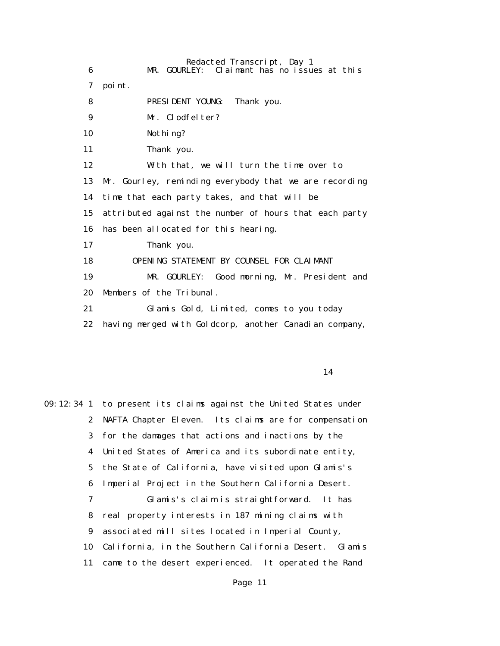| 6  | Redacted Transcript, Day 1<br>Claimant has no issues at this<br>MR. GOURLEY: |
|----|------------------------------------------------------------------------------|
| 7  | point.                                                                       |
| 8  | PRESIDENT YOUNG:<br>Thank you.                                               |
| 9  | Mr. Clodfelter?                                                              |
| 10 | Nothing?                                                                     |
| 11 | Thank you.                                                                   |
| 12 | With that, we will turn the time over to                                     |
| 13 | Mr. Gourley, reminding everybody that we are recording                       |
| 14 | time that each party takes, and that will be                                 |
| 15 | attributed against the number of hours that each party                       |
| 16 | has been allocated for this hearing.                                         |
| 17 | Thank you.                                                                   |
| 18 | OPENING STATEMENT BY COUNSEL FOR CLAIMANT                                    |
| 19 | MR. GOURLEY: Good morning, Mr. President and                                 |
| 20 | Members of the Tribunal.                                                     |
| 21 | Glamis Gold, Limited, comes to you today                                     |
| 22 | having merged with Goldcorp, another Canadian company,                       |

14

09:12:34 1 to present its claims against the United States under 2 NAFTA Chapter Eleven. Its claims are for compensation 3 for the damages that actions and inactions by the 4 United States of America and its subordinate entity, 5 the State of California, have visited upon Glamis's 6 Imperial Project in the Southern California Desert. 7 Glamis's claim is straightforward. It has 8 real property interests in 187 mining claims with 9 associated mill sites located in Imperial County, 10 California, in the Southern California Desert. Glamis 11 came to the desert experienced. It operated the Rand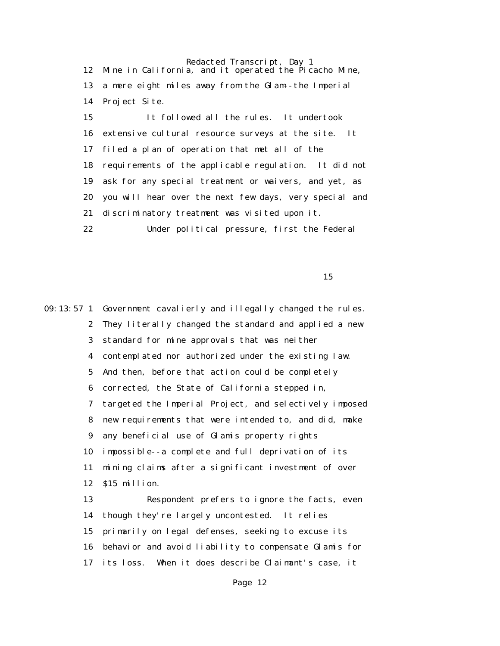Redacted Transcript, Day 1 12 Mine in California, and it operated the Picacho Mine, 13 a mere eight miles away from the Glam--the Imperial 14 Project Site. 15 It followed all the rules. It undertook 16 extensive cultural resource surveys at the site. It 17 filed a plan of operation that met all of the 18 requirements of the applicable regulation. It did not 19 ask for any special treatment or waivers, and yet, as

20 you will hear over the next few days, very special and

21 discriminatory treatment was visited upon it.

22 Under political pressure, first the Federal

 $15$ 

09:13:57 1 Government cavalierly and illegally changed the rules. 2 They literally changed the standard and applied a new 3 standard for mine approvals that was neither 4 contemplated nor authorized under the existing law. 5 And then, before that action could be completely 6 corrected, the State of California stepped in, 7 targeted the Imperial Project, and selectively imposed 8 new requirements that were intended to, and did, make 9 any beneficial use of Glamis property rights 10 impossible--a complete and full deprivation of its 11 mining claims after a significant investment of over 12 \$15 million. 13 Respondent prefers to ignore the facts, even 14 though they're largely uncontested. It relies 15 primarily on legal defenses, seeking to excuse its 16 behavior and avoid liability to compensate Glamis for 17 its loss. When it does describe Claimant's case, it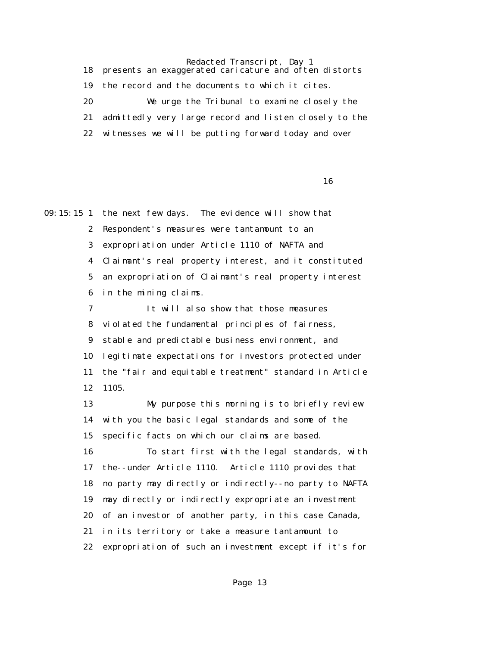|    | 18 presents an exaggerated caricature and often distorts  |
|----|-----------------------------------------------------------|
|    | 19 the record and the documents to which it cites.        |
| 20 | We urge the Tribunal to examine closely the               |
|    | 21 admittedly very large record and listen closely to the |
| 22 | witnesses we will be putting forward today and over       |

 $16$ 

09:15:15 1 the next few days. The evidence will show that 2 Respondent's measures were tantamount to an 3 expropriation under Article 1110 of NAFTA and 4 Claimant's real property interest, and it constituted 5 an expropriation of Claimant's real property interest 6 in the mining claims. 7 It will also show that those measures 8 violated the fundamental principles of fairness, 9 stable and predictable business environment, and 10 legitimate expectations for investors protected under 11 the "fair and equitable treatment" standard in Article 12 1105. 13 My purpose this morning is to briefly review 14 with you the basic legal standards and some of the 15 specific facts on which our claims are based. 16 To start first with the legal standards, with 17 the--under Article 1110. Article 1110 provides that 18 no party may directly or indirectly--no party to NAFTA 19 may directly or indirectly expropriate an investment 20 of an investor of another party, in this case Canada, 21 in its territory or take a measure tantamount to 22 expropriation of such an investment except if it's for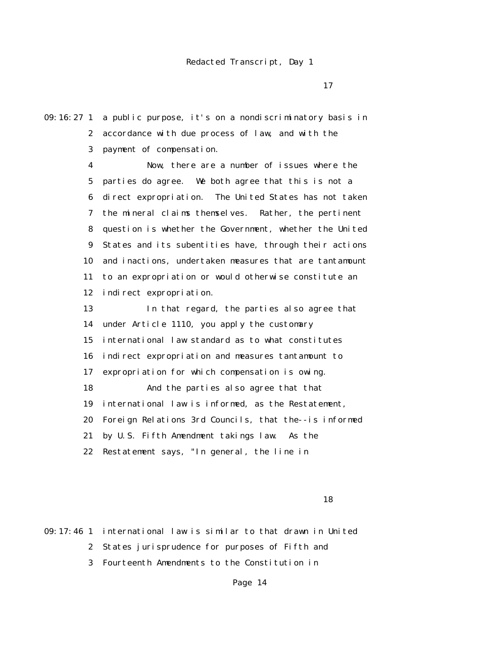17 and 17 and 17 and 17 and 17 and 17 and 17 and 17 and 17 and 17 and 17 and 17 and 17

09:16:27 1 a public purpose, it's on a nondiscriminatory basis in 2 accordance with due process of law, and with the 3 payment of compensation. 4 Now, there are a number of issues where the 5 parties do agree. We both agree that this is not a 6 direct expropriation. The United States has not taken 7 the mineral claims themselves. Rather, the pertinent 8 question is whether the Government, whether the United 9 States and its subentities have, through their actions 10 and inactions, undertaken measures that are tantamount 11 to an expropriation or would otherwise constitute an 12 indirect expropriation. 13 In that regard, the parties also agree that 14 under Article 1110, you apply the customary 15 international law standard as to what constitutes 16 indirect expropriation and measures tantamount to 17 expropriation for which compensation is owing. 18 And the parties also agree that that 19 international law is informed, as the Restatement, 20 Foreign Relations 3rd Councils, that the--is informed 21 by U.S. Fifth Amendment takings law. As the 22 Restatement says, "In general, the line in

 $18$ 

09:17:46 1 international law is similar to that drawn in United 2 States jurisprudence for purposes of Fifth and

3 Fourteenth Amendments to the Constitution in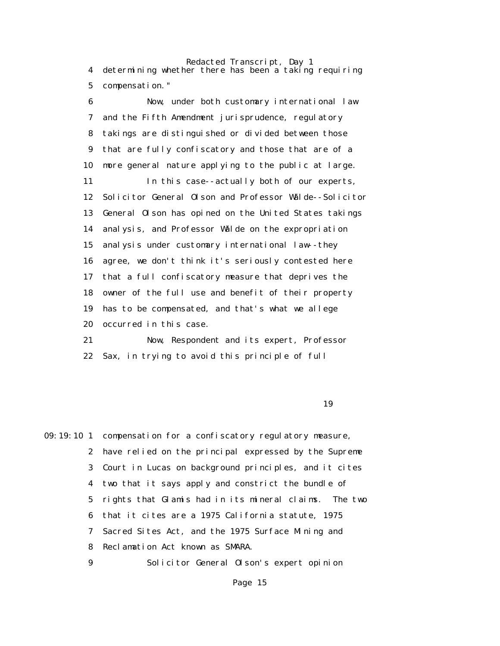Redacted Transcript, Day 1 4 determining whether there has been a taking requiring 5 compensation."

 6 Now, under both customary international law 7 and the Fifth Amendment jurisprudence, regulatory 8 takings are distinguished or divided between those 9 that are fully confiscatory and those that are of a 10 more general nature applying to the public at large. 11 In this case--actually both of our experts, 12 Solicitor General Olson and Professor Wälde--Solicitor 13 General Olson has opined on the United States takings 14 analysis, and Professor Wälde on the expropriation 15 analysis under customary international law--they 16 agree, we don't think it's seriously contested here 17 that a full confiscatory measure that deprives the 18 owner of the full use and benefit of their property 19 has to be compensated, and that's what we allege 20 occurred in this case.

 21 Now, Respondent and its expert, Professor 22 Sax, in trying to avoid this principle of full

 $19$ 

09:19:10 1 compensation for a confiscatory regulatory measure, 2 have relied on the principal expressed by the Supreme 3 Court in Lucas on background principles, and it cites 4 two that it says apply and constrict the bundle of 5 rights that Glamis had in its mineral claims. The two 6 that it cites are a 1975 California statute, 1975 7 Sacred Sites Act, and the 1975 Surface Mining and 8 Reclamation Act known as SMARA. 9 Solicitor General Olson's expert opinion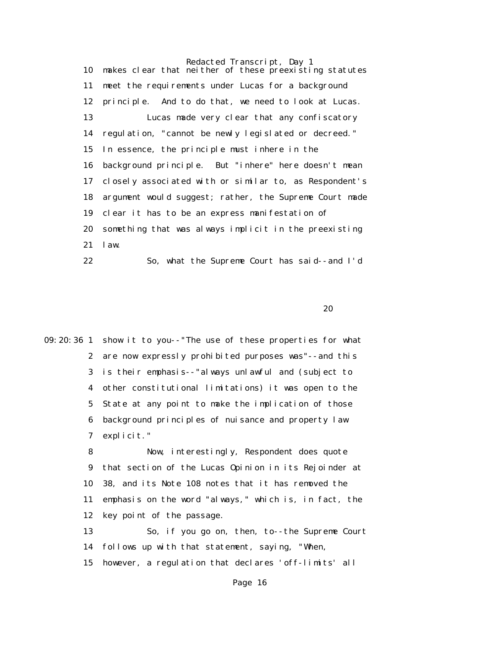10 makes clear that neither of these preexisting statutes 11 meet the requirements under Lucas for a background 12 principle. And to do that, we need to look at Lucas. 13 Lucas made very clear that any confiscatory 14 regulation, "cannot be newly legislated or decreed." 15 In essence, the principle must inhere in the 16 background principle. But "inhere" here doesn't mean 17 closely associated with or similar to, as Respondent's 18 argument would suggest; rather, the Supreme Court made 19 clear it has to be an express manifestation of 20 something that was always implicit in the preexisting 21 law.

22 So, what the Supreme Court has said--and I'd

 $20$ 

09:20:36 1 show it to you--"The use of these properties for what 2 are now expressly prohibited purposes was"--and this 3 is their emphasis--"always unlawful and (subject to 4 other constitutional limitations) it was open to the 5 State at any point to make the implication of those 6 background principles of nuisance and property law 7 explicit."

> 8 Now, interestingly, Respondent does quote 9 that section of the Lucas Opinion in its Rejoinder at 10 38, and its Note 108 notes that it has removed the 11 emphasis on the word "always," which is, in fact, the 12 key point of the passage.

 13 So, if you go on, then, to--the Supreme Court 14 follows up with that statement, saying, "When, 15 however, a regulation that declares 'off-limits' all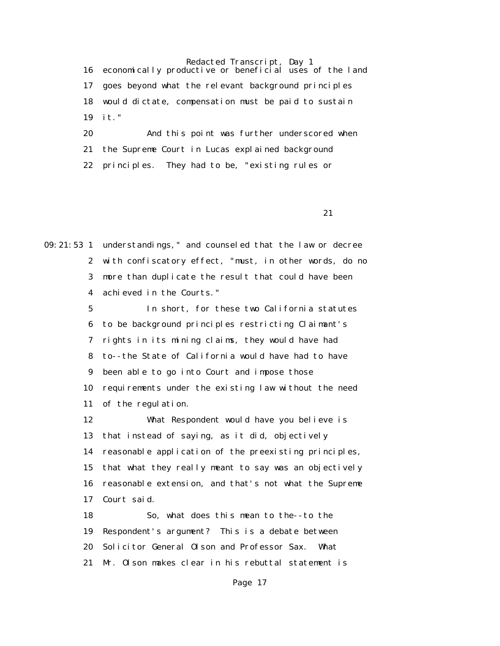16 economically productive or beneficial uses of the land 17 goes beyond what the relevant background principles 18 would dictate, compensation must be paid to sustain 19 it."

 20 And this point was further underscored when 21 the Supreme Court in Lucas explained background 22 principles. They had to be, "existing rules or

 $21$ 

09:21:53 1 understandings," and counseled that the law or decree 2 with confiscatory effect, "must, in other words, do no 3 more than duplicate the result that could have been 4 achieved in the Courts."

> 5 In short, for these two California statutes 6 to be background principles restricting Claimant's 7 rights in its mining claims, they would have had 8 to--the State of California would have had to have 9 been able to go into Court and impose those 10 requirements under the existing law without the need 11 of the regulation.

 12 What Respondent would have you believe is 13 that instead of saying, as it did, objectively 14 reasonable application of the preexisting principles, 15 that what they really meant to say was an objectively 16 reasonable extension, and that's not what the Supreme 17 Court said.

 18 So, what does this mean to the--to the 19 Respondent's argument? This is a debate between 20 Solicitor General Olson and Professor Sax. What 21 Mr. Olson makes clear in his rebuttal statement is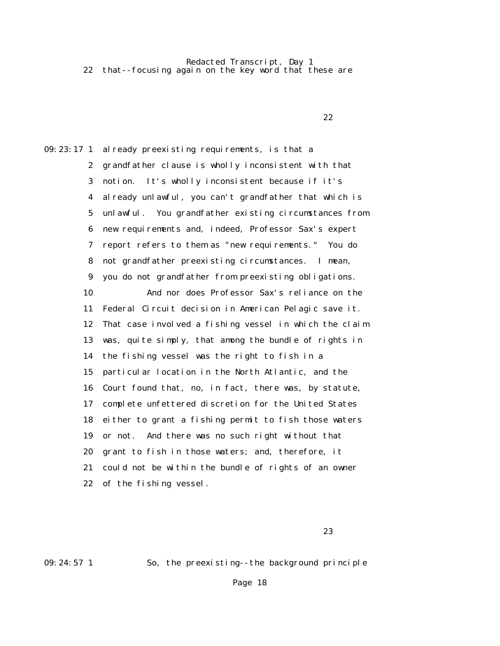$22$ 

09:23:17 1 already preexisting requirements, is that a 2 grandfather clause is wholly inconsistent with that 3 notion. It's wholly inconsistent because if it's 4 already unlawful, you can't grandfather that which is 5 unlawful. You grandfather existing circumstances from 6 new requirements and, indeed, Professor Sax's expert 7 report refers to them as "new requirements." You do 8 not grandfather preexisting circumstances. I mean, 9 you do not grandfather from preexisting obligations. 10 And nor does Professor Sax's reliance on the 11 Federal Circuit decision in American Pelagic save it. 12 That case involved a fishing vessel in which the claim 13 was, quite simply, that among the bundle of rights in 14 the fishing vessel was the right to fish in a 15 particular location in the North Atlantic, and the 16 Court found that, no, in fact, there was, by statute, 17 complete unfettered discretion for the United States 18 either to grant a fishing permit to fish those waters 19 or not. And there was no such right without that 20 grant to fish in those waters; and, therefore, it 21 could not be within the bundle of rights of an owner 22 of the fishing vessel.

 $23$ 

09:24:57 1 So, the preexisting--the background principle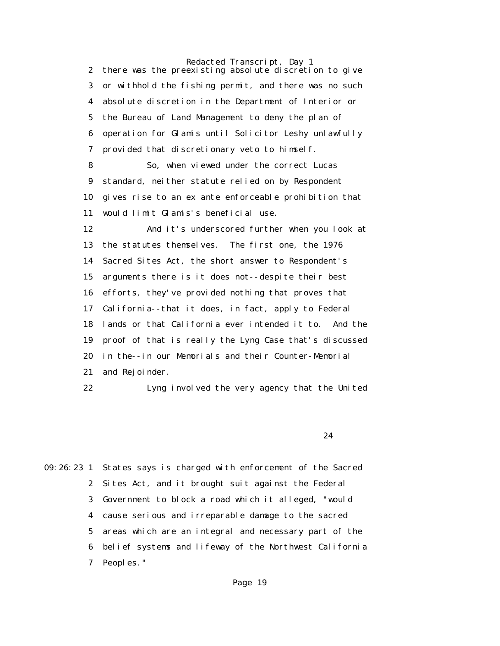Redacted Transcript, Day 1 2 there was the preexisting absolute discretion to give 3 or withhold the fishing permit, and there was no such 4 absolute discretion in the Department of Interior or 5 the Bureau of Land Management to deny the plan of 6 operation for Glamis until Solicitor Leshy unlawfully 7 provided that discretionary veto to himself. 8 So, when viewed under the correct Lucas 9 standard, neither statute relied on by Respondent 10 gives rise to an ex ante enforceable prohibition that 11 would limit Glamis's beneficial use. 12 And it's underscored further when you look at 13 the statutes themselves. The first one, the 1976 14 Sacred Sites Act, the short answer to Respondent's 15 arguments there is it does not--despite their best 16 efforts, they've provided nothing that proves that 17 California--that it does, in fact, apply to Federal 18 lands or that California ever intended it to. And the 19 proof of that is really the Lyng Case that's discussed 20 in the--in our Memorials and their Counter-Memorial

21 and Rejoinder.

22 Lyng involved the very agency that the United

 $24$ 

09:26:23 1 States says is charged with enforcement of the Sacred 2 Sites Act, and it brought suit against the Federal 3 Government to block a road which it alleged, "would 4 cause serious and irreparable damage to the sacred 5 areas which are an integral and necessary part of the 6 belief systems and lifeway of the Northwest California 7 Peoples."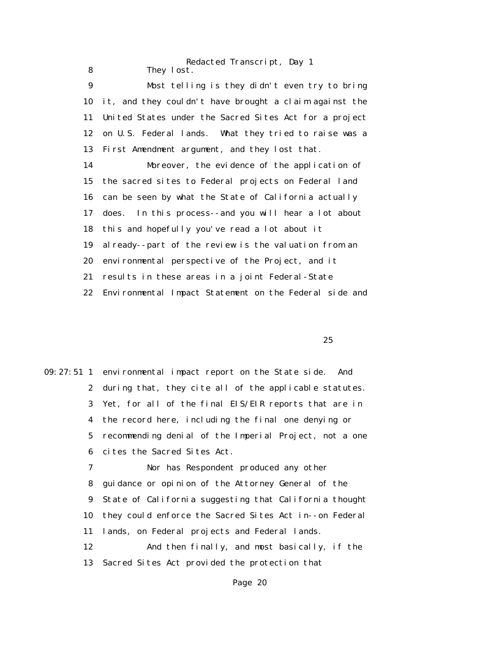| 8  | Redacted Transcript, Day 1<br>They lost.                |
|----|---------------------------------------------------------|
| 9  | Most telling is they didn't even try to bring           |
|    |                                                         |
| 10 | it, and they couldn't have brought a claim against the  |
| 11 | United States under the Sacred Sites Act for a project  |
| 12 | on U.S. Federal lands. What they tried to raise was a   |
| 13 | First Amendment argument, and they lost that.           |
| 14 | Moreover, the evidence of the application of            |
| 15 | the sacred sites to Federal projects on Federal land    |
| 16 | can be seen by what the State of California actually    |
| 17 | In this process--and you will hear a lot about<br>does. |
| 18 | this and hopefully you've read a lot about it           |
| 19 | al ready--part of the review is the valuation from an   |
| 20 | environmental perspective of the Project, and it        |
| 21 | results in these areas in a joint Federal-State         |
| 22 | Environmental Impact Statement on the Federal side and  |

 $25$ 

09:27:51 1 environmental impact report on the State side. And 2 during that, they cite all of the applicable statutes. 3 Yet, for all of the final EIS/EIR reports that are in 4 the record here, including the final one denying or 5 recommending denial of the Imperial Project, not a one 6 cites the Sacred Sites Act.

> 7 Nor has Respondent produced any other 8 guidance or opinion of the Attorney General of the 9 State of California suggesting that California thought 10 they could enforce the Sacred Sites Act in--on Federal 11 lands, on Federal projects and Federal lands. 12 And then finally, and most basically, if the

13 Sacred Sites Act provided the protection that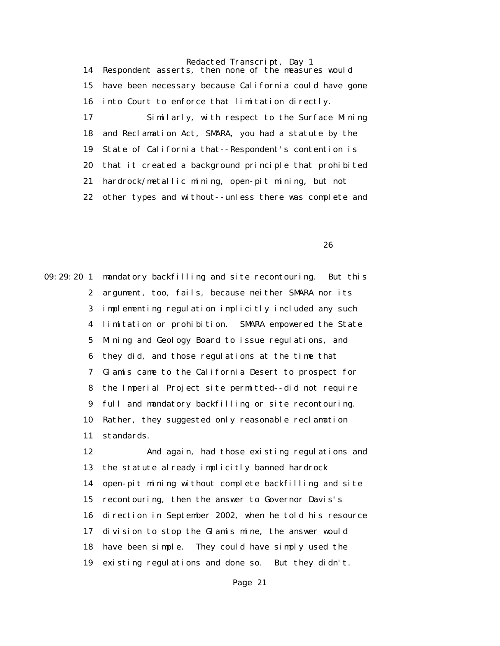14 Respondent asserts, then none of the measures would 15 have been necessary because California could have gone 16 into Court to enforce that limitation directly. 17 Similarly, with respect to the Surface Mining 18 and Reclamation Act, SMARA, you had a statute by the 19 State of California that--Respondent's contention is 20 that it created a background principle that prohibited 21 hardrock/metallic mining, open-pit mining, but not 22 other types and without--unless there was complete and

 $26$ 

09:29:20 1 mandatory backfilling and site recontouring. But this 2 argument, too, fails, because neither SMARA nor its 3 implementing regulation implicitly included any such 4 limitation or prohibition. SMARA empowered the State 5 Mining and Geology Board to issue regulations, and 6 they did, and those regulations at the time that 7 Glamis came to the California Desert to prospect for 8 the Imperial Project site permitted--did not require 9 full and mandatory backfilling or site recontouring. 10 Rather, they suggested only reasonable reclamation 11 standards.

> 12 And again, had those existing regulations and 13 the statute already implicitly banned hardrock 14 open-pit mining without complete backfilling and site 15 recontouring, then the answer to Governor Davis's 16 direction in September 2002, when he told his resource 17 division to stop the Glamis mine, the answer would 18 have been simple. They could have simply used the 19 existing regulations and done so. But they didn't.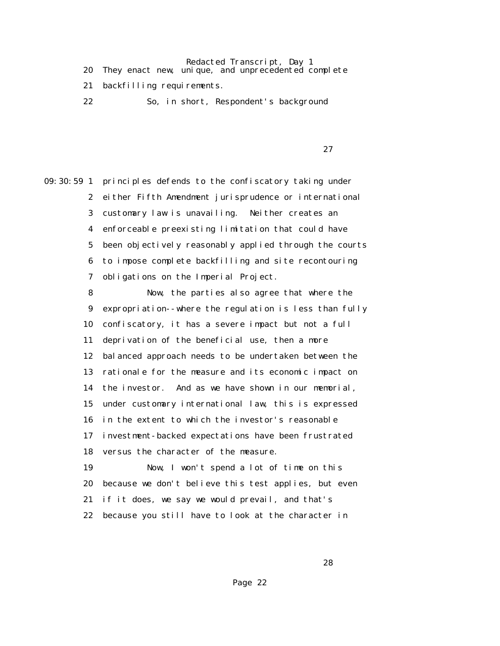- 20 They enact new, unique, and unprecedented complete
- 21 backfilling requirements.
- 22 So, in short, Respondent's background

27 and 27 and 27 and 27 and 27 and 27 and 27 and 27 and 27 and 27 and 27 and 27 and 27 and 27 and 27

09:30:59 1 principles defends to the confiscatory taking under 2 either Fifth Amendment jurisprudence or international 3 customary law is unavailing. Neither creates an 4 enforceable preexisting limitation that could have 5 been objectively reasonably applied through the courts 6 to impose complete backfilling and site recontouring 7 obligations on the Imperial Project.

> 8 Now, the parties also agree that where the 9 expropriation--where the regulation is less than fully 10 confiscatory, it has a severe impact but not a full 11 deprivation of the beneficial use, then a more 12 balanced approach needs to be undertaken between the 13 rationale for the measure and its economic impact on 14 the investor. And as we have shown in our memorial, 15 under customary international law, this is expressed 16 in the extent to which the investor's reasonable 17 investment-backed expectations have been frustrated 18 versus the character of the measure.

 19 Now, I won't spend a lot of time on this 20 because we don't believe this test applies, but even 21 if it does, we say we would prevail, and that's 22 because you still have to look at the character in

28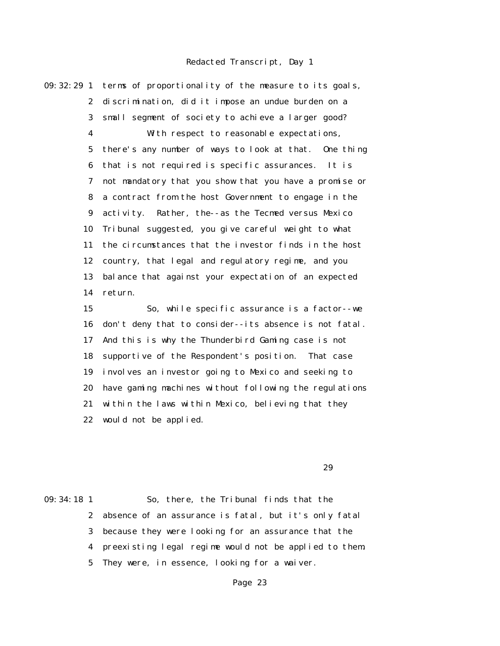09:32:29 1 terms of proportionality of the measure to its goals, 2 discrimination, did it impose an undue burden on a 3 small segment of society to achieve a larger good? 4 With respect to reasonable expectations, 5 there's any number of ways to look at that. One thing 6 that is not required is specific assurances. It is 7 not mandatory that you show that you have a promise or 8 a contract from the host Government to engage in the 9 activity. Rather, the--as the Tecmed versus Mexico 10 Tribunal suggested, you give careful weight to what 11 the circumstances that the investor finds in the host 12 country, that legal and regulatory regime, and you 13 balance that against your expectation of an expected 14 return. 15 So, while specific assurance is a factor--we 16 don't deny that to consider--its absence is not fatal. 17 And this is why the Thunderbird Gaming case is not 18 supportive of the Respondent's position. That case 19 involves an investor going to Mexico and seeking to 20 have gaming machines without following the regulations

> 21 within the laws within Mexico, believing that they 22 would not be applied.

 $29$ 

09:34:18 1 So, there, the Tribunal finds that the 2 absence of an assurance is fatal, but it's only fatal 3 because they were looking for an assurance that the 4 preexisting legal regime would not be applied to them. 5 They were, in essence, looking for a waiver.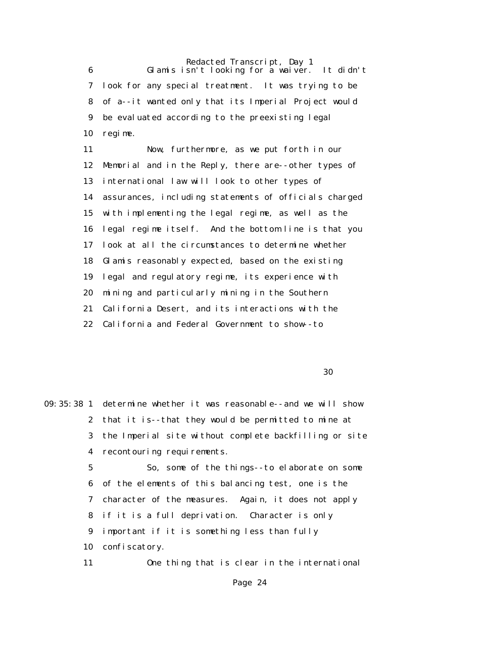Redacted Transcript, Day 1 6 Glamis isn't looking for a waiver. It didn't 7 look for any special treatment. It was trying to be 8 of a--it wanted only that its Imperial Project would 9 be evaluated according to the preexisting legal 10 regime.

> 11 Now, furthermore, as we put forth in our 12 Memorial and in the Reply, there are--other types of 13 international law will look to other types of 14 assurances, including statements of officials charged 15 with implementing the legal regime, as well as the 16 legal regime itself. And the bottom line is that you 17 look at all the circumstances to determine whether 18 Glamis reasonably expected, based on the existing 19 legal and regulatory regime, its experience with 20 mining and particularly mining in the Southern 21 California Desert, and its interactions with the 22 California and Federal Government to show--to

 $30<sup>30</sup>$ 

09:35:38 1 determine whether it was reasonable--and we will show 2 that it is--that they would be permitted to mine at 3 the Imperial site without complete backfilling or site 4 recontouring requirements. 5 So, some of the things--to elaborate on some 6 of the elements of this balancing test, one is the 7 character of the measures. Again, it does not apply 8 if it is a full deprivation. Character is only 9 important if it is something less than fully 10 confiscatory. 11 One thing that is clear in the international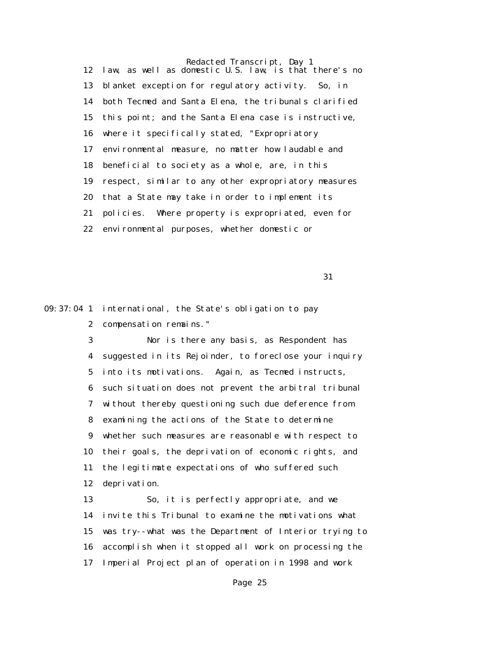Redacted Transcript, Day 1 12 law, as well as domestic U.S. law, is that there's no 13 blanket exception for regulatory activity. So, in 14 both Tecmed and Santa Elena, the tribunals clarified 15 this point; and the Santa Elena case is instructive, 16 where it specifically stated, "Expropriatory 17 environmental measure, no matter how laudable and 18 beneficial to society as a whole, are, in this 19 respect, similar to any other expropriatory measures 20 that a State may take in order to implement its 21 policies. Where property is expropriated, even for 22 environmental purposes, whether domestic or

 $31$ 

09:37:04 1 international, the State's obligation to pay 2 compensation remains."

> 3 Nor is there any basis, as Respondent has 4 suggested in its Rejoinder, to foreclose your inquiry 5 into its motivations. Again, as Tecmed instructs, 6 such situation does not prevent the arbitral tribunal 7 without thereby questioning such due deference from 8 examining the actions of the State to determine 9 whether such measures are reasonable with respect to 10 their goals, the deprivation of economic rights, and 11 the legitimate expectations of who suffered such 12 deprivation.

 13 So, it is perfectly appropriate, and we 14 invite this Tribunal to examine the motivations what 15 was try--what was the Department of Interior trying to 16 accomplish when it stopped all work on processing the 17 Imperial Project plan of operation in 1998 and work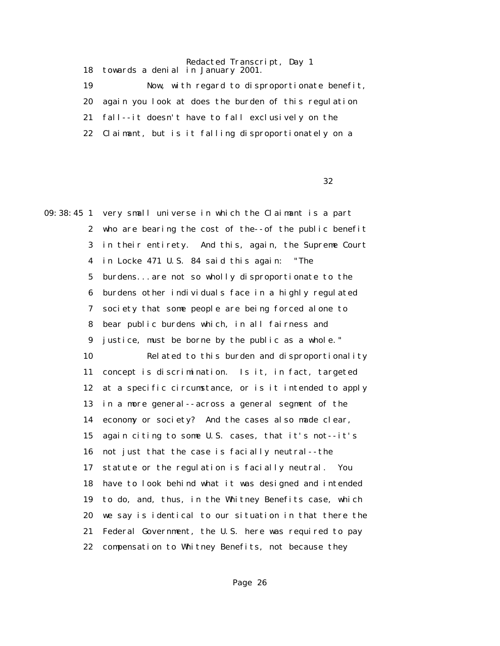Redacted Transcript, Day 1 18 towards a denial in January 2001. 19 Now, with regard to disproportionate benefit, 20 again you look at does the burden of this regulation 21 fall--it doesn't have to fall exclusively on the 22 Claimant, but is it falling disproportionately on a

 $32$ 

09:38:45 1 very small universe in which the Claimant is a part 2 who are bearing the cost of the--of the public benefit 3 in their entirety. And this, again, the Supreme Court 4 in Locke 471 U.S. 84 said this again: "The 5 burdens...are not so wholly disproportionate to the 6 burdens other individuals face in a highly regulated 7 society that some people are being forced alone to 8 bear public burdens which, in all fairness and 9 justice, must be borne by the public as a whole." 10 Related to this burden and disproportionality 11 concept is discrimination. Is it, in fact, targeted 12 at a specific circumstance, or is it intended to apply 13 in a more general--across a general segment of the 14 economy or society? And the cases also made clear, 15 again citing to some U.S. cases, that it's not--it's 16 not just that the case is facially neutral--the 17 statute or the regulation is facially neutral. You 18 have to look behind what it was designed and intended 19 to do, and, thus, in the Whitney Benefits case, which 20 we say is identical to our situation in that there the 21 Federal Government, the U.S. here was required to pay 22 compensation to Whitney Benefits, not because they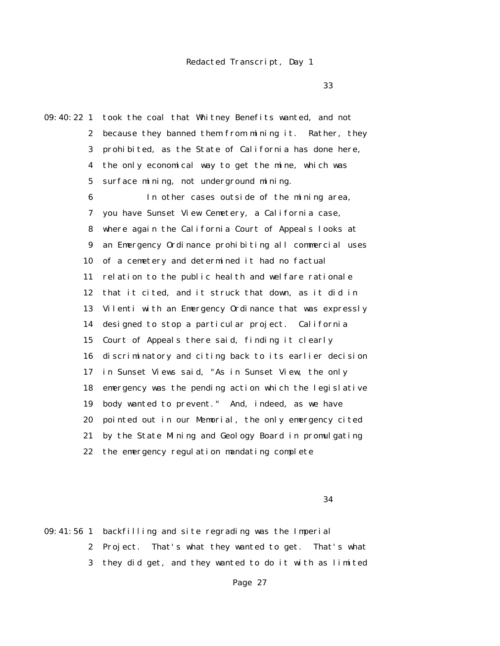33 and 2012 and 2013 and 2014 and 2014 and 2014 and 2014 and 2014 and 2014 and 2014 and 2014 and 2014 and 2014

09:40:22 1 took the coal that Whitney Benefits wanted, and not 2 because they banned them from mining it. Rather, they 3 prohibited, as the State of California has done here, 4 the only economical way to get the mine, which was 5 surface mining, not underground mining. 6 In other cases outside of the mining area, 7 you have Sunset View Cemetery, a California case, 8 where again the California Court of Appeals looks at 9 an Emergency Ordinance prohibiting all commercial uses 10 of a cemetery and determined it had no factual 11 relation to the public health and welfare rationale 12 that it cited, and it struck that down, as it did in 13 Vilenti with an Emergency Ordinance that was expressly 14 designed to stop a particular project. California 15 Court of Appeals there said, finding it clearly 16 discriminatory and citing back to its earlier decision 17 in Sunset Views said, "As in Sunset View, the only 18 emergency was the pending action which the legislative 19 body wanted to prevent." And, indeed, as we have 20 pointed out in our Memorial, the only emergency cited 21 by the State Mining and Geology Board in promulgating 22 the emergency regulation mandating complete

 $34$ 

09:41:56 1 backfilling and site regrading was the Imperial 2 Project. That's what they wanted to get. That's what 3 they did get, and they wanted to do it with as limited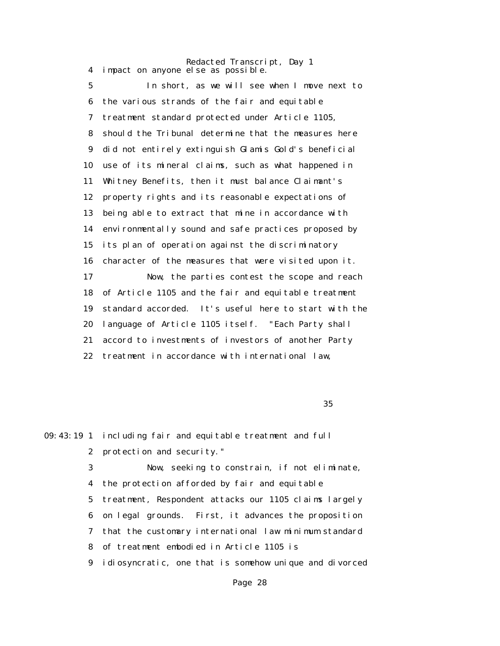Redacted Transcript, Day 1 4 impact on anyone else as possible.

 5 In short, as we will see when I move next to 6 the various strands of the fair and equitable 7 treatment standard protected under Article 1105, 8 should the Tribunal determine that the measures here 9 did not entirely extinguish Glamis Gold's beneficial 10 use of its mineral claims, such as what happened in 11 Whitney Benefits, then it must balance Claimant's 12 property rights and its reasonable expectations of 13 being able to extract that mine in accordance with 14 environmentally sound and safe practices proposed by 15 its plan of operation against the discriminatory 16 character of the measures that were visited upon it. 17 Now, the parties contest the scope and reach 18 of Article 1105 and the fair and equitable treatment 19 standard accorded. It's useful here to start with the 20 language of Article 1105 itself. "Each Party shall 21 accord to investments of investors of another Party 22 treatment in accordance with international law,

 $35$ 

09:43:19 1 including fair and equitable treatment and full 2 protection and security." 3 Now, seeking to constrain, if not eliminate, 4 the protection afforded by fair and equitable 5 treatment, Respondent attacks our 1105 claims largely 6 on legal grounds. First, it advances the proposition 7 that the customary international law minimum standard

8 of treatment embodied in Article 1105 is

9 idiosyncratic, one that is somehow unique and divorced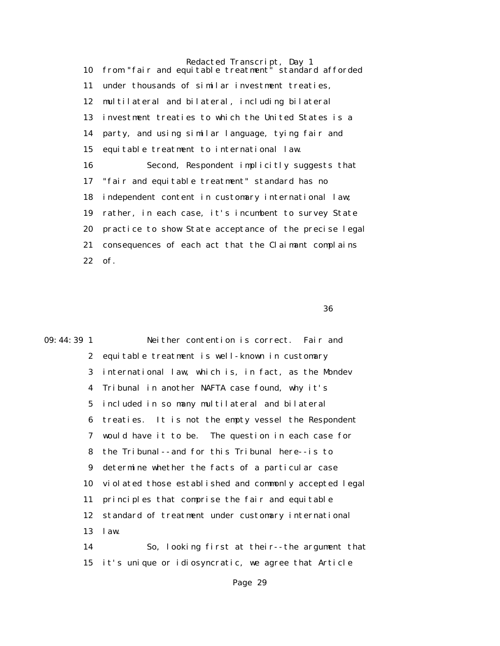Redacted Transcript, Day 1 10 from "fair and equitable treatment" standard afforded 11 under thousands of similar investment treaties, 12 multilateral and bilateral, including bilateral 13 investment treaties to which the United States is a 14 party, and using similar language, tying fair and 15 equitable treatment to international law. 16 Second, Respondent implicitly suggests that 17 "fair and equitable treatment" standard has no 18 independent content in customary international law; 19 rather, in each case, it's incumbent to survey State 20 practice to show State acceptance of the precise legal 21 consequences of each act that the Claimant complains 22 of.

 $36$ 

| $09:44:39$ 1 | Neither contention is correct. Fair and                |
|--------------|--------------------------------------------------------|
| $2^{\circ}$  | equitable treatment is well-known in customary         |
| 3            | international law, which is, in fact, as the Mondev    |
| 4            | Tribunal in another NAFTA case found, why it's         |
| $5^{\circ}$  | included in so many multilateral and bilateral         |
| 6            | treaties. It is not the empty vessel the Respondent    |
| 7            | would have it to be. The question in each case for     |
| 8            | the Tribunal--and for this Tribunal here--is to        |
| 9            | determine whether the facts of a particular case       |
| 10           | violated those established and commonly accepted legal |
| 11           | principles that comprise the fair and equitable        |
| 12           | standard of treatment under customary international    |
| 13           | l aw.                                                  |
| 14           | So, looking first at their--the argument that          |
| 15           | it's unique or idiosyncratic, we agree that Article    |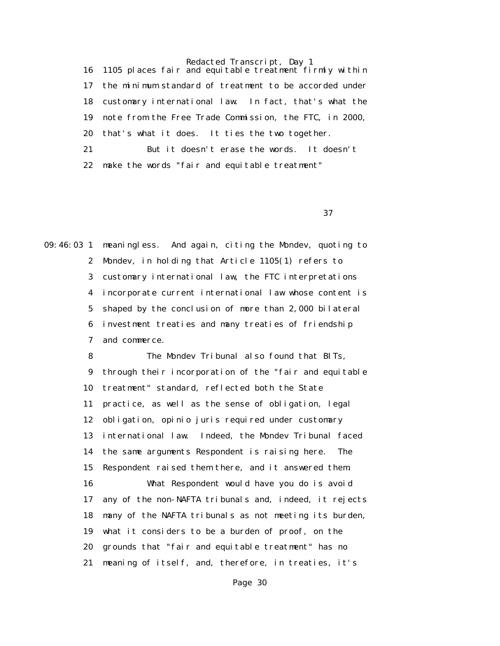16 1105 places fair and equitable treatment firmly within 17 the minimum standard of treatment to be accorded under 18 customary international law. In fact, that's what the 19 note from the Free Trade Commission, the FTC, in 2000, 20 that's what it does. It ties the two together. 21 But it doesn't erase the words. It doesn't 22 make the words "fair and equitable treatment"

37 September 2008 September 2008 September 2008 September 2008 September 2008 September 2008 September 2008 Se

09:46:03 1 meaningless. And again, citing the Mondev, quoting to 2 Mondev, in holding that Article 1105(1) refers to 3 customary international law, the FTC interpretations 4 incorporate current international law whose content is 5 shaped by the conclusion of more than 2,000 bilateral 6 investment treaties and many treaties of friendship 7 and commerce.

> 8 The Mondev Tribunal also found that BITs, 9 through their incorporation of the "fair and equitable 10 treatment" standard, reflected both the State 11 practice, as well as the sense of obligation, legal 12 obligation, opinio juris required under customary 13 international law. Indeed, the Mondev Tribunal faced 14 the same arguments Respondent is raising here. The 15 Respondent raised them there, and it answered them. 16 What Respondent would have you do is avoid 17 any of the non-NAFTA tribunals and, indeed, it rejects 18 many of the NAFTA tribunals as not meeting its burden, 19 what it considers to be a burden of proof, on the 20 grounds that "fair and equitable treatment" has no 21 meaning of itself, and, therefore, in treaties, it's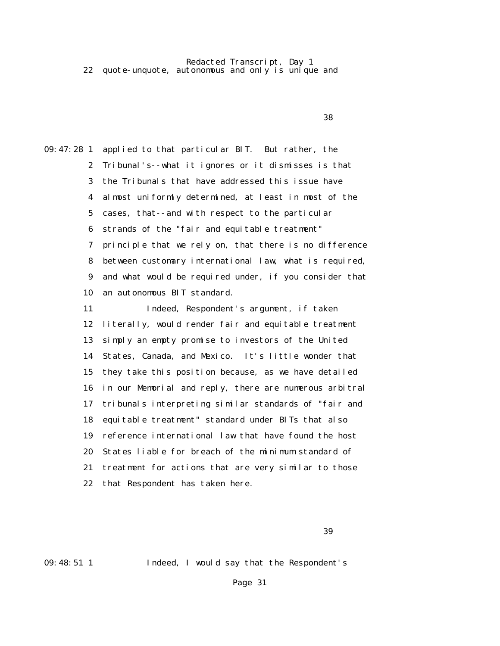Redacted Transcript, Day 1 22 quote-unquote, autonomous and only is unique and

<u>38 September 2005 September 2005 September 2005 September 2005 September 2005 September 2005 September 2005 S</u>

09:47:28 1 applied to that particular BIT. But rather, the 2 Tribunal's--what it ignores or it dismisses is that 3 the Tribunals that have addressed this issue have 4 almost uniformly determined, at least in most of the 5 cases, that--and with respect to the particular 6 strands of the "fair and equitable treatment" 7 principle that we rely on, that there is no difference 8 between customary international law, what is required, 9 and what would be required under, if you consider that 10 an autonomous BIT standard. 11 Indeed, Respondent's argument, if taken 12 literally, would render fair and equitable treatment 13 simply an empty promise to investors of the United 14 States, Canada, and Mexico. It's little wonder that 15 they take this position because, as we have detailed 16 in our Memorial and reply, there are numerous arbitral 17 tribunals interpreting similar standards of "fair and 18 equitable treatment" standard under BITs that also 19 reference international law that have found the host 20 States liable for breach of the minimum standard of

 21 treatment for actions that are very similar to those 22 that Respondent has taken here.

 $39$ 

09:48:51 1 Indeed, I would say that the Respondent's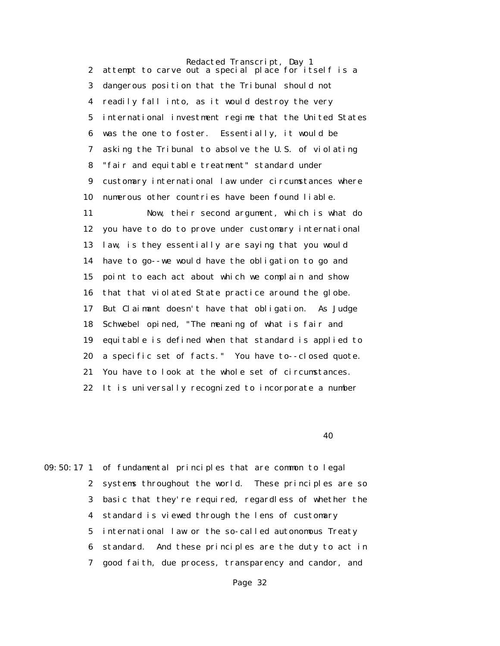Redacted Transcript, Day 1 2 attempt to carve out a special place for itself is a 3 dangerous position that the Tribunal should not 4 readily fall into, as it would destroy the very 5 international investment regime that the United States 6 was the one to foster. Essentially, it would be 7 asking the Tribunal to absolve the U.S. of violating 8 "fair and equitable treatment" standard under 9 customary international law under circumstances where 10 numerous other countries have been found liable. 11 Now, their second argument, which is what do 12 you have to do to prove under customary international 13 law, is they essentially are saying that you would 14 have to go--we would have the obligation to go and 15 point to each act about which we complain and show 16 that that violated State practice around the globe. 17 But Claimant doesn't have that obligation. As Judge 18 Schwebel opined, "The meaning of what is fair and 19 equitable is defined when that standard is applied to 20 a specific set of facts." You have to--closed quote. 21 You have to look at the whole set of circumstances. 22 It is universally recognized to incorporate a number

 $40<sup>40</sup>$ 

09:50:17 1 of fundamental principles that are common to legal 2 systems throughout the world. These principles are so 3 basic that they're required, regardless of whether the 4 standard is viewed through the lens of customary 5 international law or the so-called autonomous Treaty 6 standard. And these principles are the duty to act in 7 good faith, due process, transparency and candor, and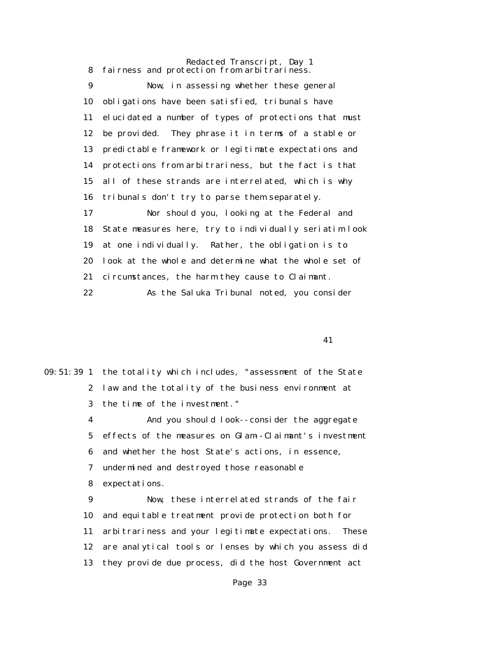Redacted Transcript, Day 1 8 fairness and protection from arbitrariness. 9 Now, in assessing whether these general 10 obligations have been satisfied, tribunals have 11 elucidated a number of types of protections that must 12 be provided. They phrase it in terms of a stable or 13 predictable framework or legitimate expectations and 14 protections from arbitrariness, but the fact is that 15 all of these strands are interrelated, which is why 16 tribunals don't try to parse them separately. 17 Nor should you, looking at the Federal and 18 State measures here, try to individually seriatim look 19 at one individually. Rather, the obligation is to 20 look at the whole and determine what the whole set of 21 circumstances, the harm they cause to Claimant. 22 As the Saluka Tribunal noted, you consider

 $41$ 

|    | 09:51:39 1 the totality which includes, "assessment of the State |
|----|------------------------------------------------------------------|
|    | 2 law and the totality of the business environment at            |
|    | 3 the time of the investment."                                   |
| 4  | And you should look-consider the aggregate                       |
|    | 5 effects of the measures on Glam-Claimant's investment          |
|    | and whether the host State's actions, in essence,<br>6           |
|    | 7 undermined and destroyed those reasonable                      |
|    | 8<br>expectations.                                               |
| 9  | Now, these interrelated strands of the fair                      |
| 10 | and equitable treatment provide protection both for              |
| 11 | arbitrariness and your legitimate expectations. These            |
| 12 | are analytical tools or lenses by which you assess did           |
| 13 | they provide due process, did the host Government act            |
|    |                                                                  |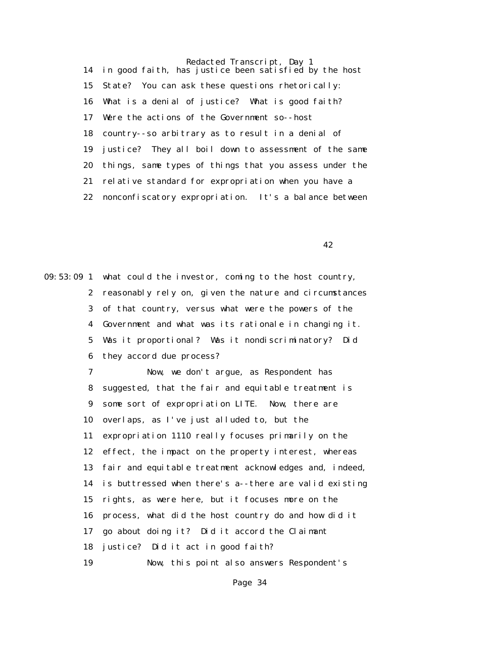Redacted Transcript, Day 1 14 in good faith, has justice been satisfied by the host 15 State? You can ask these questions rhetorically: 16 What is a denial of justice? What is good faith? 17 Were the actions of the Government so--host 18 country--so arbitrary as to result in a denial of 19 justice? They all boil down to assessment of the same 20 things, same types of things that you assess under the 21 relative standard for expropriation when you have a 22 nonconfiscatory expropriation. It's a balance between

 $42$ 

09:53:09 1 what could the investor, coming to the host country, 2 reasonably rely on, given the nature and circumstances 3 of that country, versus what were the powers of the 4 Government and what was its rationale in changing it. 5 Was it proportional? Was it nondiscriminatory? Did 6 they accord due process?

> 7 Now, we don't argue, as Respondent has 8 suggested, that the fair and equitable treatment is 9 some sort of expropriation LITE. Now, there are 10 overlaps, as I've just alluded to, but the 11 expropriation 1110 really focuses primarily on the 12 effect, the impact on the property interest, whereas 13 fair and equitable treatment acknowledges and, indeed, 14 is buttressed when there's a--there are valid existing 15 rights, as were here, but it focuses more on the 16 process, what did the host country do and how did it 17 go about doing it? Did it accord the Claimant 18 justice? Did it act in good faith? 19 Now, this point also answers Respondent's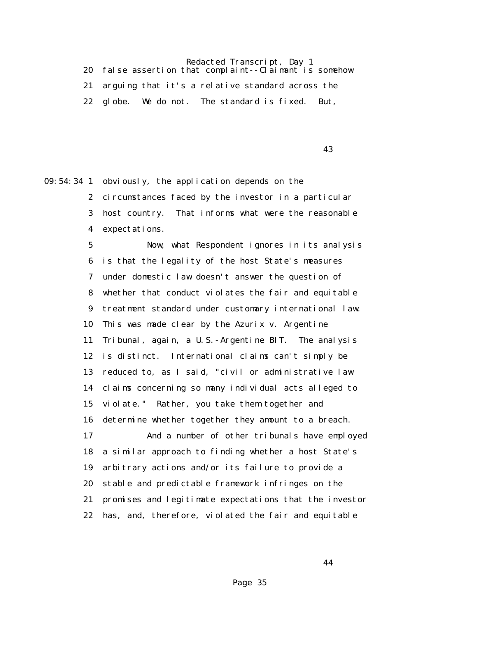20 false assertion that complaint--Claimant is somehow 21 arguing that it's a relative standard across the 22 globe. We do not. The standard is fixed. But,

 $43$ 

09:54:34 1 obviously, the application depends on the 2 circumstances faced by the investor in a particular 3 host country. That informs what were the reasonable 4 expectations.

> 5 Now, what Respondent ignores in its analysis 6 is that the legality of the host State's measures 7 under domestic law doesn't answer the question of 8 whether that conduct violates the fair and equitable 9 treatment standard under customary international law. 10 This was made clear by the Azurix v. Argentine 11 Tribunal, again, a U.S.-Argentine BIT. The analysis 12 is distinct. International claims can't simply be 13 reduced to, as I said, "civil or administrative law 14 claims concerning so many individual acts alleged to 15 violate." Rather, you take them together and 16 determine whether together they amount to a breach. 17 And a number of other tribunals have employed 18 a similar approach to finding whether a host State's 19 arbitrary actions and/or its failure to provide a 20 stable and predictable framework infringes on the 21 promises and legitimate expectations that the investor 22 has, and, therefore, violated the fair and equitable

 $44$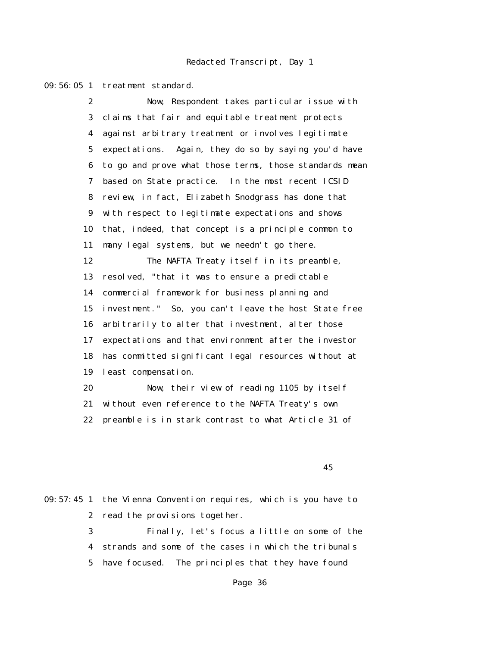09:56:05 1 treatment standard.

 2 Now, Respondent takes particular issue with 3 claims that fair and equitable treatment protects 4 against arbitrary treatment or involves legitimate 5 expectations. Again, they do so by saying you'd have 6 to go and prove what those terms, those standards mean 7 based on State practice. In the most recent ICSID 8 review, in fact, Elizabeth Snodgrass has done that 9 with respect to legitimate expectations and shows 10 that, indeed, that concept is a principle common to 11 many legal systems, but we needn't go there. 12 The NAFTA Treaty itself in its preamble, 13 resolved, "that it was to ensure a predictable 14 commercial framework for business planning and 15 investment." So, you can't leave the host State free 16 arbitrarily to alter that investment, alter those 17 expectations and that environment after the investor 18 has committed significant legal resources without at 19 least compensation. 20 Now, their view of reading 1105 by itself 21 without even reference to the NAFTA Treaty's own

22 preamble is in stark contrast to what Article 31 of

 $45$ 

|  | 09:57:45 1 the Vienna Convention requires, which is you have to |
|--|-----------------------------------------------------------------|
|  | 2 read the provisions together.                                 |

 3 Finally, let's focus a little on some of the 4 strands and some of the cases in which the tribunals 5 have focused. The principles that they have found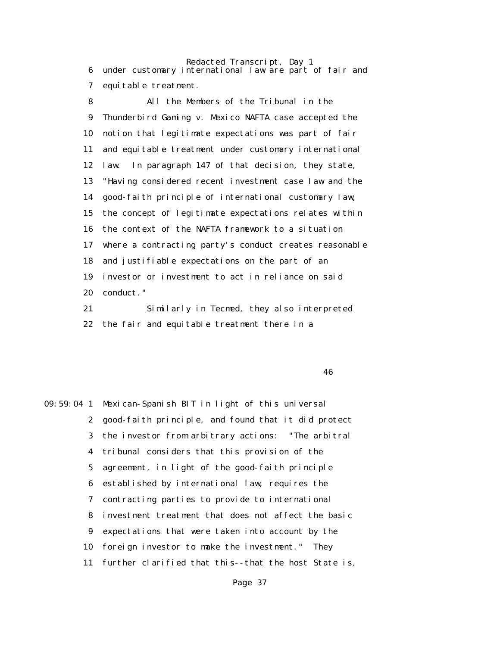Redacted Transcript, Day 1 6 under customary international law are part of fair and 7 equitable treatment.

 8 All the Members of the Tribunal in the 9 Thunderbird Gaming v. Mexico NAFTA case accepted the 10 notion that legitimate expectations was part of fair 11 and equitable treatment under customary international 12 law. In paragraph 147 of that decision, they state, 13 "Having considered recent investment case law and the 14 good-faith principle of international customary law, 15 the concept of legitimate expectations relates within 16 the context of the NAFTA framework to a situation 17 where a contracting party's conduct creates reasonable 18 and justifiable expectations on the part of an 19 investor or investment to act in reliance on said 20 conduct."

 21 Similarly in Tecmed, they also interpreted 22 the fair and equitable treatment there in a

 $46$ 

09:59:04 1 Mexican-Spanish BIT in light of this universal 2 good-faith principle, and found that it did protect 3 the investor from arbitrary actions: "The arbitral 4 tribunal considers that this provision of the 5 agreement, in light of the good-faith principle 6 established by international law, requires the 7 contracting parties to provide to international 8 investment treatment that does not affect the basic 9 expectations that were taken into account by the 10 foreign investor to make the investment." They 11 further clarified that this--that the host State is,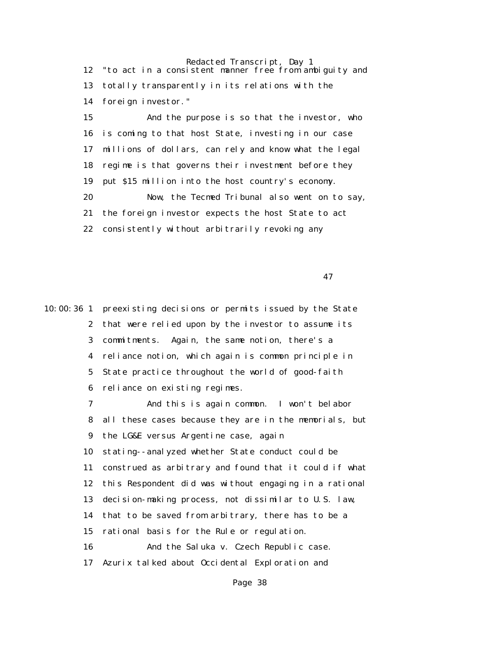Redacted Transcript, Day 1 12 "to act in a consistent manner free from ambiguity and 13 totally transparently in its relations with the 14 foreign investor." 15 And the purpose is so that the investor, who

 16 is coming to that host State, investing in our case 17 millions of dollars, can rely and know what the legal 18 regime is that governs their investment before they 19 put \$15 million into the host country's economy. 20 Now, the Tecmed Tribunal also went on to say, 21 the foreign investor expects the host State to act 22 consistently without arbitrarily revoking any

 $47$ 

10:00:36 1 preexisting decisions or permits issued by the State 2 that were relied upon by the investor to assume its 3 commitments. Again, the same notion, there's a 4 reliance notion, which again is common principle in 5 State practice throughout the world of good-faith 6 reliance on existing regimes. 7 And this is again common. I won't belabor 8 all these cases because they are in the memorials, but 9 the LG&E versus Argentine case, again 10 stating--analyzed whether State conduct could be 11 construed as arbitrary and found that it could if what 12 this Respondent did was without engaging in a rational 13 decision-making process, not dissimilar to U.S. law, 14 that to be saved from arbitrary, there has to be a

15 rational basis for the Rule or regulation.

16 And the Saluka v. Czech Republic case.

17 Azurix talked about Occidental Exploration and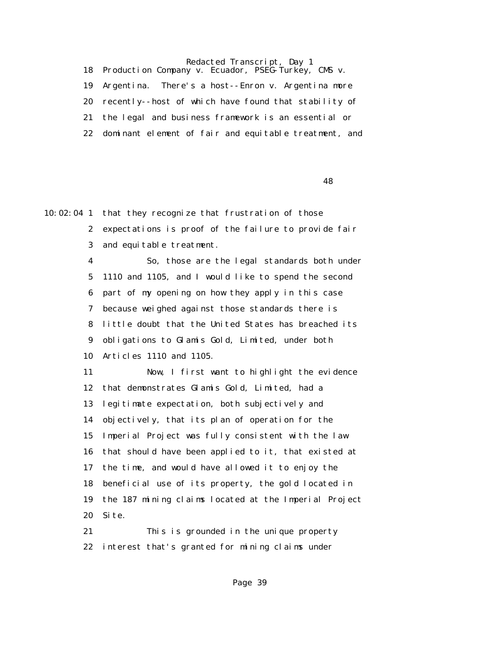18 Production Company v. Ecuador, PSEG-Turkey, CMS v.

 19 Argentina. There's a host--Enron v. Argentina more 20 recently--host of which have found that stability of 21 the legal and business framework is an essential or 22 dominant element of fair and equitable treatment, and

 $48$ 

10:02:04 1 that they recognize that frustration of those 2 expectations is proof of the failure to provide fair 3 and equitable treatment. 4 So, those are the legal standards both under 5 1110 and 1105, and I would like to spend the second 6 part of my opening on how they apply in this case 7 because weighed against those standards there is 8 little doubt that the United States has breached its 9 obligations to Glamis Gold, Limited, under both 10 Articles 1110 and 1105. 11 Now, I first want to highlight the evidence 12 that demonstrates Glamis Gold, Limited, had a 13 legitimate expectation, both subjectively and 14 objectively, that its plan of operation for the 15 Imperial Project was fully consistent with the law 16 that should have been applied to it, that existed at 17 the time, and would have allowed it to enjoy the 18 beneficial use of its property, the gold located in 19 the 187 mining claims located at the Imperial Project 20 Site. 21 This is grounded in the unique property 22 interest that's granted for mining claims under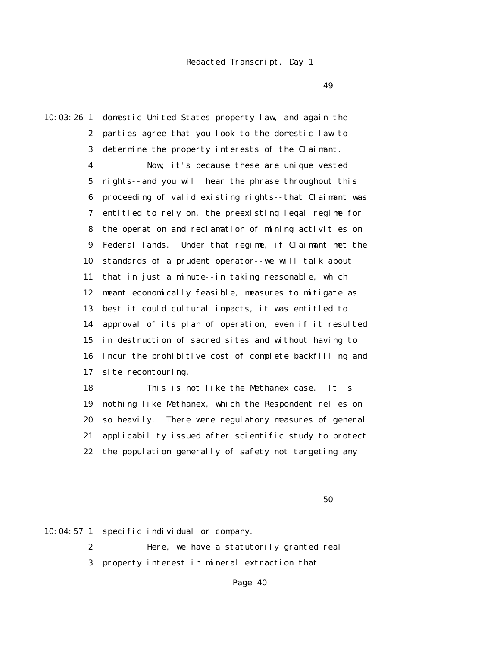$49$ 

10:03:26 1 domestic United States property law, and again the 2 parties agree that you look to the domestic law to 3 determine the property interests of the Claimant. 4 Now, it's because these are unique vested 5 rights--and you will hear the phrase throughout this 6 proceeding of valid existing rights--that Claimant was 7 entitled to rely on, the preexisting legal regime for 8 the operation and reclamation of mining activities on 9 Federal lands. Under that regime, if Claimant met the 10 standards of a prudent operator--we will talk about 11 that in just a minute--in taking reasonable, which 12 meant economically feasible, measures to mitigate as 13 best it could cultural impacts, it was entitled to 14 approval of its plan of operation, even if it resulted 15 in destruction of sacred sites and without having to 16 incur the prohibitive cost of complete backfilling and 17 site recontouring. 18 This is not like the Methanex case. It is

 19 nothing like Methanex, which the Respondent relies on 20 so heavily. There were regulatory measures of general 21 applicability issued after scientific study to protect 22 the population generally of safety not targeting any

 $50$ 

10:04:57 1 specific individual or company.

 2 Here, we have a statutorily granted real 3 property interest in mineral extraction that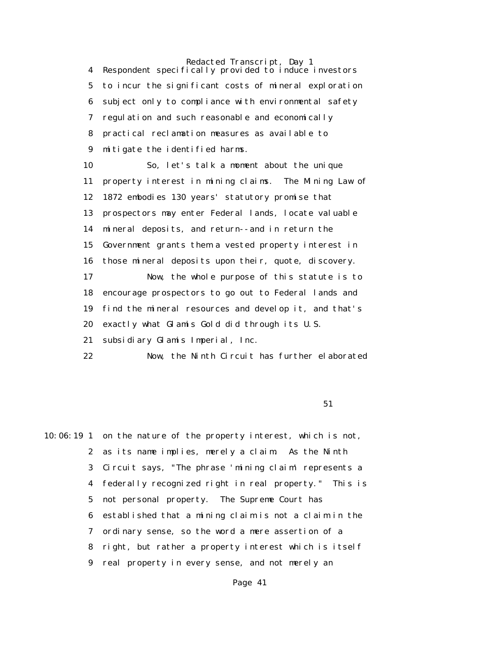Redacted Transcript, Day 1 4 Respondent specifically provided to induce investors 5 to incur the significant costs of mineral exploration 6 subject only to compliance with environmental safety 7 regulation and such reasonable and economically 8 practical reclamation measures as available to 9 mitigate the identified harms.

 10 So, let's talk a moment about the unique 11 property interest in mining claims. The Mining Law of 12 1872 embodies 130 years' statutory promise that 13 prospectors may enter Federal lands, locate valuable 14 mineral deposits, and return--and in return the 15 Government grants them a vested property interest in 16 those mineral deposits upon their, quote, discovery. 17 Now, the whole purpose of this statute is to 18 encourage prospectors to go out to Federal lands and 19 find the mineral resources and develop it, and that's 20 exactly what Glamis Gold did through its U.S. 21 subsidiary Glamis Imperial, Inc.

22 Now, the Ninth Circuit has further elaborated

 $51$ 

10:06:19 1 on the nature of the property interest, which is not, 2 as its name implies, merely a claim. As the Ninth 3 Circuit says, "The phrase 'mining claim' represents a 4 federally recognized right in real property." This is 5 not personal property. The Supreme Court has 6 established that a mining claim is not a claim in the 7 ordinary sense, so the word a mere assertion of a 8 right, but rather a property interest which is itself 9 real property in every sense, and not merely an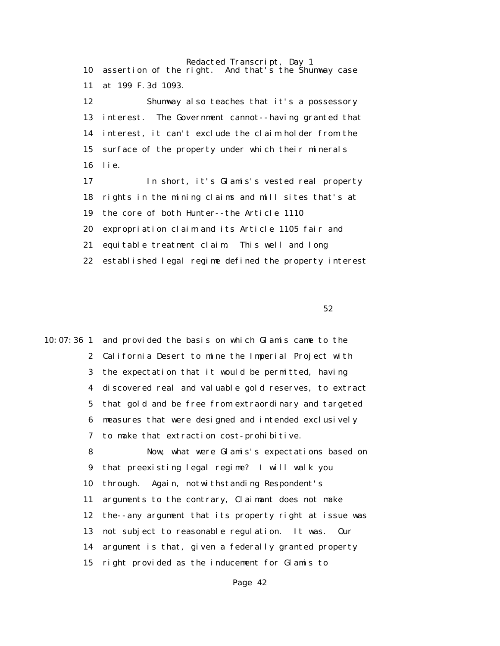Redacted Transcript, Day 1 10 assertion of the right. And that's the Shumway case 11 at 199 F.3d 1093. 12 Shumway also teaches that it's a possessory 13 interest. The Government cannot--having granted that

 14 interest, it can't exclude the claim holder from the 15 surface of the property under which their minerals 16 lie.

 17 In short, it's Glamis's vested real property 18 rights in the mining claims and mill sites that's at 19 the core of both Hunter--the Article 1110 20 expropriation claim and its Article 1105 fair and 21 equitable treatment claim. This well and long 22 established legal regime defined the property interest

 $52$ 

10:07:36 1 and provided the basis on which Glamis came to the 2 California Desert to mine the Imperial Project with 3 the expectation that it would be permitted, having 4 discovered real and valuable gold reserves, to extract 5 that gold and be free from extraordinary and targeted 6 measures that were designed and intended exclusively 7 to make that extraction cost-prohibitive. 8 Now, what were Glamis's expectations based on 9 that preexisting legal regime? I will walk you 10 through. Again, notwithstanding Respondent's 11 arguments to the contrary, Claimant does not make 12 the--any argument that its property right at issue was 13 not subject to reasonable regulation. It was. Our 14 argument is that, given a federally granted property 15 right provided as the inducement for Glamis to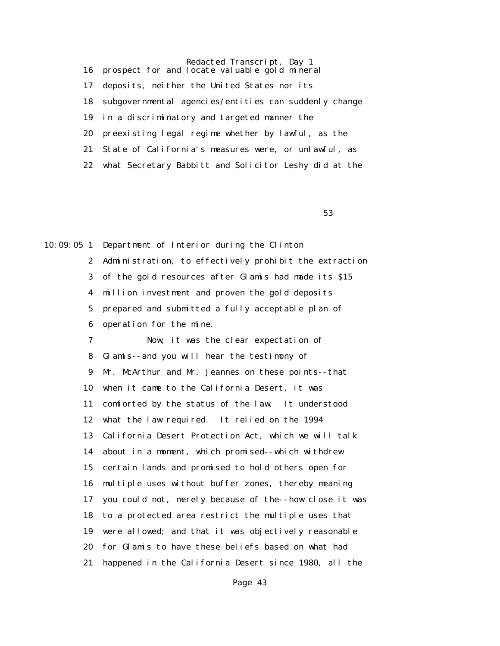Redacted Transcript, Day 1 16 prospect for and locate valuable gold mineral 17 deposits, neither the United States nor its 18 subgovernmental agencies/entities can suddenly change 19 in a discriminatory and targeted manner the 20 preexisting legal regime whether by lawful, as the 21 State of California's measures were, or unlawful, as 22 what Secretary Babbitt and Solicitor Leshy did at the

 $53$ 

10:09:05 1 Department of Interior during the Clinton 2 Administration, to effectively prohibit the extraction 3 of the gold resources after Glamis had made its \$15 4 million investment and proven the gold deposits 5 prepared and submitted a fully acceptable plan of 6 operation for the mine.

 7 Now, it was the clear expectation of 8 Glamis--and you will hear the testimony of 9 Mr. McArthur and Mr. Jeannes on these points--that 10 when it came to the California Desert, it was 11 comforted by the status of the law. It understood 12 what the law required. It relied on the 1994 13 California Desert Protection Act, which we will talk 14 about in a moment, which promised--which withdrew 15 certain lands and promised to hold others open for 16 multiple uses without buffer zones, thereby meaning 17 you could not, merely because of the--how close it was 18 to a protected area restrict the multiple uses that 19 were allowed; and that it was objectively reasonable 20 for Glamis to have these beliefs based on what had 21 happened in the California Desert since 1980, all the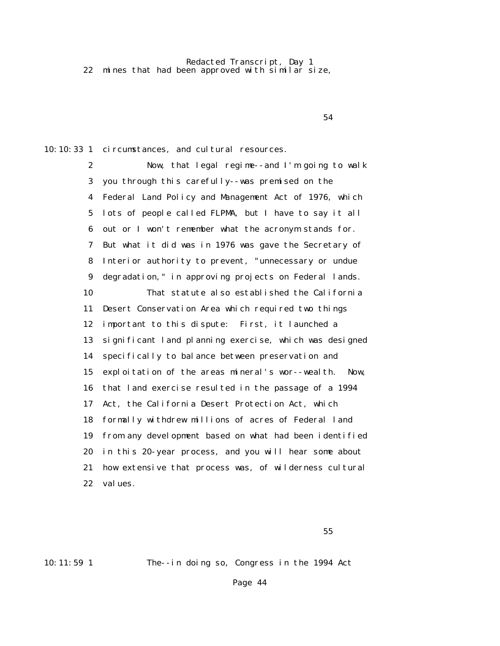Redacted Transcript, Day 1 22 mines that had been approved with similar size,

 $54$ 

10:10:33 1 circumstances, and cultural resources.

 2 Now, that legal regime--and I'm going to walk 3 you through this carefully--was premised on the 4 Federal Land Policy and Management Act of 1976, which 5 lots of people called FLPMA, but I have to say it all 6 out or I won't remember what the acronym stands for. 7 But what it did was in 1976 was gave the Secretary of 8 Interior authority to prevent, "unnecessary or undue 9 degradation," in approving projects on Federal lands. 10 That statute also established the California 11 Desert Conservation Area which required two things 12 important to this dispute: First, it launched a 13 significant land planning exercise, which was designed 14 specifically to balance between preservation and 15 exploitation of the areas mineral's wor--wealth. Now, 16 that land exercise resulted in the passage of a 1994 17 Act, the California Desert Protection Act, which 18 formally withdrew millions of acres of Federal land 19 from any development based on what had been identified 20 in this 20-year process, and you will hear some about 21 how extensive that process was, of wilderness cultural 22 values.

 $55$ 

10:11:59 1 The--in doing so, Congress in the 1994 Act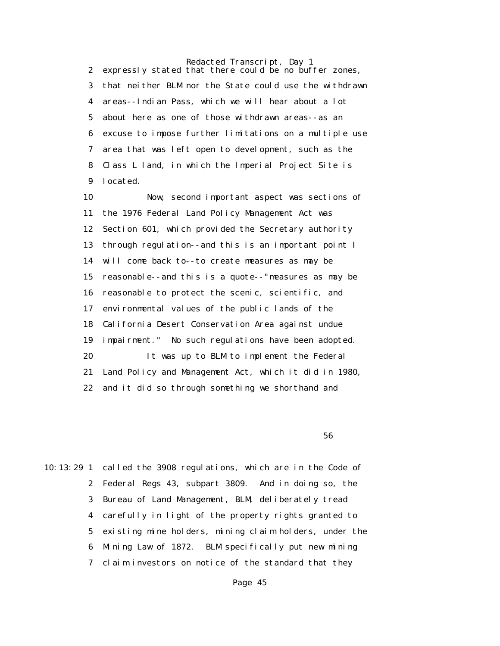Redacted Transcript, Day 1 2 expressly stated that there could be no buffer zones, 3 that neither BLM nor the State could use the withdrawn 4 areas--Indian Pass, which we will hear about a lot 5 about here as one of those withdrawn areas--as an 6 excuse to impose further limitations on a multiple use 7 area that was left open to development, such as the 8 Class L land, in which the Imperial Project Site is 9 located.

> 10 Now, second important aspect was sections of 11 the 1976 Federal Land Policy Management Act was 12 Section 601, which provided the Secretary authority 13 through regulation--and this is an important point I 14 will come back to--to create measures as may be 15 reasonable--and this is a quote--"measures as may be 16 reasonable to protect the scenic, scientific, and 17 environmental values of the public lands of the 18 California Desert Conservation Area against undue 19 impairment." No such regulations have been adopted. 20 It was up to BLM to implement the Federal 21 Land Policy and Management Act, which it did in 1980, 22 and it did so through something we shorthand and

 $56$ 

10:13:29 1 called the 3908 regulations, which are in the Code of 2 Federal Regs 43, subpart 3809. And in doing so, the 3 Bureau of Land Management, BLM, deliberately tread 4 carefully in light of the property rights granted to 5 existing mine holders, mining claim holders, under the 6 Mining Law of 1872. BLM specifically put new mining 7 claim investors on notice of the standard that they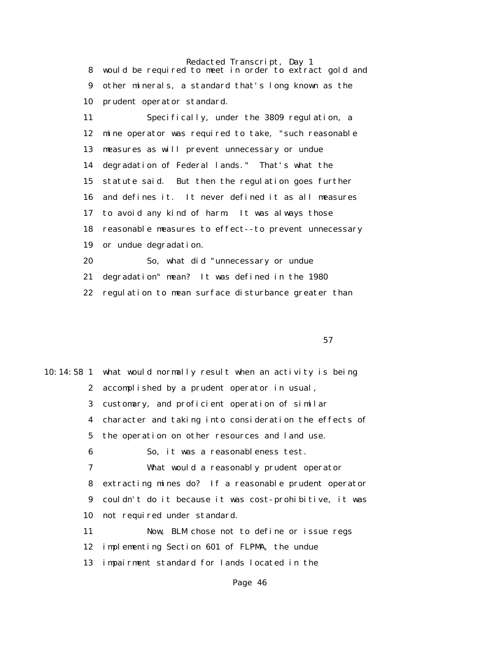8 would be required to meet in order to extract gold and 9 other minerals, a standard that's long known as the 10 prudent operator standard.

 11 Specifically, under the 3809 regulation, a 12 mine operator was required to take, "such reasonable 13 measures as will prevent unnecessary or undue 14 degradation of Federal lands." That's what the 15 statute said. But then the regulation goes further 16 and defines it. It never defined it as all measures 17 to avoid any kind of harm. It was always those 18 reasonable measures to effect--to prevent unnecessary 19 or undue degradation. 20 So, what did "unnecessary or undue

21 degradation" mean? It was defined in the 1980

22 regulation to mean surface disturbance greater than

 $57$ 

|             | 10:14:58 1 what would normally result when an activity is being |
|-------------|-----------------------------------------------------------------|
| 2           | accomplished by a prudent operator in usual,                    |
| 3           | customary, and proficient operation of similar                  |
|             | 4 character and taking into consideration the effects of        |
| $5^{\circ}$ | the operation on other resources and land use.                  |
| 6           | So, it was a reasonableness test.                               |
| 7           | What would a reasonably prudent operator                        |
| 8           | extracting mines do? If a reasonable prudent operator           |
| 9           | couldn't do it because it was cost-prohibitive, it was          |
| 10          | not required under standard.                                    |
| 11          | Now, BLM chose not to define or issue regs                      |
| 12          | implementing Section 601 of FLPMA, the undue                    |
| 13          | impairment standard for lands located in the                    |
|             |                                                                 |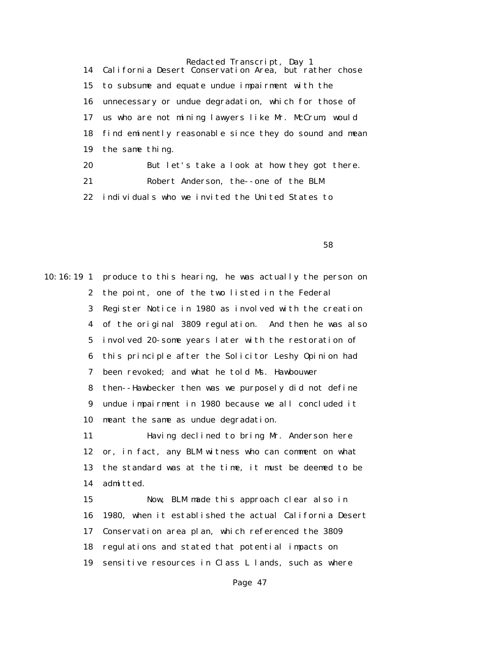14 California Desert Conservation Area, but rather chose 15 to subsume and equate undue impairment with the 16 unnecessary or undue degradation, which for those of 17 us who are not mining lawyers like Mr. McCrum, would 18 find eminently reasonable since they do sound and mean 19 the same thing. 20 But let's take a look at how they got there. 21 Robert Anderson, the--one of the BLM

22 individuals who we invited the United States to

 $58$ 

10:16:19 1 produce to this hearing, he was actually the person on 2 the point, one of the two listed in the Federal 3 Register Notice in 1980 as involved with the creation 4 of the original 3809 regulation. And then he was also 5 involved 20-some years later with the restoration of 6 this principle after the Solicitor Leshy Opinion had 7 been revoked; and what he told Ms. Hawbouwer 8 then--Hawbecker then was we purposely did not define 9 undue impairment in 1980 because we all concluded it 10 meant the same as undue degradation. 11 Having declined to bring Mr. Anderson here 12 or, in fact, any BLM witness who can comment on what 13 the standard was at the time, it must be deemed to be 14 admitted. 15 Now, BLM made this approach clear also in 16 1980, when it established the actual California Desert 17 Conservation area plan, which referenced the 3809 18 regulations and stated that potential impacts on 19 sensitive resources in Class L lands, such as where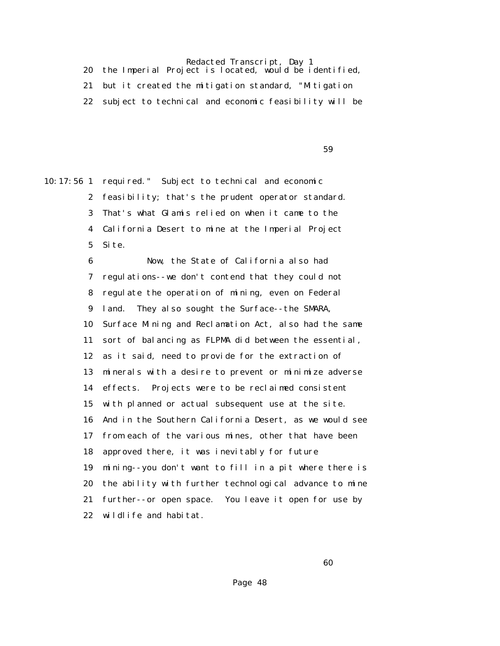| 20 the Imperial Project is located, would be identified, |
|----------------------------------------------------------|
| but it created the mitigation standard, "Mitigation      |
| subject to technical and economic feasibility will be    |

 $59$ 

10:17:56 1 required." Subject to technical and economic 2 feasibility; that's the prudent operator standard. 3 That's what Glamis relied on when it came to the 4 California Desert to mine at the Imperial Project 5 Site.

> 6 Now, the State of California also had 7 regulations--we don't contend that they could not 8 regulate the operation of mining, even on Federal 9 land. They also sought the Surface--the SMARA, 10 Surface Mining and Reclamation Act, also had the same 11 sort of balancing as FLPMA did between the essential, 12 as it said, need to provide for the extraction of 13 minerals with a desire to prevent or minimize adverse 14 effects. Projects were to be reclaimed consistent 15 with planned or actual subsequent use at the site. 16 And in the Southern California Desert, as we would see 17 from each of the various mines, other that have been 18 approved there, it was inevitably for future 19 mining--you don't want to fill in a pit where there is 20 the ability with further technological advance to mine 21 further--or open space. You leave it open for use by 22 wildlife and habitat.

 $\sim$  600  $\sim$  600  $\sim$  600  $\sim$  600  $\sim$  600  $\sim$  600  $\sim$  600  $\sim$  600  $\sim$  600  $\sim$  600  $\sim$  600  $\sim$  600  $\sim$  600  $\sim$  600  $\sim$  600  $\sim$  600  $\sim$  600  $\sim$  600  $\sim$  600  $\sim$  600  $\sim$  600  $\sim$  600  $\sim$  600  $\sim$  600  $\sim$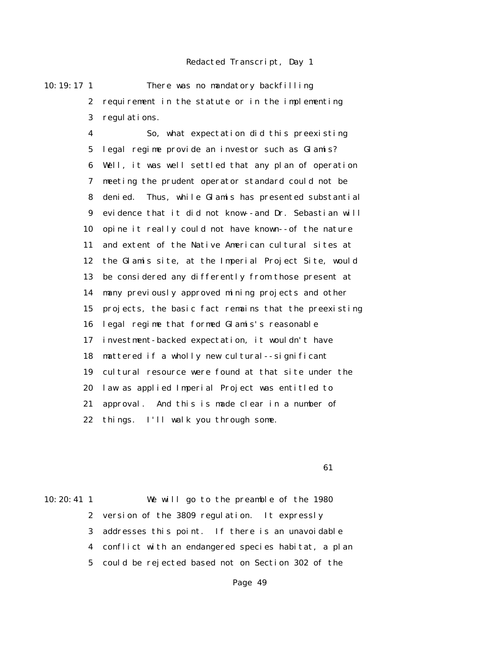10:19:17 1 There was no mandatory backfilling 2 requirement in the statute or in the implementing 3 regulations.

> 4 So, what expectation did this preexisting 5 legal regime provide an investor such as Glamis? 6 Well, it was well settled that any plan of operation 7 meeting the prudent operator standard could not be 8 denied. Thus, while Glamis has presented substantial 9 evidence that it did not know--and Dr. Sebastian will 10 opine it really could not have known--of the nature 11 and extent of the Native American cultural sites at 12 the Glamis site, at the Imperial Project Site, would 13 be considered any differently from those present at 14 many previously approved mining projects and other 15 projects, the basic fact remains that the preexisting 16 legal regime that formed Glamis's reasonable 17 investment-backed expectation, it wouldn't have 18 mattered if a wholly new cultural--significant 19 cultural resource were found at that site under the 20 law as applied Imperial Project was entitled to 21 approval. And this is made clear in a number of 22 things. I'll walk you through some.

 $\sim$  61

10:20:41 1 We will go to the preamble of the 1980 2 version of the 3809 regulation. It expressly 3 addresses this point. If there is an unavoidable 4 conflict with an endangered species habitat, a plan 5 could be rejected based not on Section 302 of the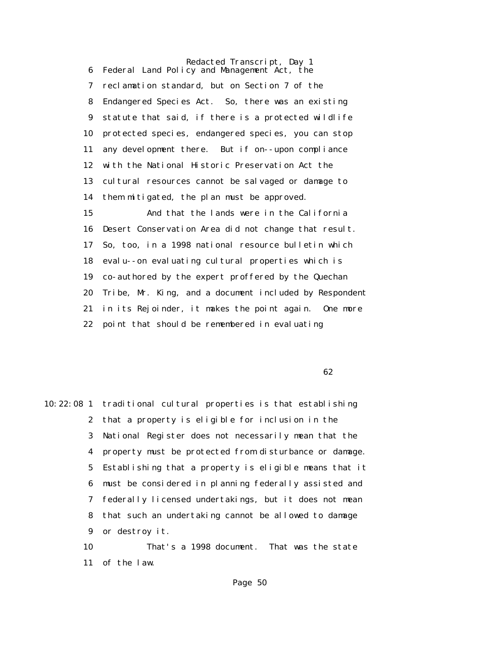Redacted Transcript, Day 1 6 Federal Land Policy and Management Act, the 7 reclamation standard, but on Section 7 of the 8 Endangered Species Act. So, there was an existing 9 statute that said, if there is a protected wildlife 10 protected species, endangered species, you can stop 11 any development there. But if on--upon compliance 12 with the National Historic Preservation Act the 13 cultural resources cannot be salvaged or damage to 14 them mitigated, the plan must be approved. 15 And that the lands were in the California 16 Desert Conservation Area did not change that result. 17 So, too, in a 1998 national resource bulletin which 18 evalu--on evaluating cultural properties which is 19 co-authored by the expert proffered by the Quechan 20 Tribe, Mr. King, and a document included by Respondent 21 in its Rejoinder, it makes the point again. One more 22 point that should be remembered in evaluating

 $\sim$  62

10:22:08 1 traditional cultural properties is that establishing 2 that a property is eligible for inclusion in the 3 National Register does not necessarily mean that the 4 property must be protected from disturbance or damage. 5 Establishing that a property is eligible means that it 6 must be considered in planning federally assisted and 7 federally licensed undertakings, but it does not mean 8 that such an undertaking cannot be allowed to damage 9 or destroy it.

 10 That's a 1998 document. That was the state 11 of the law.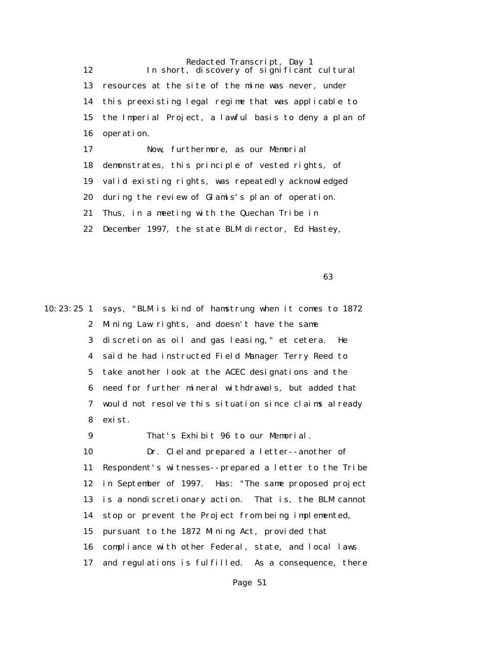Redacted Transcript, Day 1 12 In short, discovery of significant cultural 13 resources at the site of the mine was never, under 14 this preexisting legal regime that was applicable to 15 the Imperial Project, a lawful basis to deny a plan of 16 operation. 17 Now, furthermore, as our Memorial

> 18 demonstrates, this principle of vested rights, of 19 valid existing rights, was repeatedly acknowledged 20 during the review of Glamis's plan of operation. 21 Thus, in a meeting with the Quechan Tribe in 22 December 1997, the state BLM director, Ed Hastey,

experience of the contract of the contract of the contract of the contract of the contract of the contract of the contract of the contract of the contract of the contract of the contract of the contract of the contract of

10:23:25 1 says, "BLM is kind of hamstrung when it comes to 1872 2 Mining Law rights, and doesn't have the same 3 discretion as oil and gas leasing," et cetera. He 4 said he had instructed Field Manager Terry Reed to 5 take another look at the ACEC designations and the 6 need for further mineral withdrawals, but added that 7 would not resolve this situation since claims already 8 exist. 9 That's Exhibit 96 to our Memorial.

 10 Dr. Cleland prepared a letter--another of 11 Respondent's witnesses--prepared a letter to the Tribe 12 in September of 1997. Has: "The same proposed project 13 is a nondiscretionary action. That is, the BLM cannot 14 stop or prevent the Project from being implemented, 15 pursuant to the 1872 Mining Act, provided that 16 compliance with other Federal, state, and local laws 17 and regulations is fulfilled. As a consequence, there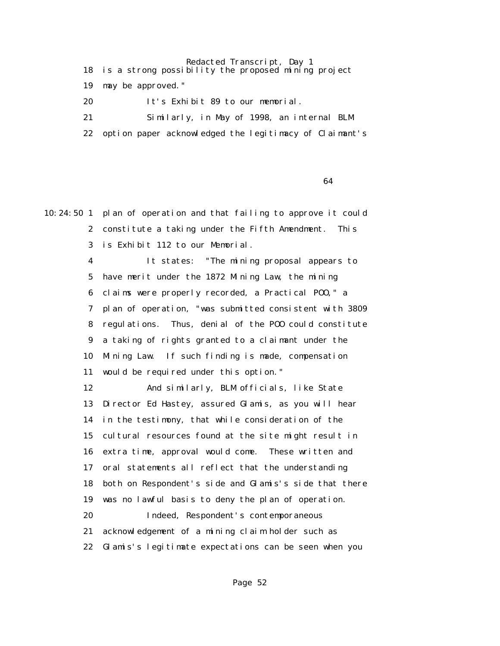- 18 is a strong possibility the proposed mining project
- 19 may be approved."
- 20 It's Exhibit 89 to our memorial.
- 21 Similarly, in May of 1998, an internal BLM
- 22 option paper acknowledged the legitimacy of Claimant's

 $\overline{64}$ 

10:24:50 1 plan of operation and that failing to approve it could 2 constitute a taking under the Fifth Amendment. This 3 is Exhibit 112 to our Memorial.

> 4 It states: "The mining proposal appears to 5 have merit under the 1872 Mining Law, the mining 6 claims were properly recorded, a Practical POO," a 7 plan of operation, "was submitted consistent with 3809 8 regulations. Thus, denial of the POO could constitute 9 a taking of rights granted to a claimant under the 10 Mining Law. If such finding is made, compensation 11 would be required under this option."

> 12 And similarly, BLM officials, like State 13 Director Ed Hastey, assured Glamis, as you will hear 14 in the testimony, that while consideration of the 15 cultural resources found at the site might result in 16 extra time, approval would come. These written and 17 oral statements all reflect that the understanding 18 both on Respondent's side and Glamis's side that there 19 was no lawful basis to deny the plan of operation. 20 Indeed, Respondent's contemporaneous 21 acknowledgement of a mining claim holder such as 22 Glamis's legitimate expectations can be seen when you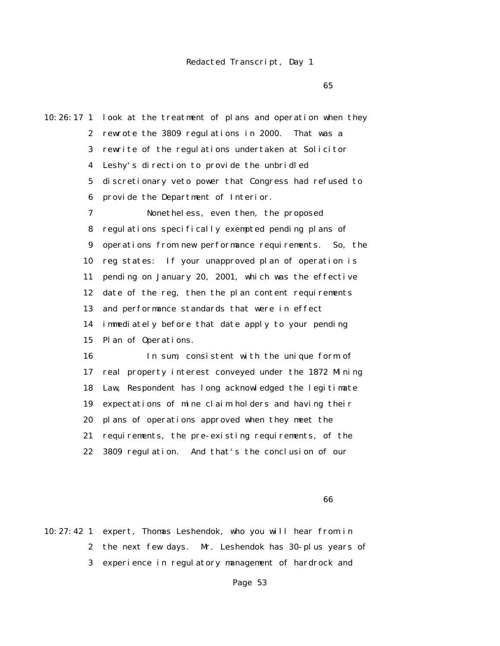$\sim$  65

10:26:17 1 look at the treatment of plans and operation when they 2 rewrote the 3809 regulations in 2000. That was a 3 rewrite of the regulations undertaken at Solicitor 4 Leshy's direction to provide the unbridled 5 discretionary veto power that Congress had refused to 6 provide the Department of Interior. 7 Nonetheless, even then, the proposed 8 regulations specifically exempted pending plans of 9 operations from new performance requirements. So, the 10 reg states: If your unapproved plan of operation is 11 pending on January 20, 2001, which was the effective 12 date of the reg, then the plan content requirements 13 and performance standards that were in effect 14 immediately before that date apply to your pending 15 Plan of Operations. 16 In sum, consistent with the unique form of 17 real property interest conveyed under the 1872 Mining 18 Law, Respondent has long acknowledged the legitimate 19 expectations of mine claim holders and having their 20 plans of operations approved when they meet the 21 requirements, the pre-existing requirements, of the 22 3809 regulation. And that's the conclusion of our

entration of the contract of the contract of the contract of the contract of the contract of the contract of t

10:27:42 1 expert, Thomas Leshendok, who you will hear from in 2 the next few days. Mr. Leshendok has 30-plus years of 3 experience in regulatory management of hardrock and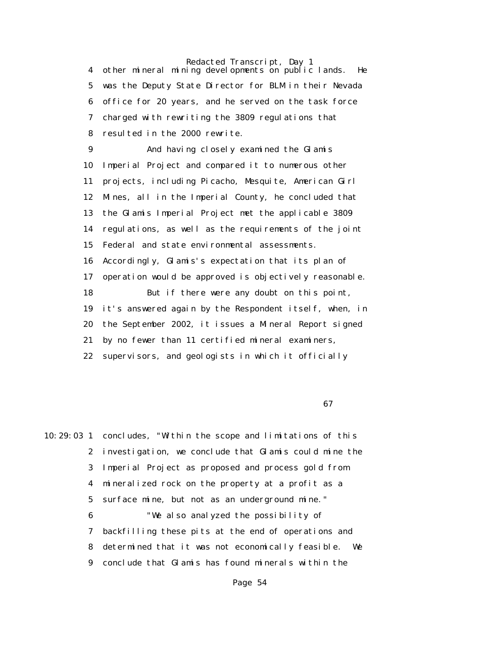4 other mineral mining developments on public lands. He 5 was the Deputy State Director for BLM in their Nevada 6 office for 20 years, and he served on the task force 7 charged with rewriting the 3809 regulations that 8 resulted in the 2000 rewrite.

> 9 And having closely examined the Glamis 10 Imperial Project and compared it to numerous other 11 projects, including Picacho, Mesquite, American Girl 12 Mines, all in the Imperial County, he concluded that 13 the Glamis Imperial Project met the applicable 3809 14 regulations, as well as the requirements of the joint 15 Federal and state environmental assessments. 16 Accordingly, Glamis's expectation that its plan of 17 operation would be approved is objectively reasonable. 18 But if there were any doubt on this point, 19 it's answered again by the Respondent itself, when, in 20 the September 2002, it issues a Mineral Report signed 21 by no fewer than 11 certified mineral examiners, 22 supervisors, and geologists in which it officially

 $\sim$  67

10:29:03 1 concludes, "Within the scope and limitations of this 2 investigation, we conclude that Glamis could mine the 3 Imperial Project as proposed and process gold from 4 mineralized rock on the property at a profit as a 5 surface mine, but not as an underground mine." 6 "We also analyzed the possibility of 7 backfilling these pits at the end of operations and 8 determined that it was not economically feasible. We 9 conclude that Glamis has found minerals within the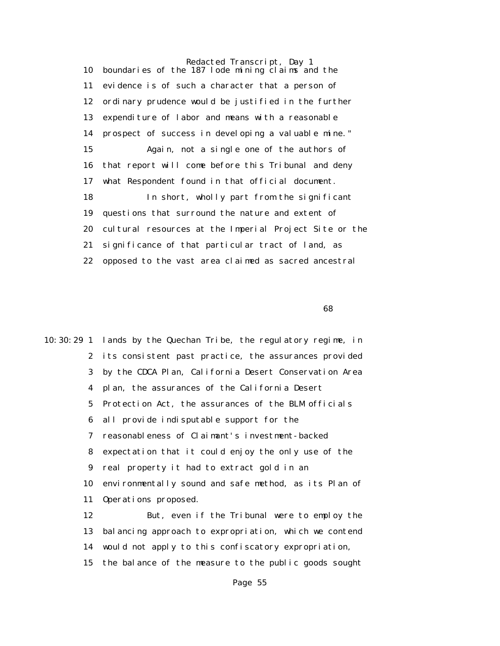Redacted Transcript, Day 1 10 boundaries of the 187 lode mining claims and the 11 evidence is of such a character that a person of 12 ordinary prudence would be justified in the further 13 expenditure of labor and means with a reasonable 14 prospect of success in developing a valuable mine." 15 Again, not a single one of the authors of 16 that report will come before this Tribunal and deny 17 what Respondent found in that official document. 18 In short, wholly part from the significant 19 questions that surround the nature and extent of 20 cultural resources at the Imperial Project Site or the 21 significance of that particular tract of land, as 22 opposed to the vast area claimed as sacred ancestral

en de la construcción de la construcción de la construcción de la construcción de la construcción de la constr

10:30:29 1 lands by the Quechan Tribe, the regulatory regime, in 2 its consistent past practice, the assurances provided 3 by the CDCA Plan, California Desert Conservation Area 4 plan, the assurances of the California Desert 5 Protection Act, the assurances of the BLM officials 6 all provide indisputable support for the 7 reasonableness of Claimant's investment-backed 8 expectation that it could enjoy the only use of the 9 real property it had to extract gold in an 10 environmentally sound and safe method, as its Plan of 11 Operations proposed. 12 But, even if the Tribunal were to employ the 13 balancing approach to expropriation, which we contend 14 would not apply to this confiscatory expropriation,

15 the balance of the measure to the public goods sought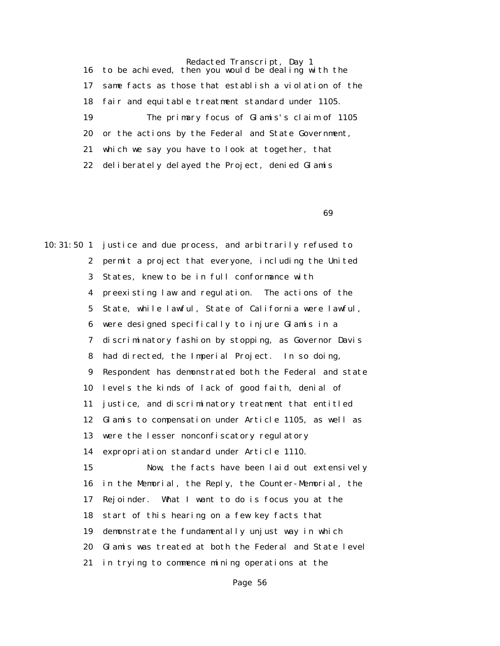16 to be achieved, then you would be dealing with the 17 same facts as those that establish a violation of the 18 fair and equitable treatment standard under 1105. 19 The primary focus of Glamis's claim of 1105 20 or the actions by the Federal and State Government, 21 which we say you have to look at together, that 22 deliberately delayed the Project, denied Glamis

 $\sim$  69

10:31:50 1 justice and due process, and arbitrarily refused to 2 permit a project that everyone, including the United 3 States, knew to be in full conformance with 4 preexisting law and regulation. The actions of the 5 State, while lawful, State of California were lawful, 6 were designed specifically to injure Glamis in a 7 discriminatory fashion by stopping, as Governor Davis 8 had directed, the Imperial Project. In so doing, 9 Respondent has demonstrated both the Federal and state 10 levels the kinds of lack of good faith, denial of 11 justice, and discriminatory treatment that entitled 12 Glamis to compensation under Article 1105, as well as 13 were the lesser nonconfiscatory regulatory 14 expropriation standard under Article 1110. 15 Now, the facts have been laid out extensively 16 in the Memorial, the Reply, the Counter-Memorial, the 17 Rejoinder. What I want to do is focus you at the 18 start of this hearing on a few key facts that 19 demonstrate the fundamentally unjust way in which 20 Glamis was treated at both the Federal and State level 21 in trying to commence mining operations at the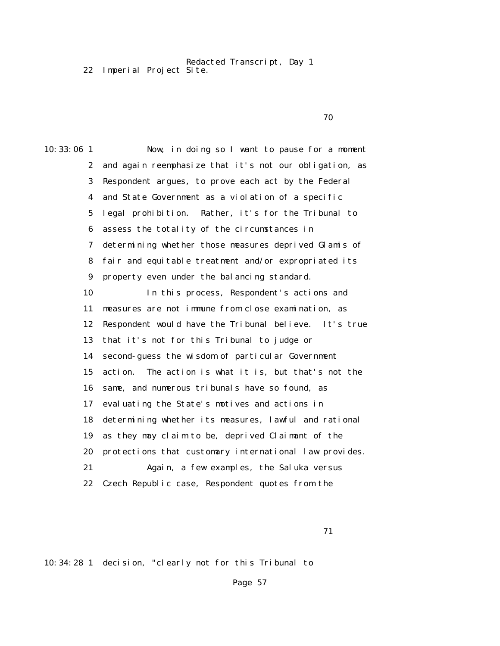Redacted Transcript, Day 1 22 Imperial Project Site.

10:33:06 1 Now, in doing so I want to pause for a moment 2 and again reemphasize that it's not our obligation, as 3 Respondent argues, to prove each act by the Federal 4 and State Government as a violation of a specific 5 legal prohibition. Rather, it's for the Tribunal to 6 assess the totality of the circumstances in 7 determining whether those measures deprived Glamis of 8 fair and equitable treatment and/or expropriated its 9 property even under the balancing standard. 10 In this process, Respondent's actions and 11 measures are not immune from close examination, as 12 Respondent would have the Tribunal believe. It's true 13 that it's not for this Tribunal to judge or 14 second-guess the wisdom of particular Government 15 action. The action is what it is, but that's not the 16 same, and numerous tribunals have so found, as 17 evaluating the State's motives and actions in 18 determining whether its measures, lawful and rational 19 as they may claim to be, deprived Claimant of the 20 protections that customary international law provides. 21 Again, a few examples, the Saluka versus 22 Czech Republic case, Respondent quotes from the

 $70$ 

71

10:34:28 1 decision, "clearly not for this Tribunal to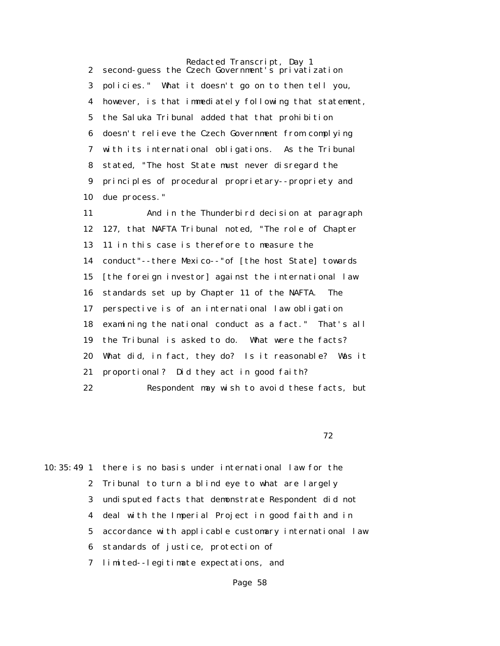Redacted Transcript, Day 1 2 second-guess the Czech Government's privatization 3 policies." What it doesn't go on to then tell you, 4 however, is that immediately following that statement, 5 the Saluka Tribunal added that that prohibition 6 doesn't relieve the Czech Government from complying 7 with its international obligations. As the Tribunal 8 stated, "The host State must never disregard the 9 principles of procedural proprietary--propriety and 10 due process." 11 And in the Thunderbird decision at paragraph 12 127, that NAFTA Tribunal noted, "The role of Chapter

 13 11 in this case is therefore to measure the 14 conduct"--there Mexico--"of [the host State] towards 15 [the foreign investor] against the international law 16 standards set up by Chapter 11 of the NAFTA. The 17 perspective is of an international law obligation 18 examining the national conduct as a fact." That's all 19 the Tribunal is asked to do. What were the facts? 20 What did, in fact, they do? Is it reasonable? Was it 21 proportional? Did they act in good faith? 22 Respondent may wish to avoid these facts, but

 $72$ 

10:35:49 1 there is no basis under international law for the 2 Tribunal to turn a blind eye to what are largely 3 undisputed facts that demonstrate Respondent did not 4 deal with the Imperial Project in good faith and in 5 accordance with applicable customary international law 6 standards of justice, protection of 7 limited--legitimate expectations, and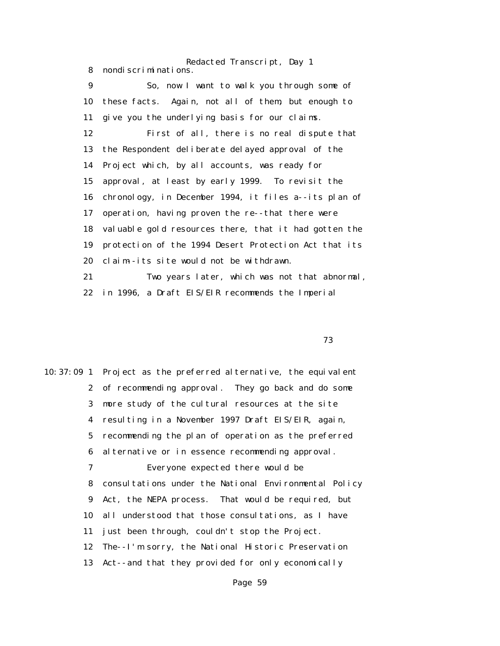Redacted Transcript, Day 1 8 nondiscriminations. 9 So, now I want to walk you through some of 10 these facts. Again, not all of them, but enough to 11 give you the underlying basis for our claims. 12 First of all, there is no real dispute that 13 the Respondent deliberate delayed approval of the 14 Project which, by all accounts, was ready for 15 approval, at least by early 1999. To revisit the 16 chronology, in December 1994, it files a--its plan of 17 operation, having proven the re--that there were 18 valuable gold resources there, that it had gotten the 19 protection of the 1994 Desert Protection Act that its 20 claim--its site would not be withdrawn. 21 Two years later, which was not that abnormal, 22 in 1996, a Draft EIS/EIR recommends the Imperial

<u>73 and 2001 and 2002 and 2003 and 2003 and 2003 and 2003 and 2003 and 2003 and 2003 and 2003 and 2003 and 200</u>

10:37:09 1 Project as the preferred alternative, the equivalent 2 of recommending approval. They go back and do some 3 more study of the cultural resources at the site 4 resulting in a November 1997 Draft EIS/EIR, again, 5 recommending the plan of operation as the preferred 6 alternative or in essence recommending approval. 7 Everyone expected there would be 8 consultations under the National Environmental Policy 9 Act, the NEPA process. That would be required, but 10 all understood that those consultations, as I have 11 just been through, couldn't stop the Project. 12 The--I'm sorry, the National Historic Preservation 13 Act--and that they provided for only economically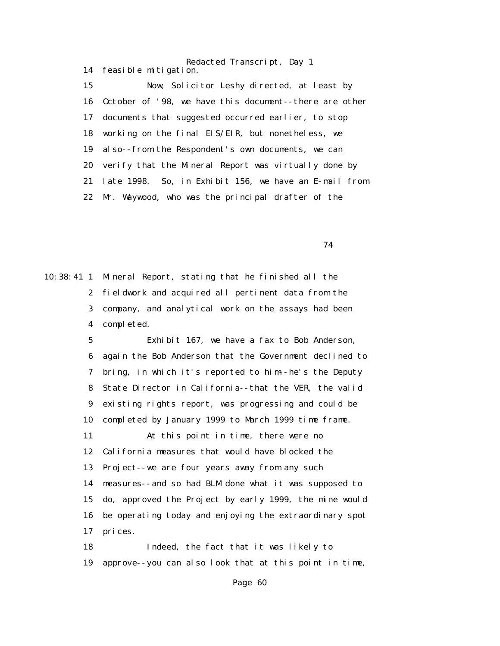Redacted Transcript, Day 1 14 feasible mitigation. 15 Now, Solicitor Leshy directed, at least by 16 October of '98, we have this document--there are other 17 documents that suggested occurred earlier, to stop 18 working on the final EIS/EIR, but nonetheless, we 19 also--from the Respondent's own documents, we can 20 verify that the Mineral Report was virtually done by 21 late 1998. So, in Exhibit 156, we have an E-mail from 22 Mr. Waywood, who was the principal drafter of the

 $74$ 

10:38:41 1 Mineral Report, stating that he finished all the 2 fieldwork and acquired all pertinent data from the 3 company, and analytical work on the assays had been 4 completed.

> 5 Exhibit 167, we have a fax to Bob Anderson, 6 again the Bob Anderson that the Government declined to 7 bring, in which it's reported to him--he's the Deputy 8 State Director in California--that the VER, the valid 9 existing rights report, was progressing and could be 10 completed by January 1999 to March 1999 time frame. 11 At this point in time, there were no 12 California measures that would have blocked the 13 Project--we are four years away from any such 14 measures--and so had BLM done what it was supposed to 15 do, approved the Project by early 1999, the mine would 16 be operating today and enjoying the extraordinary spot 17 prices.

 18 Indeed, the fact that it was likely to 19 approve--you can also look that at this point in time,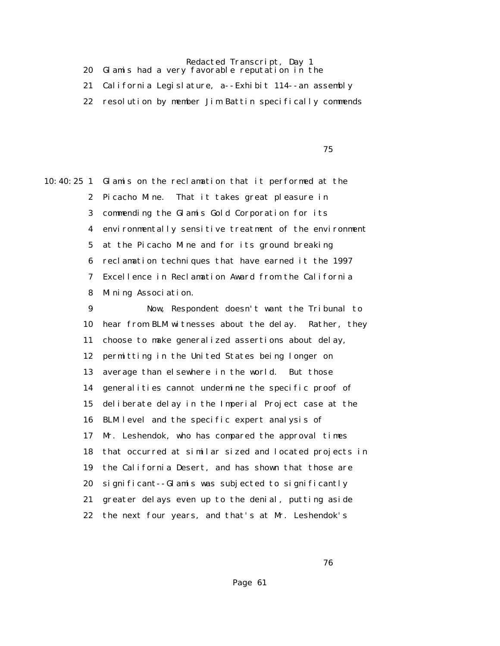20 Glamis had a very favorable reputation in the

21 California Legislature, a--Exhibit 114--an assembly

22 resolution by member Jim Battin specifically commends

<u>75 September 2005 - 2006 September 2006 September 2006 September 2006 September 2006 September 2006 September 2006 September 2006 September 2006 September 2006 September 2006 September 2006 September 2006 September 2006 S</u>

10:40:25 1 Glamis on the reclamation that it performed at the 2 Picacho Mine. That it takes great pleasure in 3 commending the Glamis Gold Corporation for its 4 environmentally sensitive treatment of the environment 5 at the Picacho Mine and for its ground breaking 6 reclamation techniques that have earned it the 1997 7 Excellence in Reclamation Award from the California 8 Mining Association.

> 9 Now, Respondent doesn't want the Tribunal to 10 hear from BLM witnesses about the delay. Rather, they 11 choose to make generalized assertions about delay, 12 permitting in the United States being longer on 13 average than elsewhere in the world. But those 14 generalities cannot undermine the specific proof of 15 deliberate delay in the Imperial Project case at the 16 BLM level and the specific expert analysis of 17 Mr. Leshendok, who has compared the approval times 18 that occurred at similar sized and located projects in 19 the California Desert, and has shown that those are 20 significant--Glamis was subjected to significantly 21 greater delays even up to the denial, putting aside 22 the next four years, and that's at Mr. Leshendok's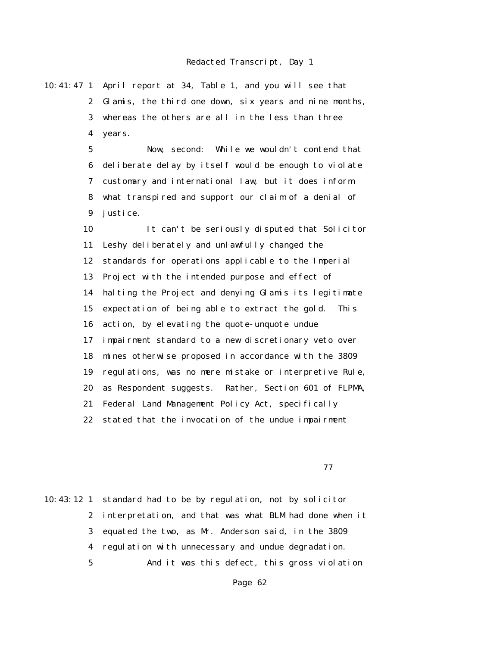10:41:47 1 April report at 34, Table 1, and you will see that 2 Glamis, the third one down, six years and nine months, 3 whereas the others are all in the less than three 4 years. 5 Now, second: While we wouldn't contend that 6 deliberate delay by itself would be enough to violate 7 customary and international law, but it does inform

> 8 what transpired and support our claim of a denial of 9 justice.

 10 It can't be seriously disputed that Solicitor 11 Leshy deliberately and unlawfully changed the 12 standards for operations applicable to the Imperial 13 Project with the intended purpose and effect of 14 halting the Project and denying Glamis its legitimate 15 expectation of being able to extract the gold. This 16 action, by elevating the quote-unquote undue 17 impairment standard to a new discretionary veto over 18 mines otherwise proposed in accordance with the 3809 19 regulations, was no mere mistake or interpretive Rule, 20 as Respondent suggests. Rather, Section 601 of FLPMA, 21 Federal Land Management Policy Act, specifically 22 stated that the invocation of the undue impairment

— <u>177 година в област во страна во страна во страна во страна во страна во страна во страна во с</u>

10:43:12 1 standard had to be by regulation, not by solicitor 2 interpretation, and that was what BLM had done when it 3 equated the two, as Mr. Anderson said, in the 3809 4 regulation with unnecessary and undue degradation. 5 And it was this defect, this gross violation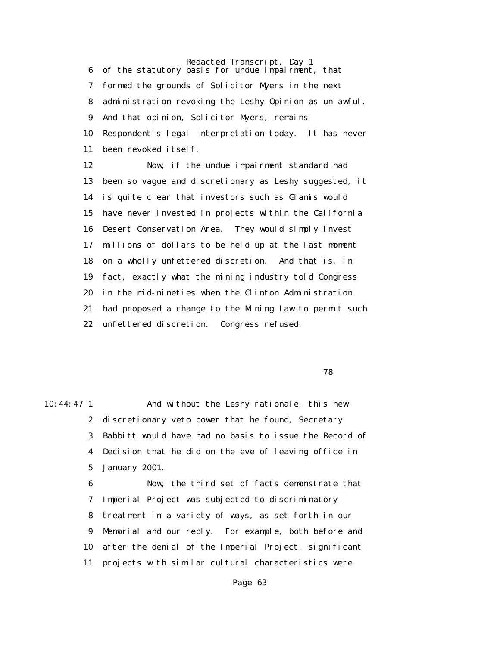Redacted Transcript, Day 1 6 of the statutory basis for undue impairment, that 7 formed the grounds of Solicitor Myers in the next 8 administration revoking the Leshy Opinion as unlawful. 9 And that opinion, Solicitor Myers, remains 10 Respondent's legal interpretation today. It has never 11 been revoked itself. 12 Now, if the undue impairment standard had

 13 been so vague and discretionary as Leshy suggested, it 14 is quite clear that investors such as Glamis would 15 have never invested in projects within the California 16 Desert Conservation Area. They would simply invest 17 millions of dollars to be held up at the last moment 18 on a wholly unfettered discretion. And that is, in 19 fact, exactly what the mining industry told Congress 20 in the mid-nineties when the Clinton Administration 21 had proposed a change to the Mining Law to permit such 22 unfettered discretion. Congress refused.

 $78$ 

10:44:47 1 And without the Leshy rationale, this new 2 discretionary veto power that he found, Secretary 3 Babbitt would have had no basis to issue the Record of 4 Decision that he did on the eve of leaving office in 5 January 2001. 6 Now, the third set of facts demonstrate that 7 Imperial Project was subjected to discriminatory

> 8 treatment in a variety of ways, as set forth in our 9 Memorial and our reply. For example, both before and 10 after the denial of the Imperial Project, significant 11 projects with similar cultural characteristics were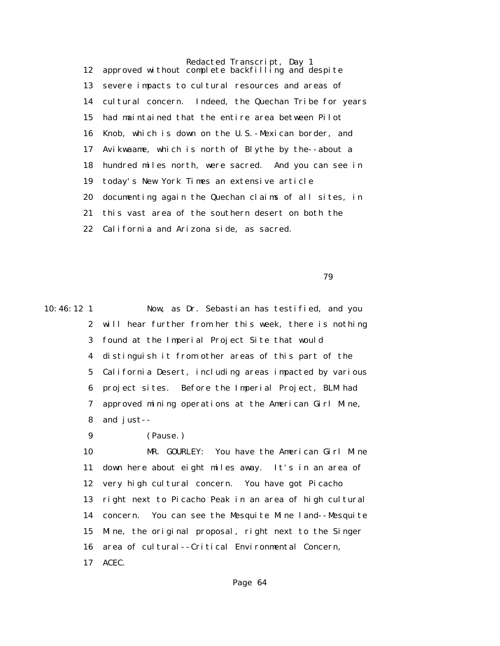Redacted Transcript, Day 1 12 approved without complete backfilling and despite 13 severe impacts to cultural resources and areas of 14 cultural concern. Indeed, the Quechan Tribe for years 15 had maintained that the entire area between Pilot 16 Knob, which is down on the U.S.-Mexican border, and 17 Avikwaame, which is north of Blythe by the--about a 18 hundred miles north, were sacred. And you can see in 19 today's New York Times an extensive article 20 documenting again the Quechan claims of all sites, in 21 this vast area of the southern desert on both the 22 California and Arizona side, as sacred.

 $79$ 

10:46:12 1 Now, as Dr. Sebastian has testified, and you 2 will hear further from her this week, there is nothing 3 found at the Imperial Project Site that would 4 distinguish it from other areas of this part of the 5 California Desert, including areas impacted by various 6 project sites. Before the Imperial Project, BLM had 7 approved mining operations at the American Girl Mine, 8 and just--

9 (Pause.)

 10 MR. GOURLEY: You have the American Girl Mine 11 down here about eight miles away. It's in an area of 12 very high cultural concern. You have got Picacho 13 right next to Picacho Peak in an area of high cultural 14 concern. You can see the Mesquite Mine land--Mesquite 15 Mine, the original proposal, right next to the Singer 16 area of cultural--Critical Environmental Concern, 17 ACEC.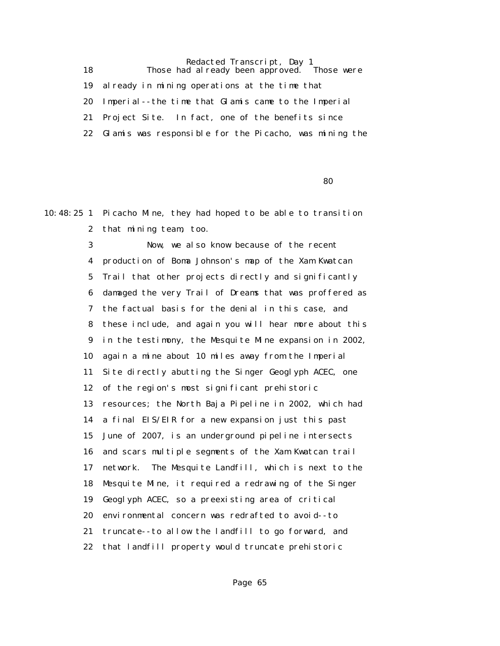18 Those had already been approved. Those were 19 already in mining operations at the time that 20 Imperial--the time that Glamis came to the Imperial 21 Project Site. In fact, one of the benefits since 22 Glamis was responsible for the Picacho, was mining the

<u>80 and 200 and 200 and 200 and 200 and 200 and 200 and 200 and 200 and 200 and 200 and 200 and 200 and 200 and 200 and 200 and 200 and 200 and 200 and 200 and 200 and 200 and 200 and 200 and 200 and 200 and 200 and 200 an</u>

10:48:25 1 Picacho Mine, they had hoped to be able to transition 2 that mining team, too.

> 3 Now, we also know because of the recent 4 production of Boma Johnson's map of the Xam Kwatcan 5 Trail that other projects directly and significantly 6 damaged the very Trail of Dreams that was proffered as 7 the factual basis for the denial in this case, and 8 these include, and again you will hear more about this 9 in the testimony, the Mesquite Mine expansion in 2002, 10 again a mine about 10 miles away from the Imperial 11 Site directly abutting the Singer Geoglyph ACEC, one 12 of the region's most significant prehistoric 13 resources; the North Baja Pipeline in 2002, which had 14 a final EIS/EIR for a new expansion just this past 15 June of 2007, is an underground pipeline intersects 16 and scars multiple segments of the Xam Kwatcan trail 17 network. The Mesquite Landfill, which is next to the 18 Mesquite Mine, it required a redrawing of the Singer 19 Geoglyph ACEC, so a preexisting area of critical 20 environmental concern was redrafted to avoid--to 21 truncate--to allow the landfill to go forward, and 22 that landfill property would truncate prehistoric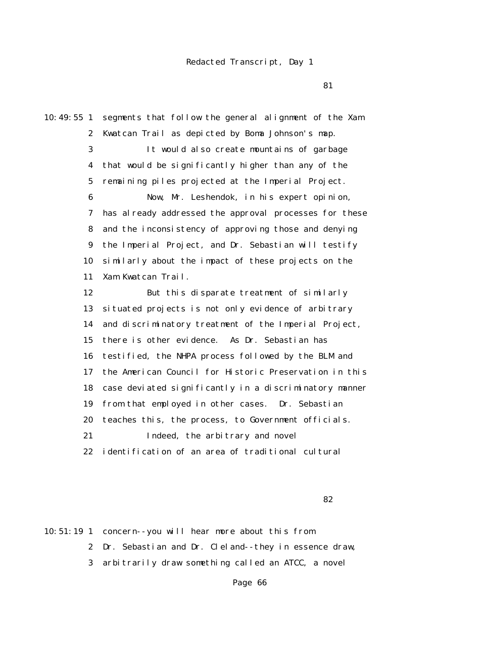<u>81 and 2001 and 2001 and 2001 and 2001 and 2001 and 2001 and 2001 and 2001 and 2001 and 2001 and 2001 and 200</u>

10:49:55 1 segments that follow the general alignment of the Xam 2 Kwatcan Trail as depicted by Boma Johnson's map. 3 It would also create mountains of garbage 4 that would be significantly higher than any of the 5 remaining piles projected at the Imperial Project. 6 Now, Mr. Leshendok, in his expert opinion, 7 has already addressed the approval processes for these 8 and the inconsistency of approving those and denying 9 the Imperial Project, and Dr. Sebastian will testify 10 similarly about the impact of these projects on the 11 Xam Kwatcan Trail. 12 But this disparate treatment of similarly 13 situated projects is not only evidence of arbitrary 14 and discriminatory treatment of the Imperial Project, 15 there is other evidence. As Dr. Sebastian has 16 testified, the NHPA process followed by the BLM and 17 the American Council for Historic Preservation in this 18 case deviated significantly in a discriminatory manner 19 from that employed in other cases. Dr. Sebastian 20 teaches this, the process, to Government officials. 21 Indeed, the arbitrary and novel 22 identification of an area of traditional cultural

en and the state of the state of the state of the state of the state of the state of the state of the state of

10:51:19 1 concern--you will hear more about this from 2 Dr. Sebastian and Dr. Cleland--they in essence draw, 3 arbitrarily draw something called an ATCC, a novel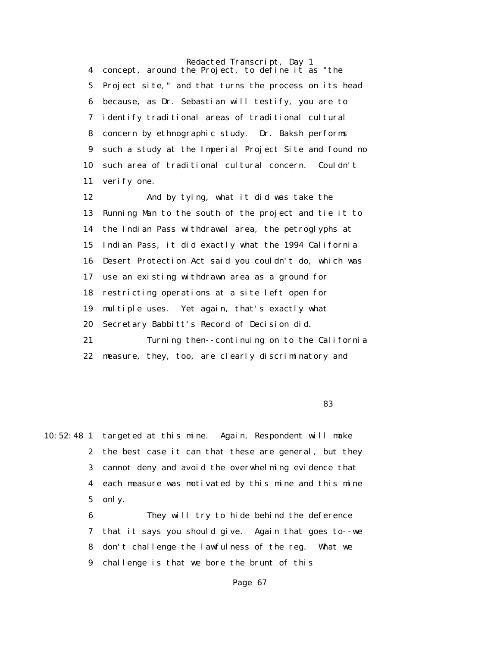Redacted Transcript, Day 1 4 concept, around the Project, to define it as "the 5 Project site," and that turns the process on its head 6 because, as Dr. Sebastian will testify, you are to 7 identify traditional areas of traditional cultural 8 concern by ethnographic study. Dr. Baksh performs 9 such a study at the Imperial Project Site and found no 10 such area of traditional cultural concern. Couldn't 11 verify one.

 12 And by tying, what it did was take the 13 Running Man to the south of the project and tie it to 14 the Indian Pass withdrawal area, the petroglyphs at 15 Indian Pass, it did exactly what the 1994 California 16 Desert Protection Act said you couldn't do, which was 17 use an existing withdrawn area as a ground for 18 restricting operations at a site left open for 19 multiple uses. Yet again, that's exactly what 20 Secretary Babbitt's Record of Decision did. 21 Turning then--continuing on to the California 22 measure, they, too, are clearly discriminatory and

<u>833 - Johann Stein, amerikan basar pengaran sebagai pengaran sebagai pengaran sebagai pengaran sebagai pengara</u>

10:52:48 1 targeted at this mine. Again, Respondent will make 2 the best case it can that these are general, but they 3 cannot deny and avoid the overwhelming evidence that 4 each measure was motivated by this mine and this mine 5 only.

> 6 They will try to hide behind the deference 7 that it says you should give. Again that goes to--we 8 don't challenge the lawfulness of the reg. What we 9 challenge is that we bore the brunt of this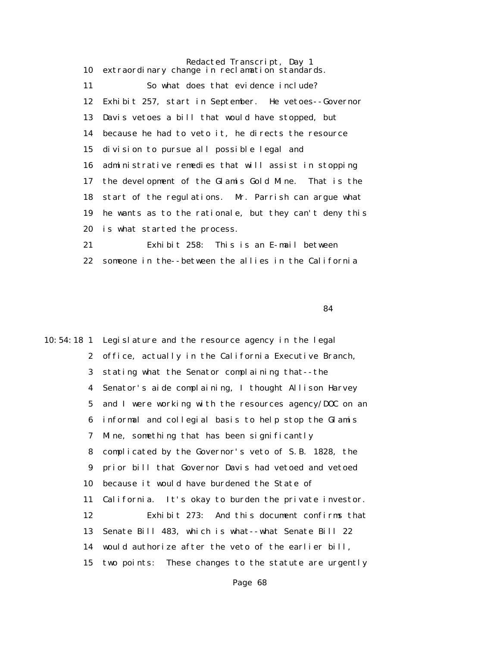Redacted Transcript, Day 1 10 extraordinary change in reclamation standards. 11 So what does that evidence include? 12 Exhibit 257, start in September. He vetoes--Governor 13 Davis vetoes a bill that would have stopped, but 14 because he had to veto it, he directs the resource 15 division to pursue all possible legal and 16 administrative remedies that will assist in stopping 17 the development of the Glamis Gold Mine. That is the 18 start of the regulations. Mr. Parrish can argue what 19 he wants as to the rationale, but they can't deny this 20 is what started the process.

 21 Exhibit 258: This is an E-mail between 22 someone in the--between the allies in the California

<u>84 and 2001 and 2001 and 2001 and 2001 and 2001 and 2001 and 2001 and 2001 and 2001 and 2001 and 2001 and 200</u>

10:54:18 1 Legislature and the resource agency in the legal 2 office, actually in the California Executive Branch, 3 stating what the Senator complaining that--the 4 Senator's aide complaining, I thought Allison Harvey 5 and I were working with the resources agency/DOC on an 6 informal and collegial basis to help stop the Glamis 7 Mine, something that has been significantly 8 complicated by the Governor's veto of S.B. 1828, the 9 prior bill that Governor Davis had vetoed and vetoed 10 because it would have burdened the State of 11 California. It's okay to burden the private investor. 12 Exhibit 273: And this document confirms that 13 Senate Bill 483, which is what--what Senate Bill 22 14 would authorize after the veto of the earlier bill, 15 two points: These changes to the statute are urgently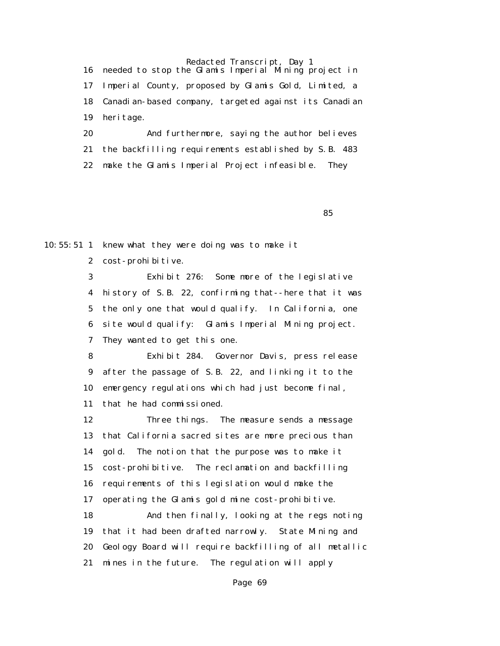16 needed to stop the Glamis Imperial Mining project in 17 Imperial County, proposed by Glamis Gold, Limited, a 18 Canadian-based company, targeted against its Canadian 19 heritage.

 20 And furthermore, saying the author believes 21 the backfilling requirements established by S.B. 483 22 make the Glamis Imperial Project infeasible. They

<u>85 September 2006 September 2006 September 2006 September 2006 September 2006 September 2006 September 2006 S</u>

10:55:51 1 knew what they were doing was to make it

2 cost-prohibitive.

 3 Exhibit 276: Some more of the legislative 4 history of S.B. 22, confirming that--here that it was 5 the only one that would qualify. In California, one 6 site would qualify: Glamis Imperial Mining project. 7 They wanted to get this one.

 8 Exhibit 284. Governor Davis, press release 9 after the passage of S.B. 22, and linking it to the 10 emergency regulations which had just become final, 11 that he had commissioned.

 12 Three things. The measure sends a message 13 that California sacred sites are more precious than 14 gold. The notion that the purpose was to make it 15 cost-prohibitive. The reclamation and backfilling 16 requirements of this legislation would make the 17 operating the Glamis gold mine cost-prohibitive. 18 And then finally, looking at the regs noting 19 that it had been drafted narrowly. State Mining and 20 Geology Board will require backfilling of all metallic

21 mines in the future. The regulation will apply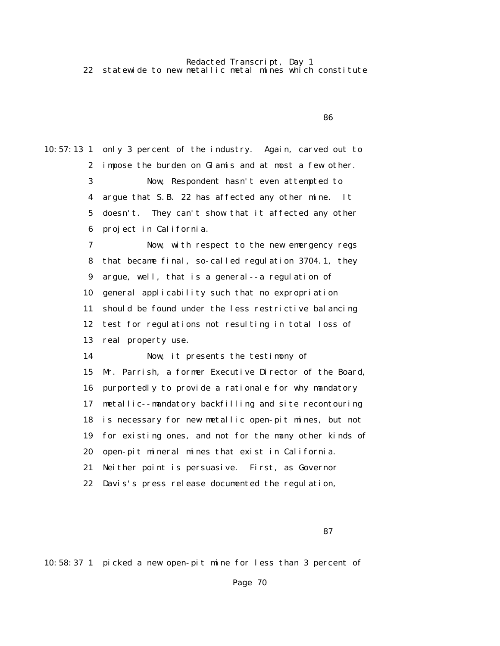Redacted Transcript, Day 1 22 statewide to new metallic metal mines which constitute

10:57:13 1 only 3 percent of the industry. Again, carved out to 2 impose the burden on Glamis and at most a few other. 3 Now, Respondent hasn't even attempted to 4 argue that S.B. 22 has affected any other mine. It 5 doesn't. They can't show that it affected any other 6 project in California. 7 Now, with respect to the new emergency regs 8 that became final, so-called regulation 3704.1, they 9 argue, well, that is a general--a regulation of 10 general applicability such that no expropriation 11 should be found under the less restrictive balancing 12 test for regulations not resulting in total loss of 13 real property use. 14 Now, it presents the testimony of 15 Mr. Parrish, a former Executive Director of the Board, 16 purportedly to provide a rationale for why mandatory 17 metallic--mandatory backfilling and site recontouring 18 is necessary for new metallic open-pit mines, but not 19 for existing ones, and not for the many other kinds of 20 open-pit mineral mines that exist in California. 21 Neither point is persuasive. First, as Governor 22 Davis's press release documented the regulation,

<u>86 and 200 million and 200 million and 200 million and 200 million and 200 million and 200 million and 200 million and 200 million and 200 million and 200 million and 200 million and 200 million and 200 million and 200 mi</u>

10:58:37 1 picked a new open-pit mine for less than 3 percent of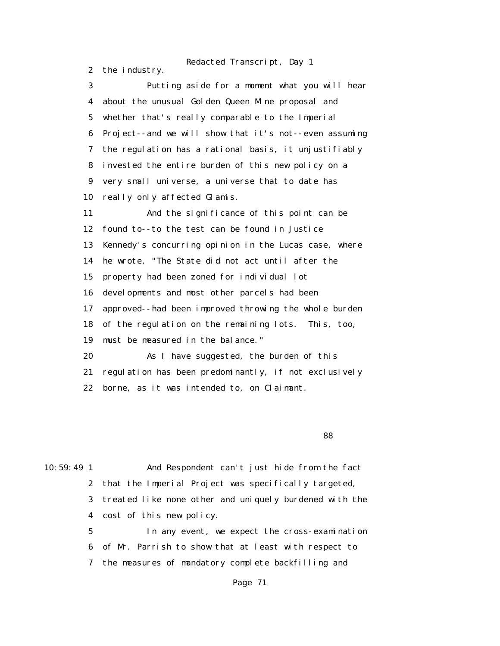2 the industry.

 3 Putting aside for a moment what you will hear 4 about the unusual Golden Queen Mine proposal and 5 whether that's really comparable to the Imperial 6 Project--and we will show that it's not--even assuming 7 the regulation has a rational basis, it unjustifiably 8 invested the entire burden of this new policy on a 9 very small universe, a universe that to date has 10 really only affected Glamis. 11 And the significance of this point can be 12 found to--to the test can be found in Justice 13 Kennedy's concurring opinion in the Lucas case, where 14 he wrote, "The State did not act until after the 15 property had been zoned for individual lot 16 developments and most other parcels had been 17 approved--had been improved throwing the whole burden 18 of the regulation on the remaining lots. This, too, 19 must be measured in the balance." 20 As I have suggested, the burden of this 21 regulation has been predominantly, if not exclusively

22 borne, as it was intended to, on Claimant.

<u>and the state of the state of the state of the state of the state of the state of the state of the state of th</u>

10:59:49 1 And Respondent can't just hide from the fact 2 that the Imperial Project was specifically targeted, 3 treated like none other and uniquely burdened with the 4 cost of this new policy.

> 5 In any event, we expect the cross-examination 6 of Mr. Parrish to show that at least with respect to 7 the measures of mandatory complete backfilling and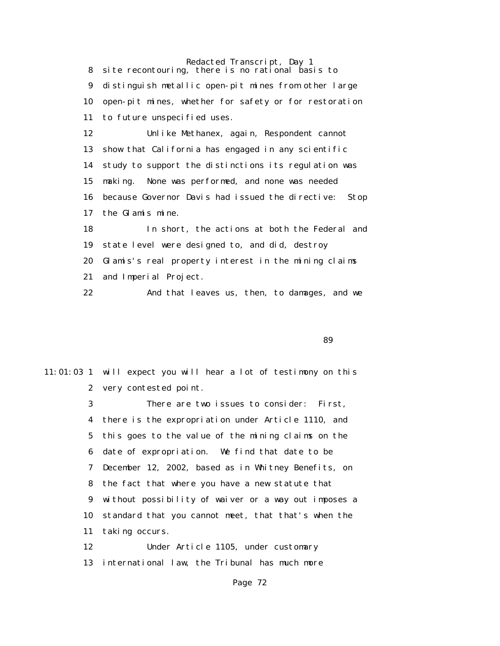Redacted Transcript, Day 1 8 site recontouring, there is no rational basis to 9 distinguish metallic open-pit mines from other large 10 open-pit mines, whether for safety or for restoration 11 to future unspecified uses.

 12 Unlike Methanex, again, Respondent cannot 13 show that California has engaged in any scientific 14 study to support the distinctions its regulation was 15 making. None was performed, and none was needed 16 because Governor Davis had issued the directive: Stop 17 the Glamis mine.

 18 In short, the actions at both the Federal and 19 state level were designed to, and did, destroy 20 Glamis's real property interest in the mining claims 21 and Imperial Project.

22 And that leaves us, then, to damages, and we

<u>89 September 2006 September 2006 September 2006 September 2006 September 2006 September 2006 September 2006 S</u>

 2 very contested point. 3 There are two issues to consider: First, 4 there is the expropriation under Article 1110, and 5 this goes to the value of the mining claims on the 6 date of expropriation. We find that date to be 7 December 12, 2002, based as in Whitney Benefits, on 8 the fact that where you have a new statute that 9 without possibility of waiver or a way out imposes a 10 standard that you cannot meet, that that's when the 11 taking occurs. 12 Under Article 1105, under customary 13 international law, the Tribunal has much more

11:01:03 1 will expect you will hear a lot of testimony on this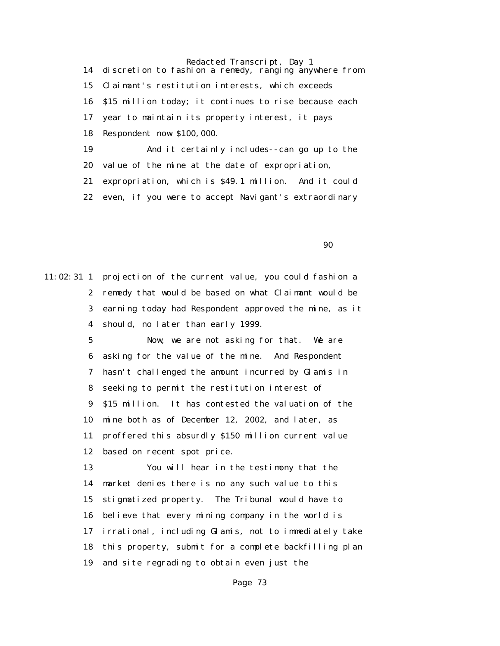Redacted Transcript, Day 1 14 discretion to fashion a remedy, ranging anywhere from 15 Claimant's restitution interests, which exceeds 16 \$15 million today; it continues to rise because each 17 year to maintain its property interest, it pays 18 Respondent now \$100,000. 19 And it certainly includes--can go up to the 20 value of the mine at the date of expropriation, 21 expropriation, which is \$49.1 million. And it could 22 even, if you were to accept Navigant's extraordinary

en de la construction de la construction de la construction de la construction de la construction de la constr<br>1900 : la construction de la construction de la construction de la construction de la construction de la const

11:02:31 1 projection of the current value, you could fashion a 2 remedy that would be based on what Claimant would be 3 earning today had Respondent approved the mine, as it 4 should, no later than early 1999.

> 5 Now, we are not asking for that. We are 6 asking for the value of the mine. And Respondent 7 hasn't challenged the amount incurred by Glamis in 8 seeking to permit the restitution interest of 9 \$15 million. It has contested the valuation of the 10 mine both as of December 12, 2002, and later, as 11 proffered this absurdly \$150 million current value 12 based on recent spot price.

 13 You will hear in the testimony that the 14 market denies there is no any such value to this 15 stigmatized property. The Tribunal would have to 16 believe that every mining company in the world is 17 irrational, including Glamis, not to immediately take 18 this property, submit for a complete backfilling plan 19 and site regrading to obtain even just the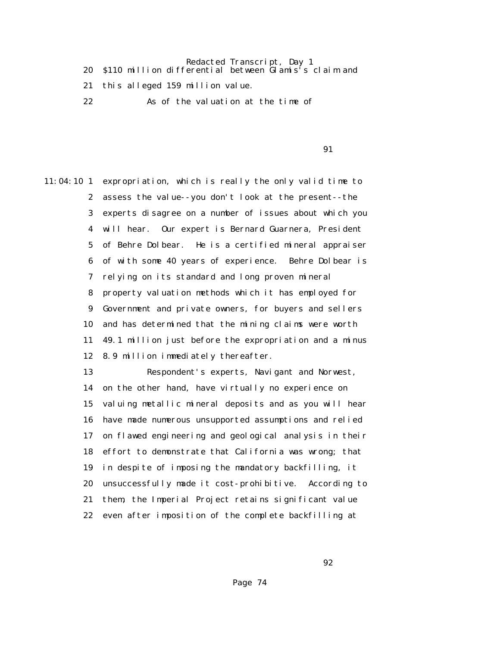- 20 \$110 million differential between Glamis's claim and
- 21 this alleged 159 million value.
- 22 As of the valuation at the time of

 $\sim$  91

11:04:10 1 expropriation, which is really the only valid time to 2 assess the value--you don't look at the present--the 3 experts disagree on a number of issues about which you 4 will hear. Our expert is Bernard Guarnera, President 5 of Behre Dolbear. He is a certified mineral appraiser 6 of with some 40 years of experience. Behre Dolbear is 7 relying on its standard and long proven mineral 8 property valuation methods which it has employed for 9 Government and private owners, for buyers and sellers 10 and has determined that the mining claims were worth 11 49.1 million just before the expropriation and a minus 12 8.9 million immediately thereafter. 13 Respondent's experts, Navigant and Norwest, 14 on the other hand, have virtually no experience on

 15 valuing metallic mineral deposits and as you will hear 16 have made numerous unsupported assumptions and relied 17 on flawed engineering and geological analysis in their 18 effort to demonstrate that California was wrong; that 19 in despite of imposing the mandatory backfilling, it 20 unsuccessfully made it cost-prohibitive. According to 21 them, the Imperial Project retains significant value 22 even after imposition of the complete backfilling at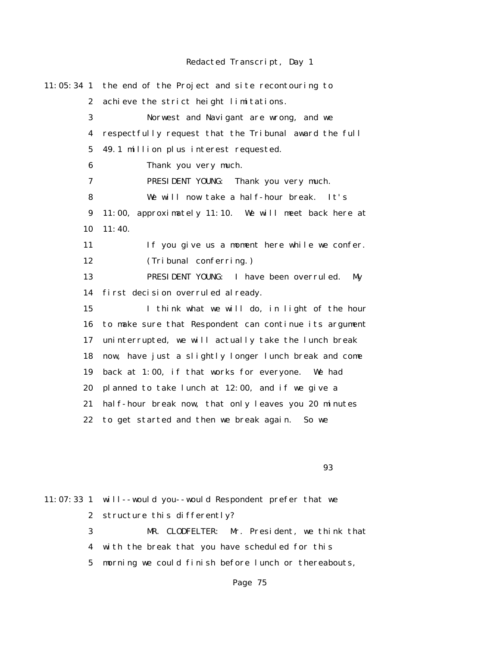| $11:05:34$ 1     | the end of the Project and site recontouring to        |
|------------------|--------------------------------------------------------|
| $\boldsymbol{2}$ | achieve the strict height limitations.                 |
| 3                | Norwest and Navigant are wrong, and we                 |
| 4                | respectfully request that the Tribunal award the full  |
| $\mathbf 5$      | 49.1 million plus interest requested.                  |
| 6                | Thank you very much.                                   |
| 7                | PRESIDENT YOUNG:<br>Thank you very much.               |
| 8                | We will now take a half-hour break.<br>It's            |
| $\boldsymbol{9}$ | 11:00, approximately 11:10. We will meet back here at  |
| 10               | 11:40.                                                 |
| 11               | If you give us a moment here while we confer.          |
| 12               | (Tribunal conferring.)                                 |
| 13               | PRESIDENT YOUNG: I have been overruled.<br>My          |
| 14               | first decision overruled already.                      |
| 15               | I think what we will do, in light of the hour          |
| 16               | to make sure that Respondent can continue its argument |
| 17               | uninterrupted, we will actually take the lunch break   |
| 18               | now, have just a slightly longer lunch break and come  |
| 19               | back at 1:00, if that works for everyone. We had       |
| 20               | planned to take lunch at 12:00, and if we give a       |
| 21               | half-hour break now, that only leaves you 20 minutes   |
| 22               | to get started and then we break again.<br>So we       |
|                  |                                                        |

93 - Paul Barbara, prima de 1950 - Paul Barbara, poeta e 1950 - Paul Barbara, poeta e 1950 - Paul Barbara, poe

|             | 11:07:33 1 will--would you--would Respondent prefer that we |
|-------------|-------------------------------------------------------------|
|             | 2 structure this differently?                               |
| 3           | MR. CLODFELTER: Mr. President, we think that                |
|             | 4 with the break that you have scheduled for this           |
| $5^{\circ}$ | morning we could finish before lunch or thereabouts,        |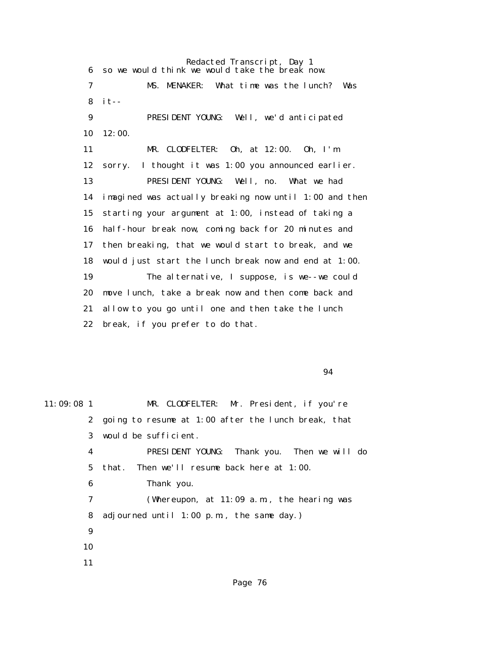Redacted Transcript, Day 1 6 so we would think we would take the break now. 7 MS. MENAKER: What time was the lunch? Was 8 it-- 9 PRESIDENT YOUNG: Well, we'd anticipated 10 12:00. 11 MR. CLODFELTER: Oh, at 12:00. Oh, I'm 12 sorry. I thought it was 1:00 you announced earlier. 13 PRESIDENT YOUNG: Well, no. What we had 14 imagined was actually breaking now until 1:00 and then 15 starting your argument at 1:00, instead of taking a 16 half-hour break now, coming back for 20 minutes and 17 then breaking, that we would start to break, and we 18 would just start the lunch break now and end at 1:00. 19 The alternative, I suppose, is we--we could 20 move lunch, take a break now and then come back and 21 allow to you go until one and then take the lunch 22 break, if you prefer to do that.

 $94$ 

| $11:09:08$ 1 |    | MR. CLODFELTER: Mr. President, if you're              |
|--------------|----|-------------------------------------------------------|
|              |    | 2 going to resume at 1:00 after the lunch break, that |
|              |    | 3 would be sufficient.                                |
|              | 4  | PRESIDENT YOUNG: Thank you. Then we will do           |
|              |    | 5 that. Then we'll resume back here at 1:00.          |
|              | 6  | Thank you.                                            |
|              | 7  | (Whereupon, at $11:09$ a.m., the hearing was          |
|              | 8  | adjourned until $1:00$ p.m., the same day.)           |
|              | 9  |                                                       |
|              | 10 |                                                       |
|              | 11 |                                                       |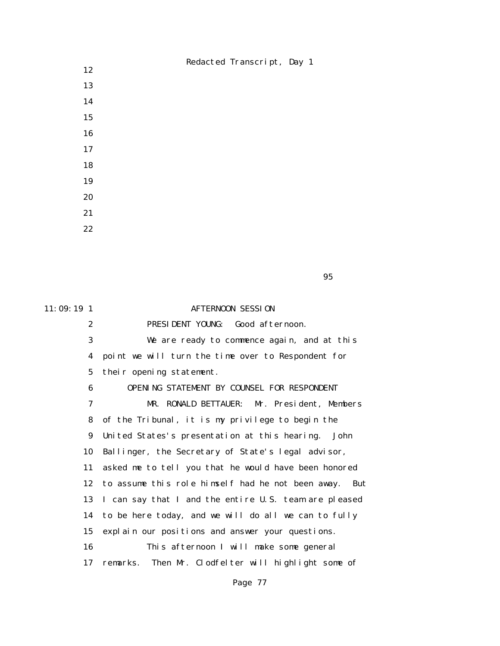- 12 13
- 

14

- 15
- 16
- 17
- 18
- 19
- 20
- 21
- 22

en 1995 en 1996 en 1996 en 1996 en 1997 en 1998 en 1998 en 1999 en 1999 en 1999 en 1999 en 1999 en 1999 en 19

11:09:19 1 **AFTERNOON SESSION**  2 PRESIDENT YOUNG: Good afternoon. 3 We are ready to commence again, and at this 4 point we will turn the time over to Respondent for 5 their opening statement. 6 OPENING STATEMENT BY COUNSEL FOR RESPONDENT 7 MR. RONALD BETTAUER: Mr. President, Members 8 of the Tribunal, it is my privilege to begin the 9 United States's presentation at this hearing. John 10 Ballinger, the Secretary of State's legal advisor, 11 asked me to tell you that he would have been honored 12 to assume this role himself had he not been away. But 13 I can say that I and the entire U.S. team are pleased 14 to be here today, and we will do all we can to fully 15 explain our positions and answer your questions. 16 This afternoon I will make some general 17 remarks. Then Mr. Clodfelter will highlight some of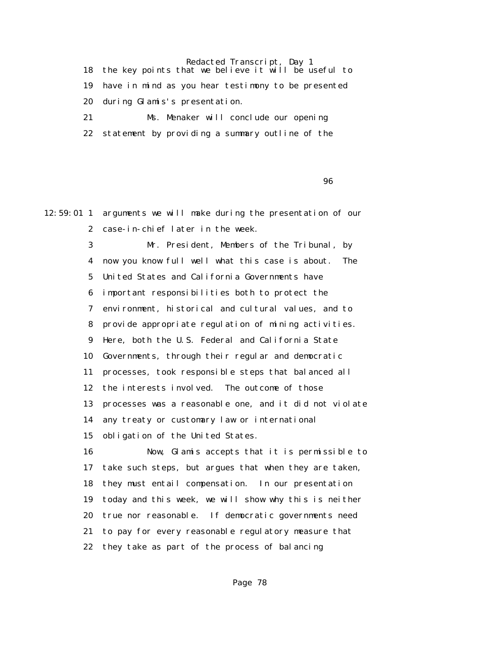18 the key points that we believe it will be useful to 19 have in mind as you hear testimony to be presented 20 during Glamis's presentation. 21 Ms. Menaker will conclude our opening 22 statement by providing a summary outline of the

en de la construction de la construction de la construction de la construction de la construction de la constr

12:59:01 1 arguments we will make during the presentation of our 2 case-in-chief later in the week. 3 Mr. President, Members of the Tribunal, by 4 now you know full well what this case is about. The 5 United States and California Governments have 6 important responsibilities both to protect the 7 environment, historical and cultural values, and to 8 provide appropriate regulation of mining activities. 9 Here, both the U.S. Federal and California State 10 Governments, through their regular and democratic 11 processes, took responsible steps that balanced all 12 the interests involved. The outcome of those 13 processes was a reasonable one, and it did not violate 14 any treaty or customary law or international 15 obligation of the United States. 16 Now, Glamis accepts that it is permissible to 17 take such steps, but argues that when they are taken, 18 they must entail compensation. In our presentation 19 today and this week, we will show why this is neither 20 true nor reasonable. If democratic governments need

21 to pay for every reasonable regulatory measure that

22 they take as part of the process of balancing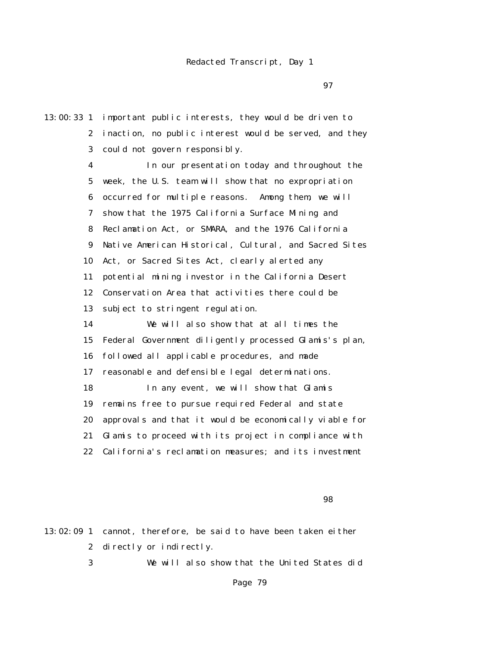97 (1992) 1994 (1994) 1995 (1996) 1997 (1998) 1997 (1998) 1997 (1998) 1997 (1998) 1997 (1998) 1997 (1998) 199

13:00:33 1 important public interests, they would be driven to 2 inaction, no public interest would be served, and they 3 could not govern responsibly. 4 In our presentation today and throughout the 5 week, the U.S. team will show that no expropriation 6 occurred for multiple reasons. Among them, we will 7 show that the 1975 California Surface Mining and 8 Reclamation Act, or SMARA, and the 1976 California 9 Native American Historical, Cultural, and Sacred Sites 10 Act, or Sacred Sites Act, clearly alerted any 11 potential mining investor in the California Desert 12 Conservation Area that activities there could be 13 subject to stringent regulation. 14 We will also show that at all times the 15 Federal Government diligently processed Glamis's plan, 16 followed all applicable procedures, and made 17 reasonable and defensible legal determinations. 18 In any event, we will show that Glamis 19 remains free to pursue required Federal and state 20 approvals and that it would be economically viable for 21 Glamis to proceed with its project in compliance with 22 California's reclamation measures; and its investment

en 1998 en 1999 en 1999 en 1999 en 1999 en 1999 en 1999 en 1999 en 1999 en 1999 en 1999 en 1999 en 1999 en 19

13:02:09 1 cannot, therefore, be said to have been taken either 2 directly or indirectly.

3 We will also show that the United States did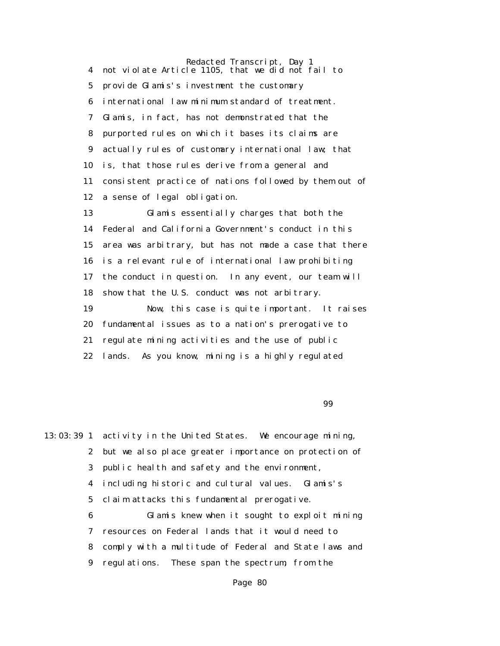Redacted Transcript, Day 1 4 not violate Article 1105, that we did not fail to 5 provide Glamis's investment the customary 6 international law minimum standard of treatment. 7 Glamis, in fact, has not demonstrated that the 8 purported rules on which it bases its claims are 9 actually rules of customary international law; that 10 is, that those rules derive from a general and 11 consistent practice of nations followed by them out of 12 a sense of legal obligation. 13 Glamis essentially charges that both the

 14 Federal and California Government's conduct in this 15 area was arbitrary, but has not made a case that there 16 is a relevant rule of international law prohibiting 17 the conduct in question. In any event, our team will 18 show that the U.S. conduct was not arbitrary. 19 Now, this case is quite important. It raises 20 fundamental issues as to a nation's prerogative to 21 regulate mining activities and the use of public 22 lands. As you know, mining is a highly regulated

99

13:03:39 1 activity in the United States. We encourage mining, 2 but we also place greater importance on protection of 3 public health and safety and the environment, 4 including historic and cultural values. Glamis's 5 claim attacks this fundamental prerogative. 6 Glamis knew when it sought to exploit mining 7 resources on Federal lands that it would need to 8 comply with a multitude of Federal and State laws and 9 regulations. These span the spectrum, from the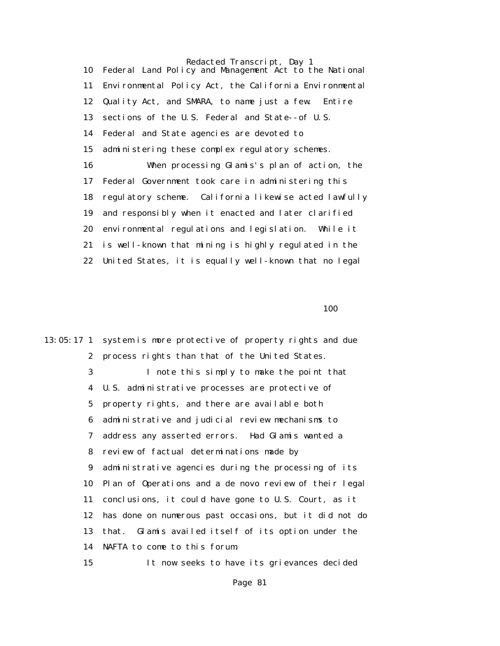Redacted Transcript, Day 1 10 Federal Land Policy and Management Act to the National 11 Environmental Policy Act, the California Environmental 12 Quality Act, and SMARA, to name just a few. Entire 13 sections of the U.S. Federal and State--of U.S. 14 Federal and State agencies are devoted to 15 administering these complex regulatory schemes. 16 When processing Glamis's plan of action, the 17 Federal Government took care in administering this 18 regulatory scheme. California likewise acted lawfully 19 and responsibly when it enacted and later clarified 20 environmental regulations and legislation. While it 21 is well-known that mining is highly regulated in the 22 United States, it is equally well-known that no legal

 $100$ 

13:05:17 1 system is more protective of property rights and due 2 process rights than that of the United States. 3 I note this simply to make the point that 4 U.S. administrative processes are protective of 5 property rights, and there are available both 6 administrative and judicial review mechanisms to 7 address any asserted errors. Had Glamis wanted a 8 review of factual determinations made by 9 administrative agencies during the processing of its 10 Plan of Operations and a de novo review of their legal 11 conclusions, it could have gone to U.S. Court, as it 12 has done on numerous past occasions, but it did not do 13 that. Glamis availed itself of its option under the 14 NAFTA to come to this forum. 15 It now seeks to have its grievances decided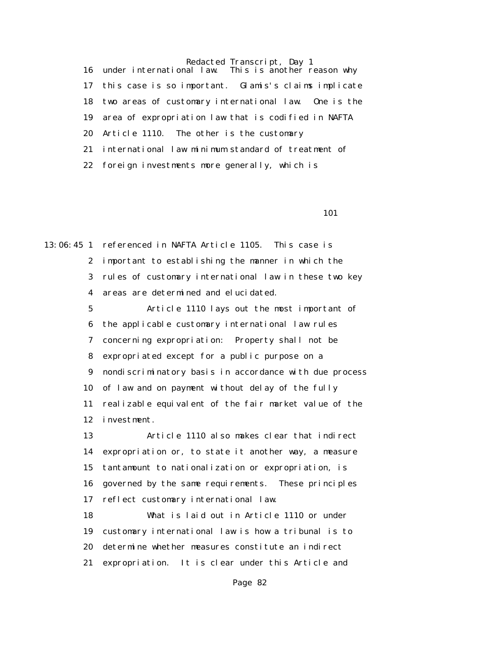16 under international law. This is another reason why 17 this case is so important. Glamis's claims implicate 18 two areas of customary international law. One is the 19 area of expropriation law that is codified in NAFTA 20 Article 1110. The other is the customary 21 international law minimum standard of treatment of 22 foreign investments more generally, which is

101

13:06:45 1 referenced in NAFTA Article 1105. This case is 2 important to establishing the manner in which the 3 rules of customary international law in these two key 4 areas are determined and elucidated.

> 5 Article 1110 lays out the most important of 6 the applicable customary international law rules 7 concerning expropriation: Property shall not be 8 expropriated except for a public purpose on a 9 nondiscriminatory basis in accordance with due process 10 of law and on payment without delay of the fully 11 realizable equivalent of the fair market value of the 12 investment.

 13 Article 1110 also makes clear that indirect 14 expropriation or, to state it another way, a measure 15 tantamount to nationalization or expropriation, is 16 governed by the same requirements. These principles 17 reflect customary international law.

 18 What is laid out in Article 1110 or under 19 customary international law is how a tribunal is to 20 determine whether measures constitute an indirect 21 expropriation. It is clear under this Article and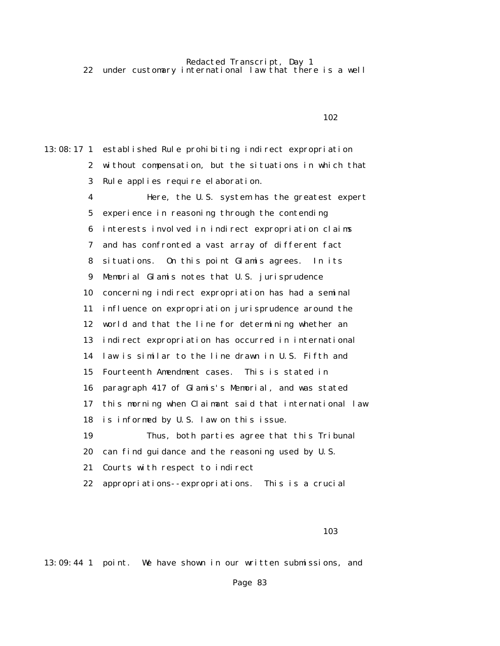Redacted Transcript, Day 1 22 under customary international law that there is a well

 $102$ 

13:08:17 1 established Rule prohibiting indirect expropriation 2 without compensation, but the situations in which that 3 Rule applies require elaboration. 4 Here, the U.S. system has the greatest expert 5 experience in reasoning through the contending 6 interests involved in indirect expropriation claims 7 and has confronted a vast array of different fact 8 situations. On this point Glamis agrees. In its 9 Memorial Glamis notes that U.S. jurisprudence 10 concerning indirect expropriation has had a seminal 11 influence on expropriation jurisprudence around the 12 world and that the line for determining whether an 13 indirect expropriation has occurred in international 14 law is similar to the line drawn in U.S. Fifth and 15 Fourteenth Amendment cases. This is stated in 16 paragraph 417 of Glamis's Memorial, and was stated 17 this morning when Claimant said that international law 18 is informed by U.S. law on this issue. 19 Thus, both parties agree that this Tribunal 20 can find guidance and the reasoning used by U.S. 21 Courts with respect to indirect 22 appropriations--expropriations. This is a crucial

 $103$ 

13:09:44 1 point. We have shown in our written submissions, and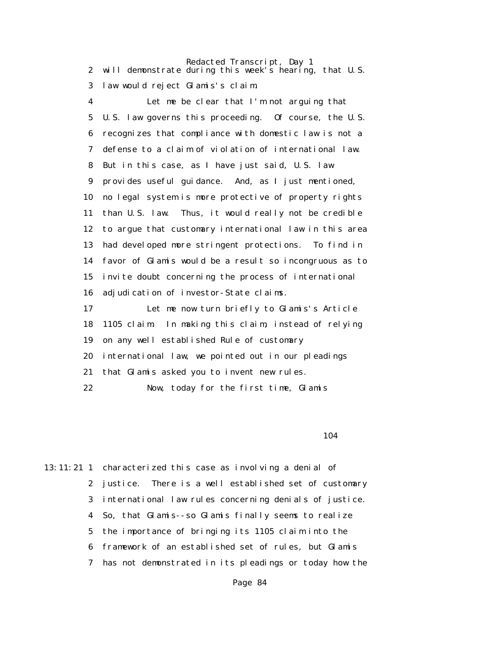2 will demonstrate during this week's hearing, that U.S.

3 law would reject Glamis's claim.

 4 Let me be clear that I'm not arguing that 5 U.S. law governs this proceeding. Of course, the U.S. 6 recognizes that compliance with domestic law is not a 7 defense to a claim of violation of international law. 8 But in this case, as I have just said, U.S. law 9 provides useful guidance. And, as I just mentioned, 10 no legal system is more protective of property rights 11 than U.S. law. Thus, it would really not be credible 12 to argue that customary international law in this area 13 had developed more stringent protections. To find in 14 favor of Glamis would be a result so incongruous as to 15 invite doubt concerning the process of international 16 adjudication of investor-State claims. 17 Let me now turn briefly to Glamis's Article 18 1105 claim. In making this claim, instead of relying 19 on any well established Rule of customary 20 international law, we pointed out in our pleadings

21 that Glamis asked you to invent new rules.

22 Now, today for the first time, Glamis

104

13:11:21 1 characterized this case as involving a denial of 2 justice. There is a well established set of customary 3 international law rules concerning denials of justice. 4 So, that Glamis--so Glamis finally seems to realize 5 the importance of bringing its 1105 claim into the 6 framework of an established set of rules, but Glamis 7 has not demonstrated in its pleadings or today how the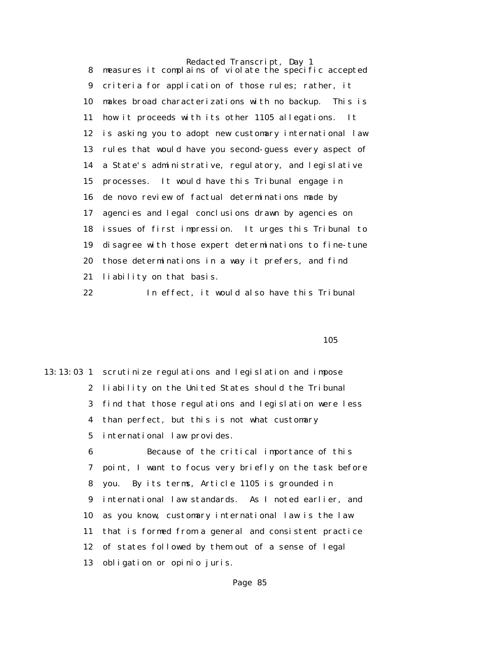8 measures it complains of violate the specific accepted 9 criteria for application of those rules; rather, it 10 makes broad characterizations with no backup. This is 11 how it proceeds with its other 1105 allegations. It 12 is asking you to adopt new customary international law 13 rules that would have you second-guess every aspect of 14 a State's administrative, regulatory, and legislative 15 processes. It would have this Tribunal engage in 16 de novo review of factual determinations made by 17 agencies and legal conclusions drawn by agencies on 18 issues of first impression. It urges this Tribunal to 19 disagree with those expert determinations to fine-tune 20 those determinations in a way it prefers, and find 21 liability on that basis. 22 In effect, it would also have this Tribunal

 $105$ 

|             | 13:13:03 1 scrutinize regulations and legislation and impose |
|-------------|--------------------------------------------------------------|
|             | 2 liability on the United States should the Tribunal         |
|             | 3 find that those regulations and legislation were less      |
|             | 4 than perfect, but this is not what customary               |
| $5^{\circ}$ | international law provides.                                  |
| 6           | Because of the critical importance of this                   |
|             | 7 point, I want to focus very briefly on the task before     |
|             | 8 you. By its terms, Article 1105 is grounded in             |
|             | 9 international law standards. As I noted earlier, and       |
| 10          | as you know, customary international law is the law          |
| 11          | that is formed from a general and consistent practice        |
|             | 12 of states followed by them out of a sense of legal        |
|             | 13 obligation or opinio juris.                               |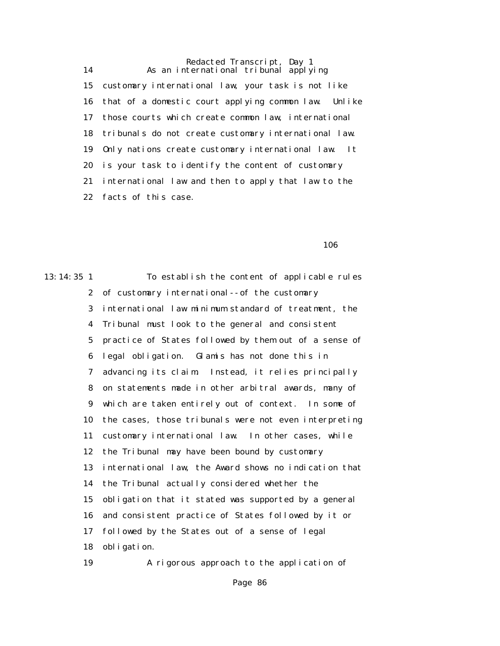Redacted Transcript, Day 1 14 As an international tribunal applying 15 customary international law, your task is not like 16 that of a domestic court applying common law. Unlike 17 those courts which create common law, international 18 tribunals do not create customary international law. 19 Only nations create customary international law. It 20 is your task to identify the content of customary 21 international law and then to apply that law to the 22 facts of this case.

#### $106$

13:14:35 1 To establish the content of applicable rules 2 of customary international--of the customary 3 international law minimum standard of treatment, the 4 Tribunal must look to the general and consistent 5 practice of States followed by them out of a sense of 6 legal obligation. Glamis has not done this in 7 advancing its claim. Instead, it relies principally 8 on statements made in other arbitral awards, many of 9 which are taken entirely out of context. In some of 10 the cases, those tribunals were not even interpreting 11 customary international law. In other cases, while 12 the Tribunal may have been bound by customary 13 international law, the Award shows no indication that 14 the Tribunal actually considered whether the 15 obligation that it stated was supported by a general 16 and consistent practice of States followed by it or 17 followed by the States out of a sense of legal 18 obligation. 19 A rigorous approach to the application of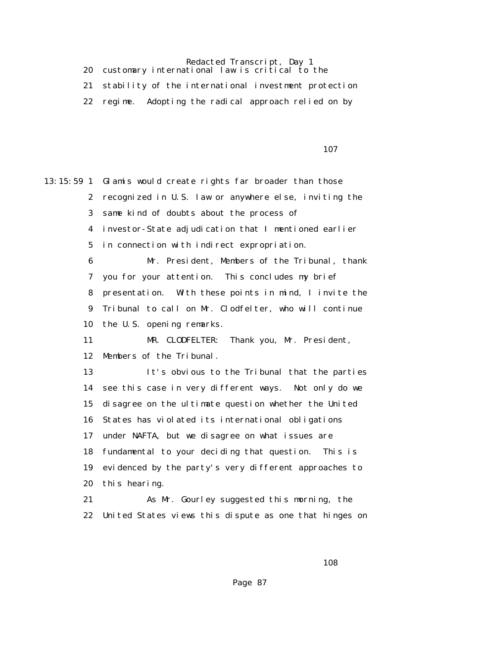|  |  | 20 customary international law is critical to the |  |  |  |  |
|--|--|---------------------------------------------------|--|--|--|--|
|--|--|---------------------------------------------------|--|--|--|--|

21 stability of the international investment protection

22 regime. Adopting the radical approach relied on by

107 and 107 and 107 and 107 and 107 and 107 and 107 and 107 and 107 and 107 and 107 and 107 and 107

13:15:59 1 Glamis would create rights far broader than those 2 recognized in U.S. law or anywhere else, inviting the 3 same kind of doubts about the process of 4 investor-State adjudication that I mentioned earlier 5 in connection with indirect expropriation. 6 Mr. President, Members of the Tribunal, thank 7 you for your attention. This concludes my brief 8 presentation. With these points in mind, I invite the 9 Tribunal to call on Mr. Clodfelter, who will continue 10 the U.S. opening remarks. 11 MR. CLODFELTER: Thank you, Mr. President, 12 Members of the Tribunal. 13 It's obvious to the Tribunal that the parties 14 see this case in very different ways. Not only do we 15 disagree on the ultimate question whether the United 16 States has violated its international obligations 17 under NAFTA, but we disagree on what issues are 18 fundamental to your deciding that question. This is 19 evidenced by the party's very different approaches to 20 this hearing. 21 As Mr. Gourley suggested this morning, the

22 United States views this dispute as one that hinges on

 $108$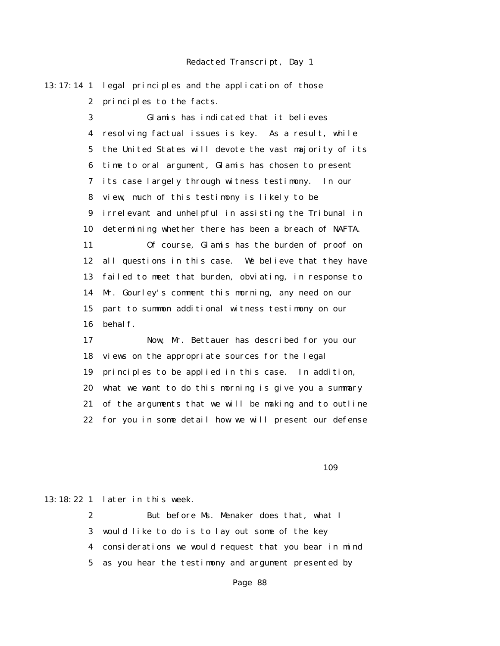13:17:14 1 legal principles and the application of those 2 principles to the facts.

> 3 Glamis has indicated that it believes 4 resolving factual issues is key. As a result, while 5 the United States will devote the vast majority of its 6 time to oral argument, Glamis has chosen to present 7 its case largely through witness testimony. In our 8 view, much of this testimony is likely to be 9 irrelevant and unhelpful in assisting the Tribunal in 10 determining whether there has been a breach of NAFTA. 11 Of course, Glamis has the burden of proof on 12 all questions in this case. We believe that they have 13 failed to meet that burden, obviating, in response to 14 Mr. Gourley's comment this morning, any need on our 15 part to summon additional witness testimony on our 16 behalf.

> 17 Now, Mr. Bettauer has described for you our 18 views on the appropriate sources for the legal 19 principles to be applied in this case. In addition, 20 what we want to do this morning is give you a summary 21 of the arguments that we will be making and to outline 22 for you in some detail how we will present our defense

 $109$ 

13:18:22 1 later in this week.

 2 But before Ms. Menaker does that, what I 3 would like to do is to lay out some of the key 4 considerations we would request that you bear in mind 5 as you hear the testimony and argument presented by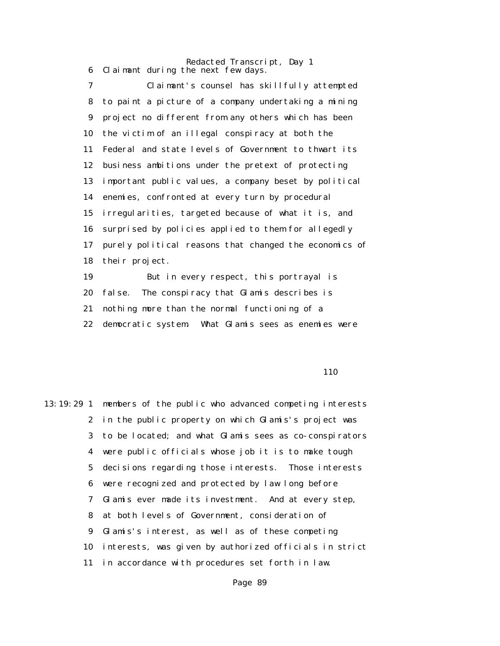Redacted Transcript, Day 1 6 Claimant during the next few days.

 7 Claimant's counsel has skillfully attempted 8 to paint a picture of a company undertaking a mining 9 project no different from any others which has been 10 the victim of an illegal conspiracy at both the 11 Federal and state levels of Government to thwart its 12 business ambitions under the pretext of protecting 13 important public values, a company beset by political 14 enemies, confronted at every turn by procedural 15 irregularities, targeted because of what it is, and 16 surprised by policies applied to them for allegedly 17 purely political reasons that changed the economics of 18 their project. 19 But in every respect, this portrayal is

 20 false. The conspiracy that Glamis describes is 21 nothing more than the normal functioning of a 22 democratic system. What Glamis sees as enemies were

<u>110</u>

13:19:29 1 members of the public who advanced competing interests 2 in the public property on which Glamis's project was 3 to be located; and what Glamis sees as co-conspirators 4 were public officials whose job it is to make tough 5 decisions regarding those interests. Those interests 6 were recognized and protected by law long before 7 Glamis ever made its investment. And at every step, 8 at both levels of Government, consideration of 9 Glamis's interest, as well as of these competing 10 interests, was given by authorized officials in strict 11 in accordance with procedures set forth in law.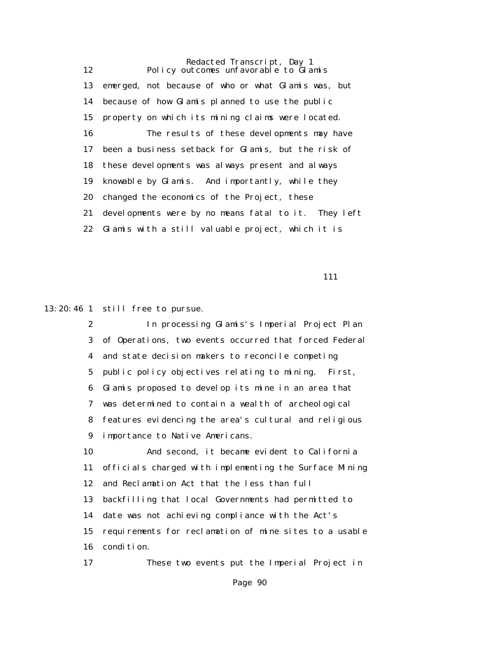Redacted Transcript, Day 1 12 Policy outcomes unfavorable to Glamis 13 emerged, not because of who or what Glamis was, but 14 because of how Glamis planned to use the public 15 property on which its mining claims were located. 16 The results of these developments may have 17 been a business setback for Glamis, but the risk of 18 these developments was always present and always 19 knowable by Glamis. And importantly, while they 20 changed the economics of the Project, these 21 developments were by no means fatal to it. They left 22 Glamis with a still valuable project, which it is

111

13:20:46 1 still free to pursue.

 2 In processing Glamis's Imperial Project Plan 3 of Operations, two events occurred that forced Federal 4 and state decision makers to reconcile competing 5 public policy objectives relating to mining. First, 6 Glamis proposed to develop its mine in an area that 7 was determined to contain a wealth of archeological 8 features evidencing the area's cultural and religious 9 importance to Native Americans. 10 And second, it became evident to California

 11 officials charged with implementing the Surface Mining 12 and Reclamation Act that the less than full 13 backfilling that local Governments had permitted to 14 date was not achieving compliance with the Act's 15 requirements for reclamation of mine sites to a usable 16 condition.

17 These two events put the Imperial Project in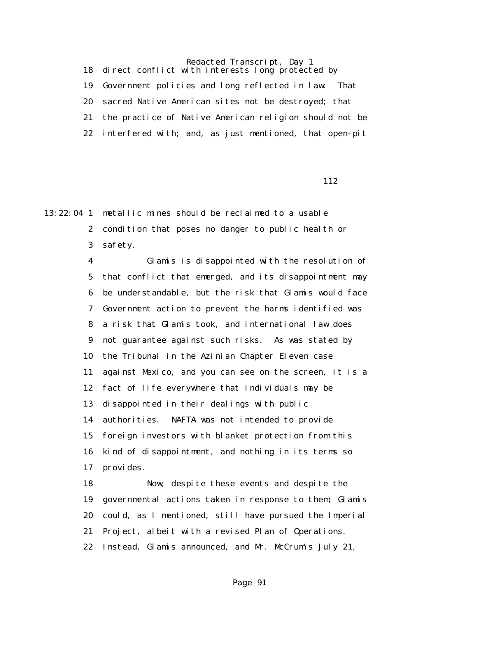18 direct conflict with interests long protected by 19 Government policies and long reflected in law: That 20 sacred Native American sites not be destroyed; that 21 the practice of Native American religion should not be 22 interfered with; and, as just mentioned, that open-pit

112

13:22:04 1 metallic mines should be reclaimed to a usable 2 condition that poses no danger to public health or 3 safety.

> 4 Glamis is disappointed with the resolution of 5 that conflict that emerged, and its disappointment may 6 be understandable, but the risk that Glamis would face 7 Government action to prevent the harms identified was 8 a risk that Glamis took, and international law does 9 not guarantee against such risks. As was stated by 10 the Tribunal in the Azinian Chapter Eleven case 11 against Mexico, and you can see on the screen, it is a 12 fact of life everywhere that individuals may be 13 disappointed in their dealings with public 14 authorities. NAFTA was not intended to provide 15 foreign investors with blanket protection from this 16 kind of disappointment, and nothing in its terms so 17 provides.

> 18 Now, despite these events and despite the 19 governmental actions taken in response to them, Glamis 20 could, as I mentioned, still have pursued the Imperial 21 Project, albeit with a revised Plan of Operations. 22 Instead, Glamis announced, and Mr. McCrum's July 21,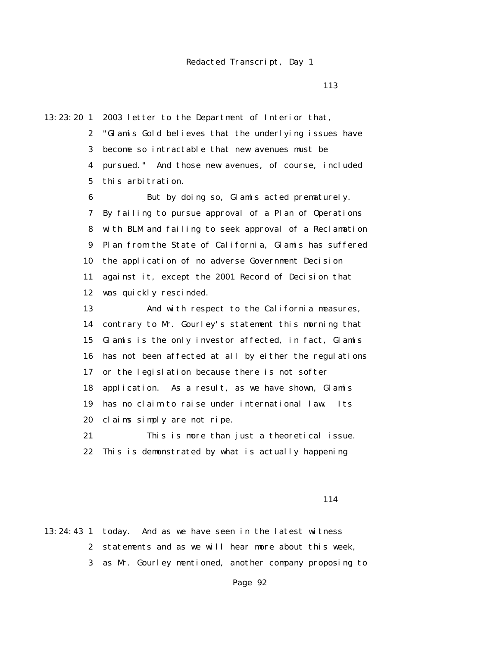113

13:23:20 1 2003 letter to the Department of Interior that, 2 "Glamis Gold believes that the underlying issues have 3 become so intractable that new avenues must be 4 pursued." And those new avenues, of course, included 5 this arbitration. 6 But by doing so, Glamis acted prematurely. 7 By failing to pursue approval of a Plan of Operations 8 with BLM and failing to seek approval of a Reclamation 9 Plan from the State of California, Glamis has suffered 10 the application of no adverse Government Decision 11 against it, except the 2001 Record of Decision that 12 was quickly rescinded. 13 And with respect to the California measures, 14 contrary to Mr. Gourley's statement this morning that 15 Glamis is the only investor affected, in fact, Glamis 16 has not been affected at all by either the regulations 17 or the legislation because there is not softer 18 application. As a result, as we have shown, Glamis 19 has no claim to raise under international law. Its 20 claims simply are not ripe. 21 This is more than just a theoretical issue. 22 This is demonstrated by what is actually happening

114

13:24:43 1 today. And as we have seen in the latest witness 2 statements and as we will hear more about this week, 3 as Mr. Gourley mentioned, another company proposing to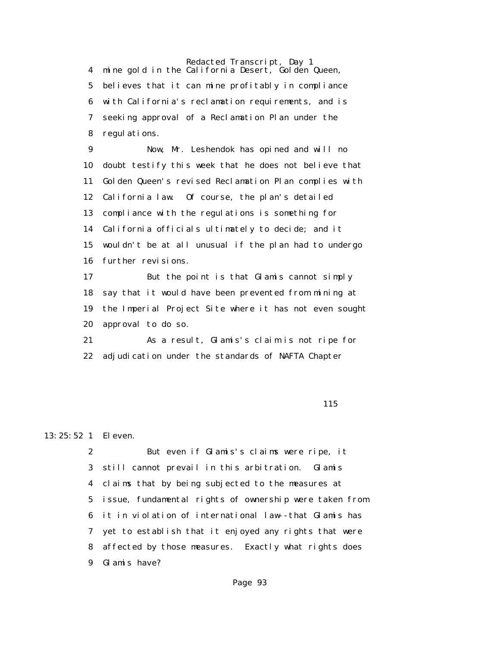4 mine gold in the California Desert, Golden Queen, 5 believes that it can mine profitably in compliance 6 with California's reclamation requirements, and is 7 seeking approval of a Reclamation Plan under the 8 regulations.

 9 Now, Mr. Leshendok has opined and will no 10 doubt testify this week that he does not believe that 11 Golden Queen's revised Reclamation Plan complies with 12 California law. Of course, the plan's detailed 13 compliance with the regulations is something for 14 California officials ultimately to decide; and it 15 wouldn't be at all unusual if the plan had to undergo 16 further revisions.

 17 But the point is that Glamis cannot simply 18 say that it would have been prevented from mining at 19 the Imperial Project Site where it has not even sought 20 approval to do so.

 21 As a result, Glamis's claim is not ripe for 22 adjudication under the standards of NAFTA Chapter

#### 115

#### 13:25:52 1 Eleven.

 2 But even if Glamis's claims were ripe, it 3 still cannot prevail in this arbitration. Glamis 4 claims that by being subjected to the measures at 5 issue, fundamental rights of ownership were taken from 6 it in violation of international law--that Glamis has 7 yet to establish that it enjoyed any rights that were 8 affected by those measures. Exactly what rights does 9 Glamis have?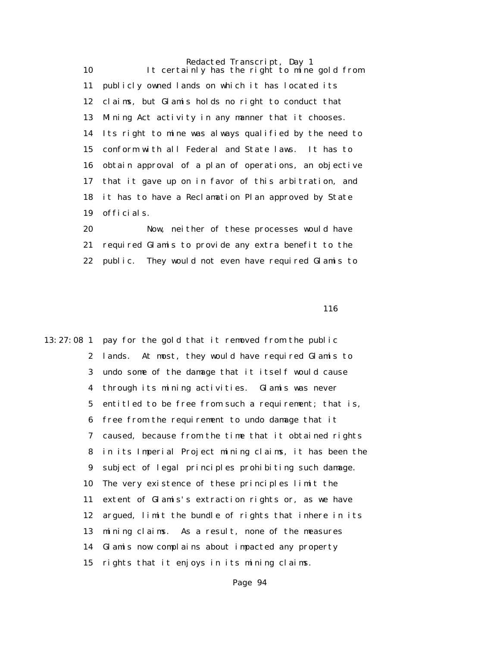Redacted Transcript, Day 1 10 It certainly has the right to mine gold from 11 publicly owned lands on which it has located its 12 claims, but Glamis holds no right to conduct that 13 Mining Act activity in any manner that it chooses. 14 Its right to mine was always qualified by the need to 15 conform with all Federal and State laws. It has to 16 obtain approval of a plan of operations, an objective 17 that it gave up on in favor of this arbitration, and 18 it has to have a Reclamation Plan approved by State 19 officials.

 20 Now, neither of these processes would have 21 required Glamis to provide any extra benefit to the 22 public. They would not even have required Glamis to

116

13:27:08 1 pay for the gold that it removed from the public 2 lands. At most, they would have required Glamis to 3 undo some of the damage that it itself would cause 4 through its mining activities. Glamis was never 5 entitled to be free from such a requirement; that is, 6 free from the requirement to undo damage that it 7 caused, because from the time that it obtained rights 8 in its Imperial Project mining claims, it has been the 9 subject of legal principles prohibiting such damage. 10 The very existence of these principles limit the 11 extent of Glamis's extraction rights or, as we have 12 argued, limit the bundle of rights that inhere in its 13 mining claims. As a result, none of the measures 14 Glamis now complains about impacted any property 15 rights that it enjoys in its mining claims.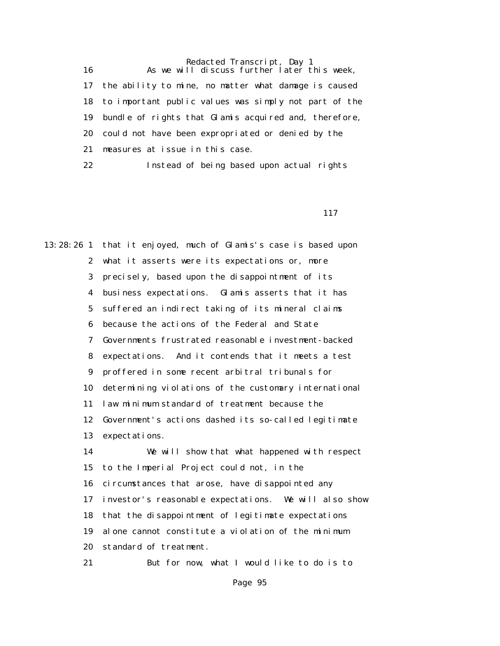Redacted Transcript, Day 1 16 As we will discuss further later this week, 17 the ability to mine, no matter what damage is caused 18 to important public values was simply not part of the 19 bundle of rights that Glamis acquired and, therefore, 20 could not have been expropriated or denied by the 21 measures at issue in this case.

22 Instead of being based upon actual rights

<u>117</u>

13:28:26 1 that it enjoyed, much of Glamis's case is based upon 2 what it asserts were its expectations or, more 3 precisely, based upon the disappointment of its 4 business expectations. Glamis asserts that it has 5 suffered an indirect taking of its mineral claims 6 because the actions of the Federal and State 7 Governments frustrated reasonable investment-backed 8 expectations. And it contends that it meets a test 9 proffered in some recent arbitral tribunals for 10 determining violations of the customary international 11 law minimum standard of treatment because the 12 Government's actions dashed its so-called legitimate 13 expectations. 14 We will show that what happened with respect 15 to the Imperial Project could not, in the 16 circumstances that arose, have disappointed any 17 investor's reasonable expectations. We will also show 18 that the disappointment of legitimate expectations 19 alone cannot constitute a violation of the minimum 20 standard of treatment. 21 But for now, what I would like to do is to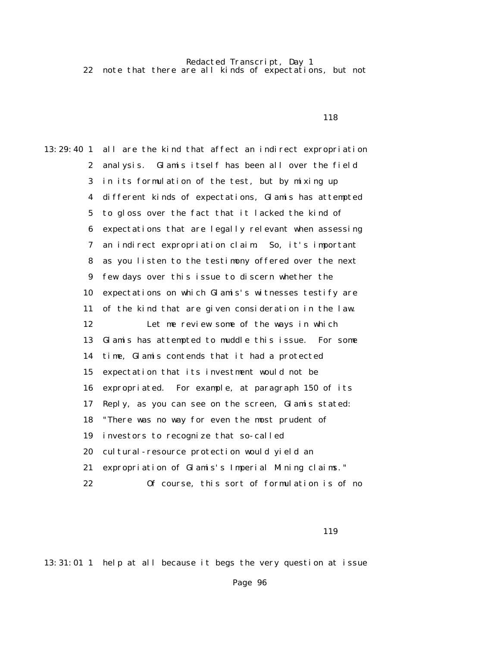Redacted Transcript, Day 1 22 note that there are all kinds of expectations, but not

118

13:29:40 1 all are the kind that affect an indirect expropriation 2 analysis. Glamis itself has been all over the field 3 in its formulation of the test, but by mixing up 4 different kinds of expectations, Glamis has attempted 5 to gloss over the fact that it lacked the kind of 6 expectations that are legally relevant when assessing 7 an indirect expropriation claim. So, it's important 8 as you listen to the testimony offered over the next 9 few days over this issue to discern whether the 10 expectations on which Glamis's witnesses testify are 11 of the kind that are given consideration in the law. 12 Let me review some of the ways in which 13 Glamis has attempted to muddle this issue. For some 14 time, Glamis contends that it had a protected 15 expectation that its investment would not be 16 expropriated. For example, at paragraph 150 of its 17 Reply, as you can see on the screen, Glamis stated: 18 "There was no way for even the most prudent of 19 investors to recognize that so-called 20 cultural-resource protection would yield an 21 expropriation of Glamis's Imperial Mining claims." 22 Of course, this sort of formulation is of no

119

13:31:01 1 help at all because it begs the very question at issue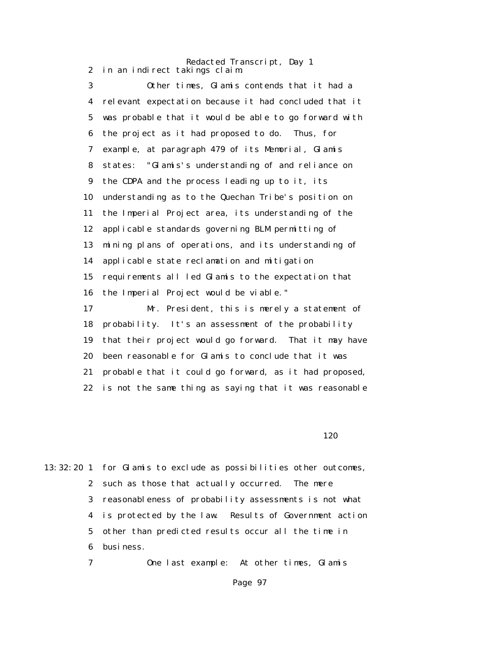Redacted Transcript, Day 1 2 in an indirect takings claim.

 3 Other times, Glamis contends that it had a 4 relevant expectation because it had concluded that it 5 was probable that it would be able to go forward with 6 the project as it had proposed to do. Thus, for 7 example, at paragraph 479 of its Memorial, Glamis 8 states: "Glamis's understanding of and reliance on 9 the CDPA and the process leading up to it, its 10 understanding as to the Quechan Tribe's position on 11 the Imperial Project area, its understanding of the 12 applicable standards governing BLM permitting of 13 mining plans of operations, and its understanding of 14 applicable state reclamation and mitigation 15 requirements all led Glamis to the expectation that 16 the Imperial Project would be viable." 17 Mr. President, this is merely a statement of 18 probability. It's an assessment of the probability 19 that their project would go forward. That it may have 20 been reasonable for Glamis to conclude that it was 21 probable that it could go forward, as it had proposed,

22 is not the same thing as saying that it was reasonable

 $120$ 

13:32:20 1 for Glamis to exclude as possibilities other outcomes, 2 such as those that actually occurred. The mere 3 reasonableness of probability assessments is not what 4 is protected by the law. Results of Government action 5 other than predicted results occur all the time in 6 business.

7 One last example: At other times, Glamis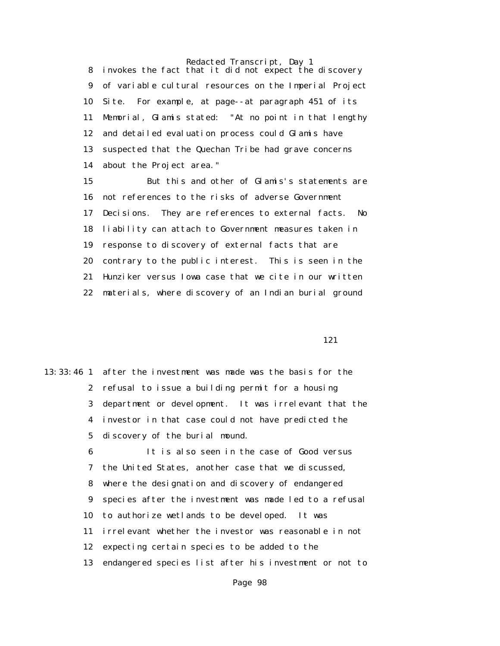8 invokes the fact that it did not expect the discovery 9 of variable cultural resources on the Imperial Project 10 Site. For example, at page--at paragraph 451 of its 11 Memorial, Glamis stated: "At no point in that lengthy 12 and detailed evaluation process could Glamis have 13 suspected that the Quechan Tribe had grave concerns 14 about the Project area."

 15 But this and other of Glamis's statements are 16 not references to the risks of adverse Government 17 Decisions. They are references to external facts. No 18 liability can attach to Government measures taken in 19 response to discovery of external facts that are 20 contrary to the public interest. This is seen in the 21 Hunziker versus Iowa case that we cite in our written 22 materials, where discovery of an Indian burial ground

121

|                 | 13:33:46 1 after the investment was made was the basis for the |
|-----------------|----------------------------------------------------------------|
| $\mathbf{2}$    | refusal to issue a building permit for a housing               |
| 3               | department or development. It was irrelevant that the          |
| 4               | investor in that case could not have predicted the             |
| $5\overline{ }$ | discovery of the burial mound.                                 |
| 6               | It is also seen in the case of Good versus                     |
| 7               | the United States, another case that we discussed,             |
| 8               | where the designation and discovery of endangered              |
| 9               | species after the investment was made led to a refusal         |
| 10              | to authorize wetlands to be developed. It was                  |
| 11              | irrelevant whether the investor was reasonable in not          |
| 12              | expecting certain species to be added to the                   |
| 13              | endangered species list after his investment or not to         |
|                 | Page 98                                                        |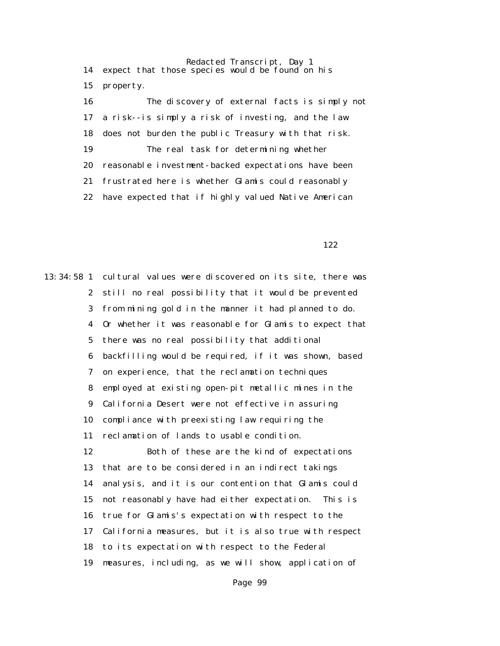Redacted Transcript, Day 1 14 expect that those species would be found on his 15 property. 16 The discovery of external facts is simply not 17 a risk--is simply a risk of investing, and the law 18 does not burden the public Treasury with that risk. 19 The real task for determining whether 20 reasonable investment-backed expectations have been 21 frustrated here is whether Glamis could reasonably 22 have expected that if highly valued Native American

 $122$ 

13:34:58 1 cultural values were discovered on its site, there was 2 still no real possibility that it would be prevented 3 from mining gold in the manner it had planned to do. 4 Or whether it was reasonable for Glamis to expect that 5 there was no real possibility that additional 6 backfilling would be required, if it was shown, based 7 on experience, that the reclamation techniques 8 employed at existing open-pit metallic mines in the 9 California Desert were not effective in assuring 10 compliance with preexisting law requiring the 11 reclamation of lands to usable condition. 12 Both of these are the kind of expectations 13 that are to be considered in an indirect takings 14 analysis, and it is our contention that Glamis could 15 not reasonably have had either expectation. This is 16 true for Glamis's expectation with respect to the 17 California measures, but it is also true with respect 18 to its expectation with respect to the Federal 19 measures, including, as we will show, application of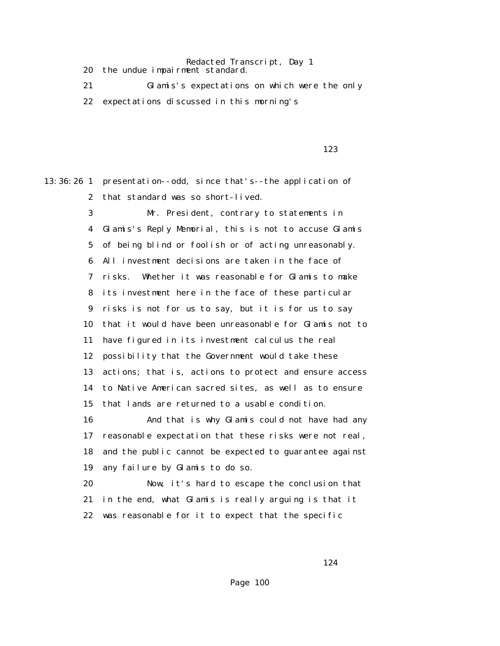Redacted Transcript, Day 1 20 the undue impairment standard.

 21 Glamis's expectations on which were the only 22 expectations discussed in this morning's

 $123$ 

13:36:26 1 presentation--odd, since that's--the application of 2 that standard was so short-lived.

> 3 Mr. President, contrary to statements in 4 Glamis's Reply Memorial, this is not to accuse Glamis 5 of being blind or foolish or of acting unreasonably. 6 All investment decisions are taken in the face of 7 risks. Whether it was reasonable for Glamis to make 8 its investment here in the face of these particular 9 risks is not for us to say, but it is for us to say 10 that it would have been unreasonable for Glamis not to 11 have figured in its investment calculus the real 12 possibility that the Government would take these 13 actions; that is, actions to protect and ensure access 14 to Native American sacred sites, as well as to ensure 15 that lands are returned to a usable condition. 16 And that is why Glamis could not have had any

> 17 reasonable expectation that these risks were not real, 18 and the public cannot be expected to guarantee against 19 any failure by Glamis to do so.

 20 Now, it's hard to escape the conclusion that 21 in the end, what Glamis is really arguing is that it 22 was reasonable for it to expect that the specific

124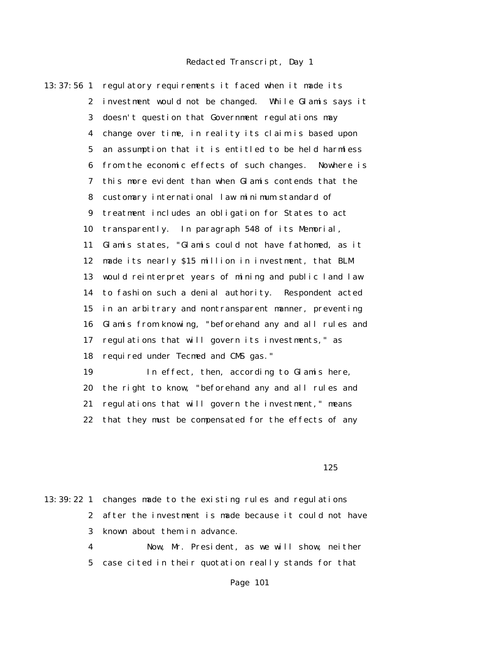| $13:37:56$ 1              | regulatory requirements it faced when it made its      |
|---------------------------|--------------------------------------------------------|
| $\mathbf{2}^{\mathsf{I}}$ | investment would not be changed. While Glamis says it  |
| 3                         | doesn't question that Government regulations may       |
| 4                         | change over time, in reality its claim is based upon   |
| 5                         | an assumption that it is entitled to be held harmless  |
| 6                         | from the economic effects of such changes. Nowhere is  |
| 7                         | this more evident than when Glamis contends that the   |
| 8                         | customary international law minimum standard of        |
| 9                         | treatment includes an obligation for States to act     |
| 10                        | transparently. In paragraph 548 of its Memorial,       |
| 11                        | Glamis states, "Glamis could not have fathomed, as it  |
| 12                        | made its nearly \$15 million in investment, that BLM   |
| 13                        | would reinterpret years of mining and public land law  |
| 14                        | to fashion such a denial authority. Respondent acted   |
| 15                        | in an arbitrary and nontransparent manner, preventing  |
| 16                        | Glamis from knowing, "beforehand any and all rules and |
| 17                        | regulations that will govern its investments," as      |
| 18                        | required under Tecmed and CMS gas."                    |
| 19                        | In effect, then, according to Glamis here,             |
| 20                        | the right to know, "beforehand any and all rules and   |
|                           |                                                        |

21 regulations that will govern the investment," means

22 that they must be compensated for the effects of any

 $125$ 

|   | 13:39:22 1 changes made to the existing rules and regulations |
|---|---------------------------------------------------------------|
|   | 2 after the investment is made because it could not have      |
|   | 3 known about them in advance.                                |
| 4 | Now, Mr. President, as we will show, neither                  |

5 case cited in their quotation really stands for that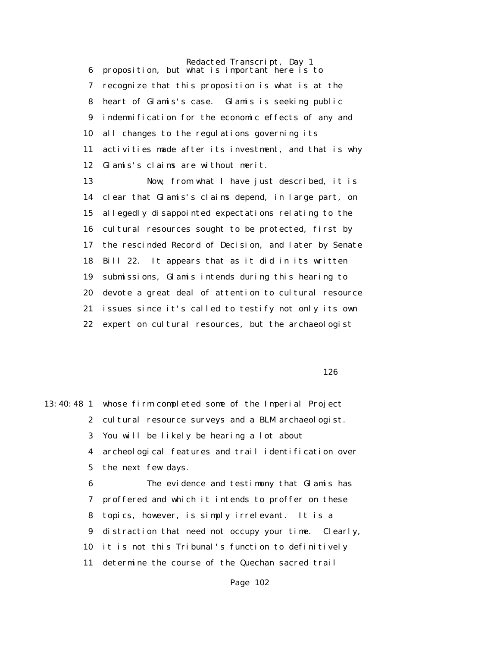Redacted Transcript, Day 1 6 proposition, but what is important here is to 7 recognize that this proposition is what is at the 8 heart of Glamis's case. Glamis is seeking public 9 indemnification for the economic effects of any and 10 all changes to the regulations governing its 11 activities made after its investment, and that is why 12 Glamis's claims are without merit.

 13 Now, from what I have just described, it is 14 clear that Glamis's claims depend, in large part, on 15 allegedly disappointed expectations relating to the 16 cultural resources sought to be protected, first by 17 the rescinded Record of Decision, and later by Senate 18 Bill 22. It appears that as it did in its written 19 submissions, Glamis intends during this hearing to 20 devote a great deal of attention to cultural resource 21 issues since it's called to testify not only its own 22 expert on cultural resources, but the archaeologist

 $126$ 

|    | 13:40:48 1 whose firm completed some of the Imperial Project |
|----|--------------------------------------------------------------|
|    | 2 cultural resource surveys and a BLM archaeologist.         |
|    | 3 You will be likely be hearing a lot about                  |
|    | 4 archeological features and trail identification over       |
|    | 5 the next few days.                                         |
| 6  | The evidence and testimony that Glamis has                   |
|    | 7 proffered and which it intends to proffer on these         |
| 8  | topics, however, is simply irrelevant. It is a               |
| 9  | distraction that need not occupy your time. Clearly,         |
|    | 10 it is not this Tribunal's function to definitively        |
| 11 | determine the course of the Quechan sacred trail             |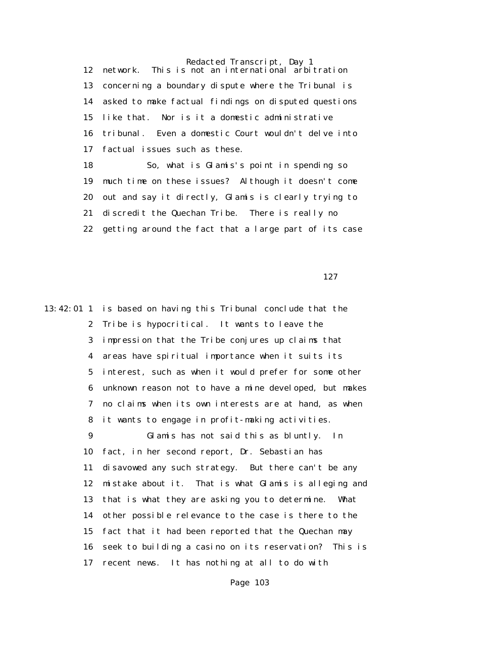Redacted Transcript, Day 1 12 network. This is not an international arbitration 13 concerning a boundary dispute where the Tribunal is 14 asked to make factual findings on disputed questions 15 like that. Nor is it a domestic administrative 16 tribunal. Even a domestic Court wouldn't delve into 17 factual issues such as these. 18 So, what is Glamis's point in spending so 19 much time on these issues? Although it doesn't come 20 out and say it directly, Glamis is clearly trying to 21 discredit the Quechan Tribe. There is really no

22 getting around the fact that a large part of its case

127

13:42:01 1 is based on having this Tribunal conclude that the 2 Tribe is hypocritical. It wants to leave the 3 impression that the Tribe conjures up claims that 4 areas have spiritual importance when it suits its 5 interest, such as when it would prefer for some other 6 unknown reason not to have a mine developed, but makes 7 no claims when its own interests are at hand, as when 8 it wants to engage in profit-making activities. 9 Glamis has not said this as bluntly. In 10 fact, in her second report, Dr. Sebastian has 11 disavowed any such strategy. But there can't be any 12 mistake about it. That is what Glamis is alleging and 13 that is what they are asking you to determine. What 14 other possible relevance to the case is there to the 15 fact that it had been reported that the Quechan may 16 seek to building a casino on its reservation? This is 17 recent news. It has nothing at all to do with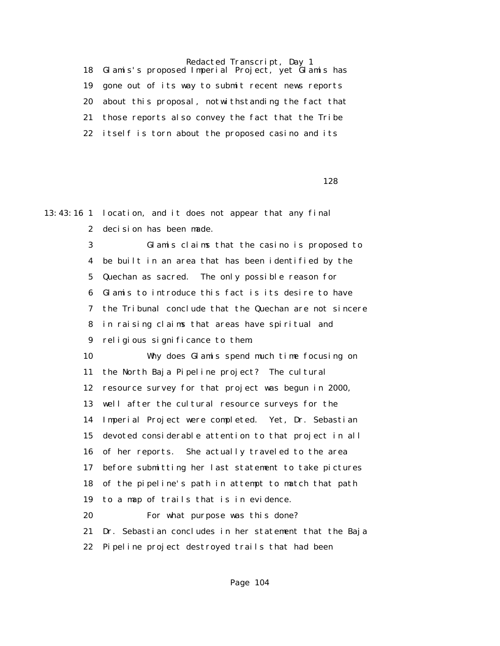18 Glamis's proposed Imperial Project, yet Glamis has 19 gone out of its way to submit recent news reports 20 about this proposal, notwithstanding the fact that 21 those reports also convey the fact that the Tribe 22 itself is torn about the proposed casino and its

 $128$ 

13:43:16 1 location, and it does not appear that any final

2 decision has been made.

 3 Glamis claims that the casino is proposed to 4 be built in an area that has been identified by the 5 Quechan as sacred. The only possible reason for 6 Glamis to introduce this fact is its desire to have 7 the Tribunal conclude that the Quechan are not sincere 8 in raising claims that areas have spiritual and 9 religious significance to them.

 10 Why does Glamis spend much time focusing on 11 the North Baja Pipeline project? The cultural 12 resource survey for that project was begun in 2000, 13 well after the cultural resource surveys for the 14 Imperial Project were completed. Yet, Dr. Sebastian 15 devoted considerable attention to that project in all 16 of her reports. She actually traveled to the area 17 before submitting her last statement to take pictures 18 of the pipeline's path in attempt to match that path 19 to a map of trails that is in evidence. 20 For what purpose was this done? 21 Dr. Sebastian concludes in her statement that the Baja

22 Pipeline project destroyed trails that had been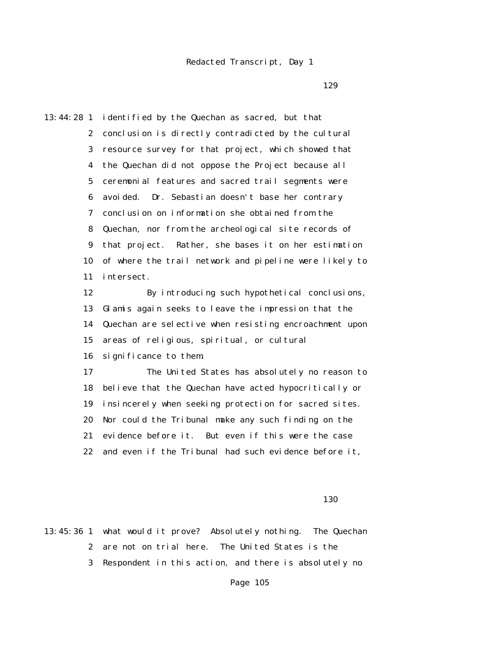$129$ 

13:44:28 1 identified by the Quechan as sacred, but that 2 conclusion is directly contradicted by the cultural 3 resource survey for that project, which showed that 4 the Quechan did not oppose the Project because all 5 ceremonial features and sacred trail segments were 6 avoided. Dr. Sebastian doesn't base her contrary 7 conclusion on information she obtained from the 8 Quechan, nor from the archeological site records of 9 that project. Rather, she bases it on her estimation 10 of where the trail network and pipeline were likely to 11 intersect. 12 By introducing such hypothetical conclusions, 13 Glamis again seeks to leave the impression that the 14 Quechan are selective when resisting encroachment upon 15 areas of religious, spiritual, or cultural 16 significance to them. 17 The United States has absolutely no reason to 18 believe that the Quechan have acted hypocritically or 19 insincerely when seeking protection for sacred sites. 20 Nor could the Tribunal make any such finding on the 21 evidence before it. But even if this were the case

22 and even if the Tribunal had such evidence before it,

 $130$ 

13:45:36 1 what would it prove? Absolutely nothing. The Quechan 2 are not on trial here. The United States is the 3 Respondent in this action, and there is absolutely no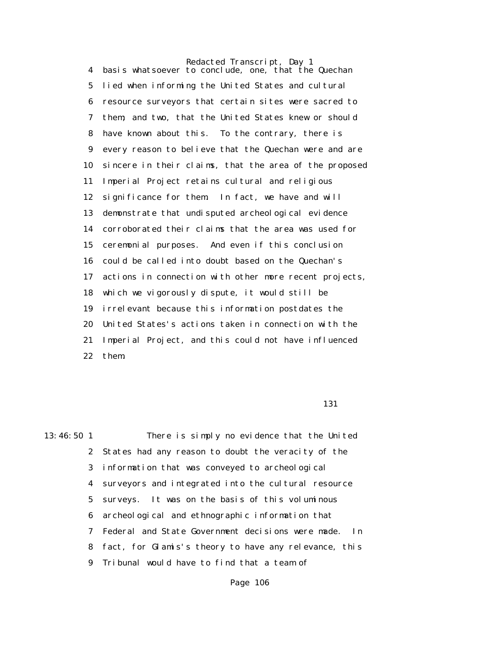Redacted Transcript, Day 1 4 basis whatsoever to conclude, one, that the Quechan 5 lied when informing the United States and cultural 6 resource surveyors that certain sites were sacred to 7 them; and two, that the United States knew or should 8 have known about this. To the contrary, there is 9 every reason to believe that the Quechan were and are 10 sincere in their claims, that the area of the proposed 11 Imperial Project retains cultural and religious 12 significance for them. In fact, we have and will 13 demonstrate that undisputed archeological evidence 14 corroborated their claims that the area was used for 15 ceremonial purposes. And even if this conclusion 16 could be called into doubt based on the Quechan's 17 actions in connection with other more recent projects, 18 which we vigorously dispute, it would still be 19 irrelevant because this information postdates the 20 United States's actions taken in connection with the 21 Imperial Project, and this could not have influenced 22 them.

131

13:46:50 1 There is simply no evidence that the United 2 States had any reason to doubt the veracity of the 3 information that was conveyed to archeological 4 surveyors and integrated into the cultural resource 5 surveys. It was on the basis of this voluminous 6 archeological and ethnographic information that 7 Federal and State Government decisions were made. In 8 fact, for Glamis's theory to have any relevance, this 9 Tribunal would have to find that a team of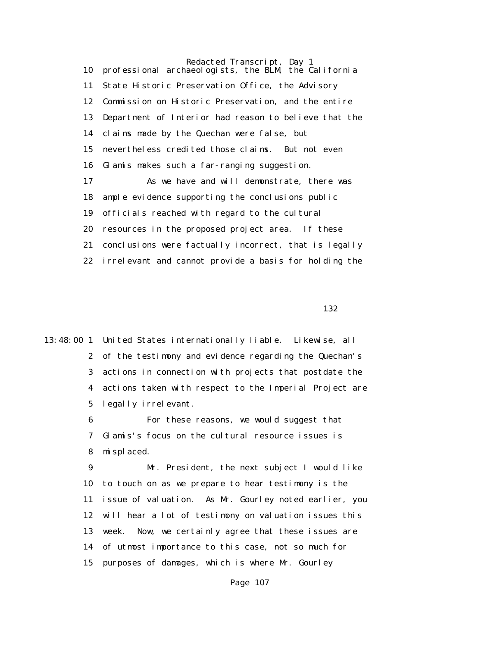Redacted Transcript, Day 1 10 professional archaeologists, the BLM, the California 11 State Historic Preservation Office, the Advisory 12 Commission on Historic Preservation, and the entire 13 Department of Interior had reason to believe that the 14 claims made by the Quechan were false, but 15 nevertheless credited those claims. But not even 16 Glamis makes such a far-ranging suggestion. 17 As we have and will demonstrate, there was 18 ample evidence supporting the conclusions public 19 officials reached with regard to the cultural 20 resources in the proposed project area. If these 21 conclusions were factually incorrect, that is legally 22 irrelevant and cannot provide a basis for holding the

 $132$ 

13:48:00 1 United States internationally liable. Likewise, all 2 of the testimony and evidence regarding the Quechan's 3 actions in connection with projects that postdate the 4 actions taken with respect to the Imperial Project are 5 legally irrelevant.

> 6 For these reasons, we would suggest that 7 Glamis's focus on the cultural resource issues is 8 misplaced.

 9 Mr. President, the next subject I would like 10 to touch on as we prepare to hear testimony is the 11 issue of valuation. As Mr. Gourley noted earlier, you 12 will hear a lot of testimony on valuation issues this 13 week. Now, we certainly agree that these issues are 14 of utmost importance to this case, not so much for 15 purposes of damages, which is where Mr. Gourley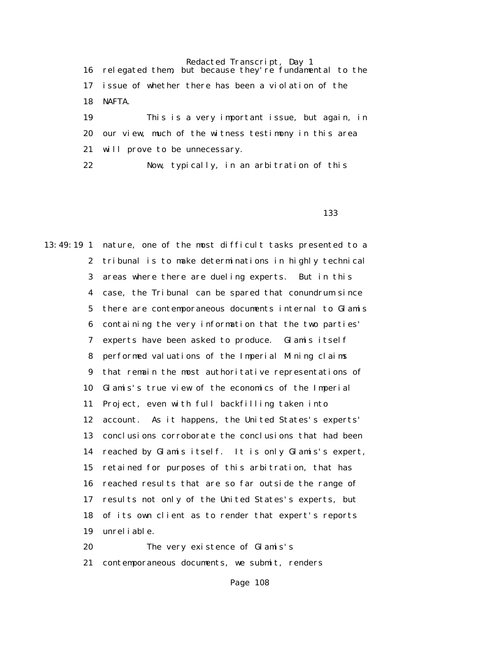16 relegated them, but because they're fundamental to the 17 issue of whether there has been a violation of the 18 NAFTA. 19 This is a very important issue, but again, in 20 our view, much of the witness testimony in this area 21 will prove to be unnecessary.

22 Now, typically, in an arbitration of this

133 and 133 and 133 and 133 and 133 and 133 and 133 and 133 and 133 and 133 and 133 and 133 and 133

13:49:19 1 nature, one of the most difficult tasks presented to a 2 tribunal is to make determinations in highly technical 3 areas where there are dueling experts. But in this 4 case, the Tribunal can be spared that conundrum since 5 there are contemporaneous documents internal to Glamis 6 containing the very information that the two parties' 7 experts have been asked to produce. Glamis itself 8 performed valuations of the Imperial Mining claims 9 that remain the most authoritative representations of 10 Glamis's true view of the economics of the Imperial 11 Project, even with full backfilling taken into 12 account. As it happens, the United States's experts' 13 conclusions corroborate the conclusions that had been 14 reached by Glamis itself. It is only Glamis's expert, 15 retained for purposes of this arbitration, that has 16 reached results that are so far outside the range of 17 results not only of the United States's experts, but 18 of its own client as to render that expert's reports 19 unreliable.

> 20 The very existence of Glamis's 21 contemporaneous documents, we submit, renders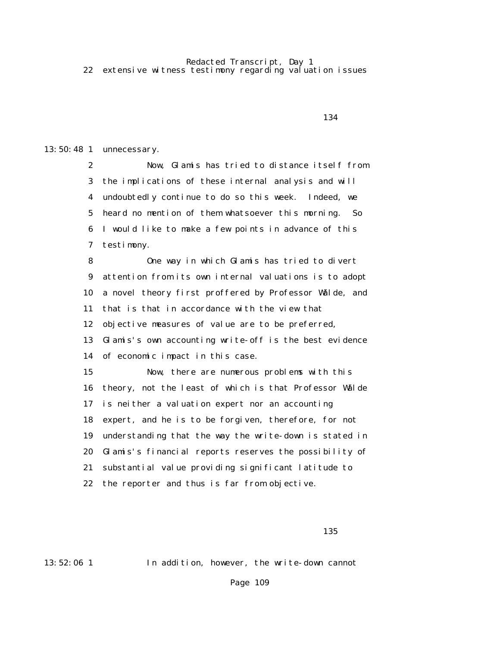134

13:50:48 1 unnecessary.

 2 Now, Glamis has tried to distance itself from 3 the implications of these internal analysis and will 4 undoubtedly continue to do so this week. Indeed, we 5 heard no mention of them whatsoever this morning. So 6 I would like to make a few points in advance of this 7 testimony.

 8 One way in which Glamis has tried to divert 9 attention from its own internal valuations is to adopt 10 a novel theory first proffered by Professor Wälde, and 11 that is that in accordance with the view that 12 objective measures of value are to be preferred, 13 Glamis's own accounting write-off is the best evidence 14 of economic impact in this case. 15 Now, there are numerous problems with this 16 theory, not the least of which is that Professor Wälde 17 is neither a valuation expert nor an accounting 18 expert, and he is to be forgiven, therefore, for not 19 understanding that the way the write-down is stated in 20 Glamis's financial reports reserves the possibility of

21 substantial value providing significant latitude to

22 the reporter and thus is far from objective.

<u>135 and the state of the state of the state of the state of the state of the state of the state of the state of the state of the state of the state of the state of the state of the state of the state of the state of the s</u>

13:52:06 1 In addition, however, the write-down cannot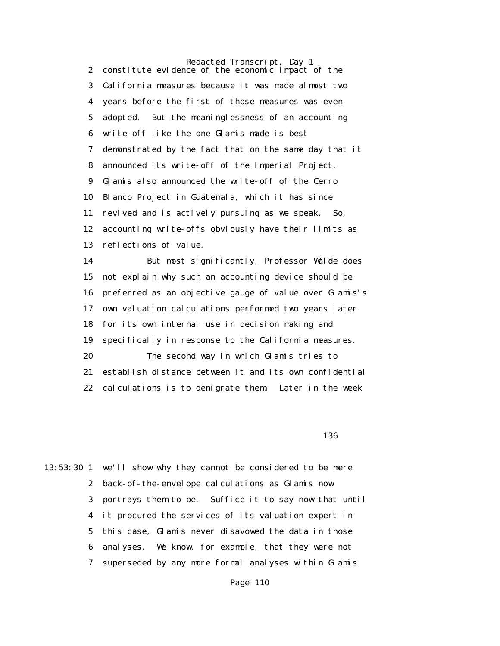Redacted Transcript, Day 1 2 constitute evidence of the economic impact of the 3 California measures because it was made almost two 4 years before the first of those measures was even 5 adopted. But the meaninglessness of an accounting 6 write-off like the one Glamis made is best 7 demonstrated by the fact that on the same day that it 8 announced its write-off of the Imperial Project, 9 Glamis also announced the write-off of the Cerro 10 Blanco Project in Guatemala, which it has since 11 revived and is actively pursuing as we speak. So, 12 accounting write-offs obviously have their limits as 13 reflections of value. 14 But most significantly, Professor Wälde does 15 not explain why such an accounting device should be 16 preferred as an objective gauge of value over Glamis's 17 own valuation calculations performed two years later 18 for its own internal use in decision making and 19 specifically in response to the California measures. 20 The second way in which Glamis tries to 21 establish distance between it and its own confidential

22 calculations is to denigrate them. Later in the week

 $136$ 

13:53:30 1 we'll show why they cannot be considered to be mere 2 back-of-the-envelope calculations as Glamis now 3 portrays them to be. Suffice it to say now that until 4 it procured the services of its valuation expert in 5 this case, Glamis never disavowed the data in those 6 analyses. We know, for example, that they were not 7 superseded by any more formal analyses within Glamis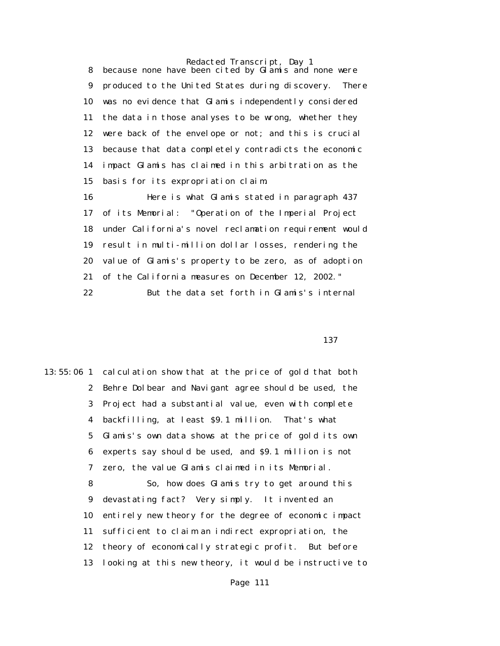8 because none have been cited by Glamis and none were 9 produced to the United States during discovery. There 10 was no evidence that Glamis independently considered 11 the data in those analyses to be wrong, whether they 12 were back of the envelope or not; and this is crucial 13 because that data completely contradicts the economic 14 impact Glamis has claimed in this arbitration as the 15 basis for its expropriation claim.

 16 Here is what Glamis stated in paragraph 437 17 of its Memorial: "Operation of the Imperial Project 18 under California's novel reclamation requirement would 19 result in multi-million dollar losses, rendering the 20 value of Glamis's property to be zero, as of adoption 21 of the California measures on December 12, 2002." 22 But the data set forth in Glamis's internal

137 (1975) 1986 (1976) 1997 (1976) 1997 (1976) 1997 (1976) 1997 (1976) 1997 (1976) 1997 (1976) 1997 (1976) 19

13:55:06 1 calculation show that at the price of gold that both 2 Behre Dolbear and Navigant agree should be used, the 3 Project had a substantial value, even with complete 4 backfilling, at least \$9.1 million. That's what 5 Glamis's own data shows at the price of gold its own 6 experts say should be used, and \$9.1 million is not 7 zero, the value Glamis claimed in its Memorial. 8 So, how does Glamis try to get around this 9 devastating fact? Very simply. It invented an 10 entirely new theory for the degree of economic impact 11 sufficient to claim an indirect expropriation, the 12 theory of economically strategic profit. But before 13 looking at this new theory, it would be instructive to Page 111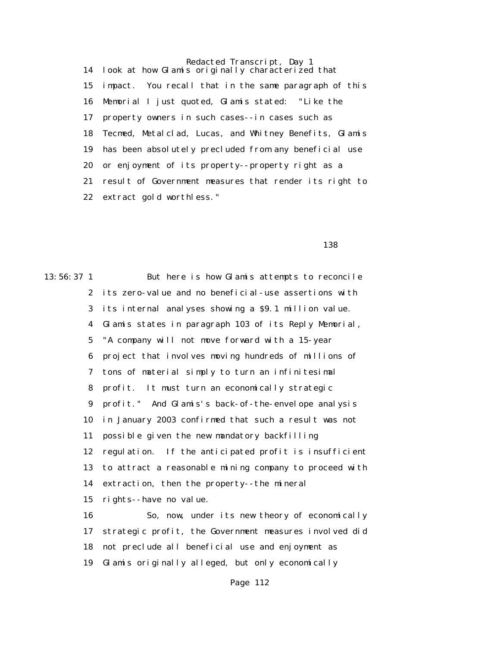Redacted Transcript, Day 1 14 look at how Glamis originally characterized that 15 impact. You recall that in the same paragraph of this 16 Memorial I just quoted, Glamis stated: "Like the 17 property owners in such cases--in cases such as 18 Tecmed, Metalclad, Lucas, and Whitney Benefits, Glamis 19 has been absolutely precluded from any beneficial use 20 or enjoyment of its property--property right as a 21 result of Government measures that render its right to 22 extract gold worthless."

138 and 138 and 138 and 138 and 138 and 138 and 138 and 138 and 138 and 138 and 138 and 138 and 138 and 138 and 138

13:56:37 1 But here is how Glamis attempts to reconcile 2 its zero-value and no beneficial-use assertions with 3 its internal analyses showing a \$9.1 million value. 4 Glamis states in paragraph 103 of its Reply Memorial, 5 "A company will not move forward with a 15-year 6 project that involves moving hundreds of millions of 7 tons of material simply to turn an infinitesimal 8 profit. It must turn an economically strategic 9 profit." And Glamis's back-of-the-envelope analysis 10 in January 2003 confirmed that such a result was not 11 possible given the new mandatory backfilling 12 regulation. If the anticipated profit is insufficient 13 to attract a reasonable mining company to proceed with 14 extraction, then the property--the mineral 15 rights--have no value. 16 So, now, under its new theory of economically 17 strategic profit, the Government measures involved did 18 not preclude all beneficial use and enjoyment as 19 Glamis originally alleged, but only economically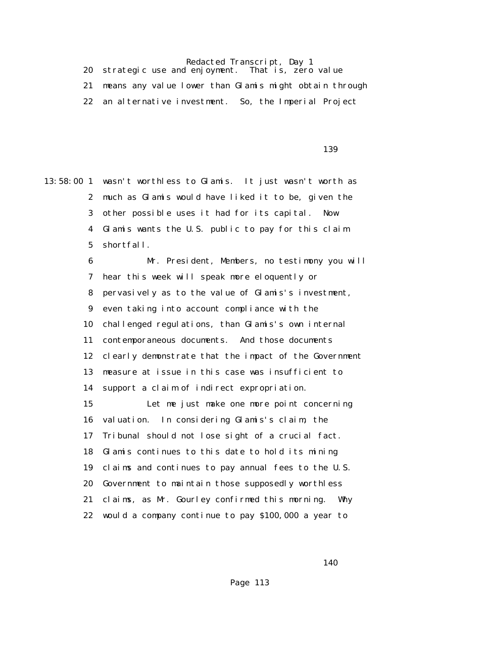20 strategic use and enjoyment. That is, zero value 21 means any value lower than Glamis might obtain through 22 an alternative investment. So, the Imperial Project

 $139$ 

13:58:00 1 wasn't worthless to Glamis. It just wasn't worth as 2 much as Glamis would have liked it to be, given the 3 other possible uses it had for its capital. Now 4 Glamis wants the U.S. public to pay for this claim 5 shortfall. 6 Mr. President, Members, no testimony you will

 7 hear this week will speak more eloquently or 8 pervasively as to the value of Glamis's investment, 9 even taking into account compliance with the 10 challenged regulations, than Glamis's own internal 11 contemporaneous documents. And those documents 12 clearly demonstrate that the impact of the Government 13 measure at issue in this case was insufficient to 14 support a claim of indirect expropriation. 15 Let me just make one more point concerning

 16 valuation. In considering Glamis's claim, the 17 Tribunal should not lose sight of a crucial fact. 18 Glamis continues to this date to hold its mining 19 claims and continues to pay annual fees to the U.S. 20 Government to maintain those supposedly worthless 21 claims, as Mr. Gourley confirmed this morning. Why 22 would a company continue to pay \$100,000 a year to

140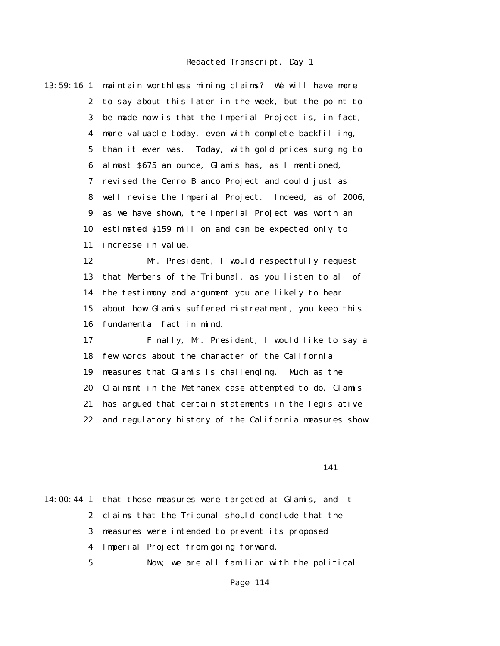| $13:59:16$ 1            | maintain worthless mining claims? We will have more    |
|-------------------------|--------------------------------------------------------|
| $\mathbf{2}$            | to say about this later in the week, but the point to  |
| 3                       | be made now is that the Imperial Project is, in fact,  |
| $\overline{\mathbf{4}}$ | more valuable today, even with complete backfilling,   |
| $\mathbf 5$             | than it ever was. Today, with gold prices surging to   |
| 6                       | almost \$675 an ounce, Glamis has, as I mentioned,     |
| 7                       | revised the Cerro Blanco Project and could just as     |
| 8                       | well revise the Imperial Project. Indeed, as of 2006,  |
| $\boldsymbol{9}$        | as we have shown, the Imperial Project was worth an    |
| 10                      | estimated \$159 million and can be expected only to    |
| 11                      | increase in value.                                     |
| 12                      | Mr. President, I would respectfully request            |
| 13                      | that Members of the Tribunal, as you listen to all of  |
| 14                      | the testimony and argument you are likely to hear      |
| 15                      | about how Glamis suffered mistreatment, you keep this  |
| 16                      | fundamental fact in mind.                              |
| 17                      | Finally, Mr. President, I would like to say a          |
| 18                      | few words about the character of the California        |
| 19                      | measures that Glamis is challenging. Much as the       |
| 20                      | Claimant in the Methanex case attempted to do, Glamis  |
| 21                      | has argued that certain statements in the legislative  |
| 22                      | and regulatory history of the California measures show |
|                         |                                                        |
|                         |                                                        |

141

14:00:44 1 that those measures were targeted at Glamis, and it 2 claims that the Tribunal should conclude that the 3 measures were intended to prevent its proposed 4 Imperial Project from going forward. 5 Now, we are all familiar with the political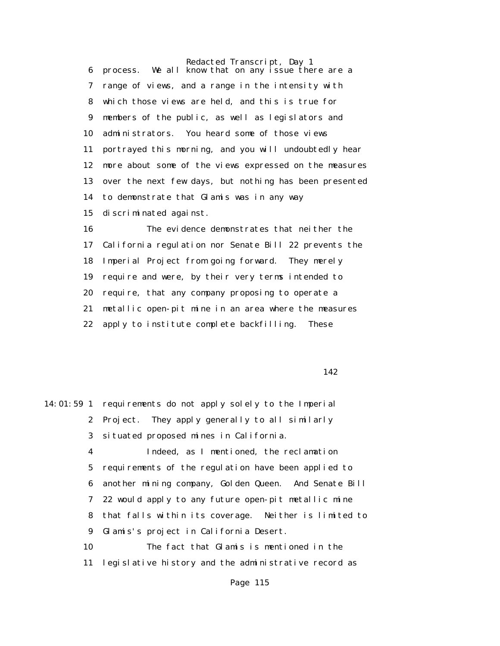Redacted Transcript, Day 1 6 process. We all know that on any issue there are a 7 range of views, and a range in the intensity with 8 which those views are held, and this is true for 9 members of the public, as well as legislators and 10 administrators. You heard some of those views 11 portrayed this morning, and you will undoubtedly hear 12 more about some of the views expressed on the measures 13 over the next few days, but nothing has been presented 14 to demonstrate that Glamis was in any way 15 discriminated against.

> 16 The evidence demonstrates that neither the 17 California regulation nor Senate Bill 22 prevents the 18 Imperial Project from going forward. They merely 19 require and were, by their very terms intended to 20 require, that any company proposing to operate a 21 metallic open-pit mine in an area where the measures 22 apply to institute complete backfilling. These

<u>142</u>

14:01:59 1 requirements do not apply solely to the Imperial 2 Project. They apply generally to all similarly 3 situated proposed mines in California. 4 Indeed, as I mentioned, the reclamation 5 requirements of the regulation have been applied to 6 another mining company, Golden Queen. And Senate Bill 7 22 would apply to any future open-pit metallic mine 8 that falls within its coverage. Neither is limited to 9 Glamis's project in California Desert. 10 The fact that Glamis is mentioned in the 11 legislative history and the administrative record as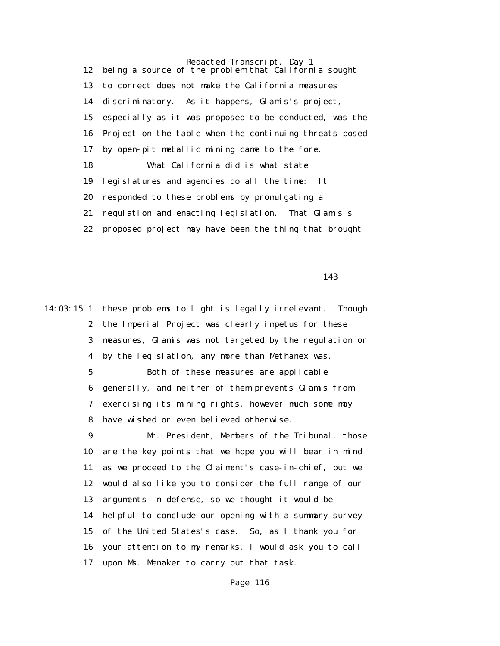Redacted Transcript, Day 1 12 being a source of the problem that California sought 13 to correct does not make the California measures 14 discriminatory. As it happens, Glamis's project, 15 especially as it was proposed to be conducted, was the 16 Project on the table when the continuing threats posed 17 by open-pit metallic mining came to the fore. 18 What California did is what state 19 legislatures and agencies do all the time: It 20 responded to these problems by promulgating a 21 regulation and enacting legislation. That Glamis's 22 proposed project may have been the thing that brought

143

14:03:15 1 these problems to light is legally irrelevant. Though 2 the Imperial Project was clearly impetus for these 3 measures, Glamis was not targeted by the regulation or 4 by the legislation, any more than Methanex was. 5 Both of these measures are applicable 6 generally, and neither of them prevents Glamis from 7 exercising its mining rights, however much some may 8 have wished or even believed otherwise. 9 Mr. President, Members of the Tribunal, those 10 are the key points that we hope you will bear in mind 11 as we proceed to the Claimant's case-in-chief, but we 12 would also like you to consider the full range of our 13 arguments in defense, so we thought it would be 14 helpful to conclude our opening with a summary survey 15 of the United States's case. So, as I thank you for 16 your attention to my remarks, I would ask you to call 17 upon Ms. Menaker to carry out that task.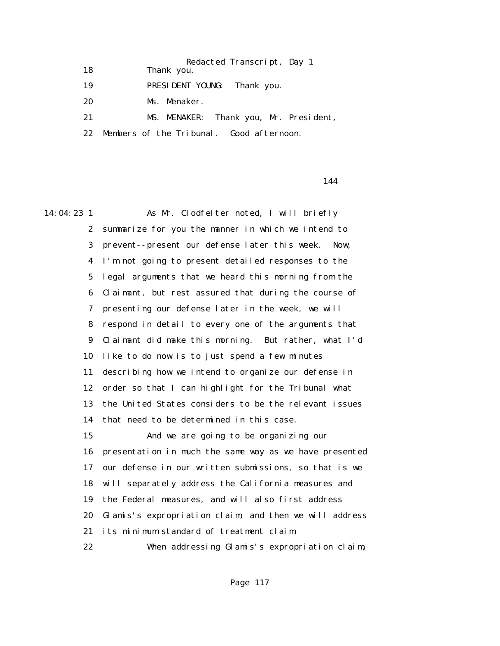Redacted Transcript, Day 1 18 Thank you. 19 PRESIDENT YOUNG: Thank you. 20 Ms. Menaker. 21 MS. MENAKER: Thank you, Mr. President, 22 Members of the Tribunal. Good afternoon.

144

14:04:23 1 As Mr. Clodfelter noted, I will briefly 2 summarize for you the manner in which we intend to 3 prevent--present our defense later this week. Now, 4 I'm not going to present detailed responses to the 5 legal arguments that we heard this morning from the 6 Claimant, but rest assured that during the course of 7 presenting our defense later in the week, we will 8 respond in detail to every one of the arguments that 9 Claimant did make this morning. But rather, what I'd 10 like to do now is to just spend a few minutes 11 describing how we intend to organize our defense in 12 order so that I can highlight for the Tribunal what 13 the United States considers to be the relevant issues 14 that need to be determined in this case. 15 And we are going to be organizing our 16 presentation in much the same way as we have presented 17 our defense in our written submissions, so that is we 18 will separately address the California measures and 19 the Federal measures, and will also first address 20 Glamis's expropriation claim, and then we will address 21 its minimum standard of treatment claim. 22 When addressing Glamis's expropriation claim,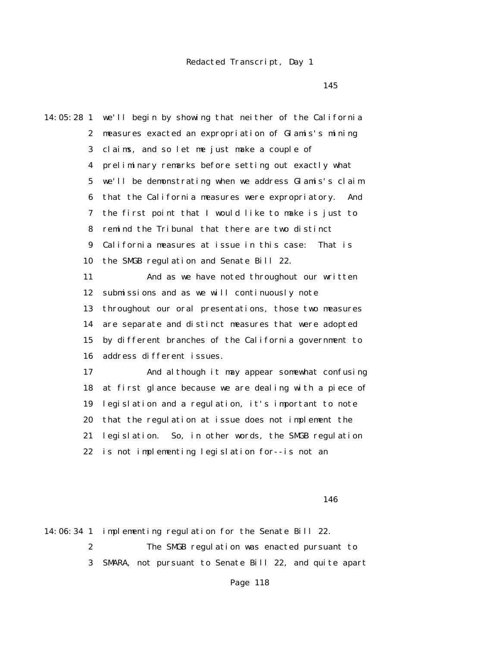145

14:05:28 1 we'll begin by showing that neither of the California 2 measures exacted an expropriation of Glamis's mining 3 claims, and so let me just make a couple of 4 preliminary remarks before setting out exactly what 5 we'll be demonstrating when we address Glamis's claim 6 that the California measures were expropriatory. And 7 the first point that I would like to make is just to 8 remind the Tribunal that there are two distinct 9 California measures at issue in this case: That is 10 the SMGB regulation and Senate Bill 22. 11 And as we have noted throughout our written 12 submissions and as we will continuously note 13 throughout our oral presentations, those two measures 14 are separate and distinct measures that were adopted 15 by different branches of the California government to 16 address different issues. 17 And although it may appear somewhat confusing 18 at first glance because we are dealing with a piece of 19 legislation and a regulation, it's important to note 20 that the regulation at issue does not implement the 21 legislation. So, in other words, the SMGB regulation 22 is not implementing legislation for--is not an

146

14:06:34 1 implementing regulation for the Senate Bill 22.

- 2 The SMGB regulation was enacted pursuant to
- 3 SMARA, not pursuant to Senate Bill 22, and quite apart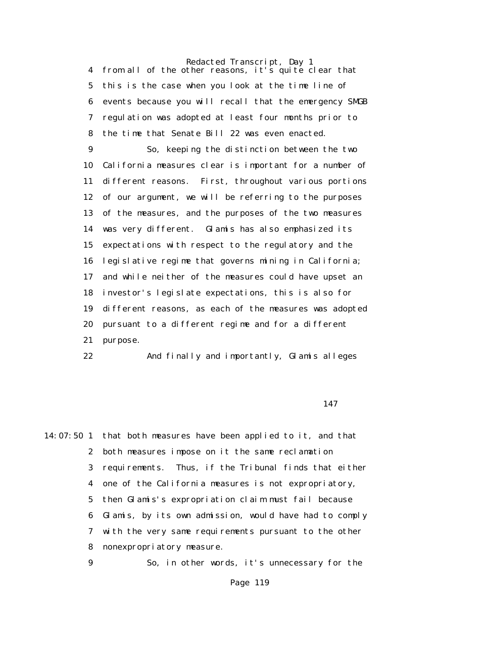Redacted Transcript, Day 1 4 from all of the other reasons, it's quite clear that 5 this is the case when you look at the time line of 6 events because you will recall that the emergency SMGB 7 regulation was adopted at least four months prior to 8 the time that Senate Bill 22 was even enacted.

> 9 So, keeping the distinction between the two 10 California measures clear is important for a number of 11 different reasons. First, throughout various portions 12 of our argument, we will be referring to the purposes 13 of the measures, and the purposes of the two measures 14 was very different. Glamis has also emphasized its 15 expectations with respect to the regulatory and the 16 legislative regime that governs mining in California; 17 and while neither of the measures could have upset an 18 investor's legislate expectations, this is also for 19 different reasons, as each of the measures was adopted 20 pursuant to a different regime and for a different 21 purpose.

22 And finally and importantly, Glamis alleges

<u>147</u>

14:07:50 1 that both measures have been applied to it, and that 2 both measures impose on it the same reclamation 3 requirements. Thus, if the Tribunal finds that either 4 one of the California measures is not expropriatory, 5 then Glamis's expropriation claim must fail because 6 Glamis, by its own admission, would have had to comply 7 with the very same requirements pursuant to the other 8 nonexpropriatory measure.

9 So, in other words, it's unnecessary for the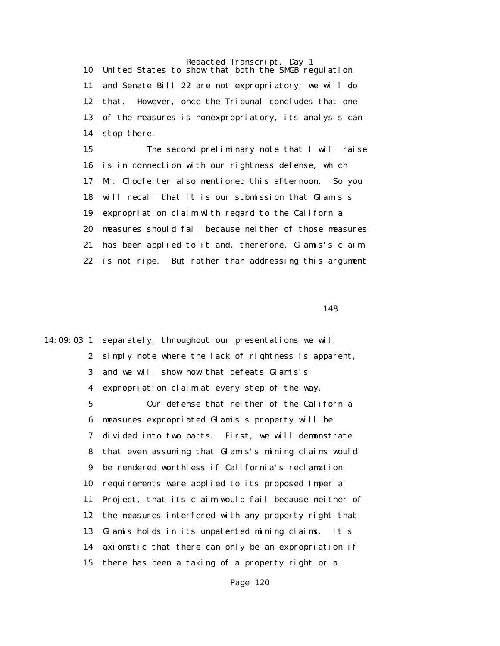10 United States to show that both the SMGB regulation 11 and Senate Bill 22 are not expropriatory; we will do 12 that. However, once the Tribunal concludes that one 13 of the measures is nonexpropriatory, its analysis can 14 stop there.

 15 The second preliminary note that I will raise 16 is in connection with our rightness defense, which 17 Mr. Clodfelter also mentioned this afternoon. So you 18 will recall that it is our submission that Glamis's 19 expropriation claim with regard to the California 20 measures should fail because neither of those measures 21 has been applied to it and, therefore, Glamis's claim 22 is not ripe. But rather than addressing this argument

148

14:09:03 1 separately, throughout our presentations we will 2 simply note where the lack of rightness is apparent, 3 and we will show how that defeats Glamis's 4 expropriation claim at every step of the way. 5 Our defense that neither of the California 6 measures expropriated Glamis's property will be 7 divided into two parts. First, we will demonstrate 8 that even assuming that Glamis's mining claims would 9 be rendered worthless if California's reclamation 10 requirements were applied to its proposed Imperial 11 Project, that its claim would fail because neither of 12 the measures interfered with any property right that 13 Glamis holds in its unpatented mining claims. It's 14 axiomatic that there can only be an expropriation if 15 there has been a taking of a property right or a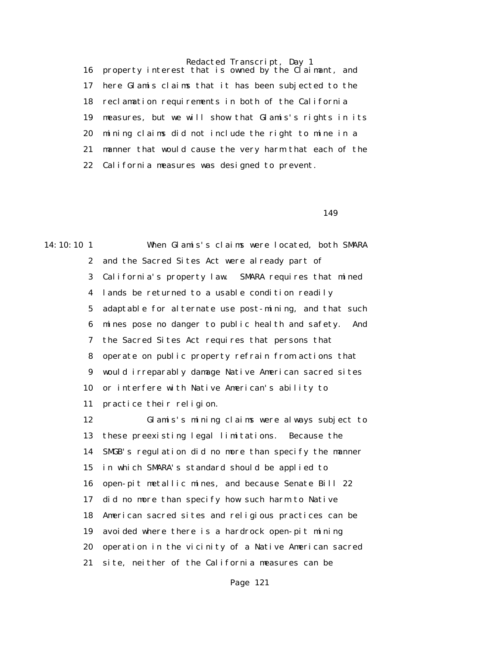16 property interest that is owned by the Claimant, and 17 here Glamis claims that it has been subjected to the 18 reclamation requirements in both of the California 19 measures, but we will show that Glamis's rights in its 20 mining claims did not include the right to mine in a 21 manner that would cause the very harm that each of the 22 California measures was designed to prevent.

#### 149

14:10:10 1 When Glamis's claims were located, both SMARA 2 and the Sacred Sites Act were already part of 3 California's property law. SMARA requires that mined 4 lands be returned to a usable condition readily 5 adaptable for alternate use post-mining, and that such 6 mines pose no danger to public health and safety. And 7 the Sacred Sites Act requires that persons that 8 operate on public property refrain from actions that 9 would irreparably damage Native American sacred sites 10 or interfere with Native American's ability to 11 practice their religion.

> 12 Glamis's mining claims were always subject to 13 these preexisting legal limitations. Because the 14 SMGB's regulation did no more than specify the manner 15 in which SMARA's standard should be applied to 16 open-pit metallic mines, and because Senate Bill 22 17 did no more than specify how such harm to Native 18 American sacred sites and religious practices can be 19 avoided where there is a hardrock open-pit mining 20 operation in the vicinity of a Native American sacred 21 site, neither of the California measures can be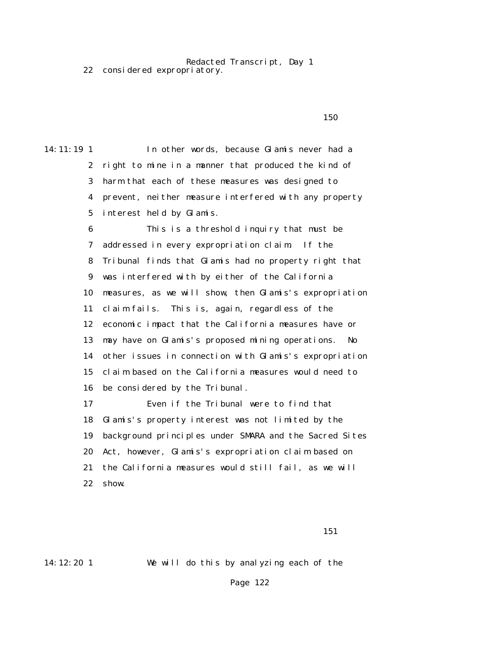Redacted Transcript, Day 1 22 considered expropriatory.

 $150$ 

14:11:19 1 In other words, because Glamis never had a 2 right to mine in a manner that produced the kind of 3 harm that each of these measures was designed to 4 prevent, neither measure interfered with any property 5 interest held by Glamis. 6 This is a threshold inquiry that must be 7 addressed in every expropriation claim. If the 8 Tribunal finds that Glamis had no property right that 9 was interfered with by either of the California 10 measures, as we will show, then Glamis's expropriation 11 claim fails. This is, again, regardless of the 12 economic impact that the California measures have or 13 may have on Glamis's proposed mining operations. No 14 other issues in connection with Glamis's expropriation 15 claim based on the California measures would need to 16 be considered by the Tribunal. 17 Even if the Tribunal were to find that 18 Glamis's property interest was not limited by the 19 background principles under SMARA and the Sacred Sites 20 Act, however, Glamis's expropriation claim based on 21 the California measures would still fail, as we will 22 show.

 $151$ 

14:12:20 1 We will do this by analyzing each of the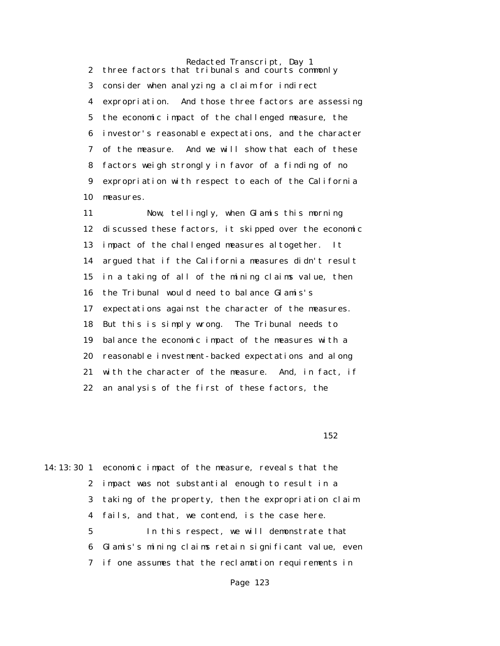Redacted Transcript, Day 1 2 three factors that tribunals and courts commonly 3 consider when analyzing a claim for indirect 4 expropriation. And those three factors are assessing 5 the economic impact of the challenged measure, the 6 investor's reasonable expectations, and the character 7 of the measure. And we will show that each of these 8 factors weigh strongly in favor of a finding of no 9 expropriation with respect to each of the California 10 measures.

 11 Now, tellingly, when Glamis this morning 12 discussed these factors, it skipped over the economic 13 impact of the challenged measures altogether. It 14 argued that if the California measures didn't result 15 in a taking of all of the mining claims value, then 16 the Tribunal would need to balance Glamis's 17 expectations against the character of the measures. 18 But this is simply wrong. The Tribunal needs to 19 balance the economic impact of the measures with a 20 reasonable investment-backed expectations and along 21 with the character of the measure. And, in fact, if 22 an analysis of the first of these factors, the

 $152$ 

14:13:30 1 economic impact of the measure, reveals that the 2 impact was not substantial enough to result in a 3 taking of the property, then the expropriation claim 4 fails, and that, we contend, is the case here. 5 In this respect, we will demonstrate that 6 Glamis's mining claims retain significant value, even 7 if one assumes that the reclamation requirements in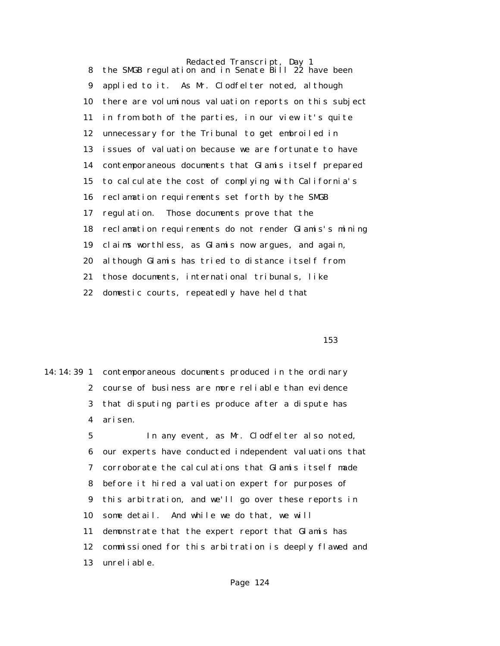Redacted Transcript, Day 1 8 the SMGB regulation and in Senate Bill 22 have been 9 applied to it. As Mr. Clodfelter noted, although 10 there are voluminous valuation reports on this subject 11 in from both of the parties, in our view it's quite 12 unnecessary for the Tribunal to get embroiled in 13 issues of valuation because we are fortunate to have 14 contemporaneous documents that Glamis itself prepared 15 to calculate the cost of complying with California's 16 reclamation requirements set forth by the SMGB 17 regulation. Those documents prove that the 18 reclamation requirements do not render Glamis's mining 19 claims worthless, as Glamis now argues, and again, 20 although Glamis has tried to distance itself from 21 those documents, international tribunals, like 22 domestic courts, repeatedly have held that

 $153$ 

|  | 14:14:39 1 contemporaneous documents produced in the ordinary |
|--|---------------------------------------------------------------|
|  | 2 course of business are more reliable than evidence          |
|  | 3 that disputing parties produce after a dispute has          |
|  | 4 arisen.                                                     |
|  | $\mathbf{M}$ at $\mathbf{M}$ , $\mathbf{M}$                   |

 5 In any event, as Mr. Clodfelter also noted, 6 our experts have conducted independent valuations that 7 corroborate the calculations that Glamis itself made 8 before it hired a valuation expert for purposes of 9 this arbitration, and we'll go over these reports in 10 some detail. And while we do that, we will 11 demonstrate that the expert report that Glamis has 12 commissioned for this arbitration is deeply flawed and 13 unreliable.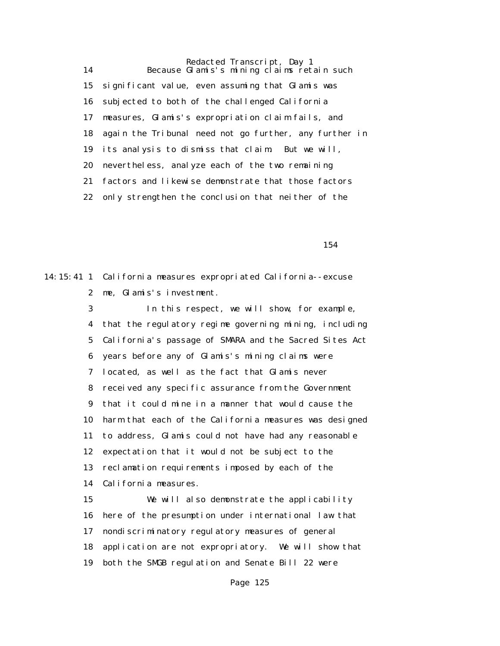Redacted Transcript, Day 1 14 Because Glamis's mining claims retain such 15 significant value, even assuming that Glamis was 16 subjected to both of the challenged California 17 measures, Glamis's expropriation claim fails, and 18 again the Tribunal need not go further, any further in 19 its analysis to dismiss that claim. But we will, 20 nevertheless, analyze each of the two remaining 21 factors and likewise demonstrate that those factors 22 only strengthen the conclusion that neither of the

154

14:15:41 1 California measures expropriated California--excuse 2 me, Glamis's investment.

> 3 In this respect, we will show, for example, 4 that the regulatory regime governing mining, including 5 California's passage of SMARA and the Sacred Sites Act 6 years before any of Glamis's mining claims were 7 located, as well as the fact that Glamis never 8 received any specific assurance from the Government 9 that it could mine in a manner that would cause the 10 harm that each of the California measures was designed 11 to address, Glamis could not have had any reasonable 12 expectation that it would not be subject to the 13 reclamation requirements imposed by each of the 14 California measures.

 15 We will also demonstrate the applicability 16 here of the presumption under international law that 17 nondiscriminatory regulatory measures of general 18 application are not expropriatory. We will show that 19 both the SMGB regulation and Senate Bill 22 were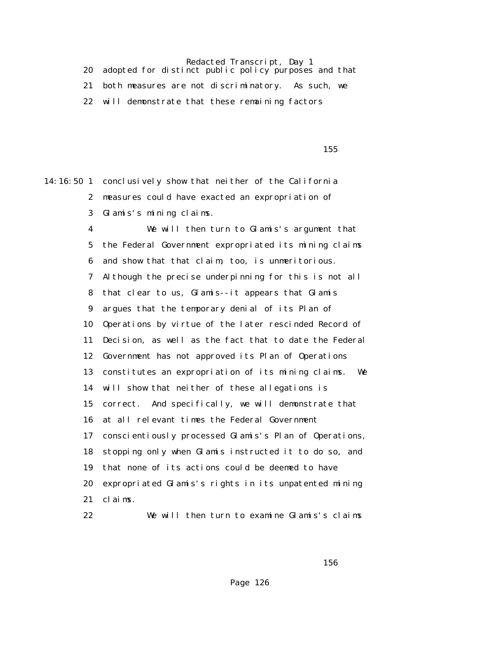| adopted for distinct public policy purposes and that |
|------------------------------------------------------|
| both measures are not discriminatory. As such, we    |
| will demonstrate that these remaining factors        |

 $155$ 

14:16:50 1 conclusively show that neither of the California 2 measures could have exacted an expropriation of 3 Glamis's mining claims.

> 4 We will then turn to Glamis's argument that 5 the Federal Government expropriated its mining claims 6 and show that that claim, too, is unmeritorious. 7 Although the precise underpinning for this is not all 8 that clear to us, Glamis--it appears that Glamis 9 argues that the temporary denial of its Plan of 10 Operations by virtue of the later rescinded Record of 11 Decision, as well as the fact that to date the Federal 12 Government has not approved its Plan of Operations 13 constitutes an expropriation of its mining claims. We 14 will show that neither of these allegations is 15 correct. And specifically, we will demonstrate that 16 at all relevant times the Federal Government 17 conscientiously processed Glamis's Plan of Operations, 18 stopping only when Glamis instructed it to do so, and 19 that none of its actions could be deemed to have 20 expropriated Glamis's rights in its unpatented mining 21 claims.

22 We will then turn to examine Glamis's claims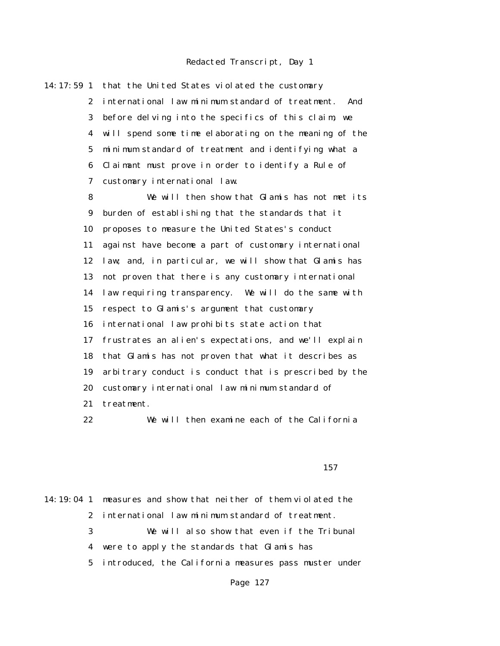14:17:59 1 that the United States violated the customary 2 international law minimum standard of treatment. And 3 before delving into the specifics of this claim, we 4 will spend some time elaborating on the meaning of the 5 minimum standard of treatment and identifying what a 6 Claimant must prove in order to identify a Rule of 7 customary international law. 8 We will then show that Glamis has not met its 9 burden of establishing that the standards that it 10 proposes to measure the United States's conduct 11 against have become a part of customary international 12 law; and, in particular, we will show that Glamis has 13 not proven that there is any customary international 14 law requiring transparency. We will do the same with 15 respect to Glamis's argument that customary 16 international law prohibits state action that 17 frustrates an alien's expectations, and we'll explain 18 that Glamis has not proven that what it describes as 19 arbitrary conduct is conduct that is prescribed by the 20 customary international law minimum standard of 21 treatment.

22 We will then examine each of the California

 $157$ 

14:19:04 1 measures and show that neither of them violated the 2 international law minimum standard of treatment. 3 We will also show that even if the Tribunal 4 were to apply the standards that Glamis has 5 introduced, the California measures pass muster under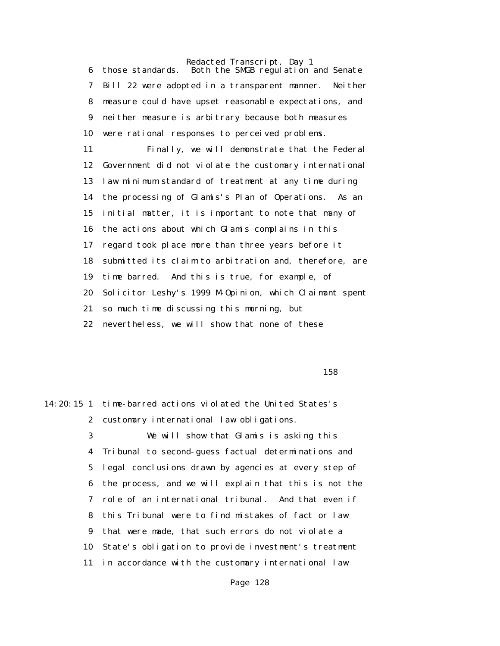Redacted Transcript, Day 1 6 those standards. Both the SMGB regulation and Senate 7 Bill 22 were adopted in a transparent manner. Neither 8 measure could have upset reasonable expectations, and 9 neither measure is arbitrary because both measures 10 were rational responses to perceived problems. 11 Finally, we will demonstrate that the Federal 12 Government did not violate the customary international 13 law minimum standard of treatment at any time during 14 the processing of Glamis's Plan of Operations. As an 15 initial matter, it is important to note that many of 16 the actions about which Glamis complains in this 17 regard took place more than three years before it 18 submitted its claim to arbitration and, therefore, are 19 time barred. And this is true, for example, of 20 Solicitor Leshy's 1999 M-Opinion, which Claimant spent 21 so much time discussing this morning, but 22 nevertheless, we will show that none of these

 $158$ 

|    | 14:20:15 1 time-barred actions violated the United States's |
|----|-------------------------------------------------------------|
| 2  | customary international law obligations.                    |
| 3  | We will show that Glamis is asking this                     |
|    | 4 Tribunal to second-guess factual determinations and       |
|    | 5 legal conclusions drawn by agencies at every step of      |
|    | 6 the process, and we will explain that this is not the     |
|    | 7 role of an international tribunal. And that even if       |
|    | 8 this Tribunal were to find mistakes of fact or law        |
|    | 9 that were made, that such errors do not violate a         |
| 10 | State's obligation to provide investment's treatment        |
|    | 11 in accordance with the customary international law       |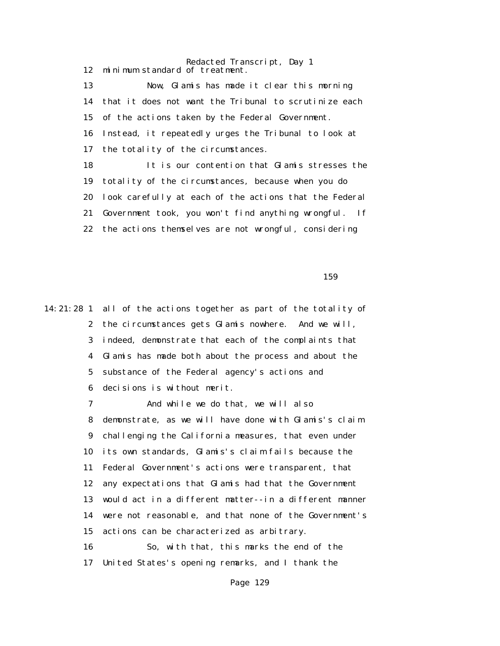Redacted Transcript, Day 1 12 minimum standard of treatment. 13 Now, Glamis has made it clear this morning 14 that it does not want the Tribunal to scrutinize each 15 of the actions taken by the Federal Government. 16 Instead, it repeatedly urges the Tribunal to look at 17 the totality of the circumstances. 18 It is our contention that Glamis stresses the 19 totality of the circumstances, because when you do 20 look carefully at each of the actions that the Federal 21 Government took, you won't find anything wrongful. If 22 the actions themselves are not wrongful, considering

 $159$ 

14:21:28 1 all of the actions together as part of the totality of 2 the circumstances gets Glamis nowhere. And we will, 3 indeed, demonstrate that each of the complaints that 4 Glamis has made both about the process and about the 5 substance of the Federal agency's actions and 6 decisions is without merit. 7 And while we do that, we will also

> 8 demonstrate, as we will have done with Glamis's claim 9 challenging the California measures, that even under 10 its own standards, Glamis's claim fails because the 11 Federal Government's actions were transparent, that 12 any expectations that Glamis had that the Government 13 would act in a different matter--in a different manner 14 were not reasonable, and that none of the Government's 15 actions can be characterized as arbitrary. 16 So, with that, this marks the end of the

17 United States's opening remarks, and I thank the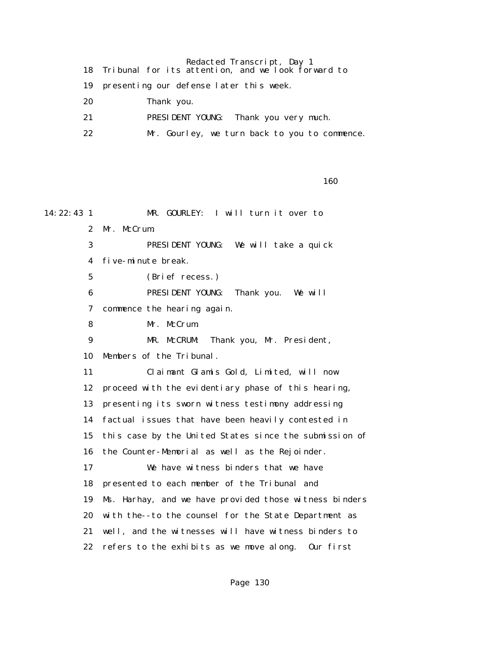|    | 18 Tribunal for its attention, and we look forward to |
|----|-------------------------------------------------------|
|    | 19 presenting our defense later this week.            |
| 20 | Thank you.                                            |
| 21 | PRESIDENT YOUNG: Thank you very much.                 |

- 
- 22 Mr. Gourley, we turn back to you to commence.

 $160$ 

| $14:22:43$ 1 | MR. GOURLEY: I will turn it over to                    |
|--------------|--------------------------------------------------------|
| $\mathbf{2}$ | Mr. McCrum.                                            |
| 3            | PRESIDENT YOUNG: We will take a quick                  |
| 4            | five-minute break.                                     |
| 5            | (Brief recess.)                                        |
| 6            | PRESIDENT YOUNG: Thank you. We will                    |
| 7            | commence the hearing again.                            |
| 8            | Mr. McCrum.                                            |
| 9            | Thank you, Mr. President,<br>MR. McCRUM:               |
| 10           | Members of the Tribunal.                               |
| 11           | Claimant Glamis Gold, Limited, will now                |
| 12           | proceed with the evidentiary phase of this hearing,    |
| 13           | presenting its sworn witness testimony addressing      |
| 14           | factual issues that have been heavily contested in     |
| 15           | this case by the United States since the submission of |
| 16           | the Counter-Memorial as well as the Rejoinder.         |
| 17           | We have witness binders that we have                   |
| 18           | presented to each member of the Tribunal and           |
| 19           | Ms. Harhay, and we have provided those witness binders |
| 20           | with the--to the counsel for the State Department as   |
| 21           | well, and the witnesses will have witness binders to   |
| 22           | refers to the exhibits as we move along.<br>Our first  |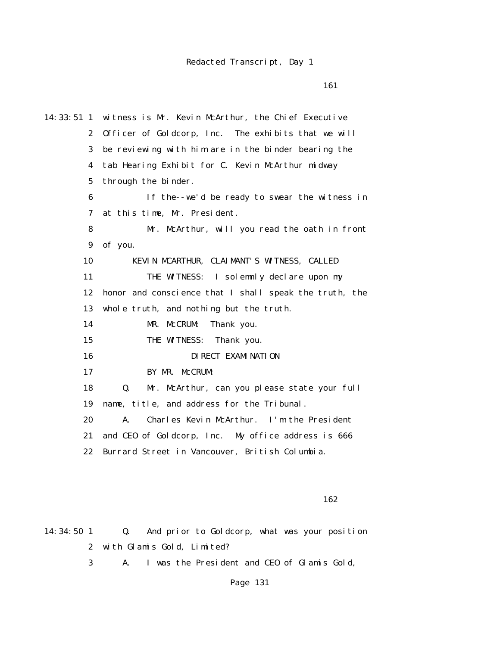161

14:33:51 1 witness is Mr. Kevin McArthur, the Chief Executive 2 Officer of Goldcorp, Inc. The exhibits that we will 3 be reviewing with him are in the binder bearing the 4 tab Hearing Exhibit for C. Kevin McArthur midway 5 through the binder. 6 If the--we'd be ready to swear the witness in 7 at this time, Mr. President. 8 Mr. McArthur, will you read the oath in front 9 of you. 10 KEVIN MCARTHUR, CLAIMANT'S WITNESS, CALLED 11 THE WITNESS: I solemnly declare upon my 12 honor and conscience that I shall speak the truth, the 13 whole truth, and nothing but the truth. 14 MR. McCRUM: Thank you. 15 THE WITNESS: Thank you. 16 **DIRECT EXAMINATION**  17 BY MR. McCRUM: 18 Q. Mr. McArthur, can you please state your full 19 name, title, and address for the Tribunal. 20 A. Charles Kevin McArthur. I'm the President 21 and CEO of Goldcorp, Inc. My office address is 666 22 Burrard Street in Vancouver, British Columbia.

 $162$ 

14:34:50 1 Q. And prior to Goldcorp, what was your position 2 with Glamis Gold, Limited?

3 A. I was the President and CEO of Glamis Gold,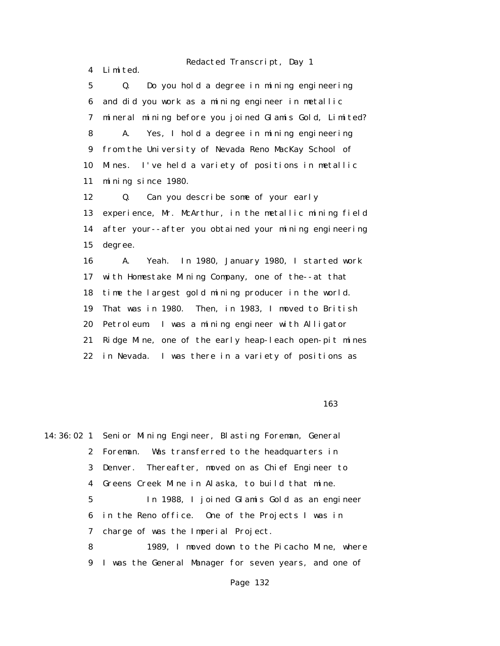4 Limited.

 5 Q. Do you hold a degree in mining engineering 6 and did you work as a mining engineer in metallic 7 mineral mining before you joined Glamis Gold, Limited? 8 A. Yes, I hold a degree in mining engineering 9 from the University of Nevada Reno MacKay School of 10 Mines. I've held a variety of positions in metallic 11 mining since 1980. 12 Q. Can you describe some of your early 13 experience, Mr. McArthur, in the metallic mining field 14 after your--after you obtained your mining engineering 15 degree. 16 A. Yeah. In 1980, January 1980, I started work

 17 with Homestake Mining Company, one of the--at that 18 time the largest gold mining producer in the world. 19 That was in 1980. Then, in 1983, I moved to British 20 Petroleum. I was a mining engineer with Alligator 21 Ridge Mine, one of the early heap-leach open-pit mines 22 in Nevada. I was there in a variety of positions as

 $163$ 

14:36:02 1 Senior Mining Engineer, Blasting Foreman, General 2 Foreman. Was transferred to the headquarters in 3 Denver. Thereafter, moved on as Chief Engineer to 4 Greens Creek Mine in Alaska, to build that mine. 5 In 1988, I joined Glamis Gold as an engineer 6 in the Reno office. One of the Projects I was in 7 charge of was the Imperial Project. 8 1989, I moved down to the Picacho Mine, where 9 I was the General Manager for seven years, and one of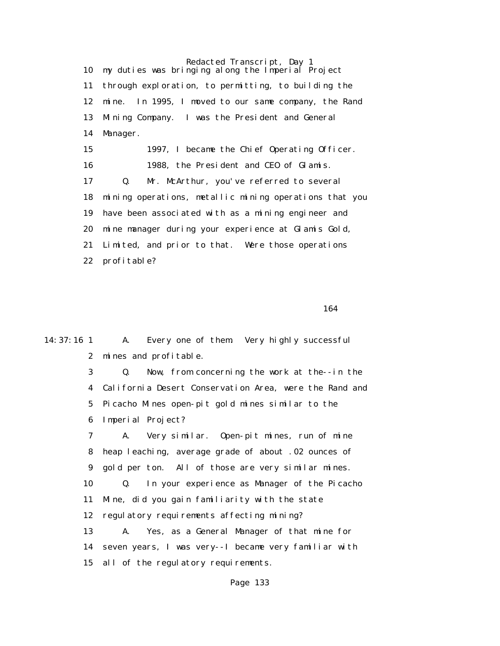Redacted Transcript, Day 1 10 my duties was bringing along the Imperial Project 11 through exploration, to permitting, to building the 12 mine. In 1995, I moved to our same company, the Rand 13 Mining Company. I was the President and General 14 Manager. 15 1997, I became the Chief Operating Officer. 16 1988, the President and CEO of Glamis. 17 Q. Mr. McArthur, you've referred to several 18 mining operations, metallic mining operations that you 19 have been associated with as a mining engineer and 20 mine manager during your experience at Glamis Gold, 21 Limited, and prior to that. Were those operations 22 profitable?

164

14:37:16 1 A. Every one of them. Very highly successful 2 mines and profitable.

 3 Q. Now, from concerning the work at the--in the 4 California Desert Conservation Area, were the Rand and 5 Picacho Mines open-pit gold mines similar to the 6 Imperial Project?

 7 A. Very similar. Open-pit mines, run of mine 8 heap leaching, average grade of about .02 ounces of 9 gold per ton. All of those are very similar mines. 10 Q. In your experience as Manager of the Picacho 11 Mine, did you gain familiarity with the state 12 regulatory requirements affecting mining? 13 A. Yes, as a General Manager of that mine for 14 seven years, I was very--I became very familiar with 15 all of the regulatory requirements.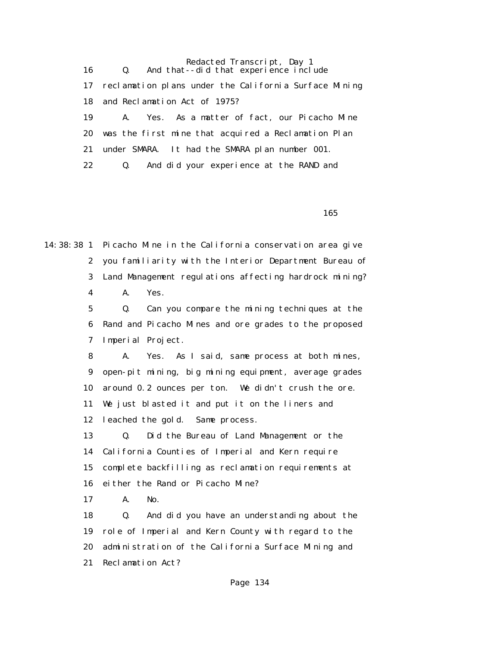Redacted Transcript, Day 1 16 Q. And that--did that experience include 17 reclamation plans under the California Surface Mining 18 and Reclamation Act of 1975? 19 A. Yes. As a matter of fact, our Picacho Mine 20 was the first mine that acquired a Reclamation Plan 21 under SMARA. It had the SMARA plan number 001. 22 Q. And did your experience at the RAND and

 $165$ 

14:38:38 1 Picacho Mine in the California conservation area give 2 you familiarity with the Interior Department Bureau of 3 Land Management regulations affecting hardrock mining? 4 A. Yes.

 5 Q. Can you compare the mining techniques at the 6 Rand and Picacho Mines and ore grades to the proposed 7 Imperial Project.

 8 A. Yes. As I said, same process at both mines, 9 open-pit mining, big mining equipment, average grades 10 around 0.2 ounces per ton. We didn't crush the ore. 11 We just blasted it and put it on the liners and 12 leached the gold. Same process.

 13 Q. Did the Bureau of Land Management or the 14 California Counties of Imperial and Kern require 15 complete backfilling as reclamation requirements at 16 either the Rand or Picacho Mine?

17 A. No.

 18 Q. And did you have an understanding about the 19 role of Imperial and Kern County with regard to the 20 administration of the California Surface Mining and 21 Reclamation Act?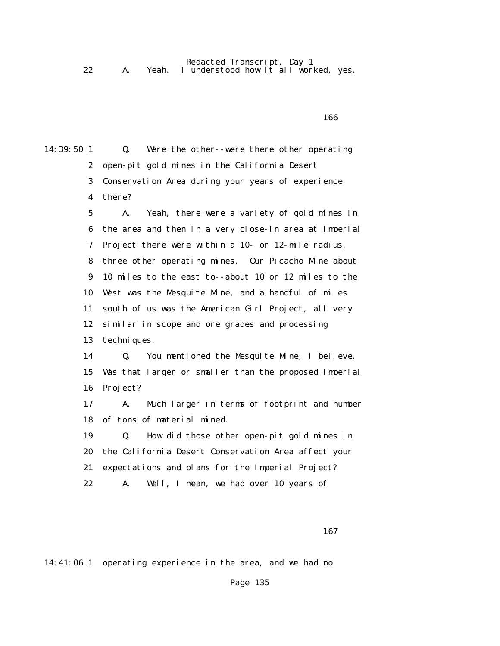Redacted Transcript, Day 1 22 A. Yeah. I understood how it all worked, yes.

 $166$ 

14:39:50 1 Q. Were the other--were there other operating 2 open-pit gold mines in the California Desert 3 Conservation Area during your years of experience 4 there? 5 A. Yeah, there were a variety of gold mines in 6 the area and then in a very close-in area at Imperial 7 Project there were within a 10- or 12-mile radius, 8 three other operating mines. Our Picacho Mine about 9 10 miles to the east to--about 10 or 12 miles to the 10 West was the Mesquite Mine, and a handful of miles 11 south of us was the American Girl Project, all very 12 similar in scope and ore grades and processing 13 techniques. 14 Q. You mentioned the Mesquite Mine, I believe. 15 Was that larger or smaller than the proposed Imperial 16 Project? 17 A. Much larger in terms of footprint and number 18 of tons of material mined. 19 Q. How did those other open-pit gold mines in 20 the California Desert Conservation Area affect your 21 expectations and plans for the Imperial Project? 22 A. Well, I mean, we had over 10 years of

 $167$ 

14:41:06 1 operating experience in the area, and we had no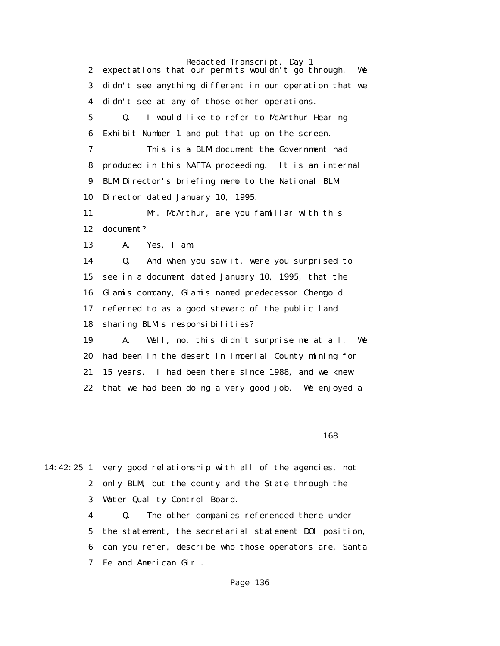Redacted Transcript, Day 1 2 expectations that our permits wouldn't go through. We 3 didn't see anything different in our operation that we 4 didn't see at any of those other operations. 5 Q. I would like to refer to McArthur Hearing 6 Exhibit Number 1 and put that up on the screen. 7 This is a BLM document the Government had 8 produced in this NAFTA proceeding. It is an internal 9 BLM Director's briefing memo to the National BLM 10 Director dated January 10, 1995. 11 Mr. McArthur, are you familiar with this 12 document? 13 A. Yes, I am. 14 Q. And when you saw it, were you surprised to 15 see in a document dated January 10, 1995, that the 16 Glamis company, Glamis named predecessor Chemgold 17 referred to as a good steward of the public land 18 sharing BLM's responsibilities? 19 A. Well, no, this didn't surprise me at all. We 20 had been in the desert in Imperial County mining for 21 15 years. I had been there since 1988, and we knew 22 that we had been doing a very good job. We enjoyed a

 $168$ 

14:42:25 1 very good relationship with all of the agencies, not 2 only BLM, but the county and the State through the 3 Water Quality Control Board. 4 Q. The other companies referenced there under

 5 the statement, the secretarial statement DOI position, 6 can you refer, describe who those operators are, Santa 7 Fe and American Girl.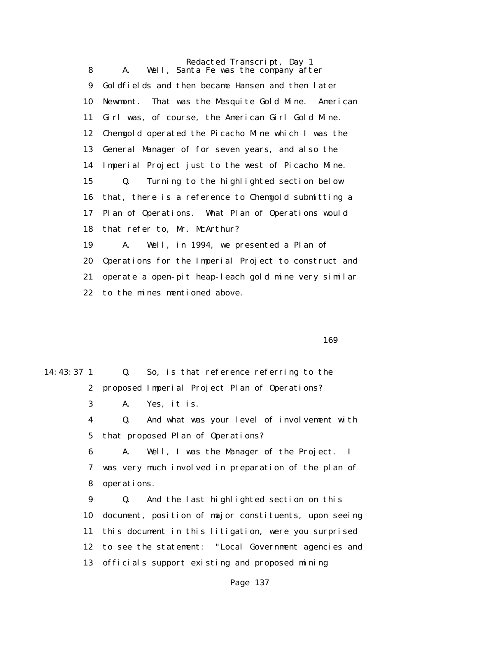Redacted Transcript, Day 1 8 A. Well, Santa Fe was the company after 9 Goldfields and then became Hansen and then later 10 Newmont. That was the Mesquite Gold Mine. American 11 Girl was, of course, the American Girl Gold Mine. 12 Chemgold operated the Picacho Mine which I was the 13 General Manager of for seven years, and also the 14 Imperial Project just to the west of Picacho Mine. 15 Q. Turning to the highlighted section below 16 that, there is a reference to Chemgold submitting a 17 Plan of Operations. What Plan of Operations would 18 that refer to, Mr. McArthur? 19 A. Well, in 1994, we presented a Plan of

 20 Operations for the Imperial Project to construct and 21 operate a open-pit heap-leach gold mine very similar 22 to the mines mentioned above.

 $169$ 

| 14: 43: 37 1 |    | So, is that reference referring to the<br>$\mathbf{Q}$        |
|--------------|----|---------------------------------------------------------------|
|              |    | 2 proposed Imperial Project Plan of Operations?               |
|              | 3  | A. Yes, it is.                                                |
|              | 4  | And what was your level of involvement with<br>$\mathbf{Q}$ . |
|              |    | 5 that proposed Plan of Operations?                           |
|              | 6  | Well, I was the Manager of the Project. I<br>A.               |
|              |    | 7 was very much involved in preparation of the plan of        |
|              |    | 8 operations.                                                 |
|              | 9  | And the last highlighted section on this<br>$Q_{\rm{L}}$      |
|              |    | 10 document, position of major constituents, upon seeing      |
|              | 11 | this document in this litigation, were you surprised          |
|              |    | 12 to see the statement: "Local Government agencies and       |
|              |    | 13 officials support existing and proposed mining             |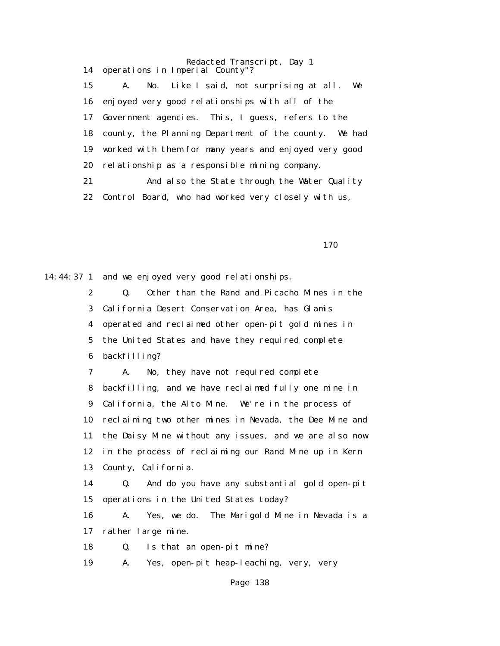Redacted Transcript, Day 1 14 operations in Imperial County"? 15 A. No. Like I said, not surprising at all. We 16 enjoyed very good relationships with all of the 17 Government agencies. This, I guess, refers to the 18 county, the Planning Department of the county. We had 19 worked with them for many years and enjoyed very good 20 relationship as a responsible mining company. 21 And also the State through the Water Quality 22 Control Board, who had worked very closely with us,

170

14:44:37 1 and we enjoyed very good relationships.

 2 Q. Other than the Rand and Picacho Mines in the 3 California Desert Conservation Area, has Glamis 4 operated and reclaimed other open-pit gold mines in 5 the United States and have they required complete 6 backfilling?

 7 A. No, they have not required complete 8 backfilling, and we have reclaimed fully one mine in 9 California, the Alto Mine. We're in the process of 10 reclaiming two other mines in Nevada, the Dee Mine and 11 the Daisy Mine without any issues, and we are also now 12 in the process of reclaiming our Rand Mine up in Kern 13 County, California.

 14 Q. And do you have any substantial gold open-pit 15 operations in the United States today?

 16 A. Yes, we do. The Marigold Mine in Nevada is a 17 rather large mine.

18 Q. Is that an open-pit mine?

19 A. Yes, open-pit heap-leaching, very, very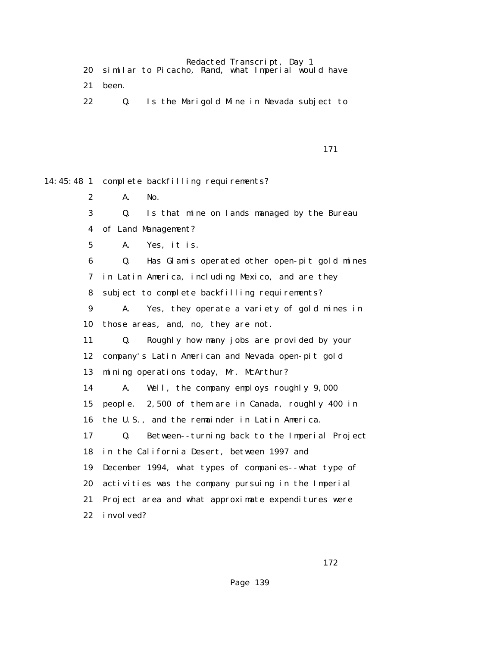|  |  |  | 20 similar to Picacho, Rand, what Imperial would have |  |  |  |  |  |
|--|--|--|-------------------------------------------------------|--|--|--|--|--|
|--|--|--|-------------------------------------------------------|--|--|--|--|--|

- 21 been.
- 22 Q. Is the Marigold Mine in Nevada subject to

| 171<br>the contract of the contract of the contract of |  |
|--------------------------------------------------------|--|
|                                                        |  |

14:45:48 1 complete backfilling requirements? 2 A. No. 3 Q. Is that mine on lands managed by the Bureau 4 of Land Management? 5 A. Yes, it is. 6 Q. Has Glamis operated other open-pit gold mines 7 in Latin America, including Mexico, and are they 8 subject to complete backfilling requirements? 9 A. Yes, they operate a variety of gold mines in 10 those areas, and, no, they are not. 11 Q. Roughly how many jobs are provided by your 12 company's Latin American and Nevada open-pit gold 13 mining operations today, Mr. McArthur? 14 A. Well, the company employs roughly 9,000 15 people. 2,500 of them are in Canada, roughly 400 in 16 the U.S., and the remainder in Latin America. 17 Q. Between--turning back to the Imperial Project 18 in the California Desert, between 1997 and 19 December 1994, what types of companies--what type of 20 activities was the company pursuing in the Imperial 21 Project area and what approximate expenditures were 22 involved?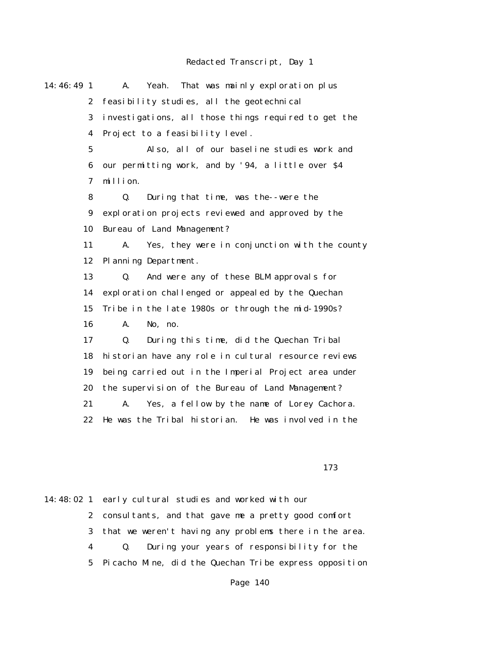| 14:46:49 1       | That was mainly exploration plus<br>Yeah.<br>A.      |
|------------------|------------------------------------------------------|
| $\mathbf{2}$     | feasibility studies, all the geotechnical            |
| 3                | investigations, all those things required to get the |
| $\boldsymbol{4}$ | Project to a feasibility level.                      |
| $\overline{5}$   | Also, all of our baseline studies work and           |
| 6                | our permitting work, and by '94, a little over \$4   |
| 7                | million.                                             |
| 8                | During that time, was the--were the<br>Q.            |
| 9                | exploration projects reviewed and approved by the    |
| 10               | Bureau of Land Management?                           |
| 11               | Yes, they were in conjunction with the county<br>A.  |
| 12               | Planning Department.                                 |
| 13               | And were any of these BLM approvals for<br>Q.        |
| 14               | exploration challenged or appealed by the Quechan    |
| 15               | Tribe in the late 1980s or through the mid-1990s?    |
| 16               | A.<br>No, no.                                        |
| 17               | During this time, did the Quechan Tribal<br>Q.       |
| 18               | historian have any role in cultural resource reviews |
| 19               | being carried out in the Imperial Project area under |
| 20               | the supervision of the Bureau of Land Management?    |
| 21               | Yes, a fellow by the name of Lorey Cachora.<br>A.    |
| 22               | He was the Tribal historian. He was involved in the  |
|                  |                                                      |
|                  |                                                      |

173

14:48:02 1 early cultural studies and worked with our 2 consultants, and that gave me a pretty good comfort 3 that we weren't having any problems there in the area. 4 Q. During your years of responsibility for the 5 Picacho Mine, did the Quechan Tribe express opposition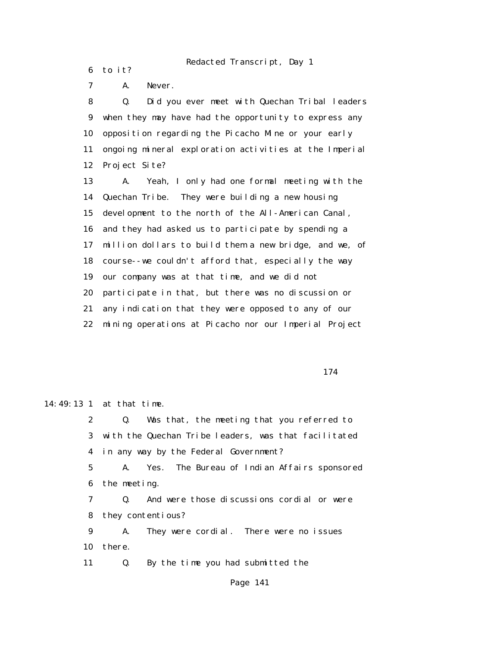6 to it?

7 A. Never.

 8 Q. Did you ever meet with Quechan Tribal leaders 9 when they may have had the opportunity to express any 10 opposition regarding the Picacho Mine or your early 11 ongoing mineral exploration activities at the Imperial 12 Project Site?

 13 A. Yeah, I only had one formal meeting with the 14 Quechan Tribe. They were building a new housing 15 development to the north of the All-American Canal, 16 and they had asked us to participate by spending a 17 million dollars to build them a new bridge, and we, of 18 course--we couldn't afford that, especially the way 19 our company was at that time, and we did not 20 participate in that, but there was no discussion or 21 any indication that they were opposed to any of our 22 mining operations at Picacho nor our Imperial Project

174

14:49:13 1 at that time.

 2 Q. Was that, the meeting that you referred to 3 with the Quechan Tribe leaders, was that facilitated 4 in any way by the Federal Government? 5 A. Yes. The Bureau of Indian Affairs sponsored

6 the meeting.

 7 Q. And were those discussions cordial or were 8 they contentious?

 9 A. They were cordial. There were no issues 10 there.

11 Q. By the time you had submitted the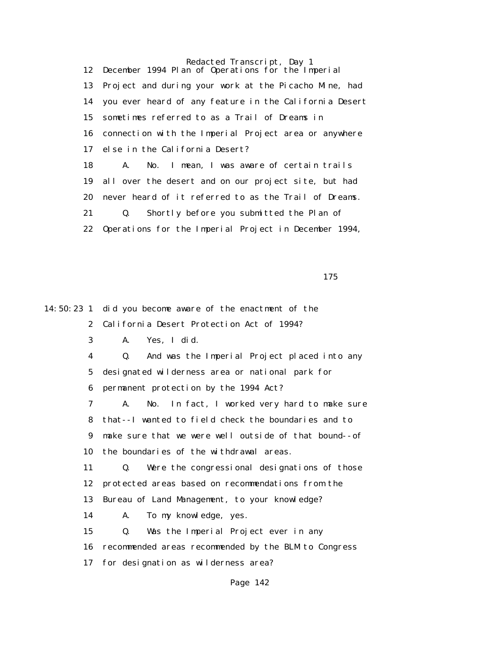Redacted Transcript, Day 1 12 December 1994 Plan of Operations for the Imperial 13 Project and during your work at the Picacho Mine, had 14 you ever heard of any feature in the California Desert 15 sometimes referred to as a Trail of Dreams in 16 connection with the Imperial Project area or anywhere 17 else in the California Desert? 18 A. No. I mean, I was aware of certain trails 19 all over the desert and on our project site, but had 20 never heard of it referred to as the Trail of Dreams. 21 Q. Shortly before you submitted the Plan of 22 Operations for the Imperial Project in December 1994,

<u>175</u>

14:50:23 1 did you become aware of the enactment of the 2 California Desert Protection Act of 1994? 3 A. Yes, I did. 4 Q. And was the Imperial Project placed into any 5 designated wilderness area or national park for 6 permanent protection by the 1994 Act? 7 A. No. In fact, I worked very hard to make sure 8 that--I wanted to field check the boundaries and to 9 make sure that we were well outside of that bound--of 10 the boundaries of the withdrawal areas. 11 Q. Were the congressional designations of those 12 protected areas based on recommendations from the 13 Bureau of Land Management, to your knowledge? 14 A. To my knowledge, yes. 15 Q. Was the Imperial Project ever in any 16 recommended areas recommended by the BLM to Congress 17 for designation as wilderness area?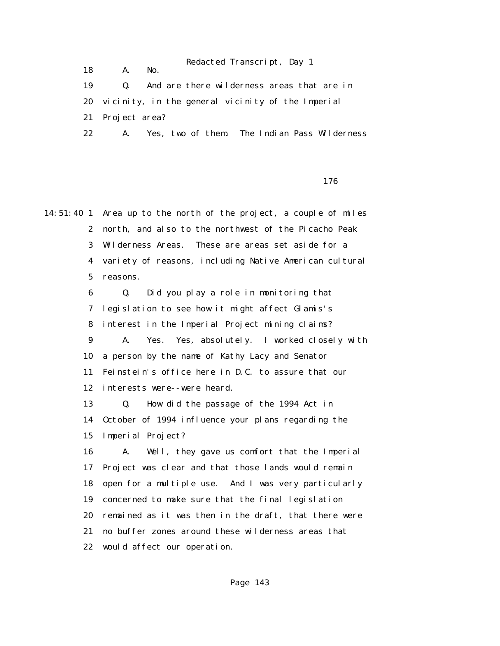18 A. No.

 19 Q. And are there wilderness areas that are in 20 vicinity, in the general vicinity of the Imperial 21 Project area?

22 A. Yes, two of them. The Indian Pass Wilderness

176

14:51:40 1 Area up to the north of the project, a couple of miles 2 north, and also to the northwest of the Picacho Peak 3 Wilderness Areas. These are areas set aside for a 4 variety of reasons, including Native American cultural 5 reasons. 6 Q. Did you play a role in monitoring that

 7 legislation to see how it might affect Glamis's 8 interest in the Imperial Project mining claims? 9 A. Yes. Yes, absolutely. I worked closely with 10 a person by the name of Kathy Lacy and Senator 11 Feinstein's office here in D.C. to assure that our

12 interests were--were heard.

 13 Q. How did the passage of the 1994 Act in 14 October of 1994 influence your plans regarding the 15 Imperial Project?

 16 A. Well, they gave us comfort that the Imperial 17 Project was clear and that those lands would remain 18 open for a multiple use. And I was very particularly 19 concerned to make sure that the final legislation 20 remained as it was then in the draft, that there were 21 no buffer zones around these wilderness areas that 22 would affect our operation.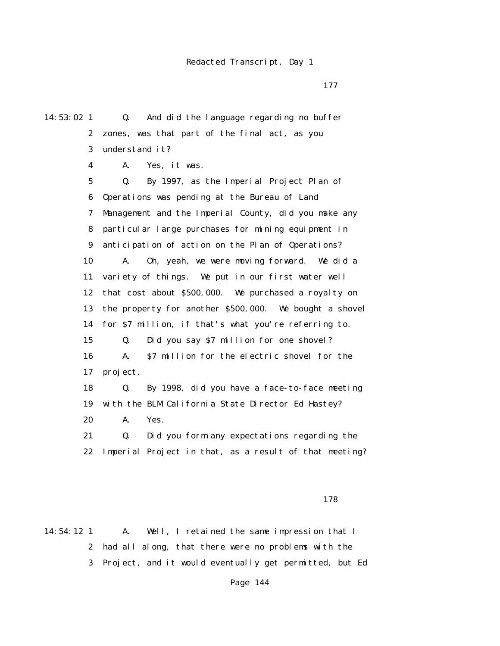177

14:53:02 1 Q. And did the language regarding no buffer 2 zones, was that part of the final act, as you 3 understand it? 4 A. Yes, it was. 5 Q. By 1997, as the Imperial Project Plan of 6 Operations was pending at the Bureau of Land 7 Management and the Imperial County, did you make any 8 particular large purchases for mining equipment in 9 anticipation of action on the Plan of Operations? 10 A. Oh, yeah, we were moving forward. We did a 11 variety of things. We put in our first water well 12 that cost about \$500,000. We purchased a royalty on 13 the property for another \$500,000. We bought a shovel 14 for \$7 million, if that's what you're referring to. 15 Q. Did you say \$7 million for one shovel? 16 A. \$7 million for the electric shovel for the 17 project. 18 Q. By 1998, did you have a face-to-face meeting 19 with the BLM California State Director Ed Hastey? 20 A. Yes. 21 Q. Did you form any expectations regarding the 22 Imperial Project in that, as a result of that meeting?

178

14:54:12 1 A. Well, I retained the same impression that I 2 had all along, that there were no problems with the 3 Project, and it would eventually get permitted, but Ed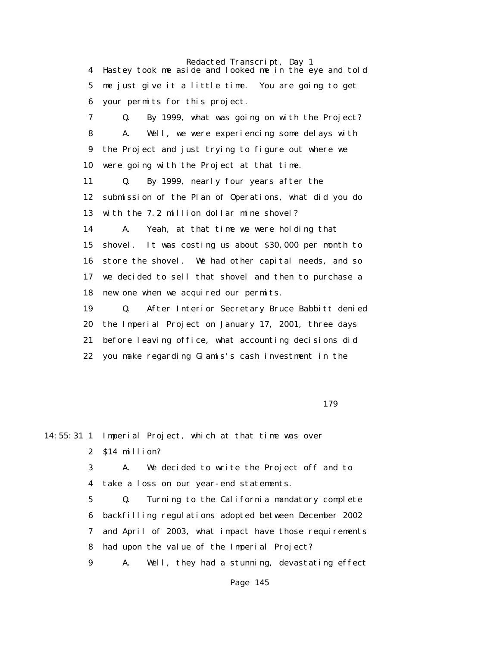Redacted Transcript, Day 1 4 Hastey took me aside and looked me in the eye and told 5 me just give it a little time. You are going to get 6 your permits for this project. 7 Q. By 1999, what was going on with the Project? 8 A. Well, we were experiencing some delays with 9 the Project and just trying to figure out where we 10 were going with the Project at that time. 11 Q. By 1999, nearly four years after the 12 submission of the Plan of Operations, what did you do 13 with the 7.2 million dollar mine shovel? 14 A. Yeah, at that time we were holding that 15 shovel. It was costing us about \$30,000 per month to 16 store the shovel. We had other capital needs, and so 17 we decided to sell that shovel and then to purchase a 18 new one when we acquired our permits. 19 Q. After Interior Secretary Bruce Babbitt denied 20 the Imperial Project on January 17, 2001, three days 21 before leaving office, what accounting decisions did 22 you make regarding Glamis's cash investment in the

179

14:55:31 1 Imperial Project, which at that time was over 2 \$14 million? 3 A. We decided to write the Project off and to

4 take a loss on our year-end statements.

 5 Q. Turning to the California mandatory complete 6 backfilling regulations adopted between December 2002 7 and April of 2003, what impact have those requirements 8 had upon the value of the Imperial Project?

9 A. Well, they had a stunning, devastating effect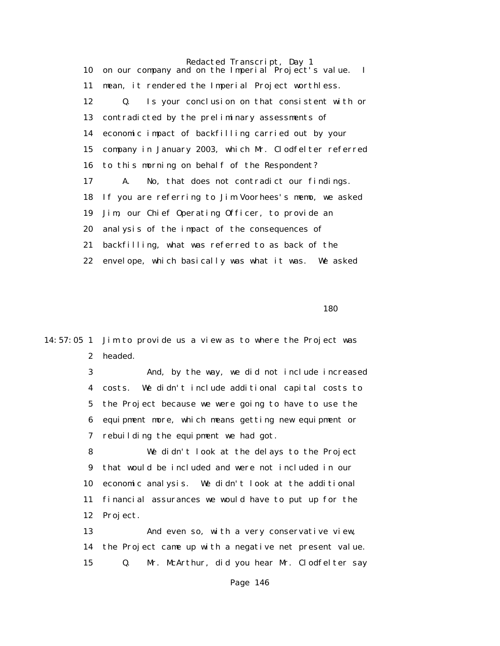Redacted Transcript, Day 1 10 on our company and on the Imperial Project's value. I 11 mean, it rendered the Imperial Project worthless. 12 Q. Is your conclusion on that consistent with or 13 contradicted by the preliminary assessments of 14 economic impact of backfilling carried out by your 15 company in January 2003, which Mr. Clodfelter referred 16 to this morning on behalf of the Respondent? 17 A. No, that does not contradict our findings. 18 If you are referring to Jim Voorhees's memo, we asked 19 Jim, our Chief Operating Officer, to provide an 20 analysis of the impact of the consequences of 21 backfilling, what was referred to as back of the 22 envelope, which basically was what it was. We asked

 $180$ 

14:57:05 1 Jim to provide us a view as to where the Project was 2 headed.

> 3 And, by the way, we did not include increased 4 costs. We didn't include additional capital costs to 5 the Project because we were going to have to use the 6 equipment more, which means getting new equipment or 7 rebuilding the equipment we had got.

 8 We didn't look at the delays to the Project 9 that would be included and were not included in our 10 economic analysis. We didn't look at the additional 11 financial assurances we would have to put up for the 12 Project.

 13 And even so, with a very conservative view, 14 the Project came up with a negative net present value. 15 Q. Mr. McArthur, did you hear Mr. Clodfelter say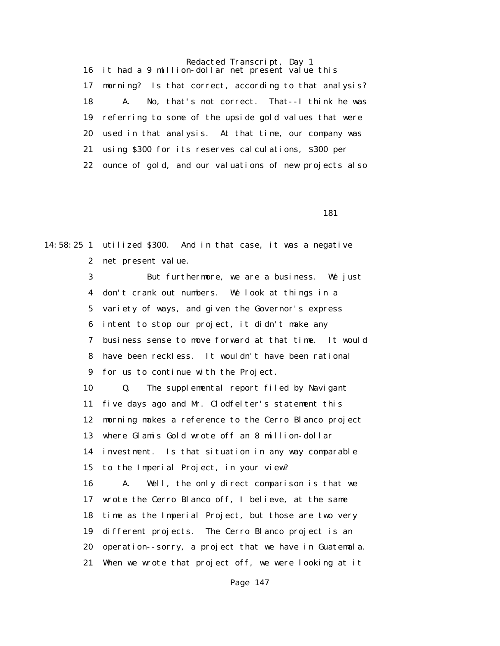Redacted Transcript, Day 1 16 it had a 9 million-dollar net present value this 17 morning? Is that correct, according to that analysis? 18 A. No, that's not correct. That--I think he was 19 referring to some of the upside gold values that were 20 used in that analysis. At that time, our company was 21 using \$300 for its reserves calculations, \$300 per 22 ounce of gold, and our valuations of new projects also

181

14:58:25 1 utilized \$300. And in that case, it was a negative 2 net present value. 3 But furthermore, we are a business. We just 4 don't crank out numbers. We look at things in a 5 variety of ways, and given the Governor's express 6 intent to stop our project, it didn't make any 7 business sense to move forward at that time. It would 8 have been reckless. It wouldn't have been rational 9 for us to continue with the Project. 10 Q. The supplemental report filed by Navigant 11 five days ago and Mr. Clodfelter's statement this 12 morning makes a reference to the Cerro Blanco project 13 where Glamis Gold wrote off an 8 million-dollar 14 investment. Is that situation in any way comparable 15 to the Imperial Project, in your view?

> 16 A. Well, the only direct comparison is that we 17 wrote the Cerro Blanco off, I believe, at the same 18 time as the Imperial Project, but those are two very 19 different projects. The Cerro Blanco project is an 20 operation--sorry, a project that we have in Guatemala. 21 When we wrote that project off, we were looking at it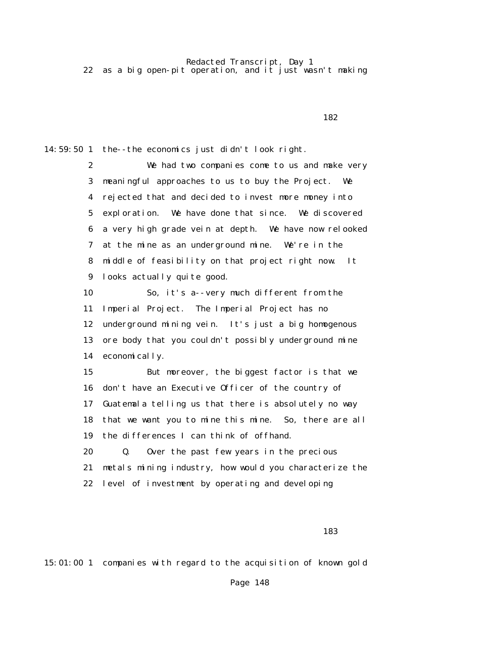Redacted Transcript, Day 1 22 as a big open-pit operation, and it just wasn't making

 $182$ 

14:59:50 1 the--the economics just didn't look right.

 2 We had two companies come to us and make very 3 meaningful approaches to us to buy the Project. We 4 rejected that and decided to invest more money into 5 exploration. We have done that since. We discovered 6 a very high grade vein at depth. We have now relooked 7 at the mine as an underground mine. We're in the 8 middle of feasibility on that project right now. It 9 looks actually quite good. 10 So, it's a--very much different from the 11 Imperial Project. The Imperial Project has no 12 underground mining vein. It's just a big homogenous 13 ore body that you couldn't possibly underground mine 14 economically. 15 But moreover, the biggest factor is that we 16 don't have an Executive Officer of the country of 17 Guatemala telling us that there is absolutely no way 18 that we want you to mine this mine. So, there are all 19 the differences I can think of offhand. 20 Q. Over the past few years in the precious 21 metals mining industry, how would you characterize the

 $183$ 

15:01:00 1 companies with regard to the acquisition of known gold

22 level of investment by operating and developing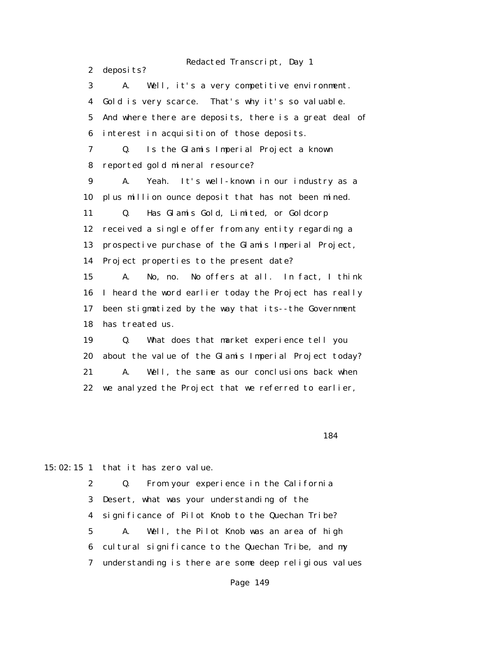Redacted Transcript, Day 1 2 deposits? 3 A. Well, it's a very competitive environment. 4 Gold is very scarce. That's why it's so valuable. 5 And where there are deposits, there is a great deal of 6 interest in acquisition of those deposits. 7 Q. Is the Glamis Imperial Project a known 8 reported gold mineral resource? 9 A. Yeah. It's well-known in our industry as a 10 plus million ounce deposit that has not been mined. 11 Q. Has Glamis Gold, Limited, or Goldcorp 12 received a single offer from any entity regarding a 13 prospective purchase of the Glamis Imperial Project, 14 Project properties to the present date? 15 A. No, no. No offers at all. In fact, I think 16 I heard the word earlier today the Project has really 17 been stigmatized by the way that its--the Government 18 has treated us. 19 Q. What does that market experience tell you 20 about the value of the Glamis Imperial Project today? 21 A. Well, the same as our conclusions back when

22 we analyzed the Project that we referred to earlier,

184

15:02:15 1 that it has zero value.

 2 Q. From your experience in the California 3 Desert, what was your understanding of the 4 significance of Pilot Knob to the Quechan Tribe? 5 A. Well, the Pilot Knob was an area of high 6 cultural significance to the Quechan Tribe, and my 7 understanding is there are some deep religious values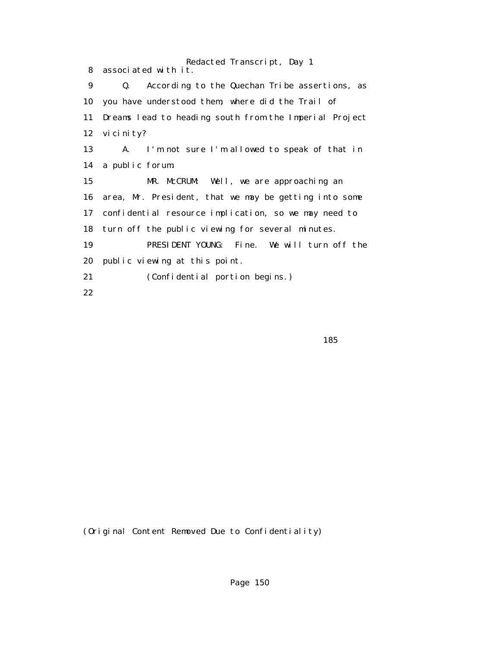Redacted Transcript, Day 1 8 associated with it. 9 Q. According to the Quechan Tribe assertions, as 10 you have understood them, where did the Trail of 11 Dreams lead to heading south from the Imperial Project 12 vicinity? 13 A. I'm not sure I'm allowed to speak of that in 14 a public forum. 15 MR. McCRUM: Well, we are approaching an 16 area, Mr. President, that we may be getting into some 17 confidential resource implication, so we may need to 18 turn off the public viewing for several minutes. 19 PRESIDENT YOUNG: Fine. We will turn off the 20 public viewing at this point. 21 (Confidential portion begins.) 22

 $185$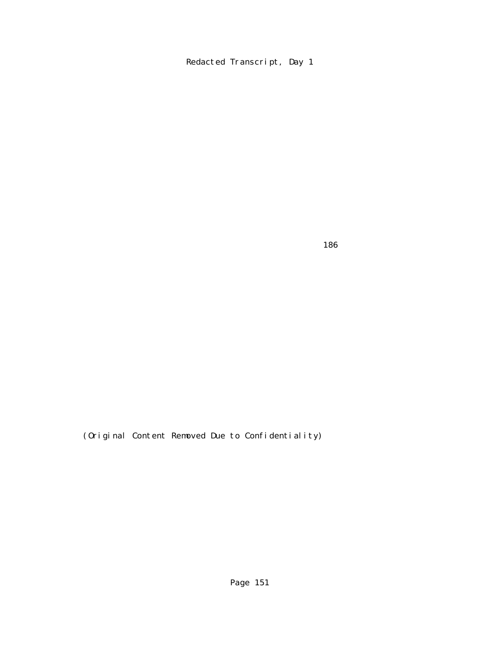$186$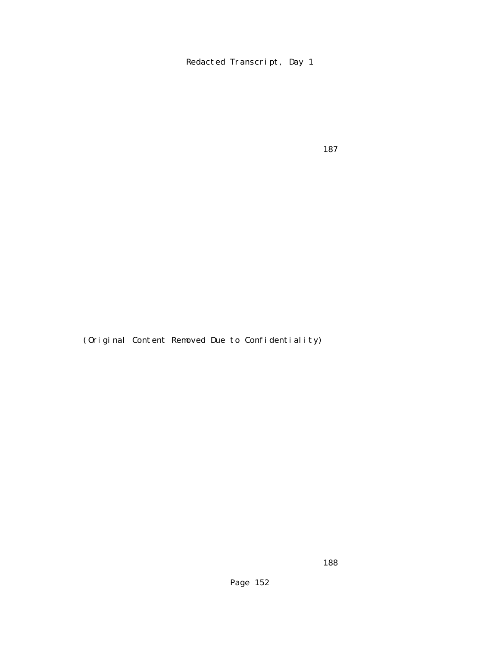187 – 187 – 187 – 187 – 187 – 187 – 187 – 187 – 187 – 187 – 187 – 187 – 187 – 187 – 187 – 187 – 187 – 187 – 1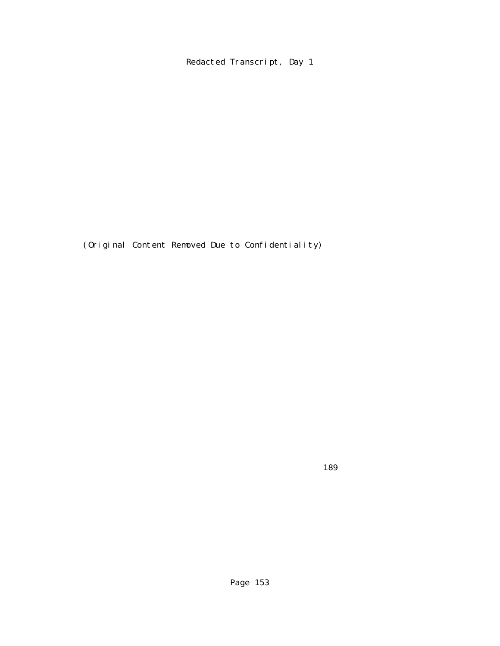(Original Content Removed Due to Confidentiality)

 $189$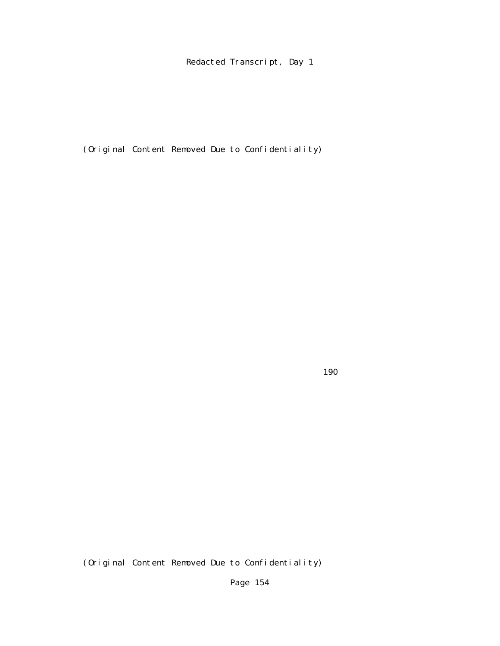(Original Content Removed Due to Confidentiality)

 $190$ 

(Original Content Removed Due to Confidentiality)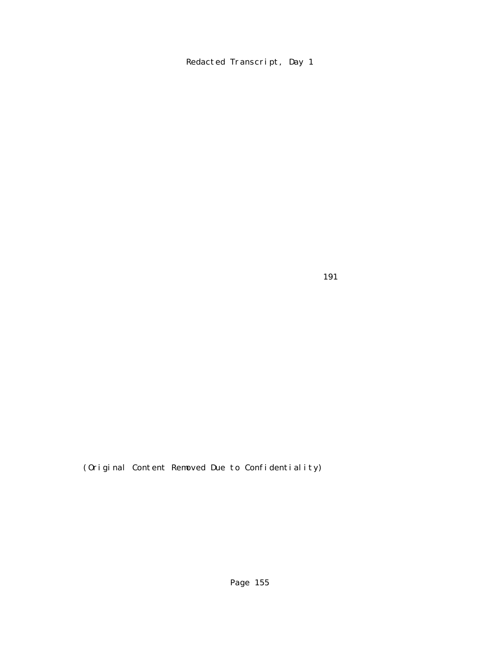191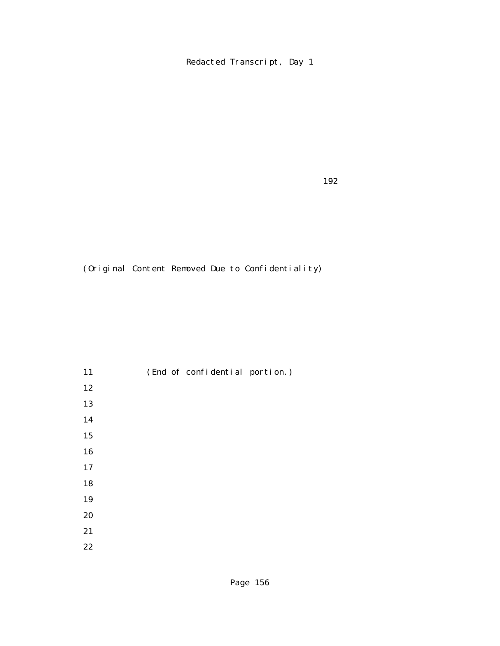(Original Content Removed Due to Confidentiality)

 11 (End of confidential portion.)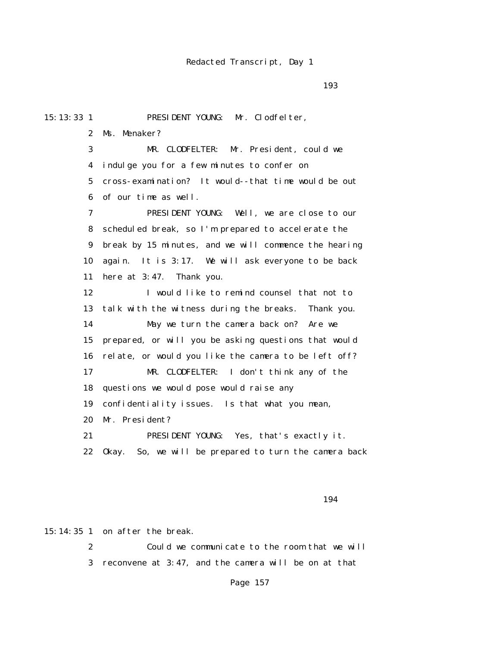$193$ 

15:13:33 1 PRESIDENT YOUNG: Mr. Clodfelter, 2 Ms. Menaker? 3 MR. CLODFELTER: Mr. President, could we 4 indulge you for a few minutes to confer on 5 cross-examination? It would--that time would be out 6 of our time as well. 7 PRESIDENT YOUNG: Well, we are close to our 8 scheduled break, so I'm prepared to accelerate the 9 break by 15 minutes, and we will commence the hearing 10 again. It is 3:17. We will ask everyone to be back 11 here at 3:47. Thank you. 12 I would like to remind counsel that not to 13 talk with the witness during the breaks. Thank you. 14 May we turn the camera back on? Are we 15 prepared, or will you be asking questions that would 16 relate, or would you like the camera to be left off? 17 MR. CLODFELTER: I don't think any of the 18 questions we would pose would raise any 19 confidentiality issues. Is that what you mean, 20 Mr. President? 21 PRESIDENT YOUNG: Yes, that's exactly it. 22 Okay. So, we will be prepared to turn the camera back

194

15:14:35 1 on after the break.

 2 Could we communicate to the room that we will 3 reconvene at 3:47, and the camera will be on at that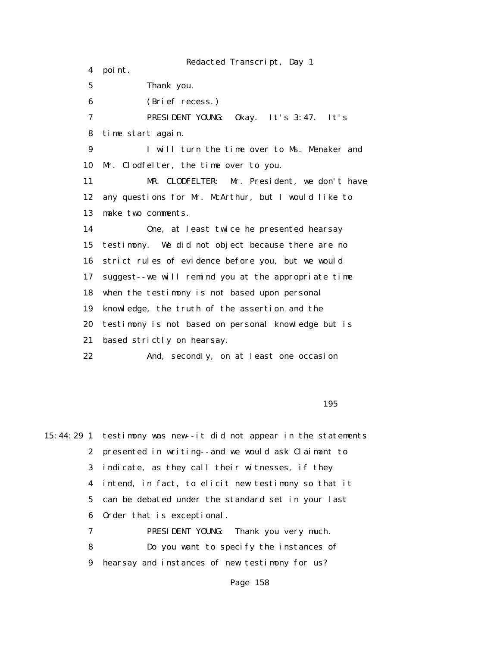Redacted Transcript, Day 1 4 point. 5 Thank you. 6 (Brief recess.) 7 PRESIDENT YOUNG: Okay. It's 3:47. It's 8 time start again. 9 I will turn the time over to Ms. Menaker and 10 Mr. Clodfelter, the time over to you. 11 MR. CLODFELTER: Mr. President, we don't have 12 any questions for Mr. McArthur, but I would like to 13 make two comments. 14 One, at least twice he presented hearsay 15 testimony. We did not object because there are no 16 strict rules of evidence before you, but we would 17 suggest--we will remind you at the appropriate time 18 when the testimony is not based upon personal 19 knowledge, the truth of the assertion and the 20 testimony is not based on personal knowledge but is 21 based strictly on hearsay. 22 And, secondly, on at least one occasion

 $195$ 

15:44:29 1 testimony was new--it did not appear in the statements 2 presented in writing--and we would ask Claimant to 3 indicate, as they call their witnesses, if they 4 intend, in fact, to elicit new testimony so that it 5 can be debated under the standard set in your last 6 Order that is exceptional. 7 PRESIDENT YOUNG: Thank you very much. 8 Do you want to specify the instances of 9 hearsay and instances of new testimony for us?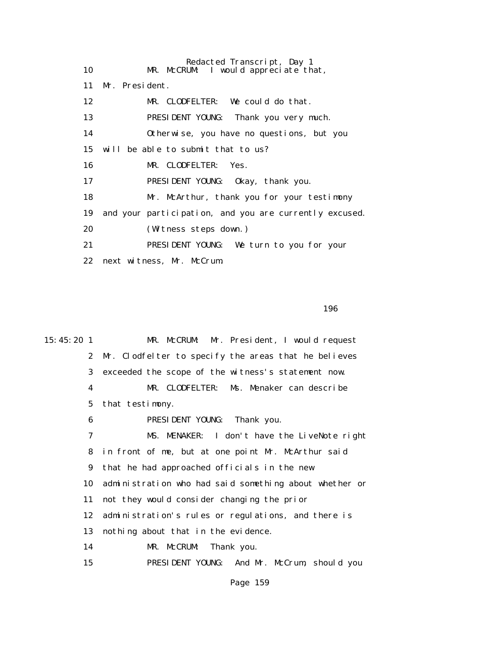Redacted Transcript, Day 1 10 MR. McCRUM: I would appreciate that, 11 Mr. President. 12 MR. CLODFELTER: We could do that. 13 PRESIDENT YOUNG: Thank you very much. 14 Otherwise, you have no questions, but you 15 will be able to submit that to us? 16 MR. CLODFELTER: Yes. 17 PRESIDENT YOUNG: Okay, thank you. 18 Mr. McArthur, thank you for your testimony 19 and your participation, and you are currently excused. 20 (Witness steps down.) 21 PRESIDENT YOUNG: We turn to you for your 22 next witness, Mr. McCrum.

 $196$ 

| 15:45:20 1              | MR. McCRUM: Mr. President, I would request             |
|-------------------------|--------------------------------------------------------|
| $\boldsymbol{2}$        | Mr. Clodfelter to specify the areas that he believes   |
| 3                       | exceeded the scope of the witness's statement now.     |
| $\overline{\mathbf{4}}$ | MR. CLODFELTER: Ms. Menaker can describe               |
| 5                       | that testimony.                                        |
| 6                       | PRESIDENT YOUNG:<br>Thank you.                         |
| 7                       | MS. MENAKER: I don't have the LiveNote right           |
| 8                       | in front of me, but at one point Mr. McArthur said     |
| 9                       | that he had approached officials in the new            |
| 10                      | administration who had said something about whether or |
| 11                      | not they would consider changing the prior             |
| 12                      | administration's rules or regulations, and there is    |
| 13                      | nothing about that in the evidence.                    |
| 14                      | MR. McCRUM:<br>Thank you.                              |
| 15                      | PRESIDENT YOUNG: And Mr. McCrum, should you            |
|                         |                                                        |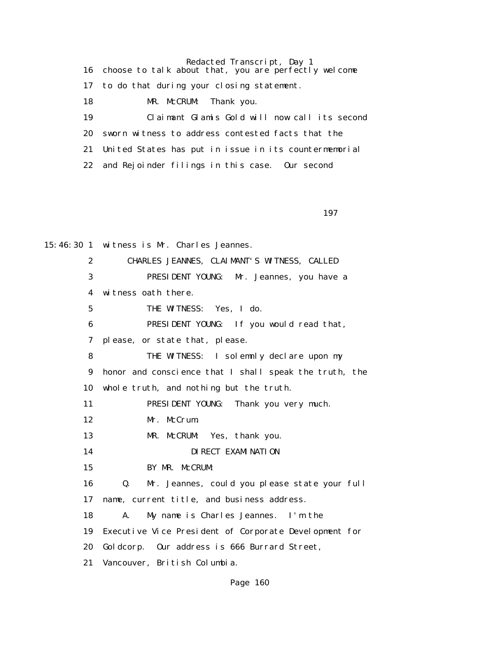Redacted Transcript, Day 1 16 choose to talk about that, you are perfectly welcome 17 to do that during your closing statement. 18 MR. McCRUM: Thank you. 19 Claimant Glamis Gold will now call its second 20 sworn witness to address contested facts that the 21 United States has put in issue in its countermemorial 22 and Rejoinder filings in this case. Our second

 $197$ 

15:46:30 1 witness is Mr. Charles Jeannes. 2 CHARLES JEANNES, CLAIMANT'S WITNESS, CALLED 3 PRESIDENT YOUNG: Mr. Jeannes, you have a 4 witness oath there. 5 THE WITNESS: Yes, I do. 6 PRESIDENT YOUNG: If you would read that, 7 please, or state that, please. 8 THE WITNESS: I solemnly declare upon my 9 honor and conscience that I shall speak the truth, the 10 whole truth, and nothing but the truth. 11 PRESIDENT YOUNG: Thank you very much. 12 Mr. McCrum. 13 MR. McCRUM: Yes, thank you. 14 **DIRECT EXAMINATION**  15 BY MR. McCRUM: 16 Q. Mr. Jeannes, could you please state your full 17 name, current title, and business address. 18 A. My name is Charles Jeannes. I'm the 19 Executive Vice President of Corporate Development for 20 Goldcorp. Our address is 666 Burrard Street, 21 Vancouver, British Columbia.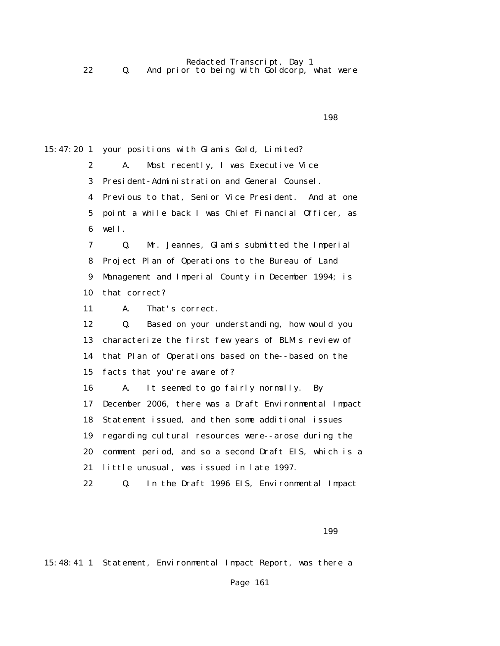Redacted Transcript, Day 1 22 Q. And prior to being with Goldcorp, what were

15:47:20 1 your positions with Glamis Gold, Limited? 2 A. Most recently, I was Executive Vice 3 President-Administration and General Counsel. 4 Previous to that, Senior Vice President. And at one 5 point a while back I was Chief Financial Officer, as 6 well. 7 Q. Mr. Jeannes, Glamis submitted the Imperial 8 Project Plan of Operations to the Bureau of Land 9 Management and Imperial County in December 1994; is 10 that correct? 11 A. That's correct. 12 Q. Based on your understanding, how would you 13 characterize the first few years of BLM's review of 14 that Plan of Operations based on the--based on the 15 facts that you're aware of? 16 A. It seemed to go fairly normally. By 17 December 2006, there was a Draft Environmental Impact 18 Statement issued, and then some additional issues 19 regarding cultural resources were--arose during the 20 comment period, and so a second Draft EIS, which is a 21 little unusual, was issued in late 1997. 22 Q. In the Draft 1996 EIS, Environmental Impact

 $198$ 

 $199$ 

15:48:41 1 Statement, Environmental Impact Report, was there a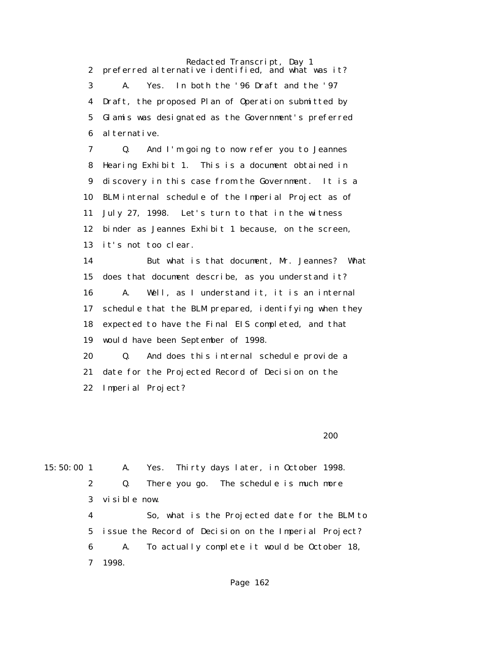2 preferred alternative identified, and what was it? 3 A. Yes. In both the '96 Draft and the '97 4 Draft, the proposed Plan of Operation submitted by 5 Glamis was designated as the Government's preferred 6 alternative.

> 7 Q. And I'm going to now refer you to Jeannes 8 Hearing Exhibit 1. This is a document obtained in 9 discovery in this case from the Government. It is a 10 BLM internal schedule of the Imperial Project as of 11 July 27, 1998. Let's turn to that in the witness 12 binder as Jeannes Exhibit 1 because, on the screen, 13 it's not too clear.

 14 But what is that document, Mr. Jeannes? What 15 does that document describe, as you understand it? 16 A. Well, as I understand it, it is an internal 17 schedule that the BLM prepared, identifying when they 18 expected to have the Final EIS completed, and that 19 would have been September of 1998. 20 Q. And does this internal schedule provide a 21 date for the Projected Record of Decision on the

22 Imperial Project?

 $200$ 

15:50:00 1 A. Yes. Thirty days later, in October 1998. 2 Q. There you go. The schedule is much more 3 visible now. 4 So, what is the Projected date for the BLM to 5 issue the Record of Decision on the Imperial Project? 6 A. To actually complete it would be October 18, 7 1998.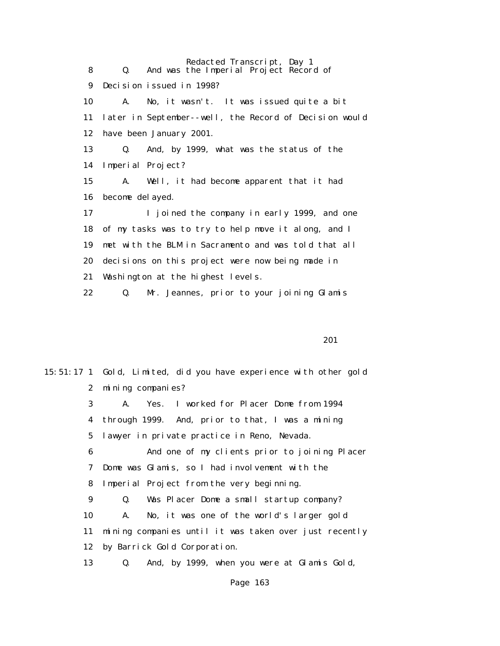Redacted Transcript, Day 1 8 Q. And was the Imperial Project Record of 9 Decision issued in 1998? 10 A. No, it wasn't. It was issued quite a bit 11 later in September--well, the Record of Decision would 12 have been January 2001. 13 Q. And, by 1999, what was the status of the 14 Imperial Project? 15 A. Well, it had become apparent that it had 16 become delayed. 17 I joined the company in early 1999, and one 18 of my tasks was to try to help move it along, and I 19 met with the BLM in Sacramento and was told that all 20 decisions on this project were now being made in 21 Washington at the highest levels. 22 Q. Mr. Jeannes, prior to your joining Glamis

201<sup>2</sup>

15:51:17 1 Gold, Limited, did you have experience with other gold 2 mining companies? 3 A. Yes. I worked for Placer Dome from 1994 4 through 1999. And, prior to that, I was a mining 5 lawyer in private practice in Reno, Nevada. 6 And one of my clients prior to joining Placer 7 Dome was Glamis, so I had involvement with the 8 Imperial Project from the very beginning. 9 Q. Was Placer Dome a small startup company? 10 A. No, it was one of the world's larger gold 11 mining companies until it was taken over just recently 12 by Barrick Gold Corporation. 13 Q. And, by 1999, when you were at Glamis Gold,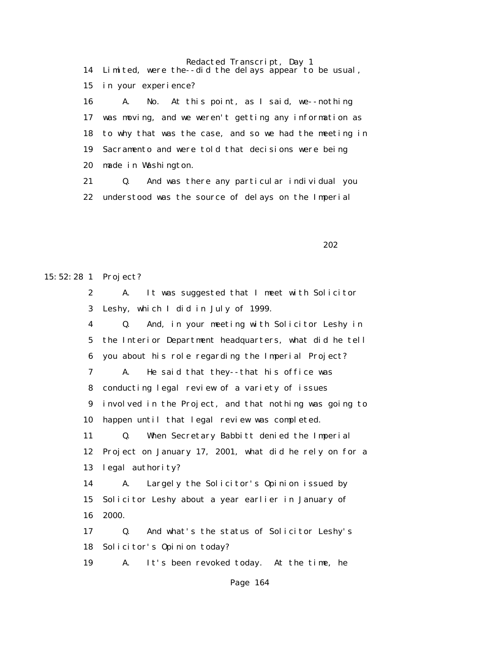Redacted Transcript, Day 1 14 Limited, were the--did the delays appear to be usual, 15 in your experience? 16 A. No. At this point, as I said, we--nothing 17 was moving, and we weren't getting any information as 18 to why that was the case, and so we had the meeting in 19 Sacramento and were told that decisions were being 20 made in Washington.

 21 Q. And was there any particular individual you 22 understood was the source of delays on the Imperial

202

#### 15:52:28 1 Project?

 2 A. It was suggested that I meet with Solicitor 3 Leshy, which I did in July of 1999.

 4 Q. And, in your meeting with Solicitor Leshy in 5 the Interior Department headquarters, what did he tell 6 you about his role regarding the Imperial Project? 7 A. He said that they--that his office was 8 conducting legal review of a variety of issues 9 involved in the Project, and that nothing was going to 10 happen until that legal review was completed. 11 Q. When Secretary Babbitt denied the Imperial 12 Project on January 17, 2001, what did he rely on for a 13 legal authority? 14 A. Largely the Solicitor's Opinion issued by 15 Solicitor Leshy about a year earlier in January of 16 2000. 17 Q. And what's the status of Solicitor Leshy's 18 Solicitor's Opinion today?

19 A. It's been revoked today. At the time, he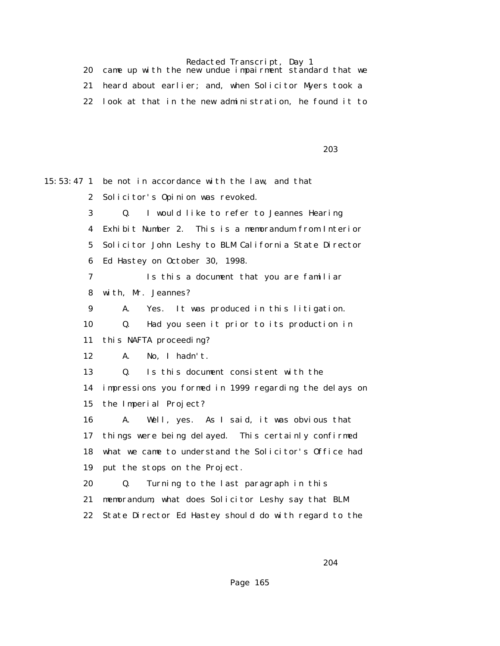20 came up with the new undue impairment standard that we 21 heard about earlier; and, when Solicitor Myers took a 22 look at that in the new administration, he found it to

<u>2033</u> - 2034 - 2035 - 2036 - 2037 - 2038 - 2039 - 2039 - 2039 - 2039 - 2039 - 2039 - 2039 - 2039 - 2039 - 203

15:53:47 1 be not in accordance with the law, and that 2 Solicitor's Opinion was revoked. 3 Q. I would like to refer to Jeannes Hearing 4 Exhibit Number 2. This is a memorandum from Interior 5 Solicitor John Leshy to BLM California State Director 6 Ed Hastey on October 30, 1998. 7 Is this a document that you are familiar 8 with, Mr. Jeannes? 9 A. Yes. It was produced in this litigation. 10 Q. Had you seen it prior to its production in 11 this NAFTA proceeding? 12 A. No, I hadn't. 13 Q. Is this document consistent with the 14 impressions you formed in 1999 regarding the delays on 15 the Imperial Project? 16 A. Well, yes. As I said, it was obvious that 17 things were being delayed. This certainly confirmed 18 what we came to understand the Solicitor's Office had 19 put the stops on the Project. 20 Q. Turning to the last paragraph in this 21 memorandum, what does Solicitor Leshy say that BLM 22 State Director Ed Hastey should do with regard to the

204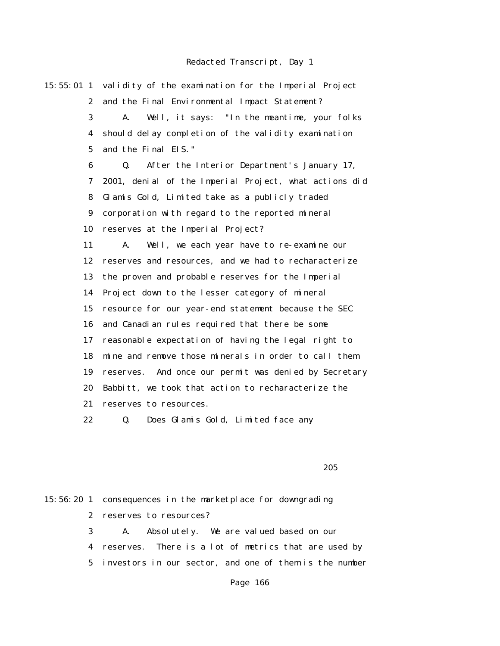| $15:55:01$ 1     | validity of the examination for the Imperial Project   |
|------------------|--------------------------------------------------------|
| $\boldsymbol{2}$ | and the Final Environmental Impact Statement?          |
| 3                | Well, it says: "In the meantime, your folks<br>A.      |
| 4                | should delay completion of the validity examination    |
| $\mathbf 5$      | and the Final EIS."                                    |
| 6                | Q.<br>After the Interior Department's January 17,      |
| 7                | 2001, denial of the Imperial Project, what actions did |
| 8                | Glamis Gold, Limited take as a publicly traded         |
| 9                | corporation with regard to the reported mineral        |
| 10               | reserves at the Imperial Project?                      |
| 11               | Well, we each year have to re-examine our<br>A.        |
| 12               | reserves and resources, and we had to recharacterize   |
| 13               | the proven and probable reserves for the Imperial      |
| 14               | Project down to the lesser category of mineral         |
| 15               | resource for our year-end statement because the SEC    |
| 16               | and Canadian rules required that there be some         |
| 17               | reasonable expectation of having the legal right to    |
| 18               | mine and remove those minerals in order to call them   |
|                  |                                                        |
| 19               | reserves. And once our permit was denied by Secretary  |
| 20               | Babbitt, we took that action to recharacterize the     |
| 21               | reserves to resources.                                 |
| 22               | Does Glamis Gold, Limited face any<br>Q.               |

 $205$ 

|  | 15:56:20 1 consequences in the marketplace for downgrading |
|--|------------------------------------------------------------|
|  | 2 reserves to resources?                                   |
|  | A. Absolutely. We are valued based on our<br>$3^{\circ}$   |
|  | 4 reserves. There is a lot of metrics that are used by     |
|  | 5 investors in our sector, and one of them is the number   |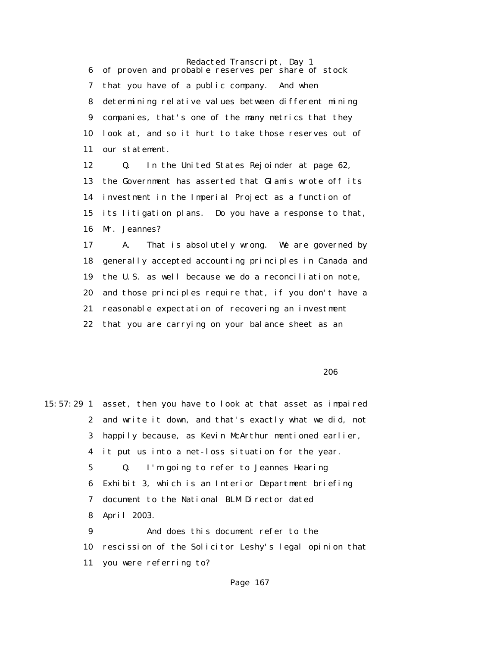Redacted Transcript, Day 1 6 of proven and probable reserves per share of stock 7 that you have of a public company. And when 8 determining relative values between different mining 9 companies, that's one of the many metrics that they 10 look at, and so it hurt to take those reserves out of 11 our statement.

 12 Q. In the United States Rejoinder at page 62, 13 the Government has asserted that Glamis wrote off its 14 investment in the Imperial Project as a function of 15 its litigation plans. Do you have a response to that, 16 Mr. Jeannes?

 17 A. That is absolutely wrong. We are governed by 18 generally accepted accounting principles in Canada and 19 the U.S. as well because we do a reconciliation note, 20 and those principles require that, if you don't have a 21 reasonable expectation of recovering an investment 22 that you are carrying on your balance sheet as an

 $206$ 

15:57:29 1 asset, then you have to look at that asset as impaired 2 and write it down, and that's exactly what we did, not 3 happily because, as Kevin McArthur mentioned earlier, 4 it put us into a net-loss situation for the year. 5 Q. I'm going to refer to Jeannes Hearing 6 Exhibit 3, which is an Interior Department briefing 7 document to the National BLM Director dated 8 April 2003. 9 And does this document refer to the 10 rescission of the Solicitor Leshy's legal opinion that 11 you were referring to?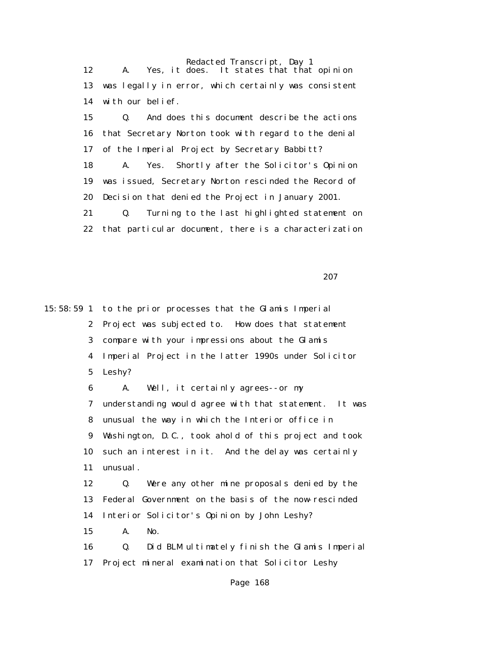Redacted Transcript, Day 1 12 A. Yes, it does. It states that that opinion 13 was legally in error, which certainly was consistent 14 with our belief. 15 Q. And does this document describe the actions 16 that Secretary Norton took with regard to the denial 17 of the Imperial Project by Secretary Babbitt? 18 A. Yes. Shortly after the Solicitor's Opinion 19 was issued, Secretary Norton rescinded the Record of 20 Decision that denied the Project in January 2001. 21 Q. Turning to the last highlighted statement on 22 that particular document, there is a characterization

 $207$ 

15:58:59 1 to the prior processes that the Glamis Imperial 2 Project was subjected to. How does that statement 3 compare with your impressions about the Glamis 4 Imperial Project in the latter 1990s under Solicitor 5 Leshy? 6 A. Well, it certainly agrees--or my 7 understanding would agree with that statement. It was 8 unusual the way in which the Interior office in 9 Washington, D.C., took ahold of this project and took 10 such an interest in it. And the delay was certainly 11 unusual. 12 Q. Were any other mine proposals denied by the 13 Federal Government on the basis of the now-rescinded 14 Interior Solicitor's Opinion by John Leshy?

15 A. No.

 16 Q. Did BLM ultimately finish the Glamis Imperial 17 Project mineral examination that Solicitor Leshy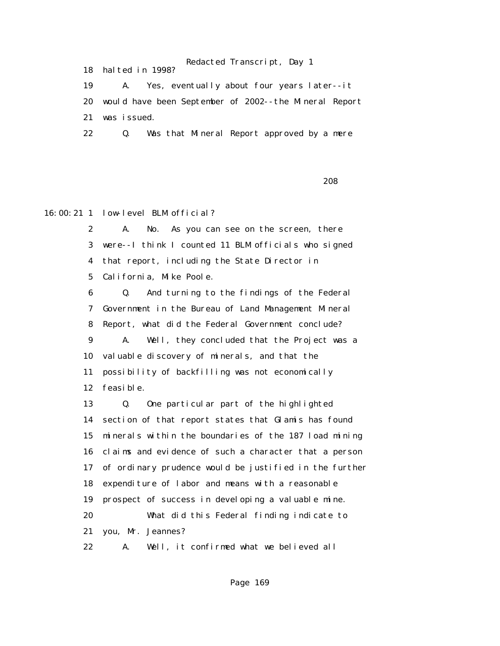19 A. Yes, eventually about four years later--it 20 would have been September of 2002--the Mineral Report 21 was issued.

22 Q. Was that Mineral Report approved by a mere

208 and 200 minutes and 200 minutes and 200 minutes and 200 minutes and 200 minutes and 200 minutes and 200 mi

16:00:21 1 low-level BLM official?

18 halted in 1998?

 2 A. No. As you can see on the screen, there 3 were--I think I counted 11 BLM officials who signed 4 that report, including the State Director in 5 California, Mike Poole.

 6 Q. And turning to the findings of the Federal 7 Government in the Bureau of Land Management Mineral 8 Report, what did the Federal Government conclude? 9 A. Well, they concluded that the Project was a 10 valuable discovery of minerals, and that the 11 possibility of backfilling was not economically 12 feasible.

 13 Q. One particular part of the highlighted 14 section of that report states that Glamis has found 15 minerals within the boundaries of the 187 load mining 16 claims and evidence of such a character that a person 17 of ordinary prudence would be justified in the further 18 expenditure of labor and means with a reasonable 19 prospect of success in developing a valuable mine. 20 What did this Federal finding indicate to 21 you, Mr. Jeannes? 22 A. Well, it confirmed what we believed all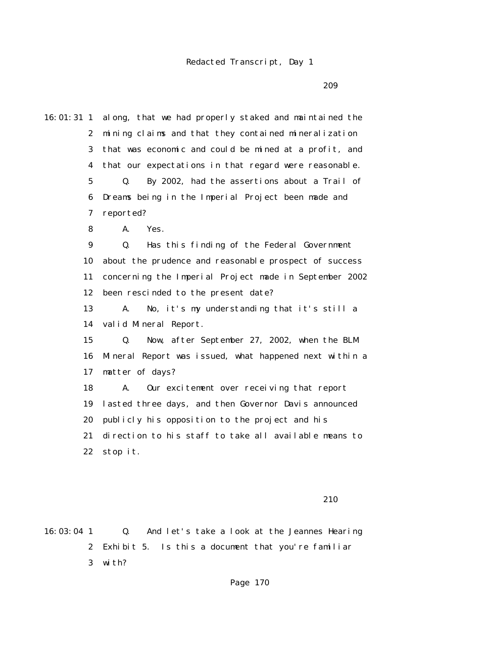$209$ 

16:01:31 1 along, that we had properly staked and maintained the 2 mining claims and that they contained mineralization 3 that was economic and could be mined at a profit, and 4 that our expectations in that regard were reasonable. 5 Q. By 2002, had the assertions about a Trail of 6 Dreams being in the Imperial Project been made and 7 reported? 8 A. Yes. 9 Q. Has this finding of the Federal Government 10 about the prudence and reasonable prospect of success 11 concerning the Imperial Project made in September 2002 12 been rescinded to the present date? 13 A. No, it's my understanding that it's still a 14 valid Mineral Report. 15 Q. Now, after September 27, 2002, when the BLM 16 Mineral Report was issued, what happened next within a 17 matter of days? 18 A. Our excitement over receiving that report 19 lasted three days, and then Governor Davis announced 20 publicly his opposition to the project and his 21 direction to his staff to take all available means to 22 stop it.

210

16:03:04 1 Q. And let's take a look at the Jeannes Hearing 2 Exhibit 5. Is this a document that you're familiar 3 with?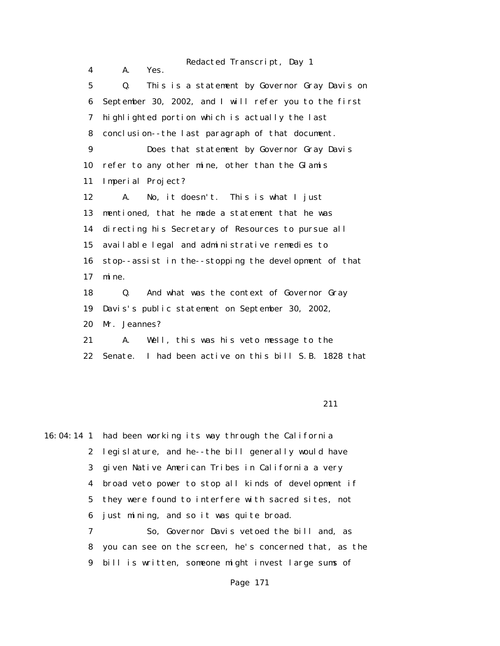Redacted Transcript, Day 1 4 A. Yes. 5 Q. This is a statement by Governor Gray Davis on 6 September 30, 2002, and I will refer you to the first 7 highlighted portion which is actually the last 8 conclusion--the last paragraph of that document. 9 Does that statement by Governor Gray Davis 10 refer to any other mine, other than the Glamis 11 Imperial Project? 12 A. No, it doesn't. This is what I just 13 mentioned, that he made a statement that he was 14 directing his Secretary of Resources to pursue all 15 available legal and administrative remedies to 16 stop--assist in the--stopping the development of that 17 mine. 18 Q. And what was the context of Governor Gray 19 Davis's public statement on September 30, 2002, 20 Mr. Jeannes? 21 A. Well, this was his veto message to the 22 Senate. I had been active on this bill S.B. 1828 that

211

16:04:14 1 had been working its way through the California 2 legislature, and he--the bill generally would have 3 given Native American Tribes in California a very 4 broad veto power to stop all kinds of development if 5 they were found to interfere with sacred sites, not 6 just mining, and so it was quite broad. 7 So, Governor Davis vetoed the bill and, as 8 you can see on the screen, he's concerned that, as the 9 bill is written, someone might invest large sums of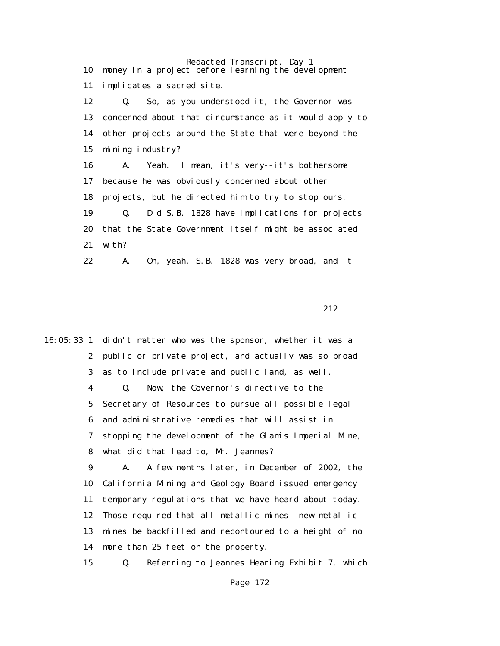Redacted Transcript, Day 1 10 money in a project before learning the development 11 implicates a sacred site. 12 Q. So, as you understood it, the Governor was 13 concerned about that circumstance as it would apply to 14 other projects around the State that were beyond the 15 mining industry? 16 A. Yeah. I mean, it's very--it's bothersome 17 because he was obviously concerned about other 18 projects, but he directed him to try to stop ours. 19 Q. Did S.B. 1828 have implications for projects 20 that the State Government itself might be associated 21 with? 22 A. Oh, yeah, S.B. 1828 was very broad, and it

212

16:05:33 1 didn't matter who was the sponsor, whether it was a 2 public or private project, and actually was so broad 3 as to include private and public land, as well. 4 Q. Now, the Governor's directive to the 5 Secretary of Resources to pursue all possible legal 6 and administrative remedies that will assist in 7 stopping the development of the Glamis Imperial Mine, 8 what did that lead to, Mr. Jeannes? 9 A. A few months later, in December of 2002, the 10 California Mining and Geology Board issued emergency 11 temporary regulations that we have heard about today. 12 Those required that all metallic mines--new metallic 13 mines be backfilled and recontoured to a height of no 14 more than 25 feet on the property. 15 Q. Referring to Jeannes Hearing Exhibit 7, which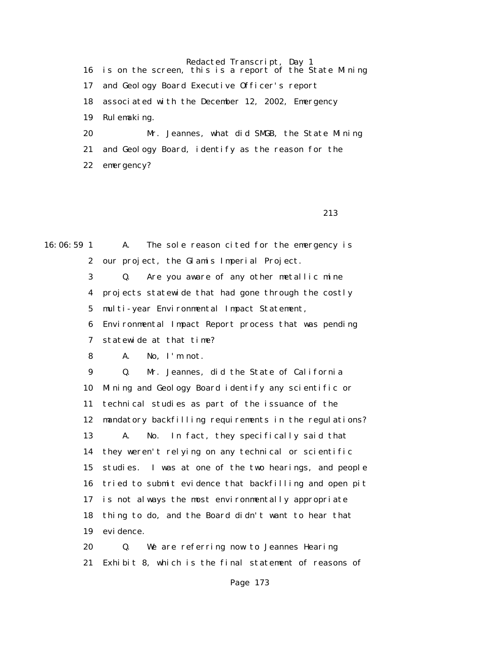16 is on the screen, this is a report of the State Mining

17 and Geology Board Executive Officer's report

18 associated with the December 12, 2002, Emergency

19 Rulemaking.

 20 Mr. Jeannes, what did SMGB, the State Mining 21 and Geology Board, identify as the reason for the 22 emergency?

213

16:06:59 1 A. The sole reason cited for the emergency is 2 our project, the Glamis Imperial Project. 3 Q. Are you aware of any other metallic mine 4 projects statewide that had gone through the costly 5 multi-year Environmental Impact Statement, 6 Environmental Impact Report process that was pending 7 statewide at that time? 8 A. No, I'm not. 9 Q. Mr. Jeannes, did the State of California 10 Mining and Geology Board identify any scientific or 11 technical studies as part of the issuance of the 12 mandatory backfilling requirements in the regulations? 13 A. No. In fact, they specifically said that 14 they weren't relying on any technical or scientific 15 studies. I was at one of the two hearings, and people 16 tried to submit evidence that backfilling and open pit 17 is not always the most environmentally appropriate 18 thing to do, and the Board didn't want to hear that 19 evidence. 20 Q. We are referring now to Jeannes Hearing

21 Exhibit 8, which is the final statement of reasons of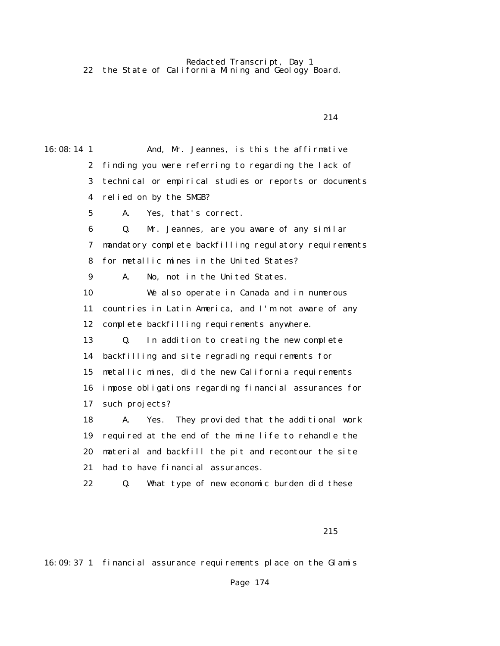Redacted Transcript, Day 1 22 the State of California Mining and Geology Board.

214

16:08:14 1 And, Mr. Jeannes, is this the affirmative 2 finding you were referring to regarding the lack of 3 technical or empirical studies or reports or documents 4 relied on by the SMGB? 5 A. Yes, that's correct. 6 Q. Mr. Jeannes, are you aware of any similar 7 mandatory complete backfilling regulatory requirements 8 for metallic mines in the United States? 9 A. No, not in the United States. 10 We also operate in Canada and in numerous 11 countries in Latin America, and I'm not aware of any 12 complete backfilling requirements anywhere. 13 Q. In addition to creating the new complete 14 backfilling and site regrading requirements for 15 metallic mines, did the new California requirements 16 impose obligations regarding financial assurances for 17 such projects? 18 A. Yes. They provided that the additional work 19 required at the end of the mine life to rehandle the 20 material and backfill the pit and recontour the site 21 had to have financial assurances. 22 Q. What type of new economic burden did these

215

16:09:37 1 financial assurance requirements place on the Glamis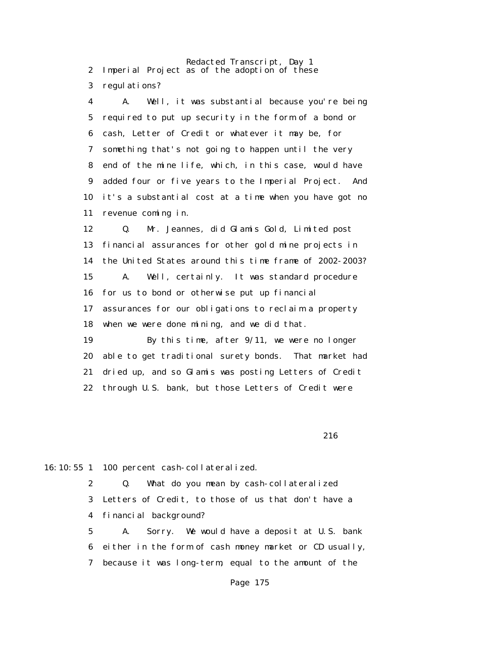Redacted Transcript, Day 1 2 Imperial Project as of the adoption of these 3 regulations?

 4 A. Well, it was substantial because you're being 5 required to put up security in the form of a bond or 6 cash, Letter of Credit or whatever it may be, for 7 something that's not going to happen until the very 8 end of the mine life, which, in this case, would have 9 added four or five years to the Imperial Project. And 10 it's a substantial cost at a time when you have got no 11 revenue coming in. 12 Q. Mr. Jeannes, did Glamis Gold, Limited post 13 financial assurances for other gold mine projects in 14 the United States around this time frame of 2002-2003? 15 A. Well, certainly. It was standard procedure 16 for us to bond or otherwise put up financial

 17 assurances for our obligations to reclaim a property 18 when we were done mining, and we did that.

 19 By this time, after 9/11, we were no longer 20 able to get traditional surety bonds. That market had 21 dried up, and so Glamis was posting Letters of Credit 22 through U.S. bank, but those Letters of Credit were

216

16:10:55 1 100 percent cash-collateralized.

 2 Q. What do you mean by cash-collateralized 3 Letters of Credit, to those of us that don't have a 4 financial background?

 5 A. Sorry. We would have a deposit at U.S. bank 6 either in the form of cash money market or CD usually, 7 because it was long-term, equal to the amount of the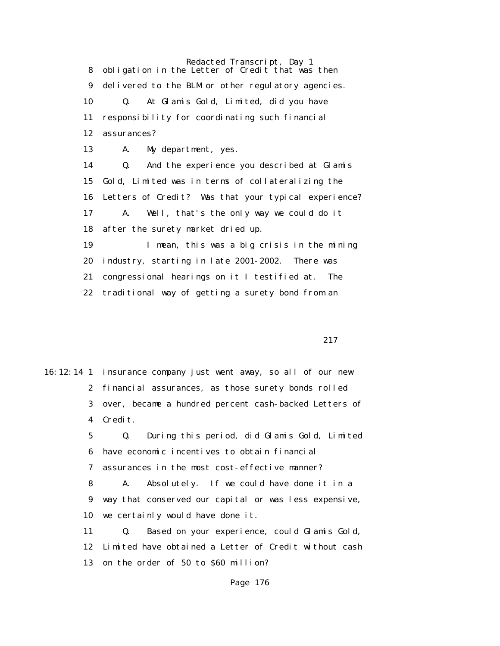Redacted Transcript, Day 1 8 obligation in the Letter of Credit that was then 9 delivered to the BLM or other regulatory agencies. 10 Q. At Glamis Gold, Limited, did you have 11 responsibility for coordinating such financial 12 assurances? 13 A. My department, yes. 14 Q. And the experience you described at Glamis 15 Gold, Limited was in terms of collateralizing the 16 Letters of Credit? Was that your typical experience? 17 A. Well, that's the only way we could do it 18 after the surety market dried up. 19 I mean, this was a big crisis in the mining 20 industry, starting in late 2001-2002. There was 21 congressional hearings on it I testified at. The 22 traditional way of getting a surety bond from an

217

|             | 16:12:14 1 insurance company just went away, so all of our new |
|-------------|----------------------------------------------------------------|
|             | 2 financial assurances, as those surety bonds rolled           |
|             | 3 over, became a hundred percent cash-backed Letters of        |
|             | 4 Credit.                                                      |
| $5^{\circ}$ | During this period, did Glamis Gold, Limited<br>Q.             |
| 6           | have economic incentives to obtain financial                   |
| 7           | assurances in the most cost-effective manner?                  |
| 8           | A. Absolutely. If we could have done it in a                   |
| 9           | way that conserved our capital or was less expensive,          |
| 10          | we certainly would have done it.                               |
| 11          | Q. Based on your experience, could Glamis Gold,                |
| 12          | Limited have obtained a Letter of Credit without cash          |
| 13          | on the order of 50 to \$60 million?                            |
|             |                                                                |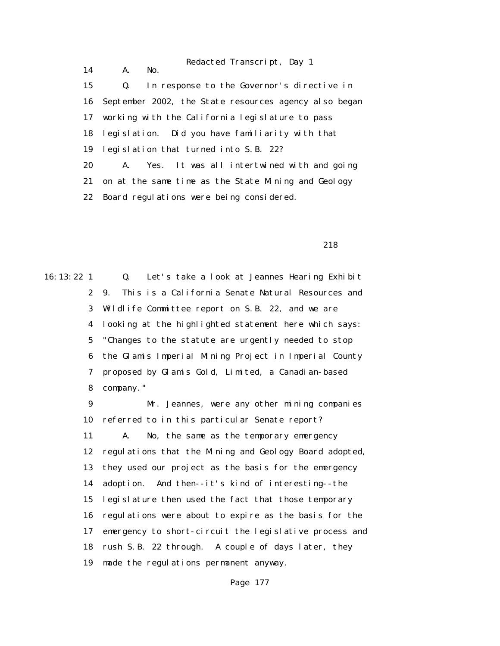Redacted Transcript, Day 1 14 A. No. 15 Q. In response to the Governor's directive in 16 September 2002, the State resources agency also began 17 working with the California legislature to pass 18 legislation. Did you have familiarity with that 19 legislation that turned into S.B. 22? 20 A. Yes. It was all intertwined with and going 21 on at the same time as the State Mining and Geology 22 Board regulations were being considered.

218

16:13:22 1 Q. Let's take a look at Jeannes Hearing Exhibit 2 9. This is a California Senate Natural Resources and 3 Wildlife Committee report on S.B. 22, and we are 4 looking at the highlighted statement here which says: 5 "Changes to the statute are urgently needed to stop 6 the Glamis Imperial Mining Project in Imperial County 7 proposed by Glamis Gold, Limited, a Canadian-based 8 company."

> 9 Mr. Jeannes, were any other mining companies 10 referred to in this particular Senate report? 11 A. No, the same as the temporary emergency 12 regulations that the Mining and Geology Board adopted, 13 they used our project as the basis for the emergency 14 adoption. And then--it's kind of interesting--the 15 legislature then used the fact that those temporary 16 regulations were about to expire as the basis for the 17 emergency to short-circuit the legislative process and 18 rush S.B. 22 through. A couple of days later, they 19 made the regulations permanent anyway.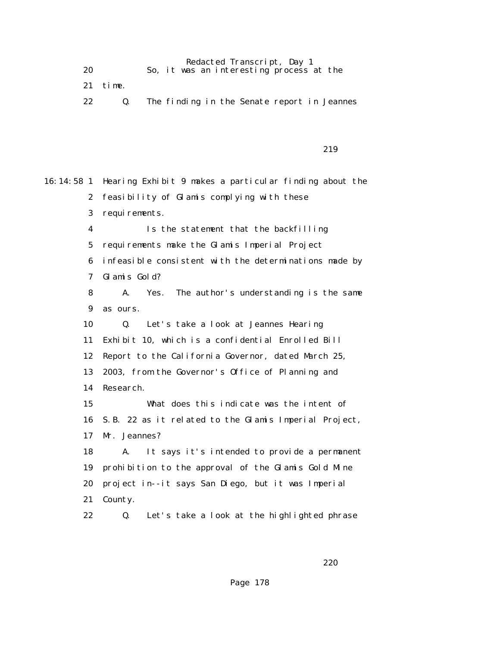Redacted Transcript, Day 1 20 So, it was an interesting process at the

- 21 time.
- 22 Q. The finding in the Senate report in Jeannes

219

16:14:58 1 Hearing Exhibit 9 makes a particular finding about the 2 feasibility of Glamis complying with these 3 requirements. 4 Is the statement that the backfilling 5 requirements make the Glamis Imperial Project 6 infeasible consistent with the determinations made by 7 Glamis Gold? 8 A. Yes. The author's understanding is the same 9 as ours. 10 Q. Let's take a look at Jeannes Hearing 11 Exhibit 10, which is a confidential Enrolled Bill 12 Report to the California Governor, dated March 25, 13 2003, from the Governor's Office of Planning and 14 Research. 15 What does this indicate was the intent of 16 S.B. 22 as it related to the Glamis Imperial Project, 17 Mr. Jeannes? 18 A. It says it's intended to provide a permanent 19 prohibition to the approval of the Glamis Gold Mine 20 project in--it says San Diego, but it was Imperial 21 County. 22 Q. Let's take a look at the highlighted phrase

 $220$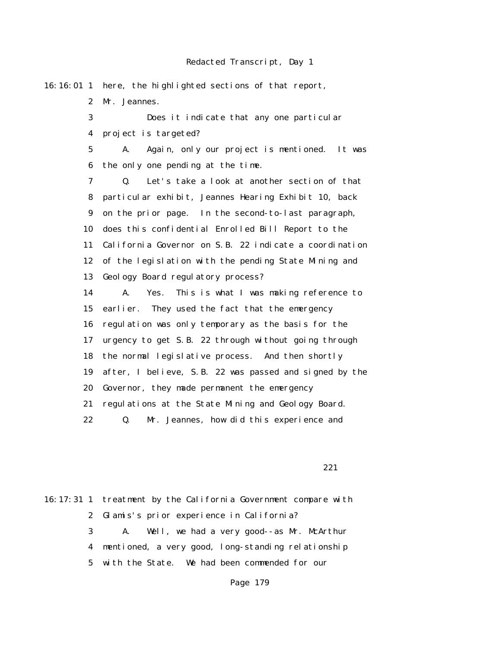16:16:01 1 here, the highlighted sections of that report, 2 Mr. Jeannes. 3 Does it indicate that any one particular 4 project is targeted? 5 A. Again, only our project is mentioned. It was 6 the only one pending at the time. 7 Q. Let's take a look at another section of that 8 particular exhibit, Jeannes Hearing Exhibit 10, back 9 on the prior page. In the second-to-last paragraph, 10 does this confidential Enrolled Bill Report to the 11 California Governor on S.B. 22 indicate a coordination 12 of the legislation with the pending State Mining and 13 Geology Board regulatory process? 14 A. Yes. This is what I was making reference to 15 earlier. They used the fact that the emergency 16 regulation was only temporary as the basis for the 17 urgency to get S.B. 22 through without going through 18 the normal legislative process. And then shortly 19 after, I believe, S.B. 22 was passed and signed by the 20 Governor, they made permanent the emergency 21 regulations at the State Mining and Geology Board. 22 Q. Mr. Jeannes, how did this experience and

221

16:17:31 1 treatment by the California Government compare with 2 Glamis's prior experience in California? 3 A. Well, we had a very good--as Mr. McArthur 4 mentioned, a very good, long-standing relationship 5 with the State. We had been commended for our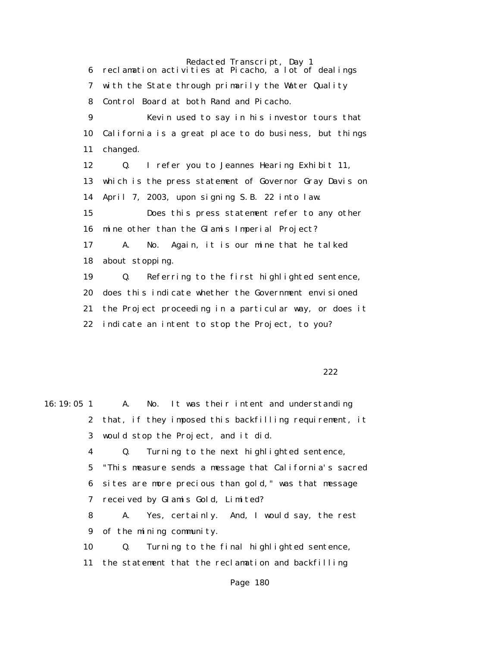6 reclamation activities at Picacho, a lot of dealings 7 with the State through primarily the Water Quality 8 Control Board at both Rand and Picacho.

> 9 Kevin used to say in his investor tours that 10 California is a great place to do business, but things 11 changed.

> 12 Q. I refer you to Jeannes Hearing Exhibit 11, 13 which is the press statement of Governor Gray Davis on 14 April 7, 2003, upon signing S.B. 22 into law.

 15 Does this press statement refer to any other 16 mine other than the Glamis Imperial Project?

 17 A. No. Again, it is our mine that he talked 18 about stopping.

 19 Q. Referring to the first highlighted sentence, 20 does this indicate whether the Government envisioned 21 the Project proceeding in a particular way, or does it 22 indicate an intent to stop the Project, to you?

222

16:19:05 1 A. No. It was their intent and understanding 2 that, if they imposed this backfilling requirement, it 3 would stop the Project, and it did. 4 Q. Turning to the next highlighted sentence, 5 "This measure sends a message that California's sacred 6 sites are more precious than gold," was that message 7 received by Glamis Gold, Limited? 8 A. Yes, certainly. And, I would say, the rest 9 of the mining community. 10 Q. Turning to the final highlighted sentence, 11 the statement that the reclamation and backfilling Page 180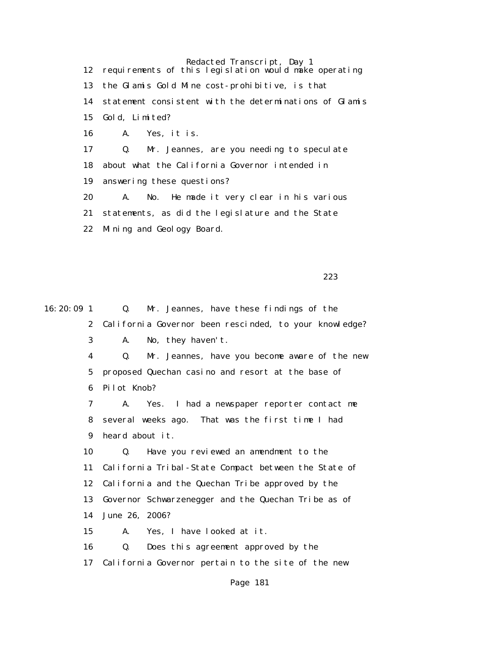Redacted Transcript, Day 1 12 requirements of this legislation would make operating 13 the Glamis Gold Mine cost-prohibitive, is that 14 statement consistent with the determinations of Glamis 15 Gold, Limited? 16 A. Yes, it is. 17 Q. Mr. Jeannes, are you needing to speculate 18 about what the California Governor intended in 19 answering these questions? 20 A. No. He made it very clear in his various 21 statements, as did the legislature and the State 22 Mining and Geology Board.

223

16:20:09 1 Q. Mr. Jeannes, have these findings of the 2 California Governor been rescinded, to your knowledge? 3 A. No, they haven't. 4 Q. Mr. Jeannes, have you become aware of the new 5 proposed Quechan casino and resort at the base of 6 Pilot Knob? 7 A. Yes. I had a newspaper reporter contact me 8 several weeks ago. That was the first time I had 9 heard about it. 10 Q. Have you reviewed an amendment to the 11 California Tribal-State Compact between the State of 12 California and the Quechan Tribe approved by the 13 Governor Schwarzenegger and the Quechan Tribe as of 14 June 26, 2006? 15 A. Yes, I have looked at it. 16 Q. Does this agreement approved by the 17 California Governor pertain to the site of the new Page 181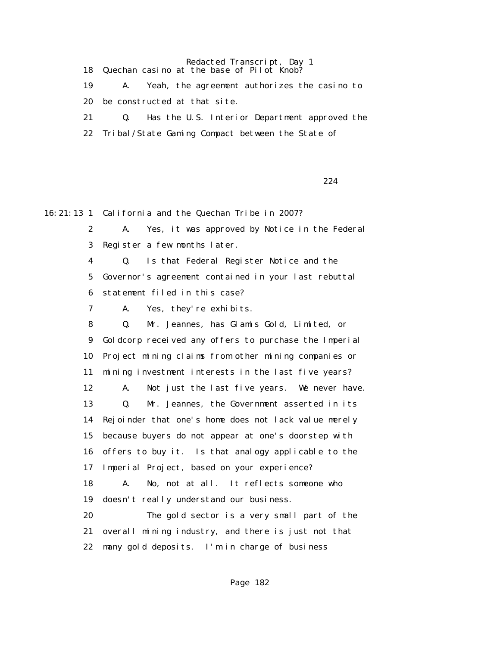18 Quechan casino at the base of Pilot Knob?

 19 A. Yeah, the agreement authorizes the casino to 20 be constructed at that site.

21 Q. Has the U.S. Interior Department approved the

22 Tribal/State Gaming Compact between the State of

224

16:21:13 1 California and the Quechan Tribe in 2007? 2 A. Yes, it was approved by Notice in the Federal 3 Register a few months later. 4 Q. Is that Federal Register Notice and the 5 Governor's agreement contained in your last rebuttal 6 statement filed in this case? 7 A. Yes, they're exhibits. 8 Q. Mr. Jeannes, has Glamis Gold, Limited, or 9 Goldcorp received any offers to purchase the Imperial 10 Project mining claims from other mining companies or 11 mining investment interests in the last five years? 12 A. Not just the last five years. We never have. 13 Q. Mr. Jeannes, the Government asserted in its 14 Rejoinder that one's home does not lack value merely 15 because buyers do not appear at one's doorstep with 16 offers to buy it. Is that analogy applicable to the 17 Imperial Project, based on your experience? 18 A. No, not at all. It reflects someone who 19 doesn't really understand our business. 20 The gold sector is a very small part of the 21 overall mining industry, and there is just not that 22 many gold deposits. I'm in charge of business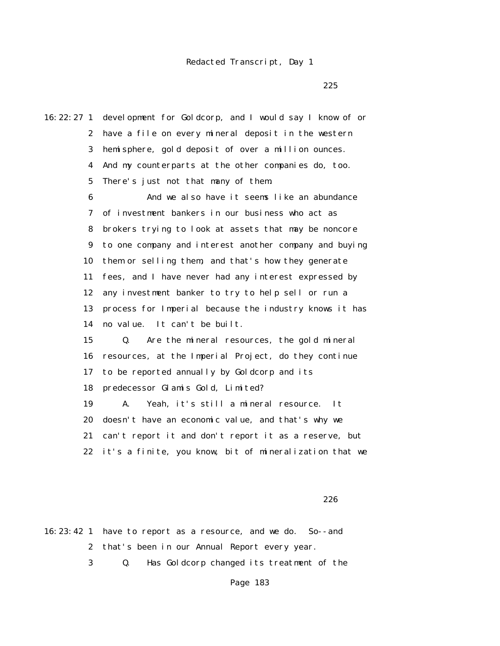$225$ 

16:22:27 1 development for Goldcorp, and I would say I know of or 2 have a file on every mineral deposit in the western 3 hemisphere, gold deposit of over a million ounces. 4 And my counterparts at the other companies do, too. 5 There's just not that many of them. 6 And we also have it seems like an abundance 7 of investment bankers in our business who act as 8 brokers trying to look at assets that may be noncore 9 to one company and interest another company and buying 10 them or selling them, and that's how they generate 11 fees, and I have never had any interest expressed by 12 any investment banker to try to help sell or run a 13 process for Imperial because the industry knows it has 14 no value. It can't be built. 15 Q. Are the mineral resources, the gold mineral 16 resources, at the Imperial Project, do they continue 17 to be reported annually by Goldcorp and its 18 predecessor Glamis Gold, Limited? 19 A. Yeah, it's still a mineral resource. It 20 doesn't have an economic value, and that's why we 21 can't report it and don't report it as a reserve, but 22 it's a finite, you know, bit of mineralization that we

 $226$ 

16:23:42 1 have to report as a resource, and we do. So--and 2 that's been in our Annual Report every year.

3 Q. Has Goldcorp changed its treatment of the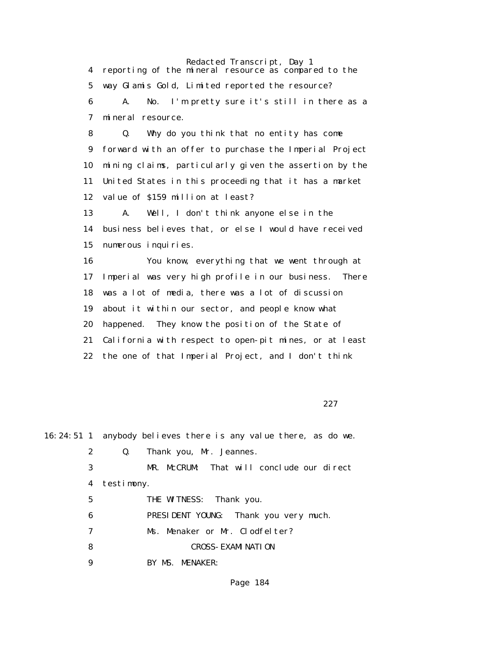Redacted Transcript, Day 1 4 reporting of the mineral resource as compared to the 5 way Glamis Gold, Limited reported the resource? 6 A. No. I'm pretty sure it's still in there as a 7 mineral resource. 8 Q. Why do you think that no entity has come 9 forward with an offer to purchase the Imperial Project 10 mining claims, particularly given the assertion by the 11 United States in this proceeding that it has a market 12 value of \$159 million at least? 13 A. Well, I don't think anyone else in the 14 business believes that, or else I would have received 15 numerous inquiries. 16 You know, everything that we went through at 17 Imperial was very high profile in our business. There 18 was a lot of media, there was a lot of discussion 19 about it within our sector, and people know what 20 happened. They know the position of the State of 21 California with respect to open-pit mines, or at least 22 the one of that Imperial Project, and I don't think

<u>227</u>

|                  | 16:24:51 1 anybody believes there is any value there, as do we. |  |  |  |  |  |  |
|------------------|-----------------------------------------------------------------|--|--|--|--|--|--|
| $\boldsymbol{2}$ | Thank you, Mr. Jeannes.<br>Q.                                   |  |  |  |  |  |  |
| 3                | MR. McCRUM: That will conclude our direct                       |  |  |  |  |  |  |
| 4                | testimony.                                                      |  |  |  |  |  |  |
| 5                | THE WITNESS: Thank you.                                         |  |  |  |  |  |  |
| 6                | PRESIDENT YOUNG: Thank you very much.                           |  |  |  |  |  |  |
| 7                | Ms. Menaker or Mr. Clodfelter?                                  |  |  |  |  |  |  |
| 8                | <b>CROSS-EXAMINATION</b>                                        |  |  |  |  |  |  |
| 9                | BY MS. MENAKER:                                                 |  |  |  |  |  |  |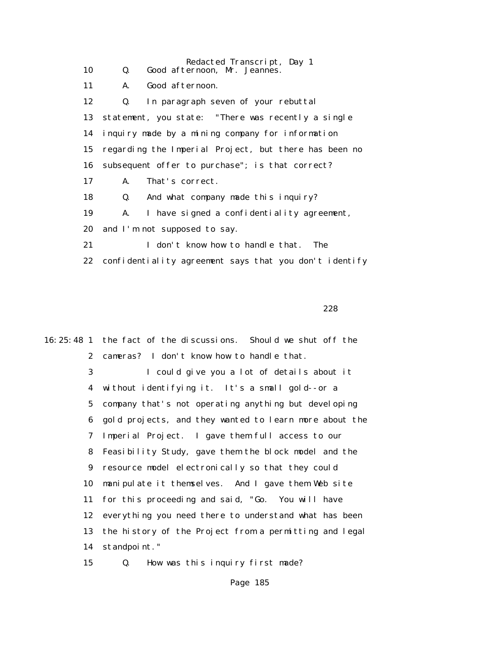| 10 | Redacted Transcript, Day 1<br>Good afternoon, Mr. Jeannes.<br>Q. |
|----|------------------------------------------------------------------|
|    |                                                                  |
| 11 | Good afternoon.<br>A.                                            |
| 12 | In paragraph seven of your rebuttal<br>Q.                        |
| 13 | statement, you state: "There was recently a single               |
| 14 | inquiry made by a mining company for information                 |
| 15 | regarding the Imperial Project, but there has been no            |
| 16 | subsequent offer to purchase"; is that correct?                  |
| 17 | A.<br>That's correct.                                            |
| 18 | And what company made this inquiry?<br>Q.                        |
| 19 | I have signed a confidentiality agreement,<br>A.                 |
| 20 | and I'm not supposed to say.                                     |
| 21 | I don't know how to handle that. The                             |
| 22 | confidentiality agreement says that you don't identify           |
|    |                                                                  |

228

16:25:48 1 the fact of the discussions. Should we shut off the 2 cameras? I don't know how to handle that. 3 I could give you a lot of details about it 4 without identifying it. It's a small gold--or a 5 company that's not operating anything but developing 6 gold projects, and they wanted to learn more about the 7 Imperial Project. I gave them full access to our 8 Feasibility Study, gave them the block model and the 9 resource model electronically so that they could 10 manipulate it themselves. And I gave them Web site 11 for this proceeding and said, "Go. You will have 12 everything you need there to understand what has been 13 the history of the Project from a permitting and legal 14 standpoint." 15 Q. How was this inquiry first made?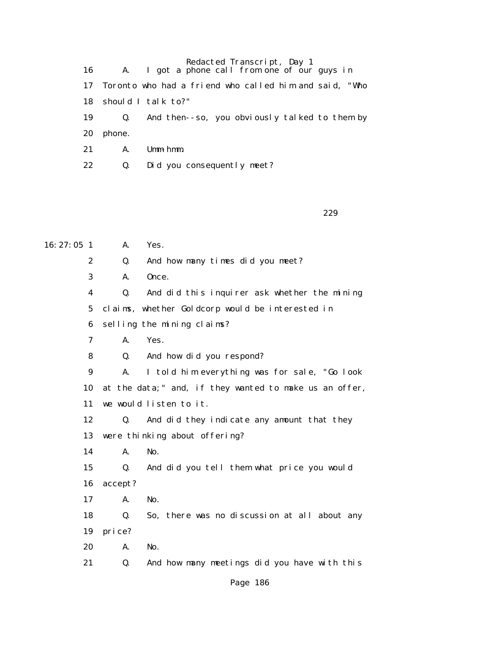| 16 |        | Redacted Transcript, Day 1<br>A. I got a phone call from one of our guys in |
|----|--------|-----------------------------------------------------------------------------|
| 17 |        | Toronto who had a friend who called him and said, "Who                      |
| 18 |        | should I talk to?"                                                          |
| 19 | Q.     | And then-so, you obviously talked to them by                                |
| 20 | phone. |                                                                             |
| 21 | A.     | Umm-hmm.                                                                    |
| 22 | Q.     | Did you consequently meet?                                                  |
|    |        |                                                                             |

<u>229</u>

| $16: 27: 05$ 1  | А.                                                      | Yes.                                            |  |  |  |  |  |  |
|-----------------|---------------------------------------------------------|-------------------------------------------------|--|--|--|--|--|--|
| 2               | Q.                                                      | And how many times did you meet?                |  |  |  |  |  |  |
| 3               | A.                                                      | Once.                                           |  |  |  |  |  |  |
| 4               | Q.                                                      | And did this inquirer ask whether the mining    |  |  |  |  |  |  |
| $5\overline{ }$ |                                                         | claims, whether Goldcorp would be interested in |  |  |  |  |  |  |
| 6               |                                                         | selling the mining claims?                      |  |  |  |  |  |  |
| 7               | A.                                                      | Yes.                                            |  |  |  |  |  |  |
| 8               | Q.                                                      | And how did you respond?                        |  |  |  |  |  |  |
| 9               | A.                                                      | I told him everything was for sale, "Go look    |  |  |  |  |  |  |
| 10              | at the data; " and, if they wanted to make us an offer, |                                                 |  |  |  |  |  |  |
| 11              |                                                         | we would listen to it.                          |  |  |  |  |  |  |
| 12              | Q.                                                      | And did they indicate any amount that they      |  |  |  |  |  |  |
| 13              |                                                         | were thinking about offering?                   |  |  |  |  |  |  |
| 14              | A.                                                      | No.                                             |  |  |  |  |  |  |
| 15              | Q.                                                      | And did you tell them what price you would      |  |  |  |  |  |  |
| 16              | accept?                                                 |                                                 |  |  |  |  |  |  |
| 17              | A.                                                      | No.                                             |  |  |  |  |  |  |
| 18              | Q.                                                      | So, there was no discussion at all about any    |  |  |  |  |  |  |
| 19              | price?                                                  |                                                 |  |  |  |  |  |  |
| 20              | A.                                                      | No.                                             |  |  |  |  |  |  |
| 21              | Q.                                                      | And how many meetings did you have with this    |  |  |  |  |  |  |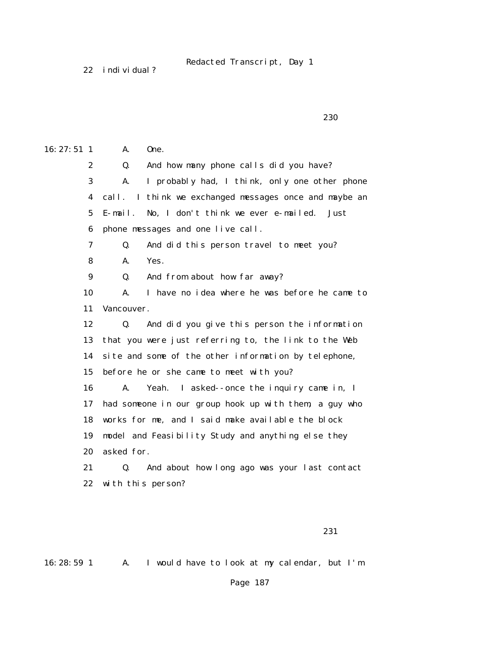22 individual?

| 16: 27: 511      | One.<br>A.                                               |  |  |  |  |  |  |
|------------------|----------------------------------------------------------|--|--|--|--|--|--|
| $\boldsymbol{2}$ | And how many phone calls did you have?<br>Q.             |  |  |  |  |  |  |
| 3                | I probably had, I think, only one other phone<br>A.      |  |  |  |  |  |  |
| 4                | I think we exchanged messages once and maybe an<br>call. |  |  |  |  |  |  |
| $\mathbf 5$      | No, I don't think we ever e-mailed.<br>E-mail.<br>Just   |  |  |  |  |  |  |
| 6                | phone messages and one live call.                        |  |  |  |  |  |  |
| 7                | And did this person travel to meet you?<br>Q.            |  |  |  |  |  |  |
| 8                | Yes.<br>A.                                               |  |  |  |  |  |  |
| 9                | Q.<br>And from about how far away?                       |  |  |  |  |  |  |
| 10               | I have no idea where he was before he came to<br>A.      |  |  |  |  |  |  |
| 11               | Vancouver.                                               |  |  |  |  |  |  |
| 12               | And did you give this person the information<br>0.       |  |  |  |  |  |  |
| 13               | that you were just referring to, the link to the Web     |  |  |  |  |  |  |
| 14               | site and some of the other information by telephone,     |  |  |  |  |  |  |
| 15               | before he or she came to meet with you?                  |  |  |  |  |  |  |
| 16               | A.<br>Yeah. I asked--once the inquiry came in, I         |  |  |  |  |  |  |
| 17               | had someone in our group hook up with them, a guy who    |  |  |  |  |  |  |
| 18               | works for me, and I said make available the block        |  |  |  |  |  |  |
| 19               | model and Feasibility Study and anything else they       |  |  |  |  |  |  |
| 20               | asked for.                                               |  |  |  |  |  |  |
| 21               | And about how long ago was your last contact<br>Q.       |  |  |  |  |  |  |
| 22               | with this person?                                        |  |  |  |  |  |  |

16:28:59 1 A. I would have to look at my calendar, but I'm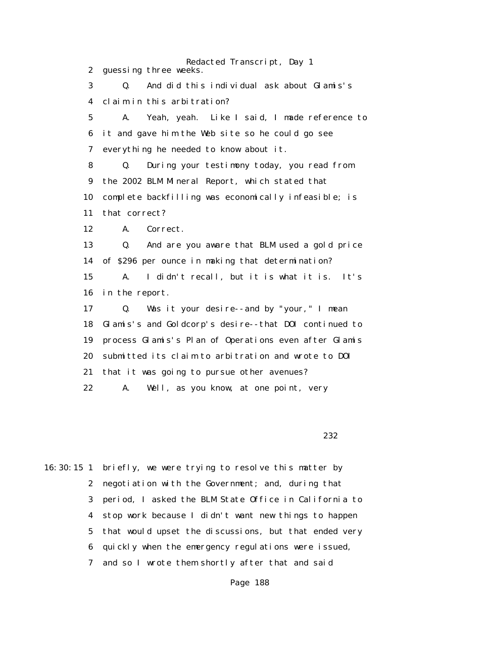Redacted Transcript, Day 1 2 guessing three weeks. 3 Q. And did this individual ask about Glamis's 4 claim in this arbitration? 5 A. Yeah, yeah. Like I said, I made reference to 6 it and gave him the Web site so he could go see 7 everything he needed to know about it. 8 Q. During your testimony today, you read from 9 the 2002 BLM Mineral Report, which stated that 10 complete backfilling was economically infeasible; is 11 that correct? 12 A. Correct. 13 Q. And are you aware that BLM used a gold price 14 of \$296 per ounce in making that determination? 15 A. I didn't recall, but it is what it is. It's 16 in the report. 17 Q. Was it your desire--and by "your," I mean 18 Glamis's and Goldcorp's desire--that DOI continued to 19 process Glamis's Plan of Operations even after Glamis 20 submitted its claim to arbitration and wrote to DOI 21 that it was going to pursue other avenues? 22 A. Well, as you know, at one point, very

<u>232</u>

16:30:15 1 briefly, we were trying to resolve this matter by 2 negotiation with the Government; and, during that 3 period, I asked the BLM State Office in California to 4 stop work because I didn't want new things to happen 5 that would upset the discussions, but that ended very 6 quickly when the emergency regulations were issued, 7 and so I wrote them shortly after that and said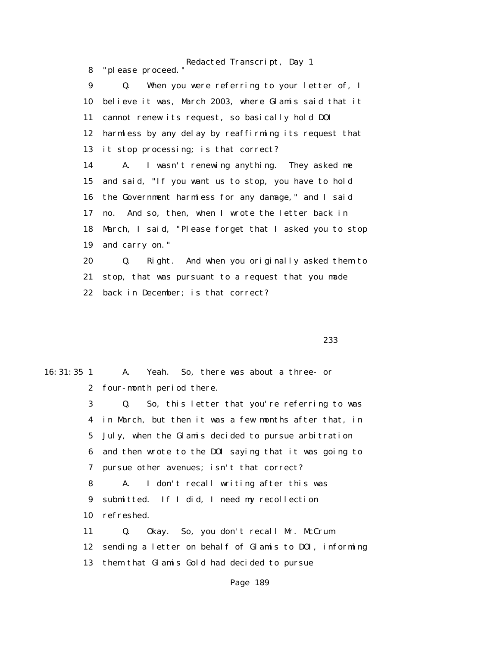Redacted Transcript, Day 1 8 "please proceed." 9 Q. When you were referring to your letter of, I 10 believe it was, March 2003, where Glamis said that it 11 cannot renew its request, so basically hold DOI 12 harmless by any delay by reaffirming its request that 13 it stop processing; is that correct? 14 A. I wasn't renewing anything. They asked me 15 and said, "If you want us to stop, you have to hold 16 the Government harmless for any damage," and I said 17 no. And so, then, when I wrote the letter back in 18 March, I said, "Please forget that I asked you to stop 19 and carry on." 20 Q. Right. And when you originally asked them to 21 stop, that was pursuant to a request that you made 22 back in December; is that correct?

<u>233</u> and 233 and 233 and 233 and 233 and 233 and 233 and 233 and 233 and 233 and 233 and 233 and 233 and 234 and 234 and 234 and 235 and 235 and 235 and 235 and 235 and 235 and 235 and 235 and 235 and 235 and 235 and 235

 2 four-month period there. 3 Q. So, this letter that you're referring to was 4 in March, but then it was a few months after that, in 5 July, when the Glamis decided to pursue arbitration 6 and then wrote to the DOI saying that it was going to 7 pursue other avenues; isn't that correct? 8 A. I don't recall writing after this was 9 submitted. If I did, I need my recollection 10 refreshed. 11 Q. Okay. So, you don't recall Mr. McCrum 12 sending a letter on behalf of Glamis to DOI, informing 13 them that Glamis Gold had decided to pursue Page 189

16:31:35 1 A. Yeah. So, there was about a three- or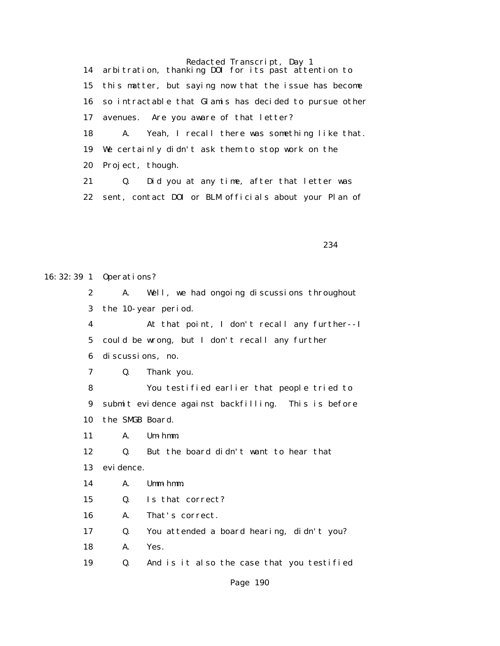14 arbitration, thanking DOI for its past attention to 15 this matter, but saying now that the issue has become 16 so intractable that Glamis has decided to pursue other 17 avenues. Are you aware of that letter? 18 A. Yeah, I recall there was something like that. 19 We certainly didn't ask them to stop work on the 20 Project, though. 21 Q. Did you at any time, after that letter was 22 sent, contact DOI or BLM officials about your Plan of

234

16:32:39 1 Operations? 2 A. Well, we had ongoing discussions throughout 3 the 10-year period. 4 At that point, I don't recall any further--I 5 could be wrong, but I don't recall any further 6 discussions, no. 7 Q. Thank you. 8 You testified earlier that people tried to 9 submit evidence against backfilling. This is before 10 the SMGB Board. 11 A. Um-hmm. 12 Q. But the board didn't want to hear that 13 evidence. 14 A. Umm-hmm. 15 Q. Is that correct? 16 A. That's correct. 17 Q. You attended a board hearing, didn't you? 18 A. Yes. 19 Q. And is it also the case that you testified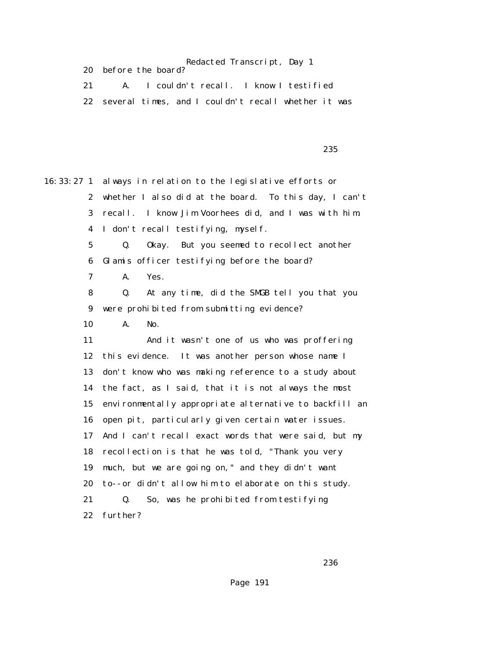20 before the board?

21 A. I couldn't recall. I know I testified

22 several times, and I couldn't recall whether it was

 $235$ 

16:33:27 1 always in relation to the legislative efforts or 2 whether I also did at the board. To this day, I can't 3 recall. I know Jim Voorhees did, and I was with him. 4 I don't recall testifying, myself. 5 Q. Okay. But you seemed to recollect another 6 Glamis officer testifying before the board? 7 A. Yes. 8 Q. At any time, did the SMGB tell you that you 9 were prohibited from submitting evidence? 10 A. No. 11 And it wasn't one of us who was proffering 12 this evidence. It was another person whose name I 13 don't know who was making reference to a study about 14 the fact, as I said, that it is not always the most 15 environmentally appropriate alternative to backfill an 16 open pit, particularly given certain water issues. 17 And I can't recall exact words that were said, but my 18 recollection is that he was told, "Thank you very 19 much, but we are going on," and they didn't want 20 to--or didn't allow him to elaborate on this study. 21 Q. So, was he prohibited from testifying 22 further?

 $236$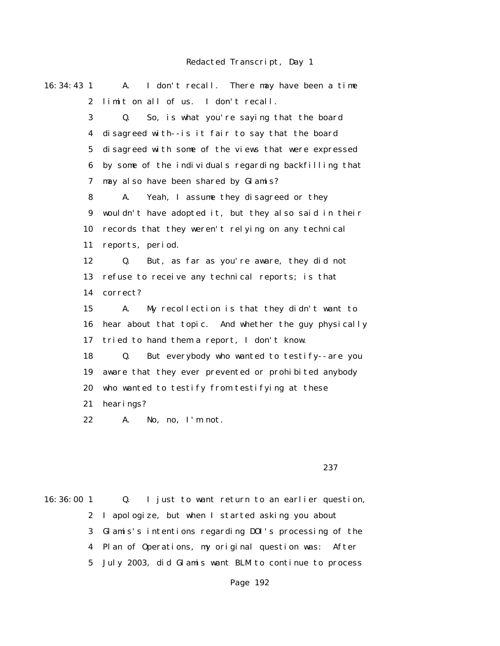| 16: 34: 43 1     | I don't recall. There may have been a time<br>A.      |
|------------------|-------------------------------------------------------|
| $\boldsymbol{2}$ | limit on all of us. I don't recall.                   |
| 3                | So, is what you're saying that the board<br>Q.        |
| 4                | disagreed with-is it fair to say that the board       |
| $\mathbf{5}$     | disagreed with some of the views that were expressed  |
| 6                | by some of the individuals regarding backfilling that |
| 7                | may also have been shared by Glamis?                  |
| 8                | Yeah, I assume they disagreed or they<br>A.           |
| $\boldsymbol{9}$ | wouldn't have adopted it, but they also said in their |
| 10               | records that they weren't relying on any technical    |
| 11               | reports, period.                                      |
| 12               | But, as far as you're aware, they did not<br>Q.       |
| 13               | refuse to receive any technical reports; is that      |
| 14               | correct?                                              |
| 15               | My recollection is that they didn't want to<br>A.     |
| 16               | hear about that topic. And whether the guy physically |
| 17               | tried to hand them a report, I don't know.            |
| 18               | But everybody who wanted to testify--are you<br>Q.    |
| 19               | aware that they ever prevented or prohibited anybody  |
| 20               | who wanted to testify from testifying at these        |
| 21               | hearings?                                             |
| 22               | No, no, I'm not.<br>A.                                |
|                  |                                                       |

 $237$ 

16:36:00 1 Q. I just to want return to an earlier question, 2 I apologize, but when I started asking you about 3 Glamis's intentions regarding DOI's processing of the 4 Plan of Operations, my original question was: After 5 July 2003, did Glamis want BLM to continue to process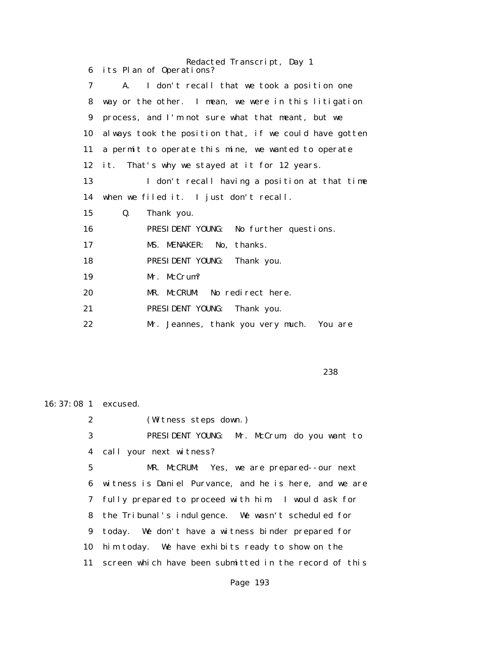|    | Redacted Transcript, Day 1                             |
|----|--------------------------------------------------------|
| 6  | its Plan of Operations?                                |
| 7  | I don't recall that we took a position one<br>A.       |
| 8  | way or the other. I mean, we were in this litigation   |
| 9  | process, and I'm not sure what that meant, but we      |
| 10 | always took the position that, if we could have gotten |
| 11 | a permit to operate this mine, we wanted to operate    |
| 12 | That's why we stayed at it for 12 years.<br>it.        |
| 13 | I don't recall having a position at that time          |
| 14 | when we filed it. I just don't recall.                 |
| 15 | Q.<br>Thank you.                                       |
| 16 | PRESIDENT YOUNG: No further questions.                 |
| 17 | MS. MENAKER: No, thanks.                               |
| 18 | PRESIDENT YOUNG: Thank you.                            |
| 19 | Mr. McCrum?                                            |
| 20 | MR. McCRUM: No redirect here.                          |
| 21 | PRESIDENT YOUNG: Thank you.                            |
| 22 | Mr. Jeannes, thank you very much. You are              |
|    |                                                        |

<u>238 and 238 and 238 and 238 and 238 and 238 and 238 and 238 and 238 and 238 and 238 and 238 and 238 and 238 and 238 and 238 and 238 and 238 and 238 and 238 and 238 and 238 and 238 and 238 and 238 and 238 and 238 and 238 a</u>

16:37:08 1 excused.

 2 (Witness steps down.) 3 PRESIDENT YOUNG: Mr. McCrum, do you want to 4 call your next witness? 5 MR. McCRUM: Yes, we are prepared--our next 6 witness is Daniel Purvance, and he is here, and we are 7 fully prepared to proceed with him. I would ask for 8 the Tribunal's indulgence. We wasn't scheduled for 9 today. We don't have a witness binder prepared for 10 him today. We have exhibits ready to show on the 11 screen which have been submitted in the record of this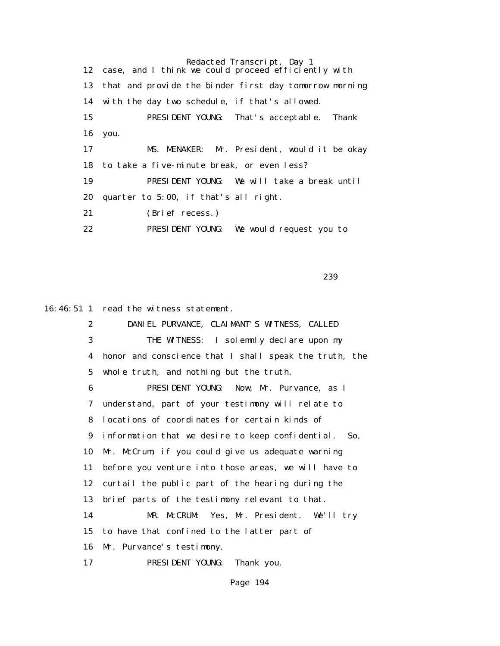Redacted Transcript, Day 1 12 case, and I think we could proceed efficiently with 13 that and provide the binder first day tomorrow morning 14 with the day two schedule, if that's allowed. 15 PRESIDENT YOUNG: That's acceptable. Thank 16 you. 17 MS. MENAKER: Mr. President, would it be okay 18 to take a five-minute break, or even less? 19 PRESIDENT YOUNG: We will take a break until 20 quarter to 5:00, if that's all right. 21 (Brief recess.) 22 PRESIDENT YOUNG: We would request you to

 $239$ 

16:46:51 1 read the witness statement.

 2 DANIEL PURVANCE, CLAIMANT'S WITNESS, CALLED 3 THE WITNESS: I solemnly declare upon my 4 honor and conscience that I shall speak the truth, the 5 whole truth, and nothing but the truth. 6 PRESIDENT YOUNG: Now, Mr. Purvance, as I 7 understand, part of your testimony will relate to 8 locations of coordinates for certain kinds of 9 information that we desire to keep confidential. So, 10 Mr. McCrum, if you could give us adequate warning 11 before you venture into those areas, we will have to 12 curtail the public part of the hearing during the 13 brief parts of the testimony relevant to that. 14 MR. McCRUM: Yes, Mr. President. We'll try 15 to have that confined to the latter part of 16 Mr. Purvance's testimony. 17 PRESIDENT YOUNG: Thank you.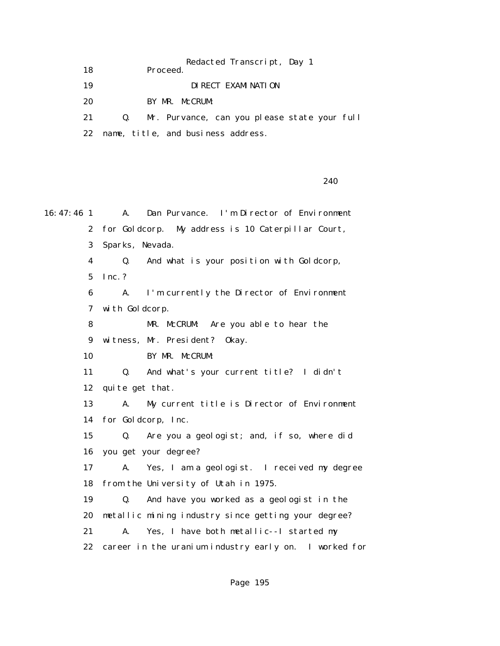Redacted Transcript, Day 1 18 Proceed. 19 **DIRECT EXAMINATION**  20 BY MR. McCRUM: 21 Q. Mr. Purvance, can you please state your full 22 name, title, and business address.

 $240$ 

16:47:46 1 A. Dan Purvance. I'm Director of Environment 2 for Goldcorp. My address is 10 Caterpillar Court, 3 Sparks, Nevada. 4 Q. And what is your position with Goldcorp, 5 Inc.? 6 A. I'm currently the Director of Environment 7 with Goldcorp. 8 MR. McCRUM: Are you able to hear the 9 witness, Mr. President? Okay. 10 BY MR. McCRUM: 11 Q. And what's your current title? I didn't 12 quite get that. 13 A. My current title is Director of Environment 14 for Goldcorp, Inc. 15 Q. Are you a geologist; and, if so, where did 16 you get your degree? 17 A. Yes, I am a geologist. I received my degree 18 from the University of Utah in 1975. 19 Q. And have you worked as a geologist in the 20 metallic mining industry since getting your degree? 21 A. Yes, I have both metallic--I started my 22 career in the uranium industry early on. I worked for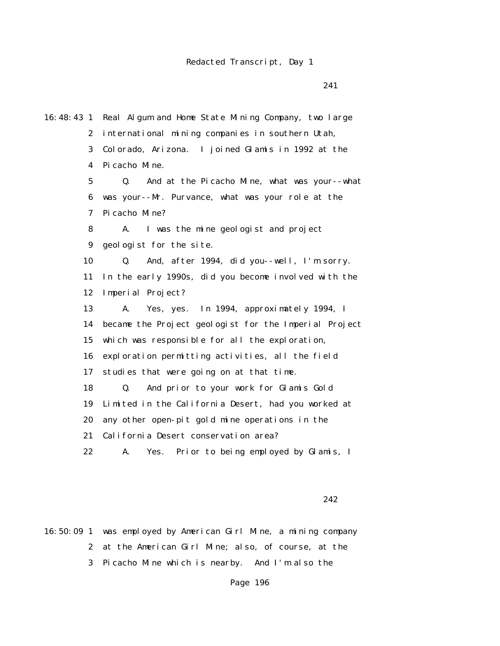16:48:43 1 Real Algum and Home State Mining Company, two large 2 international mining companies in southern Utah, 3 Colorado, Arizona. I joined Glamis in 1992 at the 4 Picacho Mine. 5 Q. And at the Picacho Mine, what was your--what 6 was your--Mr. Purvance, what was your role at the 7 Picacho Mine? 8 A. I was the mine geologist and project 9 geologist for the site. 10 Q. And, after 1994, did you--well, I'm sorry. 11 In the early 1990s, did you become involved with the 12 Imperial Project? 13 A. Yes, yes. In 1994, approximately 1994, I 14 became the Project geologist for the Imperial Project 15 which was responsible for all the exploration, 16 exploration permitting activities, all the field 17 studies that were going on at that time. 18 Q. And prior to your work for Glamis Gold 19 Limited in the California Desert, had you worked at 20 any other open-pit gold mine operations in the 21 California Desert conservation area? 22 A. Yes. Prior to being employed by Glamis, I

<u>242</u>

16:50:09 1 was employed by American Girl Mine, a mining company 2 at the American Girl Mine; also, of course, at the 3 Picacho Mine which is nearby. And I'm also the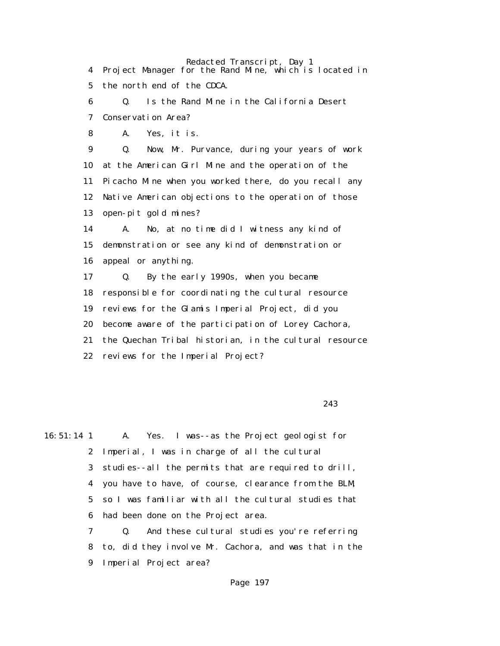Redacted Transcript, Day 1 4 Project Manager for the Rand Mine, which is located in 5 the north end of the CDCA. 6 Q. Is the Rand Mine in the California Desert 7 Conservation Area? 8 A. Yes, it is. 9 Q. Now, Mr. Purvance, during your years of work 10 at the American Girl Mine and the operation of the 11 Picacho Mine when you worked there, do you recall any 12 Native American objections to the operation of those 13 open-pit gold mines? 14 A. No, at no time did I witness any kind of 15 demonstration or see any kind of demonstration or 16 appeal or anything. 17 Q. By the early 1990s, when you became 18 responsible for coordinating the cultural resource 19 reviews for the Glamis Imperial Project, did you 20 become aware of the participation of Lorey Cachora, 21 the Quechan Tribal historian, in the cultural resource 22 reviews for the Imperial Project?

243

16:51:14 1 A. Yes. I was--as the Project geologist for 2 Imperial, I was in charge of all the cultural 3 studies--all the permits that are required to drill, 4 you have to have, of course, clearance from the BLM, 5 so I was familiar with all the cultural studies that 6 had been done on the Project area.

 7 Q. And these cultural studies you're referring 8 to, did they involve Mr. Cachora, and was that in the 9 Imperial Project area?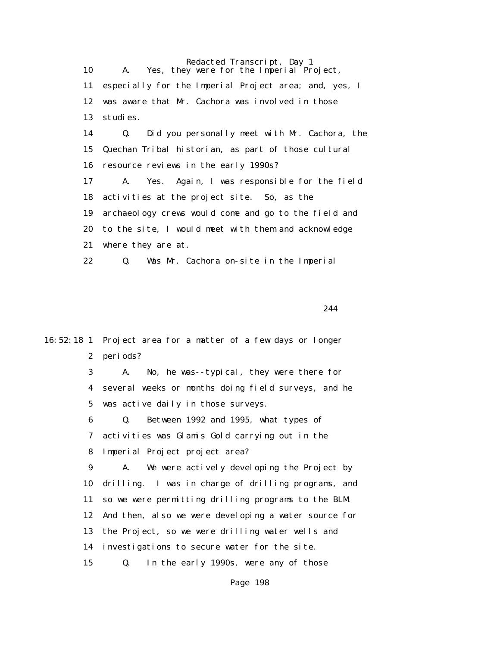Redacted Transcript, Day 1 10 A. Yes, they were for the Imperial Project, 11 especially for the Imperial Project area; and, yes, I 12 was aware that Mr. Cachora was involved in those 13 studies. 14 Q. Did you personally meet with Mr. Cachora, the 15 Quechan Tribal historian, as part of those cultural 16 resource reviews in the early 1990s? 17 A. Yes. Again, I was responsible for the field 18 activities at the project site. So, as the 19 archaeology crews would come and go to the field and 20 to the site, I would meet with them and acknowledge 21 where they are at. 22 Q. Was Mr. Cachora on-site in the Imperial

<u>244</u>

16:52:18 1 Project area for a matter of a few days or longer 2 periods?

> 3 A. No, he was--typical, they were there for 4 several weeks or months doing field surveys, and he 5 was active daily in those surveys.

 6 Q. Between 1992 and 1995, what types of 7 activities was Glamis Gold carrying out in the 8 Imperial Project project area?

 9 A. We were actively developing the Project by 10 drilling. I was in charge of drilling programs, and 11 so we were permitting drilling programs to the BLM. 12 And then, also we were developing a water source for 13 the Project, so we were drilling water wells and 14 investigations to secure water for the site. 15 Q. In the early 1990s, were any of those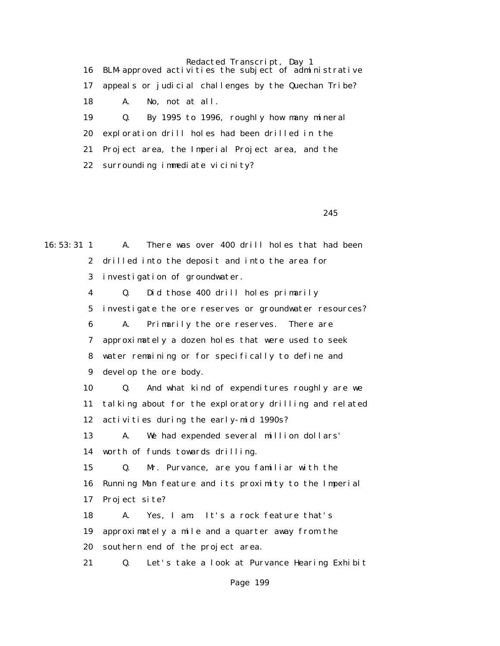16 BLM-approved activities the subject of administrative 17 appeals or judicial challenges by the Quechan Tribe? 18 A. No, not at all. 19 Q. By 1995 to 1996, roughly how many mineral 20 exploration drill holes had been drilled in the 21 Project area, the Imperial Project area, and the 22 surrounding immediate vicinity?

 $245$ 

16:53:31 1 A. There was over 400 drill holes that had been 2 drilled into the deposit and into the area for 3 investigation of groundwater. 4 Q. Did those 400 drill holes primarily 5 investigate the ore reserves or groundwater resources? 6 A. Primarily the ore reserves. There are 7 approximately a dozen holes that were used to seek 8 water remaining or for specifically to define and 9 develop the ore body. 10 Q. And what kind of expenditures roughly are we 11 talking about for the exploratory drilling and related 12 activities during the early-mid 1990s? 13 A. We had expended several million dollars' 14 worth of funds towards drilling. 15 Q. Mr. Purvance, are you familiar with the 16 Running Man feature and its proximity to the Imperial 17 Project site? 18 A. Yes, I am. It's a rock feature that's 19 approximately a mile and a quarter away from the 20 southern end of the project area. 21 Q. Let's take a look at Purvance Hearing Exhibit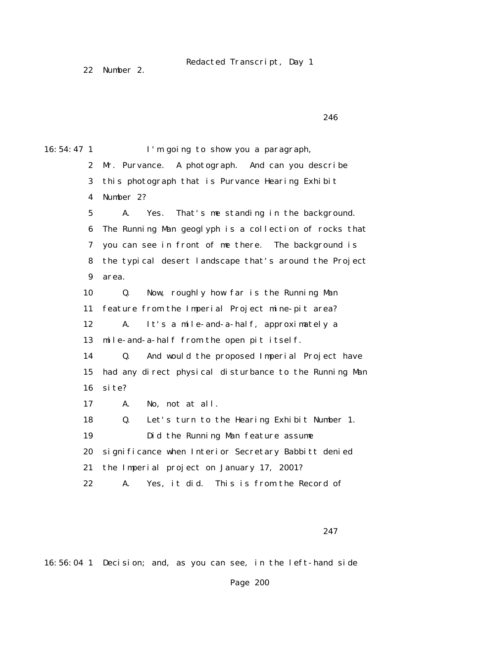22 Number 2.

16:54:47 1 I'm going to show you a paragraph, 2 Mr. Purvance. A photograph. And can you describe 3 this photograph that is Purvance Hearing Exhibit 4 Number 2? 5 A. Yes. That's me standing in the background. 6 The Running Man geoglyph is a collection of rocks that 7 you can see in front of me there. The background is 8 the typical desert landscape that's around the Project 9 area. 10 Q. Now, roughly how far is the Running Man 11 feature from the Imperial Project mine-pit area? 12 A. It's a mile-and-a-half, approximately a 13 mile-and-a-half from the open pit itself. 14 Q. And would the proposed Imperial Project have 15 had any direct physical disturbance to the Running Man 16 site? 17 A. No, not at all. 18 Q. Let's turn to the Hearing Exhibit Number 1. 19 Did the Running Man feature assume 20 significance when Interior Secretary Babbitt denied 21 the Imperial project on January 17, 2001? 22 A. Yes, it did. This is from the Record of

 $246$ 

16:56:04 1 Decision; and, as you can see, in the left-hand side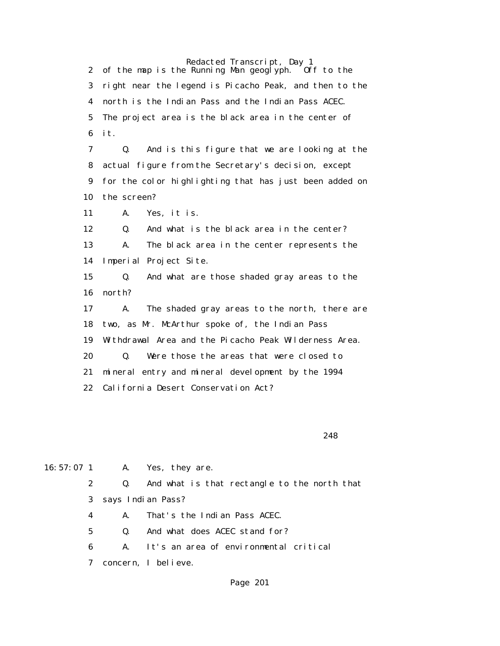Redacted Transcript, Day 1 2 of the map is the Running Man geoglyph. Off to the 3 right near the legend is Picacho Peak, and then to the 4 north is the Indian Pass and the Indian Pass ACEC. 5 The project area is the black area in the center of 6 it. 7 Q. And is this figure that we are looking at the 8 actual figure from the Secretary's decision, except 9 for the color highlighting that has just been added on 10 the screen? 11 A. Yes, it is. 12 Q. And what is the black area in the center? 13 A. The black area in the center represents the 14 Imperial Project Site. 15 Q. And what are those shaded gray areas to the 16 north? 17 A. The shaded gray areas to the north, there are 18 two, as Mr. McArthur spoke of, the Indian Pass 19 Withdrawal Area and the Picacho Peak Wilderness Area. 20 Q. Were those the areas that were closed to 21 mineral entry and mineral development by the 1994 22 California Desert Conservation Act?

248

16:57:07 1 A. Yes, they are.

 2 Q. And what is that rectangle to the north that 3 says Indian Pass?

4 A. That's the Indian Pass ACEC.

5 Q. And what does ACEC stand for?

6 A. It's an area of environmental critical

7 concern, I believe.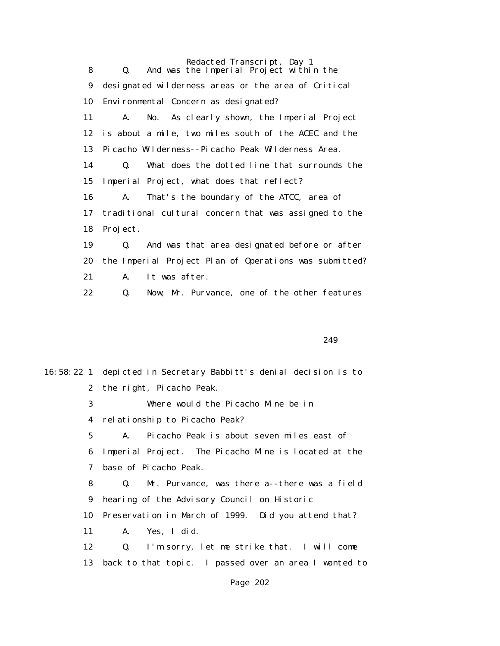|    | Redacted Transcript, Day 1                             |
|----|--------------------------------------------------------|
| 8  | And was the Imperial Project within the<br>Q.          |
| 9  | designated wilderness areas or the area of Critical    |
| 10 | Environmental Concern as designated?                   |
| 11 | No. As clearly shown, the Imperial Project<br>A.       |
| 12 | is about a mile, two miles south of the ACEC and the   |
| 13 | Picacho Wilderness--Picacho Peak Wilderness Area.      |
| 14 | What does the dotted line that surrounds the<br>Q.     |
| 15 | Imperial Project, what does that reflect?              |
| 16 | That's the boundary of the ATCC, area of<br>A.         |
| 17 | traditional cultural concern that was assigned to the  |
| 18 | Project.                                               |
| 19 | And was that area designated before or after<br>Q.     |
| 20 | the Imperial Project Plan of Operations was submitted? |
| 21 | It was after.<br>A.                                    |
| 22 | Q.<br>Now, Mr. Purvance, one of the other features     |

 $249$ 

16:58:22 1 depicted in Secretary Babbitt's denial decision is to 2 the right, Picacho Peak. 3 Where would the Picacho Mine be in 4 relationship to Picacho Peak? 5 A. Picacho Peak is about seven miles east of 6 Imperial Project. The Picacho Mine is located at the 7 base of Picacho Peak. 8 Q. Mr. Purvance, was there a--there was a field 9 hearing of the Advisory Council on Historic 10 Preservation in March of 1999. Did you attend that? 11 A. Yes, I did. 12 Q. I'm sorry, let me strike that. I will come 13 back to that topic. I passed over an area I wanted to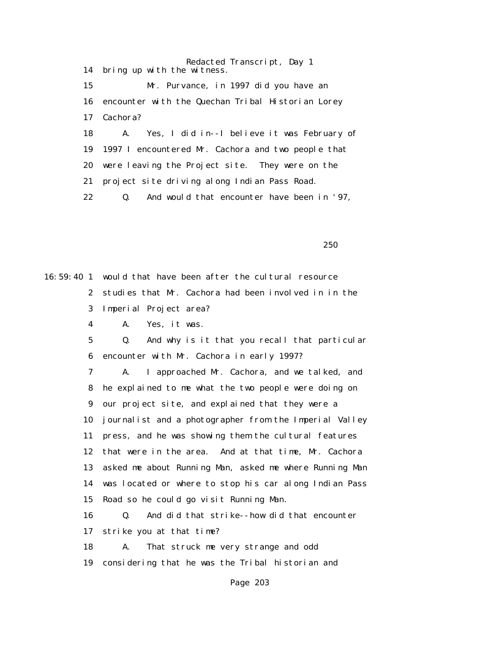Redacted Transcript, Day 1 14 bring up with the witness. 15 Mr. Purvance, in 1997 did you have an 16 encounter with the Quechan Tribal Historian Lorey 17 Cachora? 18 A. Yes, I did in--I believe it was February of 19 1997 I encountered Mr. Cachora and two people that 20 were leaving the Project site. They were on the 21 project site driving along Indian Pass Road. 22 Q. And would that encounter have been in '97,

 $250$ 

16:59:40 1 would that have been after the cultural resource 2 studies that Mr. Cachora had been involved in in the 3 Imperial Project area?

4 A. Yes, it was.

 5 Q. And why is it that you recall that particular 6 encounter with Mr. Cachora in early 1997?

 7 A. I approached Mr. Cachora, and we talked, and 8 he explained to me what the two people were doing on 9 our project site, and explained that they were a 10 journalist and a photographer from the Imperial Valley 11 press, and he was showing them the cultural features 12 that were in the area. And at that time, Mr. Cachora 13 asked me about Running Man, asked me where Running Man 14 was located or where to stop his car along Indian Pass 15 Road so he could go visit Running Man.

 16 Q. And did that strike--how did that encounter 17 strike you at that time?

 18 A. That struck me very strange and odd 19 considering that he was the Tribal historian and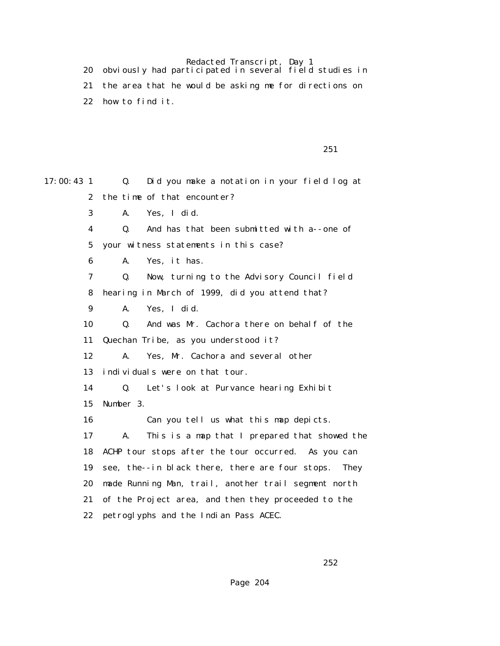20 obviously had participated in several field studies in 21 the area that he would be asking me for directions on 22 how to find it.

 $251$ 

| $17:00:43$ 1    | Did you make a notation in your field log at<br>Q.      |  |  |  |  |  |  |
|-----------------|---------------------------------------------------------|--|--|--|--|--|--|
| $\mathbf{2}$    | the time of that encounter?                             |  |  |  |  |  |  |
| 3               | Yes, I did.<br>A.                                       |  |  |  |  |  |  |
| 4               | And has that been submitted with a--one of<br>Q.        |  |  |  |  |  |  |
| $5\overline{ }$ | your witness statements in this case?                   |  |  |  |  |  |  |
| 6               | A.<br>Yes, it has.                                      |  |  |  |  |  |  |
| 7               | Now, turning to the Advisory Council field<br>Q.        |  |  |  |  |  |  |
| 8               | hearing in March of 1999, did you attend that?          |  |  |  |  |  |  |
| 9               | Yes, I did.<br>A.                                       |  |  |  |  |  |  |
| 10              | And was Mr. Cachora there on behalf of the<br>Q.        |  |  |  |  |  |  |
| 11              | Quechan Tribe, as you understood it?                    |  |  |  |  |  |  |
| 12              | Yes, Mr. Cachora and several other<br>A.                |  |  |  |  |  |  |
| 13              | individuals were on that tour.                          |  |  |  |  |  |  |
| 14              | Q.<br>Let's look at Purvance hearing Exhibit            |  |  |  |  |  |  |
| 15              | Number 3.                                               |  |  |  |  |  |  |
| 16              | Can you tell us what this map depicts.                  |  |  |  |  |  |  |
| 17              | This is a map that I prepared that showed the<br>A.     |  |  |  |  |  |  |
| 18              | ACHP tour stops after the tour occurred. As you can     |  |  |  |  |  |  |
| 19              | see, the--in black there, there are four stops.<br>They |  |  |  |  |  |  |
| 20              | made Running Man, trail, another trail segment north    |  |  |  |  |  |  |
| 21              | of the Project area, and then they proceeded to the     |  |  |  |  |  |  |
| 22              | petroglyphs and the Indian Pass ACEC.                   |  |  |  |  |  |  |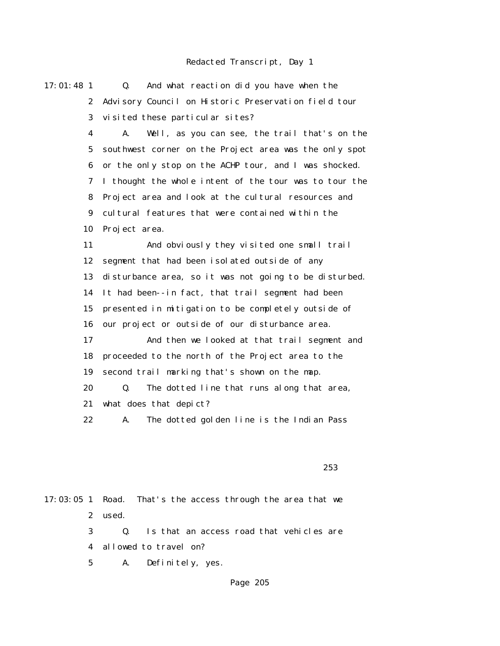17:01:48 1 Q. And what reaction did you have when the 2 Advisory Council on Historic Preservation field tour 3 visited these particular sites? 4 A. Well, as you can see, the trail that's on the 5 southwest corner on the Project area was the only spot 6 or the only stop on the ACHP tour, and I was shocked. 7 I thought the whole intent of the tour was to tour the 8 Project area and look at the cultural resources and 9 cultural features that were contained within the 10 Project area. 11 And obviously they visited one small trail 12 segment that had been isolated outside of any 13 disturbance area, so it was not going to be disturbed. 14 It had been--in fact, that trail segment had been 15 presented in mitigation to be completely outside of 16 our project or outside of our disturbance area. 17 And then we looked at that trail segment and 18 proceeded to the north of the Project area to the 19 second trail marking that's shown on the map. 20 Q. The dotted line that runs along that area, 21 what does that depict? 22 A. The dotted golden line is the Indian Pass

 $253$ 

17:03:05 1 Road. That's the access through the area that we 2 used. 3 Q. Is that an access road that vehicles are 4 allowed to travel on?

5 A. Definitely, yes.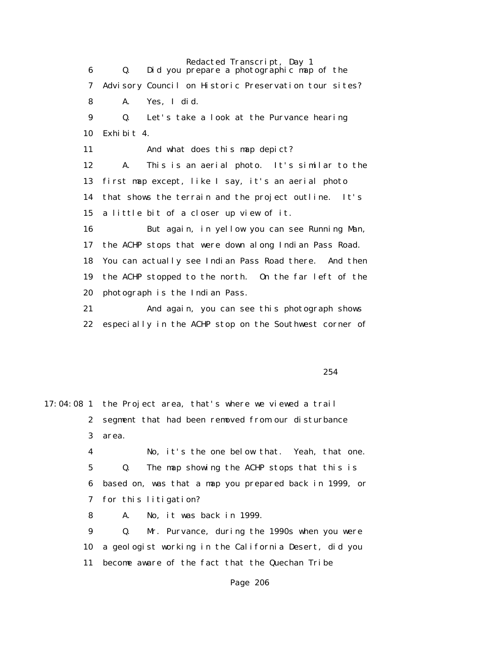Redacted Transcript, Day 1 6 Q. Did you prepare a photographic map of the 7 Advisory Council on Historic Preservation tour sites? 8 A. Yes, I did. 9 Q. Let's take a look at the Purvance hearing 10 Exhibit 4. 11 And what does this map depict? 12 A. This is an aerial photo. It's similar to the 13 first map except, like I say, it's an aerial photo 14 that shows the terrain and the project outline. It's 15 a little bit of a closer up view of it. 16 But again, in yellow you can see Running Man, 17 the ACHP stops that were down along Indian Pass Road. 18 You can actually see Indian Pass Road there. And then 19 the ACHP stopped to the north. On the far left of the 20 photograph is the Indian Pass. 21 And again, you can see this photograph shows 22 especially in the ACHP stop on the Southwest corner of

 $254$ 

17:04:08 1 the Project area, that's where we viewed a trail 2 segment that had been removed from our disturbance 3 area. 4 No, it's the one below that. Yeah, that one.

> 5 Q. The map showing the ACHP stops that this is 6 based on, was that a map you prepared back in 1999, or 7 for this litigation?

8 A. No, it was back in 1999.

 9 Q. Mr. Purvance, during the 1990s when you were 10 a geologist working in the California Desert, did you 11 become aware of the fact that the Quechan Tribe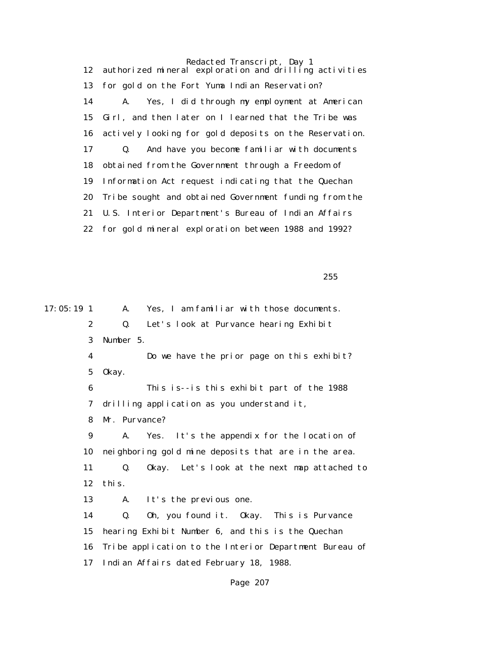Redacted Transcript, Day 1 12 authorized mineral exploration and drilling activities 13 for gold on the Fort Yuma Indian Reservation? 14 A. Yes, I did through my employment at American 15 Girl, and then later on I learned that the Tribe was 16 actively looking for gold deposits on the Reservation. 17 Q. And have you become familiar with documents 18 obtained from the Government through a Freedom of 19 Information Act request indicating that the Quechan 20 Tribe sought and obtained Government funding from the 21 U.S. Interior Department's Bureau of Indian Affairs 22 for gold mineral exploration between 1988 and 1992?

 $255$ 

17:05:19 1 A. Yes, I am familiar with those documents. 2 Q. Let's look at Purvance hearing Exhibit 3 Number 5. 4 Do we have the prior page on this exhibit? 5 Okay. 6 This is--is this exhibit part of the 1988 7 drilling application as you understand it, 8 Mr. Purvance? 9 A. Yes. It's the appendix for the location of 10 neighboring gold mine deposits that are in the area. 11 Q. Okay. Let's look at the next map attached to 12 this. 13 A. It's the previous one. 14 Q. Oh, you found it. Okay. This is Purvance 15 hearing Exhibit Number 6, and this is the Quechan 16 Tribe application to the Interior Department Bureau of 17 Indian Affairs dated February 18, 1988.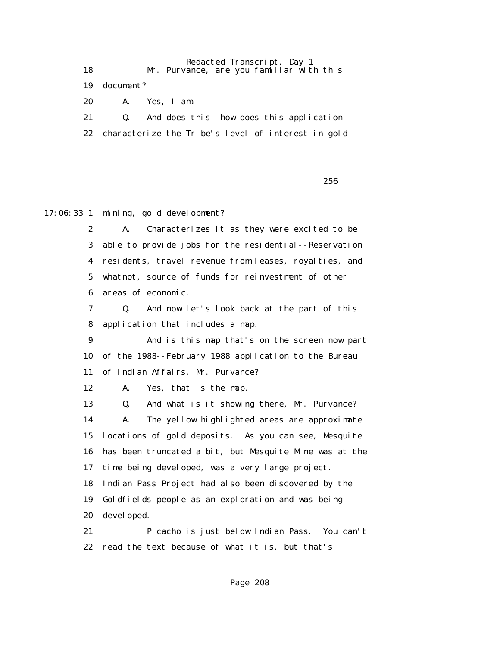18 Mr. Purvance, are you familiar with this

19 document?

20 A. Yes, I am.

21 Q. And does this--how does this application

22 characterize the Tribe's level of interest in gold

 $256$ 

17:06:33 1 mining, gold development?

 2 A. Characterizes it as they were excited to be 3 able to provide jobs for the residential--Reservation 4 residents, travel revenue from leases, royalties, and 5 whatnot, source of funds for reinvestment of other 6 areas of economic.

 7 Q. And now let's look back at the part of this 8 application that includes a map.

 9 And is this map that's on the screen now part 10 of the 1988--February 1988 application to the Bureau 11 of Indian Affairs, Mr. Purvance?

12 A. Yes, that is the map.

 13 Q. And what is it showing there, Mr. Purvance? 14 A. The yellow highlighted areas are approximate 15 locations of gold deposits. As you can see, Mesquite 16 has been truncated a bit, but Mesquite Mine was at the 17 time being developed, was a very large project. 18 Indian Pass Project had also been discovered by the 19 Goldfields people as an exploration and was being 20 developed.

 21 Picacho is just below Indian Pass. You can't 22 read the text because of what it is, but that's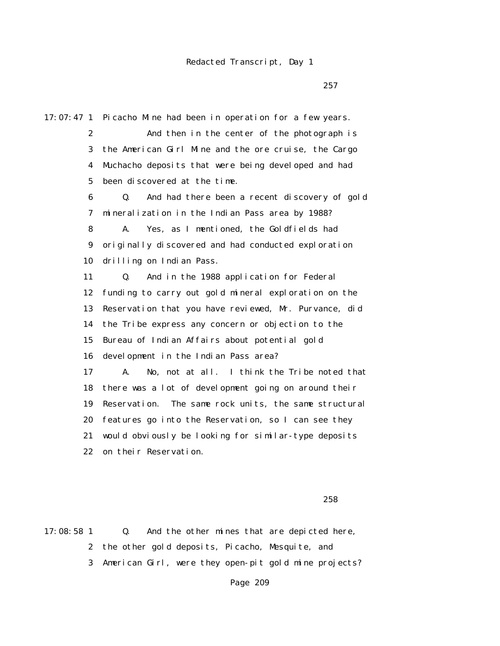$257$ 

17:07:47 1 Picacho Mine had been in operation for a few years. 2 And then in the center of the photograph is 3 the American Girl Mine and the ore cruise, the Cargo 4 Muchacho deposits that were being developed and had 5 been discovered at the time. 6 Q. And had there been a recent discovery of gold 7 mineralization in the Indian Pass area by 1988? 8 A. Yes, as I mentioned, the Goldfields had 9 originally discovered and had conducted exploration 10 drilling on Indian Pass. 11 Q. And in the 1988 application for Federal 12 funding to carry out gold mineral exploration on the 13 Reservation that you have reviewed, Mr. Purvance, did 14 the Tribe express any concern or objection to the 15 Bureau of Indian Affairs about potential gold 16 development in the Indian Pass area? 17 A. No, not at all. I think the Tribe noted that 18 there was a lot of development going on around their 19 Reservation. The same rock units, the same structural 20 features go into the Reservation, so I can see they 21 would obviously be looking for similar-type deposits 22 on their Reservation.

 $258$ 

17:08:58 1 Q. And the other mines that are depicted here, 2 the other gold deposits, Picacho, Mesquite, and 3 American Girl, were they open-pit gold mine projects?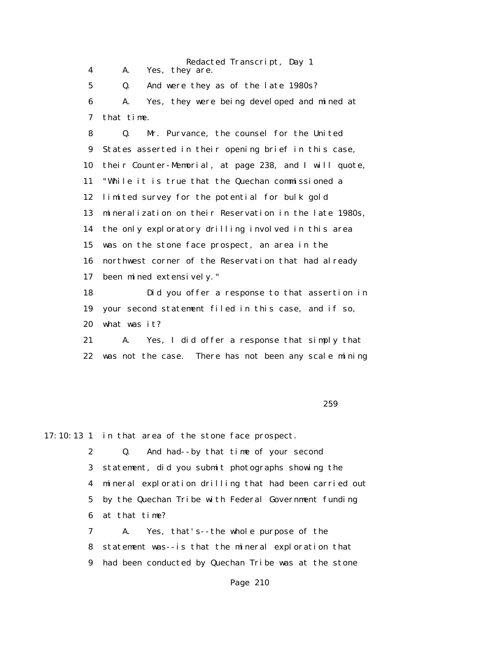Redacted Transcript, Day 1 4 A. Yes, they are. 5 Q. And were they as of the late 1980s? 6 A. Yes, they were being developed and mined at 7 that time. 8 Q. Mr. Purvance, the counsel for the United 9 States asserted in their opening brief in this case, 10 their Counter-Memorial, at page 238, and I will quote, 11 "While it is true that the Quechan commissioned a 12 limited survey for the potential for bulk gold 13 mineralization on their Reservation in the late 1980s, 14 the only exploratory drilling involved in this area 15 was on the stone face prospect, an area in the 16 northwest corner of the Reservation that had already 17 been mined extensively." 18 Did you offer a response to that assertion in 19 your second statement filed in this case, and if so, 20 what was it? 21 A. Yes, I did offer a response that simply that 22 was not the case. There has not been any scale mining

 $259$ 

17:10:13 1 in that area of the stone face prospect.

 2 Q. And had--by that time of your second 3 statement, did you submit photographs showing the 4 mineral exploration drilling that had been carried out 5 by the Quechan Tribe with Federal Government funding 6 at that time?

 7 A. Yes, that's--the whole purpose of the 8 statement was--is that the mineral exploration that 9 had been conducted by Quechan Tribe was at the stone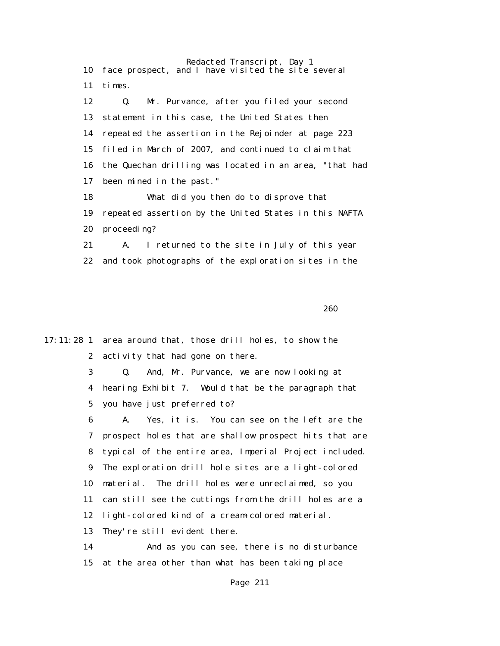Redacted Transcript, Day 1 10 face prospect, and I have visited the site several 11 times. 12 Q. Mr. Purvance, after you filed your second 13 statement in this case, the United States then 14 repeated the assertion in the Rejoinder at page 223 15 filed in March of 2007, and continued to claim that 16 the Quechan drilling was located in an area, "that had 17 been mined in the past." 18 What did you then do to disprove that 19 repeated assertion by the United States in this NAFTA 20 proceeding?

 21 A. I returned to the site in July of this year 22 and took photographs of the exploration sites in the

 $260$ 

17:11:28 1 area around that, those drill holes, to show the 2 activity that had gone on there.

> 3 Q. And, Mr. Purvance, we are now looking at 4 hearing Exhibit 7. Would that be the paragraph that 5 you have just preferred to?

 6 A. Yes, it is. You can see on the left are the 7 prospect holes that are shallow prospect hits that are 8 typical of the entire area, Imperial Project included. 9 The exploration drill hole sites are a light-colored 10 material. The drill holes were unreclaimed, so you 11 can still see the cuttings from the drill holes are a 12 light-colored kind of a cream-colored material. 13 They're still evident there.

 14 And as you can see, there is no disturbance 15 at the area other than what has been taking place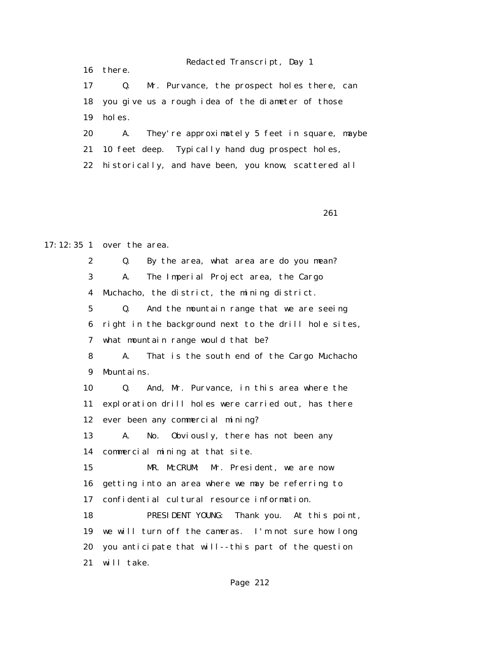16 there.

 17 Q. Mr. Purvance, the prospect holes there, can 18 you give us a rough idea of the diameter of those 19 holes.

 20 A. They're approximately 5 feet in square, maybe 21 10 feet deep. Typically hand dug prospect holes, 22 historically, and have been, you know, scattered all

 $261$ 

## 17:12:35 1 over the area.

 2 Q. By the area, what area are do you mean? 3 A. The Imperial Project area, the Cargo 4 Muchacho, the district, the mining district. 5 Q. And the mountain range that we are seeing 6 right in the background next to the drill hole sites, 7 what mountain range would that be? 8 A. That is the south end of the Cargo Muchacho 9 Mountains. 10 Q. And, Mr. Purvance, in this area where the 11 exploration drill holes were carried out, has there 12 ever been any commercial mining? 13 A. No. Obviously, there has not been any 14 commercial mining at that site. 15 MR. McCRUM: Mr. President, we are now 16 getting into an area where we may be referring to 17 confidential cultural resource information. 18 PRESIDENT YOUNG: Thank you. At this point, 19 we will turn off the cameras. I'm not sure how long 20 you anticipate that will--this part of the question 21 will take.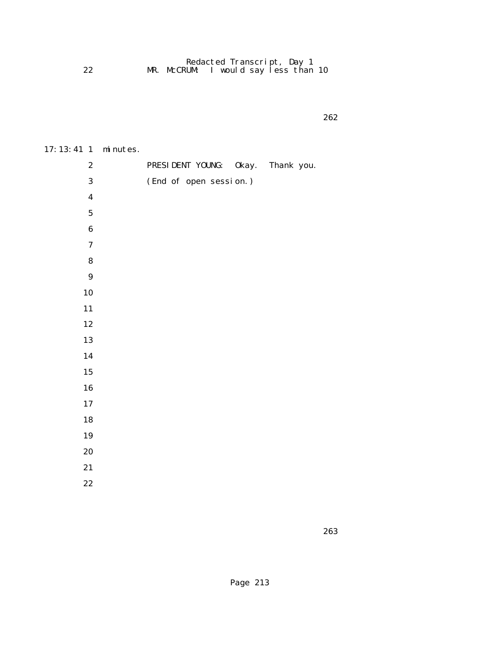Redacted Transcript, Day 1 22 MR. McCRUM: I would say less than 10

# 17:13:41 1 minutes.

| $\boldsymbol{2}$ |  |                        | PRESIDENT YOUNG: Okay. | Thank you. |
|------------------|--|------------------------|------------------------|------------|
| $\bf{3}$         |  | (End of open session.) |                        |            |
| $\boldsymbol{4}$ |  |                        |                        |            |
| $\mathbf 5$      |  |                        |                        |            |
| $\bf{6}$         |  |                        |                        |            |
| $\boldsymbol{7}$ |  |                        |                        |            |
| ${\bf 8}$        |  |                        |                        |            |
| $\boldsymbol{9}$ |  |                        |                        |            |
| 10               |  |                        |                        |            |
| 11               |  |                        |                        |            |
| 12               |  |                        |                        |            |
| 13               |  |                        |                        |            |
| 14               |  |                        |                        |            |
| ${\bf 15}$       |  |                        |                        |            |
| ${\bf 16}$       |  |                        |                        |            |
| $17\,$           |  |                        |                        |            |
| 18               |  |                        |                        |            |
| 19               |  |                        |                        |            |
| 20               |  |                        |                        |            |
| 21               |  |                        |                        |            |
| $22\,$           |  |                        |                        |            |
|                  |  |                        |                        |            |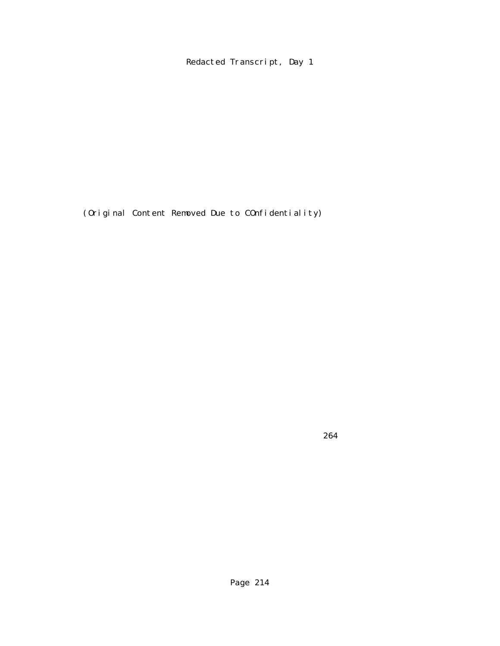(Original Content Removed Due to COnfidentiality)

 $264$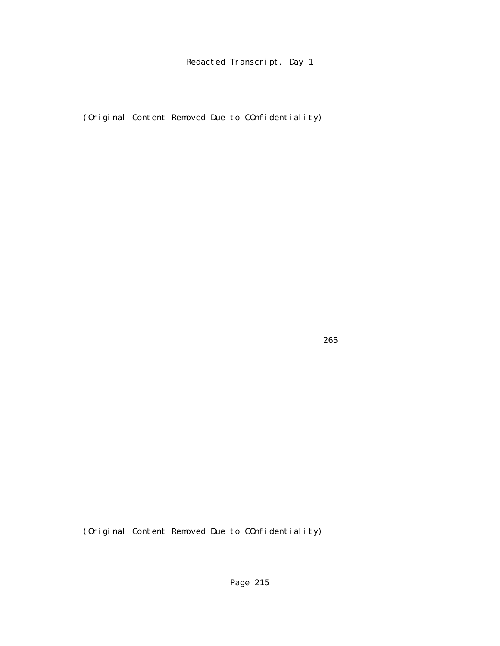(Original Content Removed Due to COnfidentiality)

 $265$ 

(Original Content Removed Due to COnfidentiality)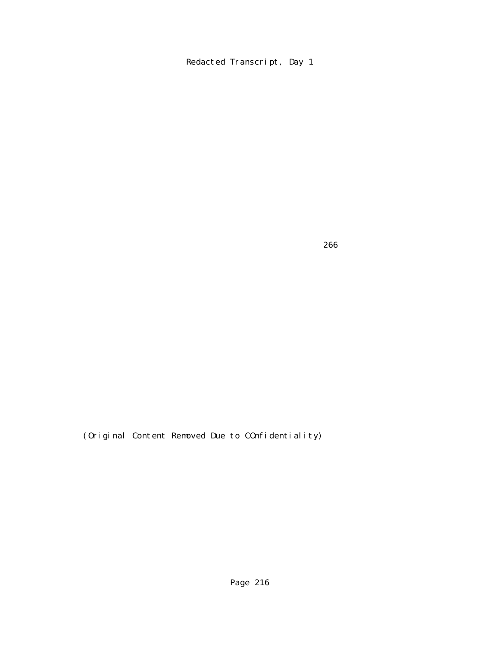$266$ 

(Original Content Removed Due to COnfidentiality)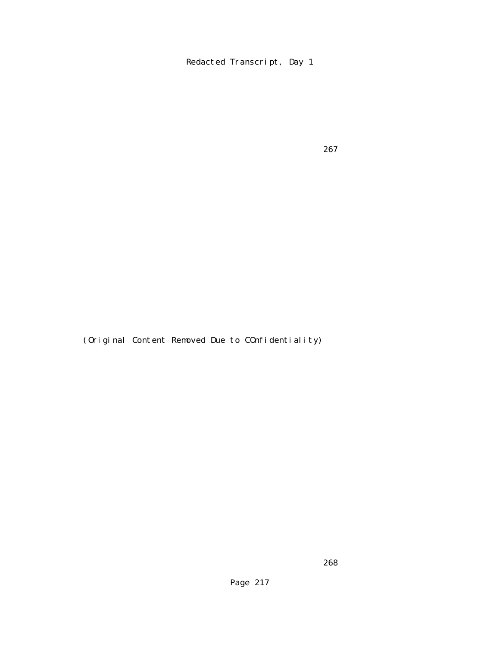$267$ 

(Original Content Removed Due to COnfidentiality)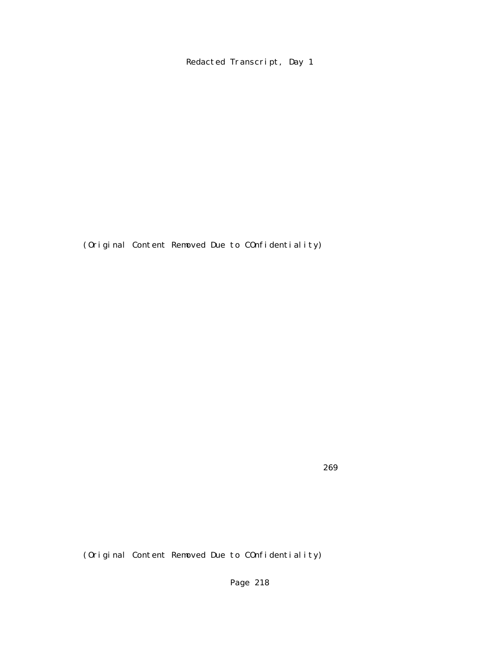(Original Content Removed Due to COnfidentiality)

 $269$ 

(Original Content Removed Due to COnfidentiality)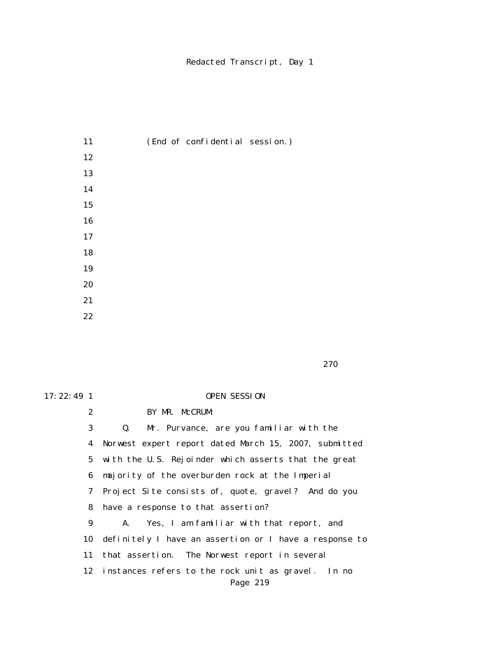| 11     | (End of confidential session.) |
|--------|--------------------------------|
| 12     |                                |
| 13     |                                |
| 14     |                                |
| 15     |                                |
| 16     |                                |
| 17     |                                |
| 18     |                                |
| 19     |                                |
| $20\,$ |                                |
| 21     |                                |
| 22     |                                |

| $17:22:49$ 1     | <b>OPEN SESSION</b>                                               |
|------------------|-------------------------------------------------------------------|
| $\boldsymbol{2}$ | BY MR. McCRUM:                                                    |
| 3                | Mr. Purvance, are you familiar with the<br>Q.                     |
| 4                | Norwest expert report dated March 15, 2007, submitted             |
|                  | 5 with the U.S. Rejoinder which asserts that the great            |
| 6                | majority of the overburden rock at the Imperial                   |
| 7                | Project Site consists of, quote, gravel? And do you               |
| 8                | have a response to that assertion?                                |
| 9                | A. Yes, I am familiar with that report, and                       |
|                  | 10 definitely I have an assertion or I have a response to         |
| 11               | that assertion. The Norwest report in several                     |
|                  | 12 instances refers to the rock unit as gravel. In no<br>Page 219 |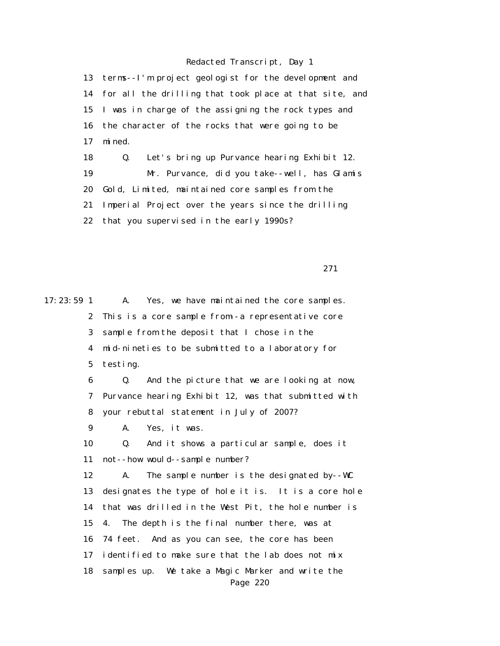13 terms--I'm project geologist for the development and 14 for all the drilling that took place at that site, and 15 I was in charge of the assigning the rock types and 16 the character of the rocks that were going to be 17 mined.

 18 Q. Let's bring up Purvance hearing Exhibit 12. 19 Mr. Purvance, did you take--well, has Glamis 20 Gold, Limited, maintained core samples from the 21 Imperial Project over the years since the drilling 22 that you supervised in the early 1990s?

271

17:23:59 1 A. Yes, we have maintained the core samples. 2 This is a core sample from--a representative core 3 sample from the deposit that I chose in the 4 mid-nineties to be submitted to a laboratory for 5 testing. 6 Q. And the picture that we are looking at now, 7 Purvance hearing Exhibit 12, was that submitted with 8 your rebuttal statement in July of 2007? 9 A. Yes, it was. 10 Q. And it shows a particular sample, does it 11 not--how would--sample number? 12 A. The sample number is the designated by--WC 13 designates the type of hole it is. It is a core hole 14 that was drilled in the West Pit, the hole number is 15 4. The depth is the final number there, was at 16 74 feet. And as you can see, the core has been 17 identified to make sure that the lab does not mix 18 samples up. We take a Magic Marker and write the Page 220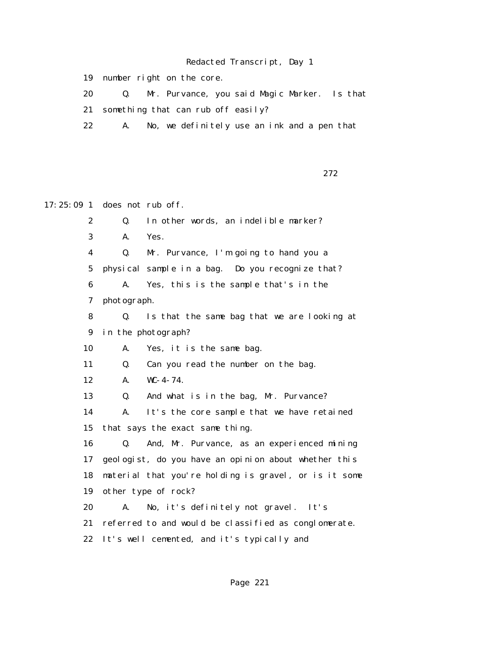19 number right on the core.

 20 Q. Mr. Purvance, you said Magic Marker. Is that 21 something that can rub off easily?

22 A. No, we definitely use an ink and a pen that

<u>272</u>

17:25:09 1 does not rub off. 2 Q. In other words, an indelible marker? 3 A. Yes. 4 Q. Mr. Purvance, I'm going to hand you a 5 physical sample in a bag. Do you recognize that? 6 A. Yes, this is the sample that's in the 7 photograph. 8 Q. Is that the same bag that we are looking at 9 in the photograph? 10 A. Yes, it is the same bag. 11 Q. Can you read the number on the bag. 12 A. WC-4-74. 13 Q. And what is in the bag, Mr. Purvance? 14 A. It's the core sample that we have retained 15 that says the exact same thing. 16 Q. And, Mr. Purvance, as an experienced mining 17 geologist, do you have an opinion about whether this 18 material that you're holding is gravel, or is it some 19 other type of rock? 20 A. No, it's definitely not gravel. It's 21 referred to and would be classified as conglomerate. 22 It's well cemented, and it's typically and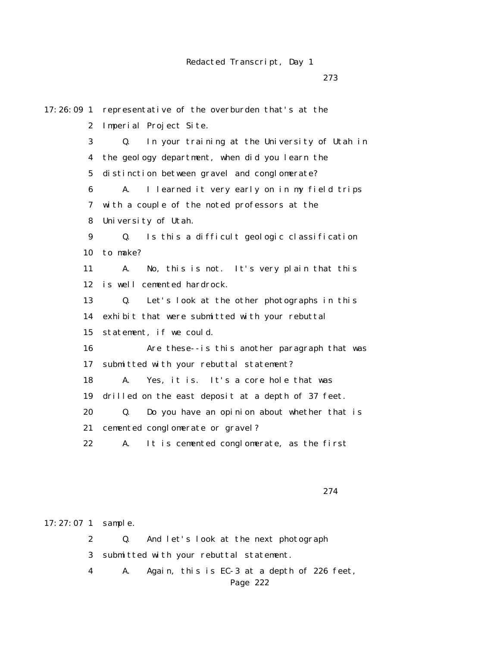17:26:09 1 representative of the overburden that's at the 2 Imperial Project Site. 3 Q. In your training at the University of Utah in 4 the geology department, when did you learn the 5 distinction between gravel and conglomerate? 6 A. I learned it very early on in my field trips 7 with a couple of the noted professors at the 8 University of Utah. 9 Q. Is this a difficult geologic classification 10 to make? 11 A. No, this is not. It's very plain that this 12 is well cemented hardrock. 13 Q. Let's look at the other photographs in this 14 exhibit that were submitted with your rebuttal 15 statement, if we could. 16 Are these--is this another paragraph that was 17 submitted with your rebuttal statement? 18 A. Yes, it is. It's a core hole that was 19 drilled on the east deposit at a depth of 37 feet. 20 Q. Do you have an opinion about whether that is 21 cemented conglomerate or gravel? 22 A. It is cemented conglomerate, as the first

#### 274

#### 17:27:07 1 sample.

 2 Q. And let's look at the next photograph 3 submitted with your rebuttal statement. 4 A. Again, this is EC-3 at a depth of 226 feet, Page 222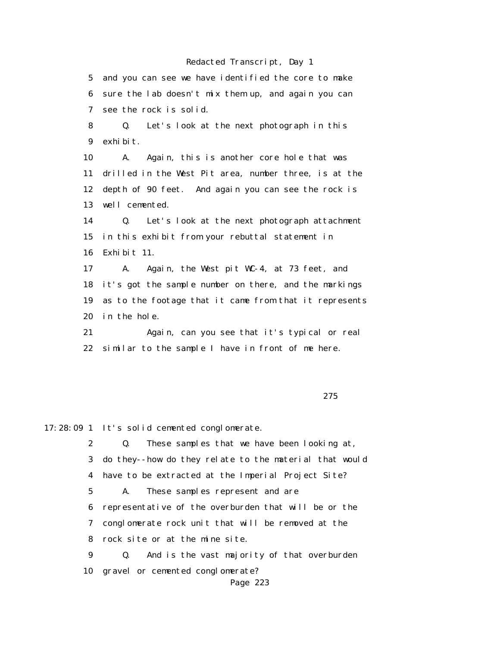5 and you can see we have identified the core to make 6 sure the lab doesn't mix them up, and again you can 7 see the rock is solid.

 8 Q. Let's look at the next photograph in this 9 exhibit.

 10 A. Again, this is another core hole that was 11 drilled in the West Pit area, number three, is at the 12 depth of 90 feet. And again you can see the rock is 13 well cemented.

 14 Q. Let's look at the next photograph attachment 15 in this exhibit from your rebuttal statement in 16 Exhibit 11.

 17 A. Again, the West pit WC-4, at 73 feet, and 18 it's got the sample number on there, and the markings 19 as to the footage that it came from that it represents 20 in the hole.

 21 Again, can you see that it's typical or real 22 similar to the sample I have in front of me here.

<u>275</u>

17:28:09 1 It's solid cemented conglomerate.

 2 Q. These samples that we have been looking at, 3 do they--how do they relate to the material that would 4 have to be extracted at the Imperial Project Site? 5 A. These samples represent and are 6 representative of the overburden that will be or the 7 conglomerate rock unit that will be removed at the 8 rock site or at the mine site. 9 Q. And is the vast majority of that overburden 10 gravel or cemented conglomerate?

Page 223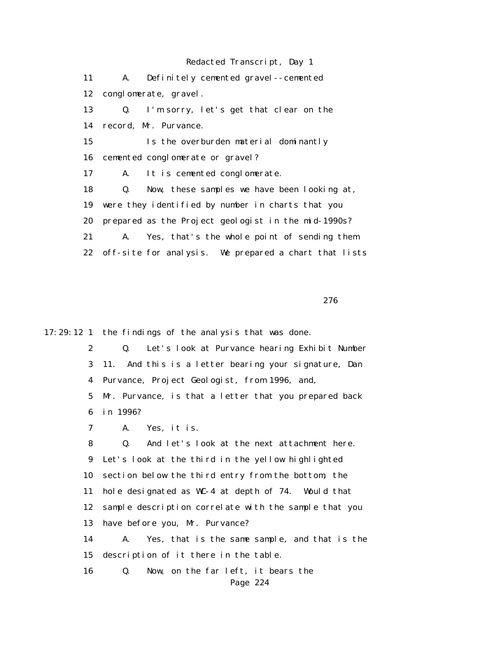11 A. Definitely cemented gravel--cemented 12 conglomerate, gravel. 13 Q. I'm sorry, let's get that clear on the 14 record, Mr. Purvance. 15 Is the overburden material dominantly 16 cemented conglomerate or gravel? 17 A. It is cemented conglomerate. 18 Q. Now, these samples we have been looking at, 19 were they identified by number in charts that you 20 prepared as the Project geologist in the mid-1990s? 21 A. Yes, that's the whole point of sending them 22 off-site for analysis. We prepared a chart that lists

 $276$ 

17:29:12 1 the findings of the analysis that was done.

 2 Q. Let's look at Purvance hearing Exhibit Number 3 11. And this is a letter bearing your signature, Dan 4 Purvance, Project Geologist, from 1996, and, 5 Mr. Purvance, is that a letter that you prepared back 6 in 1996?

7 A. Yes, it is.

 8 Q. And let's look at the next attachment here. 9 Let's look at the third in the yellow highlighted 10 section below the third entry from the bottom, the 11 hole designated as WC-4 at depth of 74. Would that 12 sample description correlate with the sample that you 13 have before you, Mr. Purvance? 14 A. Yes, that is the same sample, and that is the 15 description of it there in the table.

 16 Q. Now, on the far left, it bears the Page 224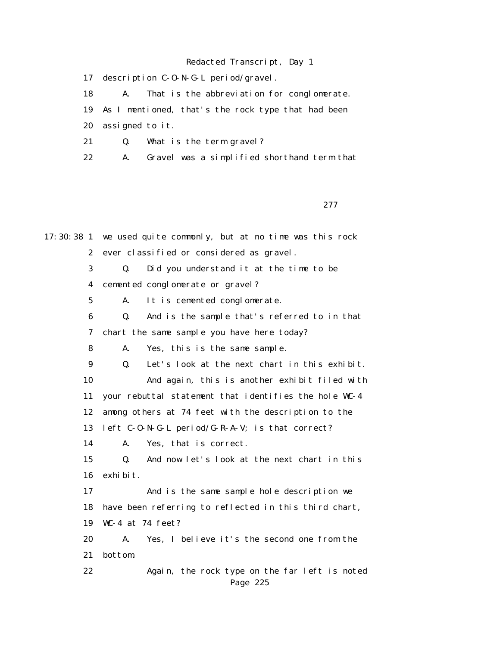17 description C-O-N-G-L period/gravel.

18 A. That is the abbreviation for conglomerate.

 19 As I mentioned, that's the rock type that had been 20 assigned to it.

21 Q. What is the term gravel?

22 A. Gravel was a simplified shorthand term that

<u>277</u>

17:30:38 1 we used quite commonly, but at no time was this rock 2 ever classified or considered as gravel. 3 Q. Did you understand it at the time to be 4 cemented conglomerate or gravel? 5 A. It is cemented conglomerate. 6 Q. And is the sample that's referred to in that 7 chart the same sample you have here today? 8 A. Yes, this is the same sample. 9 Q. Let's look at the next chart in this exhibit. 10 And again, this is another exhibit filed with 11 your rebuttal statement that identifies the hole WC-4 12 among others at 74 feet with the description to the 13 left C-O-N-G-L period/G-R-A-V; is that correct? 14 A. Yes, that is correct. 15 Q. And now let's look at the next chart in this 16 exhibit. 17 And is the same sample hole description we 18 have been referring to reflected in this third chart, 19 WC-4 at 74 feet? 20 A. Yes, I believe it's the second one from the 21 bottom. 22 Again, the rock type on the far left is noted Page 225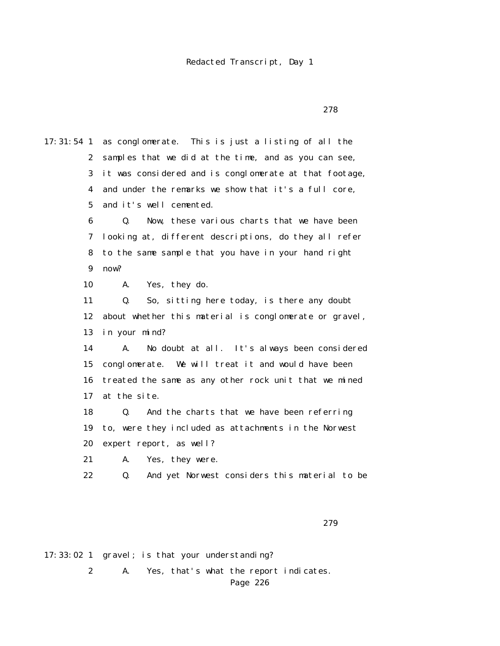17:31:54 1 as conglomerate. This is just a listing of all the 2 samples that we did at the time, and as you can see, 3 it was considered and is conglomerate at that footage, 4 and under the remarks we show that it's a full core, 5 and it's well cemented. 6 Q. Now, these various charts that we have been 7 looking at, different descriptions, do they all refer 8 to the same sample that you have in your hand right 9 now? 10 A. Yes, they do. 11 Q. So, sitting here today, is there any doubt 12 about whether this material is conglomerate or gravel, 13 in your mind? 14 A. No doubt at all. It's always been considered 15 conglomerate. We will treat it and would have been 16 treated the same as any other rock unit that we mined 17 at the site. 18 Q. And the charts that we have been referring 19 to, were they included as attachments in the Norwest 20 expert report, as well? 21 A. Yes, they were. 22 Q. And yet Norwest considers this material to be

279

17:33:02 1 gravel; is that your understanding?

2 A. Yes, that's what the report indicates.

Page 226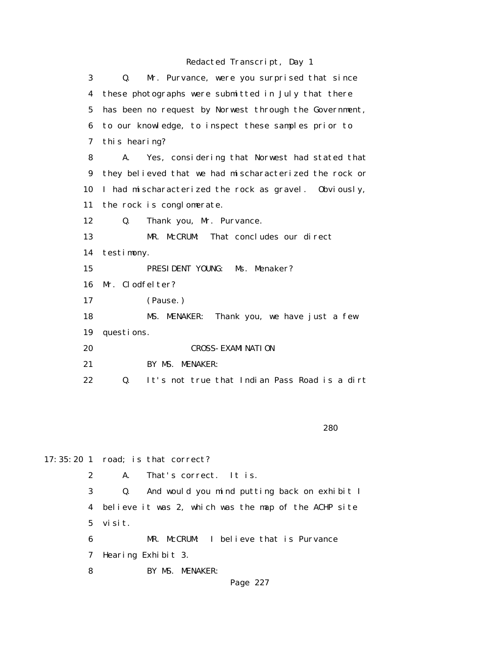| 3               | Mr. Purvance, were you surprised that since<br>0.      |
|-----------------|--------------------------------------------------------|
| 4               | these photographs were submitted in July that there    |
| $5\overline{ }$ | has been no request by Norwest through the Government, |
| 6               | to our knowledge, to inspect these samples prior to    |
| 7               | this hearing?                                          |
| 8               | Yes, considering that Norwest had stated that<br>A.    |
| 9               | they believed that we had mischaracterized the rock or |
| 10              | I had mischaracterized the rock as gravel. Obviously,  |
| 11              | the rock is conglomerate.                              |
| 12              | Q.<br>Thank you, Mr. Purvance.                         |
| 13              | MR. McCRUM:<br>That concludes our direct               |
| 14              | testimony.                                             |
| 15              | PRESIDENT YOUNG: Ms. Menaker?                          |
| 16              | Mr. Clodfelter?                                        |
| 17              | (Pause.)                                               |
| 18              | MS. MENAKER:<br>Thank you, we have just a few          |
| 19              | questions.                                             |
| 20              | <b>CROSS- EXAMINATION</b>                              |
| 21              | BY MS. MENAKER:                                        |
| 22              | It's not true that Indian Pass Road is a dirt<br>Q.    |

#### $280$

17:35:20 1 road; is that correct?

2 A. That's correct. It is.

 3 Q. And would you mind putting back on exhibit I 4 believe it was 2, which was the map of the ACHP site 5 visit. 6 MR. McCRUM: I believe that is Purvance 7 Hearing Exhibit 3.

8 BY MS. MENAKER: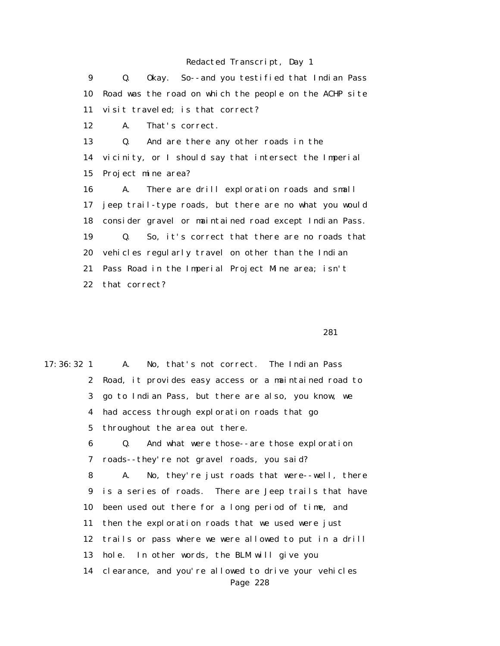9 Q. Okay. So--and you testified that Indian Pass 10 Road was the road on which the people on the ACHP site 11 visit traveled; is that correct? 12 A. That's correct. 13 Q. And are there any other roads in the 14 vicinity, or I should say that intersect the Imperial 15 Project mine area? 16 A. There are drill exploration roads and small 17 jeep trail-type roads, but there are no what you would 18 consider gravel or maintained road except Indian Pass. 19 Q. So, it's correct that there are no roads that 20 vehicles regularly travel on other than the Indian 21 Pass Road in the Imperial Project Mine area; isn't 22 that correct?

<u>281</u>

17:36:32 1 A. No, that's not correct. The Indian Pass 2 Road, it provides easy access or a maintained road to 3 go to Indian Pass, but there are also, you know, we 4 had access through exploration roads that go 5 throughout the area out there. 6 Q. And what were those--are those exploration 7 roads--they're not gravel roads, you said? 8 A. No, they're just roads that were--well, there 9 is a series of roads. There are Jeep trails that have 10 been used out there for a long period of time, and 11 then the exploration roads that we used were just 12 trails or pass where we were allowed to put in a drill 13 hole. In other words, the BLM will give you 14 clearance, and you're allowed to drive your vehicles Page 228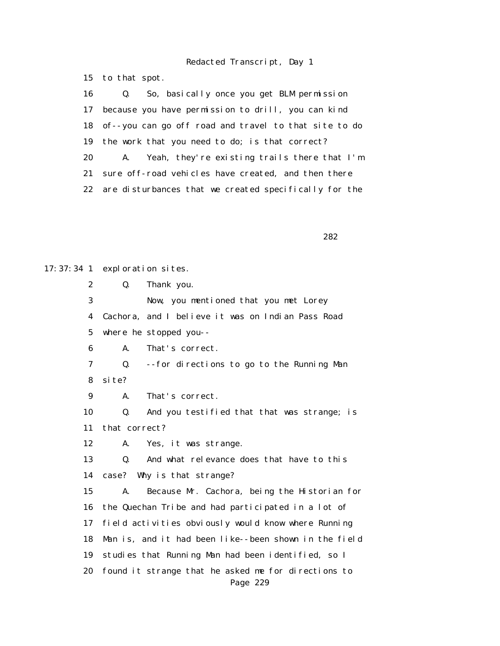15 to that spot. 16 Q. So, basically once you get BLM permission 17 because you have permission to drill, you can kind 18 of--you can go off road and travel to that site to do 19 the work that you need to do; is that correct? 20 A. Yeah, they're existing trails there that I'm 21 sure off-road vehicles have created, and then there 22 are disturbances that we created specifically for the

<u>282</u>

#### 17:37:34 1 exploration sites.

2 Q. Thank you.

3 Now, you mentioned that you met Lorey

 4 Cachora, and I believe it was on Indian Pass Road 5 where he stopped you--

6 A. That's correct.

 7 Q. --for directions to go to the Running Man 8 site?

9 A. That's correct.

 10 Q. And you testified that that was strange; is 11 that correct?

12 A. Yes, it was strange.

 13 Q. And what relevance does that have to this 14 case? Why is that strange?

 15 A. Because Mr. Cachora, being the Historian for 16 the Quechan Tribe and had participated in a lot of 17 field activities obviously would know where Running 18 Man is, and it had been like--been shown in the field 19 studies that Running Man had been identified, so I 20 found it strange that he asked me for directions to Page 229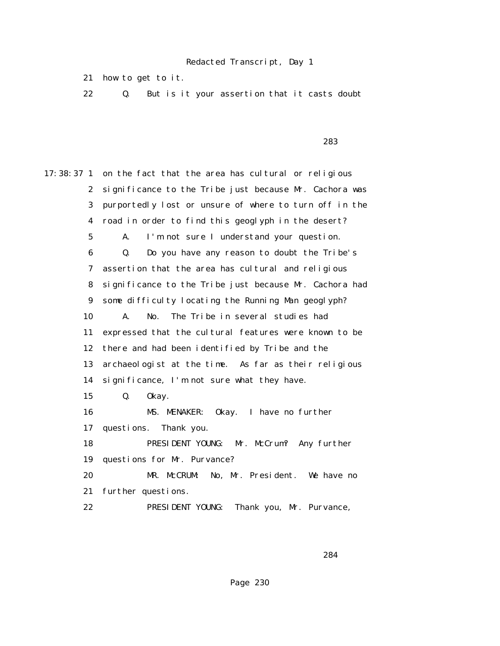21 how to get to it.

22 Q. But is it your assertion that it casts doubt

<u>283</u> and 2012 and 2013 and 2014 and 2014 and 2014 and 2014 and 2014 and 2014 and 2014 and 2014 and 2014 and 20

17:38:37 1 on the fact that the area has cultural or religious 2 significance to the Tribe just because Mr. Cachora was 3 purportedly lost or unsure of where to turn off in the 4 road in order to find this geoglyph in the desert? 5 A. I'm not sure I understand your question. 6 Q. Do you have any reason to doubt the Tribe's 7 assertion that the area has cultural and religious 8 significance to the Tribe just because Mr. Cachora had 9 some difficulty locating the Running Man geoglyph? 10 A. No. The Tribe in several studies had 11 expressed that the cultural features were known to be 12 there and had been identified by Tribe and the 13 archaeologist at the time. As far as their religious 14 significance, I'm not sure what they have. 15 Q. Okay. 16 MS. MENAKER: Okay. I have no further 17 questions. Thank you. 18 PRESIDENT YOUNG: Mr. McCrum? Any further 19 questions for Mr. Purvance? 20 MR. McCRUM: No, Mr. President. We have no 21 further questions. 22 PRESIDENT YOUNG: Thank you, Mr. Purvance,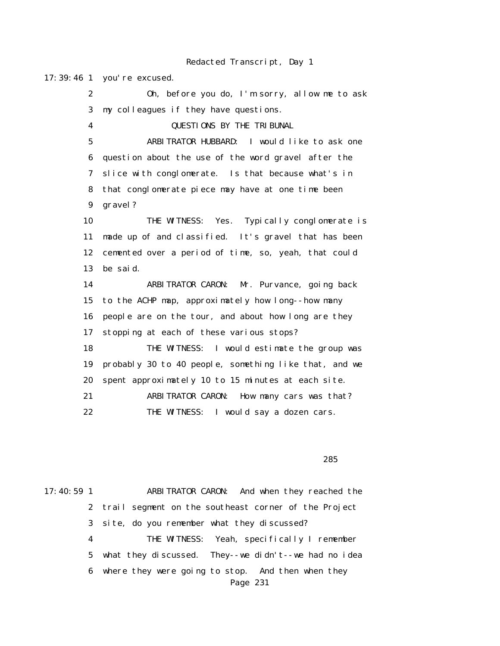17:39:46 1 you're excused. 2 Oh, before you do, I'm sorry, allow me to ask 3 my colleagues if they have questions. 4 QUESTIONS BY THE TRIBUNAL 5 ARBITRATOR HUBBARD: I would like to ask one 6 question about the use of the word gravel after the 7 slice with conglomerate. Is that because what's in 8 that conglomerate piece may have at one time been 9 gravel? 10 THE WITNESS: Yes. Typically conglomerate is 11 made up of and classified. It's gravel that has been 12 cemented over a period of time, so, yeah, that could 13 be said. 14 ARBITRATOR CARON: Mr. Purvance, going back 15 to the ACHP map, approximately how long--how many 16 people are on the tour, and about how long are they 17 stopping at each of these various stops? 18 THE WITNESS: I would estimate the group was 19 probably 30 to 40 people, something like that, and we 20 spent approximately 10 to 15 minutes at each site. 21 ARBITRATOR CARON: How many cars was that? 22 THE WITNESS: I would say a dozen cars.

<u>285</u> and the contract of the contract of the contract of the contract of the contract of the contract of the contract of the contract of the contract of the contract of the contract of the contract of the contract of the

17:40:59 1 ARBITRATOR CARON: And when they reached the 2 trail segment on the southeast corner of the Project 3 site, do you remember what they discussed? 4 THE WITNESS: Yeah, specifically I remember 5 what they discussed. They--we didn't--we had no idea 6 where they were going to stop. And then when they Page 231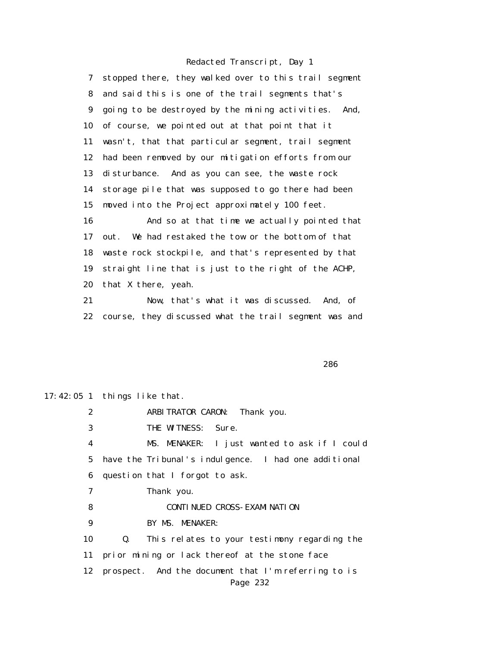7 stopped there, they walked over to this trail segment 8 and said this is one of the trail segments that's 9 going to be destroyed by the mining activities. And, 10 of course, we pointed out at that point that it 11 wasn't, that that particular segment, trail segment 12 had been removed by our mitigation efforts from our 13 disturbance. And as you can see, the waste rock 14 storage pile that was supposed to go there had been 15 moved into the Project approximately 100 feet. 16 And so at that time we actually pointed that 17 out. We had restaked the tow or the bottom of that 18 waste rock stockpile, and that's represented by that 19 straight line that is just to the right of the ACHP, 20 that X there, yeah. 21 Now, that's what it was discussed. And, of

22 course, they discussed what the trail segment was and

#### <u>286 and 286 and 286 and 286 and 286 and 286 and 286 and 286 and 286 and 286 and 286 and 286 and 286 and 286 and 287 and 287 and 288 and 287 and 288 and 288 and 288 and 288 and 288 and 288 and 288 and 288 and 288 and 288 a</u>

# 17:42:05 1 things like that. 2 ARBITRATOR CARON: Thank you. 3 THE WITNESS: Sure. 4 MS. MENAKER: I just wanted to ask if I could 5 have the Tribunal's indulgence. I had one additional 6 question that I forgot to ask. 7 Thank you. 8 CONTINUED CROSS-EXAMINATION 9 BY MS. MENAKER: 10 Q. This relates to your testimony regarding the 11 prior mining or lack thereof at the stone face 12 prospect. And the document that I'm referring to is Page 232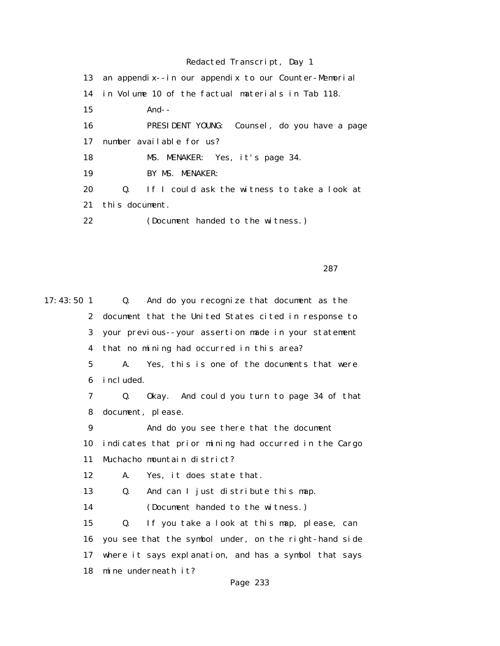13 an appendix--in our appendix to our Counter-Memorial 14 in Volume 10 of the factual materials in Tab 118. 15 And-- 16 PRESIDENT YOUNG: Counsel, do you have a page 17 number available for us? 18 MS. MENAKER: Yes, it's page 34. 19 BY MS. MENAKER: 20 Q. If I could ask the witness to take a look at 21 this document. 22 (Document handed to the witness.)

<u>287 година в селото на селото на селото на селото на селото на селото на селото на селото на селото на селото</u>

17:43:50 1 Q. And do you recognize that document as the 2 document that the United States cited in response to 3 your previous--your assertion made in your statement 4 that no mining had occurred in this area? 5 A. Yes, this is one of the documents that were 6 included. 7 Q. Okay. And could you turn to page 34 of that 8 document, please. 9 And do you see there that the document 10 indicates that prior mining had occurred in the Cargo 11 Muchacho mountain district? 12 A. Yes, it does state that. 13 Q. And can I just distribute this map. 14 (Document handed to the witness.) 15 Q. If you take a look at this map, please, can 16 you see that the symbol under, on the right-hand side 17 where it says explanation, and has a symbol that says 18 mine underneath it?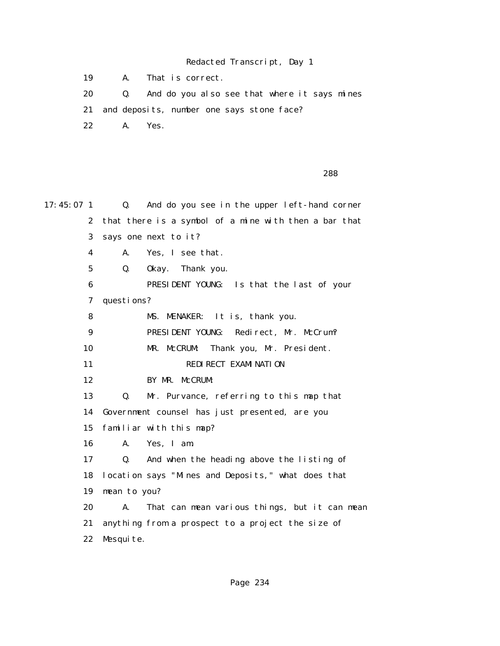19 A. That is correct.

 20 Q. And do you also see that where it says mines 21 and deposits, number one says stone face?

22 A. Yes.

<u>288 and 2002 and 2003 and 2003 and 2003 and 2003 and 2003 and 2003 and 2003 and 2003 and 2003 and 2003 and 200</u>

17:45:07 1 Q. And do you see in the upper left-hand corner 2 that there is a symbol of a mine with then a bar that 3 says one next to it? 4 A. Yes, I see that. 5 Q. Okay. Thank you. 6 PRESIDENT YOUNG: Is that the last of your 7 questions? 8 MS. MENAKER: It is, thank you. 9 **PRESIDENT YOUNG:** Redirect, Mr. McCrum? 10 MR. McCRUM: Thank you, Mr. President. 11 REDIRECT EXAMINATION 12 BY MR. McCRUM: 13 Q. Mr. Purvance, referring to this map that 14 Government counsel has just presented, are you 15 familiar with this map? 16 A. Yes, I am. 17 Q. And when the heading above the listing of 18 location says "Mines and Deposits," what does that 19 mean to you? 20 A. That can mean various things, but it can mean 21 anything from a prospect to a project the size of 22 Mesquite.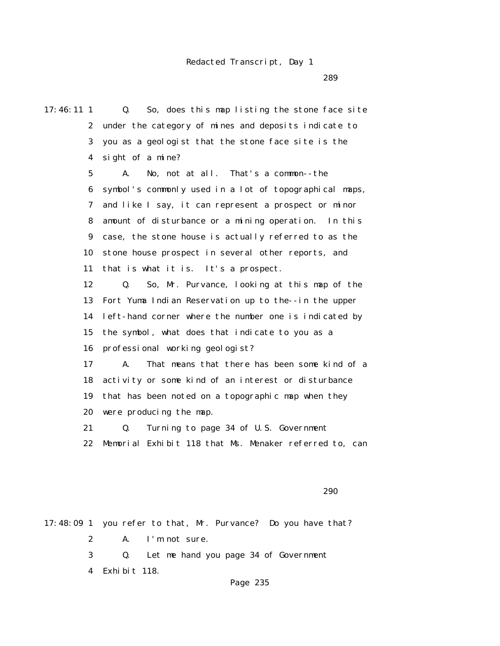$289$ 

17:46:11 1 Q. So, does this map listing the stone face site 2 under the category of mines and deposits indicate to 3 you as a geologist that the stone face site is the 4 sight of a mine? 5 A. No, not at all. That's a common--the 6 symbol's commonly used in a lot of topographical maps, 7 and like I say, it can represent a prospect or minor 8 amount of disturbance or a mining operation. In this 9 case, the stone house is actually referred to as the 10 stone house prospect in several other reports, and 11 that is what it is. It's a prospect. 12 Q. So, Mr. Purvance, looking at this map of the 13 Fort Yuma Indian Reservation up to the--in the upper 14 left-hand corner where the number one is indicated by 15 the symbol, what does that indicate to you as a 16 professional working geologist? 17 A. That means that there has been some kind of a 18 activity or some kind of an interest or disturbance 19 that has been noted on a topographic map when they 20 were producing the map. 21 Q. Turning to page 34 of U.S. Government 22 Memorial Exhibit 118 that Ms. Menaker referred to, can

 $290$ 

17:48:09 1 you refer to that, Mr. Purvance? Do you have that? 2 A. I'm not sure. 3 Q. Let me hand you page 34 of Government 4 Exhibit 118.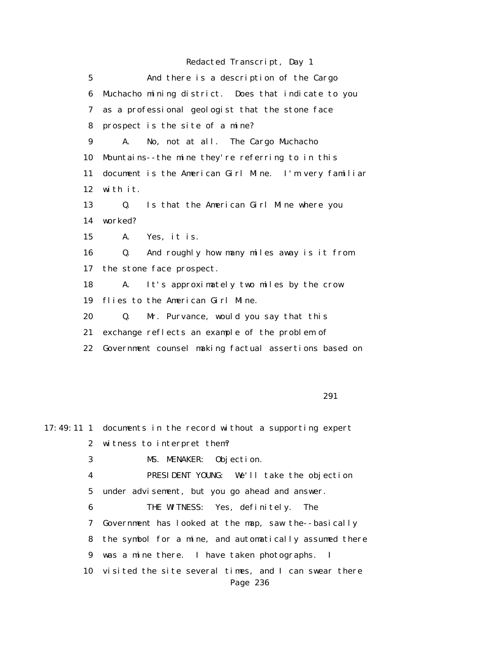|  | Redacted Transcript, Day 1 |  |
|--|----------------------------|--|
|--|----------------------------|--|

 5 And there is a description of the Cargo 6 Muchacho mining district. Does that indicate to you 7 as a professional geologist that the stone face 8 prospect is the site of a mine? 9 A. No, not at all. The Cargo Muchacho 10 Mountains--the mine they're referring to in this 11 document is the American Girl Mine. I'm very familiar 12 with it. 13 Q. Is that the American Girl Mine where you 14 worked? 15 A. Yes, it is. 16 Q. And roughly how many miles away is it from 17 the stone face prospect. 18 A. It's approximately two miles by the crow 19 flies to the American Girl Mine. 20 Q. Mr. Purvance, would you say that this 21 exchange reflects an example of the problem of 22 Government counsel making factual assertions based on

 $291$ 

17:49:11 1 documents in the record without a supporting expert 2 witness to interpret them? 3 MS. MENAKER: Objection. 4 PRESIDENT YOUNG: We'll take the objection 5 under advisement, but you go ahead and answer. 6 THE WITNESS: Yes, definitely. The 7 Government has looked at the map, saw the--basically 8 the symbol for a mine, and automatically assumed there 9 was a mine there. I have taken photographs. I 10 visited the site several times, and I can swear there Page 236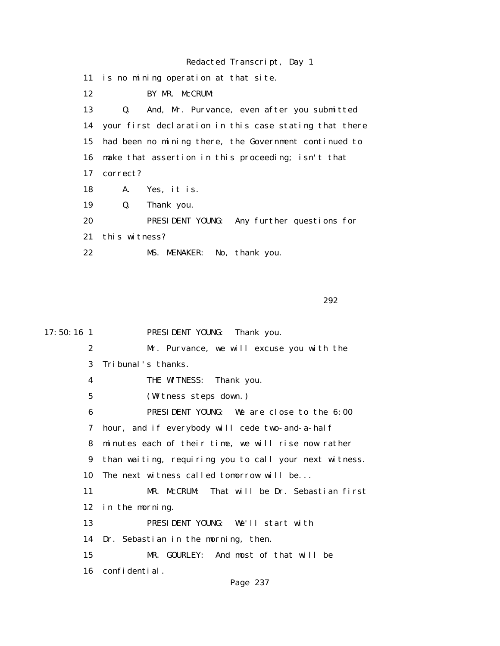|    | Redacted Transcript, Day 1                                    |
|----|---------------------------------------------------------------|
|    | 11 is no mining operation at that site.                       |
| 12 | BY MR. McCRUM:                                                |
| 13 | And, Mr. Purvance, even after you submitted<br>$\mathbf{0}$ . |
|    | 14 your first declaration in this case stating that there     |
| 15 | had been no mining there, the Government continued to         |
| 16 | make that assertion in this proceeding; isn't that            |
| 17 | correct?                                                      |
| 18 | A. Yes, it is.                                                |
| 19 | Q.<br>Thank you.                                              |
| 20 | PRESIDENT YOUNG: Any further questions for                    |
| 21 | this witness?                                                 |
| 22 | MS. MENAKER: No, thank you.                                   |

| $17:50:16$ 1 | PRESIDENT YOUNG: Thank you.                            |
|--------------|--------------------------------------------------------|
| $\mathbf{2}$ | Mr. Purvance, we will excuse you with the              |
| 3            | Tribunal's thanks.                                     |
| 4            | THE WITNESS: Thank you.                                |
| $\mathbf{5}$ | (Witness steps down.)                                  |
| 6            | PRESIDENT YOUNG: We are close to the 6:00              |
| 7            | hour, and if everybody will cede two-and-a-half        |
| 8            | minutes each of their time, we will rise now rather    |
| 9            | than waiting, requiring you to call your next witness. |
| 10           | The next witness called tomorrow will be               |
| 11           | MR. McCRUM: That will be Dr. Sebastian first           |
| 12           | in the morning.                                        |
| 13           | PRESIDENT YOUNG: We'll start with                      |
| 14           | Dr. Sebastian in the morning, then.                    |
| 15           | MR. GOURLEY: And most of that will be                  |
| 16           | confidential.                                          |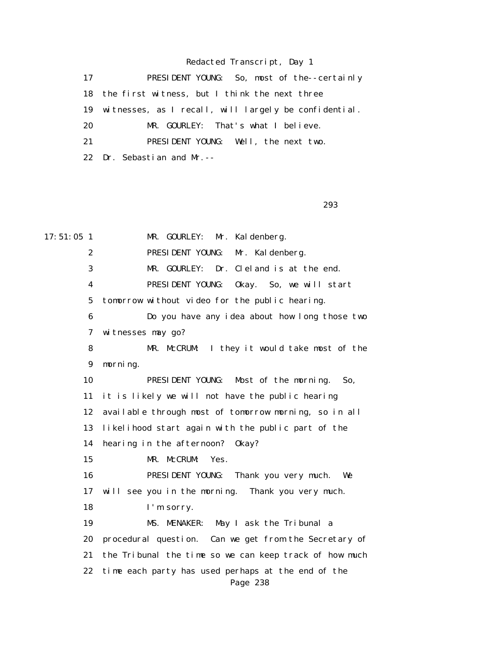17 PRESIDENT YOUNG: So, most of the--certainly 18 the first witness, but I think the next three 19 witnesses, as I recall, will largely be confidential. 20 MR. GOURLEY: That's what I believe. 21 PRESIDENT YOUNG: Well, the next two.

22 Dr. Sebastian and Mr.--

| $17:51:05$ 1            | MR. GOURLEY:<br>Mr. Kaldenberg.                                |
|-------------------------|----------------------------------------------------------------|
| $\boldsymbol{2}$        | PRESIDENT YOUNG:<br>Mr. Kaldenberg.                            |
| 3                       | MR. GOURLEY:<br>Dr. Cleland is at the end.                     |
| $\overline{\mathbf{4}}$ | PRESIDENT YOUNG:<br>Okay. So, we will start                    |
| $\mathbf 5$             | tomorrow without video for the public hearing.                 |
| 6                       | Do you have any idea about how long those two                  |
| 7                       | witnesses may go?                                              |
| 8                       | MR. McCRUM: I they it would take most of the                   |
| 9                       | morning.                                                       |
| 10                      | PRESIDENT YOUNG:<br>Most of the morning.<br>So,                |
| 11                      | it is likely we will not have the public hearing               |
| 12                      | available through most of tomorrow morning, so in all          |
| 13                      | likelihood start again with the public part of the             |
| 14                      | hearing in the afternoon?<br>0kay?                             |
| 15                      | MR. McCRUM:<br>Yes.                                            |
| 16                      | PRESIDENT YOUNG:<br>Thank you very much.<br>We                 |
| 17                      | will see you in the morning. Thank you very much.              |
| 18                      | I'm sorry.                                                     |
| 19                      | May I ask the Tribunal a<br>MS. MENAKER:                       |
| 20                      | procedural question. Can we get from the Secretary of          |
| 21                      | the Tribunal the time so we can keep track of how much         |
| 22                      | time each party has used perhaps at the end of the<br>Page 238 |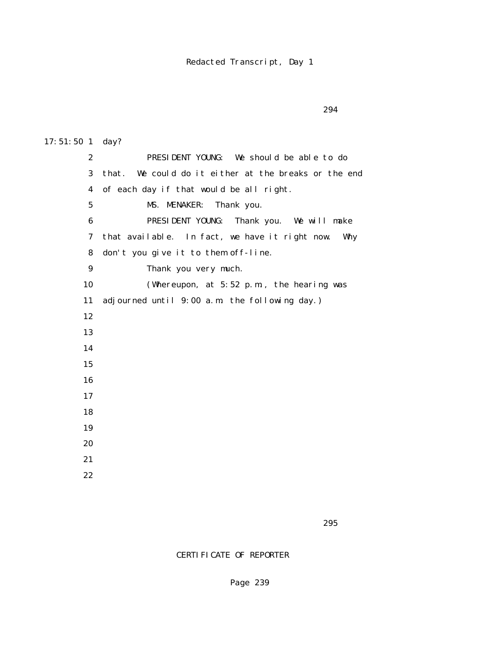#### 17:51:50 1 day?

 2 PRESIDENT YOUNG: We should be able to do 3 that. We could do it either at the breaks or the end 4 of each day if that would be all right. 5 MS. MENAKER: Thank you. 6 PRESIDENT YOUNG: Thank you. We will make 7 that available. In fact, we have it right now. Why 8 don't you give it to them off-line. 9 Thank you very much. 10 (Whereupon, at 5:52 p.m., the hearing was 11 adjourned until 9:00 a.m. the following day.) 12 13 14 15 16 17 18 19 20 21 22

 $295$ 

## CERTIFICATE OF REPORTER